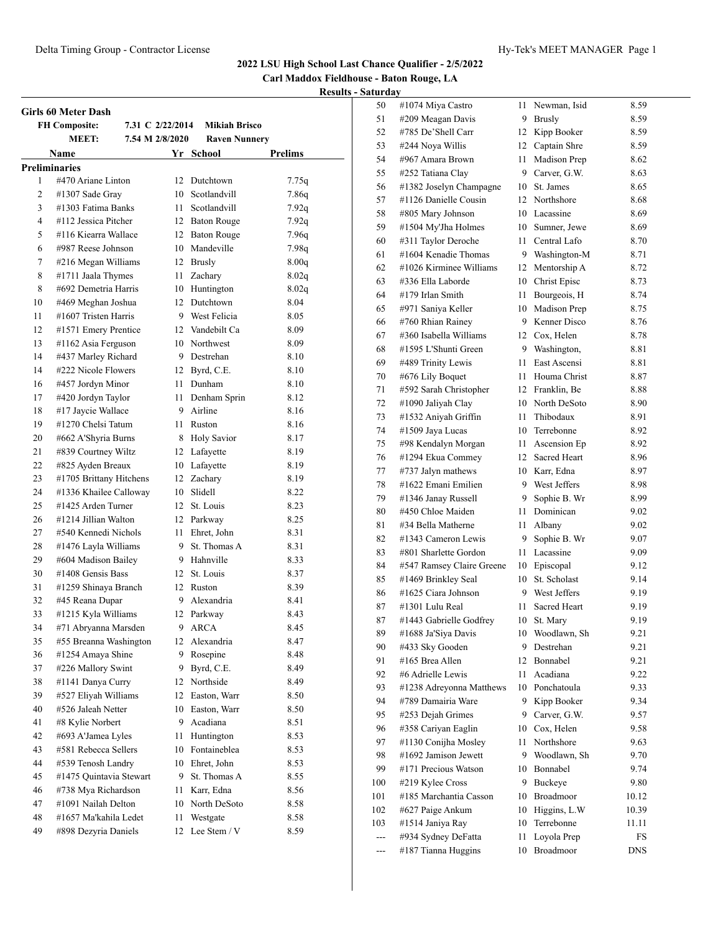**Carl Maddox Fieldhouse - Baton Rouge, LA**

|    | <b>FH Composite:</b>    | 7.31 C 2/22/2014 | <b>Mikiah Brisco</b> |         |
|----|-------------------------|------------------|----------------------|---------|
|    | <b>MEET:</b>            | 7.54 M 2/8/2020  | <b>Raven Nunnery</b> |         |
|    | Name                    |                  | Yr School            | Prelims |
|    | <b>Preliminaries</b>    |                  |                      |         |
| 1  | #470 Ariane Linton      | 12               | Dutchtown            | 7.75q   |
| 2  | #1307 Sade Gray         | 10               | Scotlandvill         | 7.86q   |
| 3  | #1303 Fatima Banks      | 11               | Scotlandvill         | 7.92q   |
| 4  | #112 Jessica Pitcher    | 12               | <b>Baton Rouge</b>   | 7.92q   |
| 5  | #116 Kiearra Wallace    | 12               | <b>Baton Rouge</b>   | 7.96q   |
| 6  | #987 Reese Johnson      | 10               | Mandeville           | 7.98q   |
| 7  | #216 Megan Williams     | 12               | <b>Brusly</b>        | 8.00q   |
| 8  | #1711 Jaala Thymes      | 11               | Zachary              | 8.02q   |
| 8  | #692 Demetria Harris    | 10               | Huntington           | 8.02q   |
| 10 | #469 Meghan Joshua      | 12               | Dutchtown            | 8.04    |
| 11 | #1607 Tristen Harris    |                  | 9 West Felicia       | 8.05    |
| 12 | #1571 Emery Prentice    | 12               | Vandebilt Ca         | 8.09    |
| 13 | #1162 Asia Ferguson     | 10               | Northwest            | 8.09    |
| 14 | #437 Marley Richard     | 9                | Destrehan            | 8.10    |
| 14 | #222 Nicole Flowers     | 12               | Byrd, C.E.           | 8.10    |
| 16 | #457 Jordyn Minor       | 11               | Dunham               | 8.10    |
| 17 | #420 Jordyn Taylor      | 11               | Denham Sprin         | 8.12    |
| 18 | #17 Jaycie Wallace      | 9                | Airline              | 8.16    |
| 19 | #1270 Chelsi Tatum      | 11               | Ruston               | 8.16    |
| 20 | #662 A'Shyria Burns     | 8                | <b>Holy Savior</b>   | 8.17    |
| 21 | #839 Courtney Wiltz     | 12               | Lafayette            | 8.19    |
| 22 | #825 Ayden Breaux       | 10               | Lafayette            | 8.19    |
| 23 | #1705 Brittany Hitchens | 12               | Zachary              | 8.19    |
| 24 | #1336 Khailee Calloway  | 10               | Slidell              | 8.22    |
| 25 | #1425 Arden Turner      | 12               | St. Louis            | 8.23    |
| 26 | #1214 Jillian Walton    | 12               | Parkway              | 8.25    |
| 27 | #540 Kennedi Nichols    | 11               | Ehret, John          | 8.31    |
| 28 | #1476 Layla Williams    | 9                | St. Thomas A         | 8.31    |
| 29 | #604 Madison Bailey     | 9                | Hahnville            | 8.33    |
| 30 | #1408 Gensis Bass       | 12               | St. Louis            | 8.37    |
| 31 | #1259 Shinaya Branch    | 12               | Ruston               | 8.39    |
| 32 | #45 Reana Dupar         | 9                | Alexandria           | 8.41    |
| 33 | #1215 Kyla Williams     | 12               | Parkway              | 8.43    |
| 34 | #71 Abryanna Marsden    | 9                | <b>ARCA</b>          | 8.45    |
| 35 | #55 Breanna Washington  | 12               | Alexandria           | 8.47    |
| 36 | #1254 Amaya Shine       | 9                | Rosepine             | 8.48    |
| 37 | #226 Mallory Swint      | 9                | Byrd, C.E.           | 8.49    |
| 38 | #1141 Danya Curry       | 12               | Northside            | 8.49    |
| 39 | #527 Eliyah Williams    | 12               | Easton, Warr         | 8.50    |
| 40 | #526 Jaleah Netter      | 10               | Easton, Warr         | 8.50    |
| 41 | #8 Kylie Norbert        | 9                | Acadiana             | 8.51    |
| 42 | #693 A'Jamea Lyles      | 11               | Huntington           | 8.53    |
| 43 | #581 Rebecca Sellers    | 10               | Fontaineblea         | 8.53    |
| 44 | #539 Tenosh Landry      | 10               | Ehret, John          | 8.53    |
| 45 | #1475 Quintavia Stewart | 9                | St. Thomas A         | 8.55    |
| 46 | #738 Mya Richardson     | 11               | Karr, Edna           | 8.56    |
| 47 | #1091 Nailah Delton     | 10               | North DeSoto         | 8.58    |
| 48 | #1657 Ma'kahila Ledet   | 11               | Westgate             | 8.58    |
| 49 | #898 Dezyria Daniels    | 12               | Lee Stem / V         | 8.59    |

| 50  | #1074 Miya Castro         | 11 | Newman, Isid        | 8.59  |
|-----|---------------------------|----|---------------------|-------|
| 51  | #209 Meagan Davis         | 9  | <b>Brusly</b>       | 8.59  |
| 52  | #785 De'Shell Carr        | 12 | Kipp Booker         | 8.59  |
| 53  | #244 Nova Willis          | 12 | Captain Shre        | 8.59  |
| 54  | #967 Amara Brown          | 11 | Madison Prep        | 8.62  |
| 55  | #252 Tatiana Clay         | 9  | Carver, G.W.        | 8.63  |
| 56  | #1382 Joselyn Champagne   | 10 | St. James           | 8.65  |
| 57  | #1126 Danielle Cousin     | 12 | Northshore          | 8.68  |
| 58  | #805 Mary Johnson         | 10 | Lacassine           | 8.69  |
| 59  | #1504 My'Jha Holmes       | 10 | Sumner, Jewe        | 8.69  |
| 60  | #311 Taylor Deroche       | 11 | Central Lafo        | 8.70  |
| 61  | #1604 Kenadie Thomas      | 9  | Washington-M        | 8.71  |
| 62  | #1026 Kirminee Williams   | 12 | Mentorship A        | 8.72  |
| 63  | #336 Ella Laborde         | 10 | Christ Episc        | 8.73  |
| 64  | #179 Irlan Smith          | 11 | Bourgeois, H        | 8.74  |
| 65  | #971 Saniya Keller        | 10 | Madison Prep        | 8.75  |
| 66  | #760 Rhian Rainey         | 9  | Kenner Disco        | 8.76  |
| 67  | #360 Isabella Williams    | 12 | Cox, Helen          | 8.78  |
| 68  | #1595 L'Shunti Green      | 9  | Washington,         | 8.81  |
| 69  | #489 Trinity Lewis        | 11 | East Ascensi        | 8.81  |
| 70  | #676 Lily Boquet          | 11 | Houma Christ        | 8.87  |
| 71  | #592 Sarah Christopher    | 12 | Franklin, Be        | 8.88  |
| 72  | #1090 Jaliyah Clay        | 10 | North DeSoto        | 8.90  |
| 73  | #1532 Aniyah Griffin      | 11 | Thibodaux           | 8.91  |
| 74  | #1509 Jaya Lucas          | 10 | Terrebonne          | 8.92  |
| 75  | #98 Kendalyn Morgan       | 11 | Ascension Ep        | 8.92  |
| 76  | #1294 Ekua Commey         | 12 | Sacred Heart        | 8.96  |
| 77  | #737 Jalyn mathews        | 10 | Karr, Edna          | 8.97  |
| 78  | #1622 Emani Emilien       | 9  | West Jeffers        | 8.98  |
| 79  | #1346 Janay Russell       | 9  | Sophie B. Wr        | 8.99  |
| 80  | #450 Chloe Maiden         | 11 | Dominican           | 9.02  |
| 81  | #34 Bella Matherne        | 11 | Albany              | 9.02  |
| 82  | #1343 Cameron Lewis       | 9  | Sophie B. Wr        | 9.07  |
| 83  | #801 Sharlette Gordon     | 11 | Lacassine           | 9.09  |
| 84  | #547 Ramsey Claire Greene | 10 | Episcopal           | 9.12  |
| 85  | #1469 Brinkley Seal       | 10 | St. Scholast        | 9.14  |
| 86  | #1625 Ciara Johnson       | 9  | West Jeffers        | 9.19  |
| 87  | #1301 Lulu Real           | 11 | <b>Sacred Heart</b> | 9.19  |
| 87  | #1443 Gabrielle Godfrey   | 10 | St. Marv            | 9.19  |
| 89  | #1688 Ja'Siya Davis       | 10 | Woodlawn, Sh        | 9.21  |
| 90  | #433 Sky Gooden           | 9  | Destrehan           | 9.21  |
| 91  | #165 Brea Allen           | 12 | Bonnabel            | 9.21  |
| 92  | #6 Adrielle Lewis         | 11 | Acadiana            | 9.22  |
| 93  | #1238 Adreyonna Matthews  | 10 | Ponchatoula         | 9.33  |
| 94  | #789 Damairia Ware        | 9  | Kipp Booker         | 9.34  |
| 95  | #253 Dejah Grimes         | 9  | Carver, G.W.        | 9.57  |
| 96  | #358 Cariyan Eaglin       | 10 | Cox, Helen          | 9.58  |
| 97  | #1130 Conijha Mosley      | 11 | Northshore          | 9.63  |
| 98  | #1692 Jamison Jewett      | 9  | Woodlawn, Sh        | 9.70  |
| 99  | #171 Precious Watson      | 10 | Bonnabel            | 9.74  |
| 100 | #219 Kylee Cross          | 9  | Buckeye             | 9.80  |
| 101 | #185 Marchantia Casson    | 10 | Broadmoor           | 10.12 |
| 102 | #627 Paige Ankum          | 10 | Higgins, L.W        | 10.39 |
| 103 | #1514 Janiya Ray          | 10 | Terrebonne          | 11.11 |
| --- | #934 Sydney DeFatta       | 11 | Loyola Prep         | FS    |
| --- | #187 Tianna Huggins       | 10 | Broadmoor           | DNS   |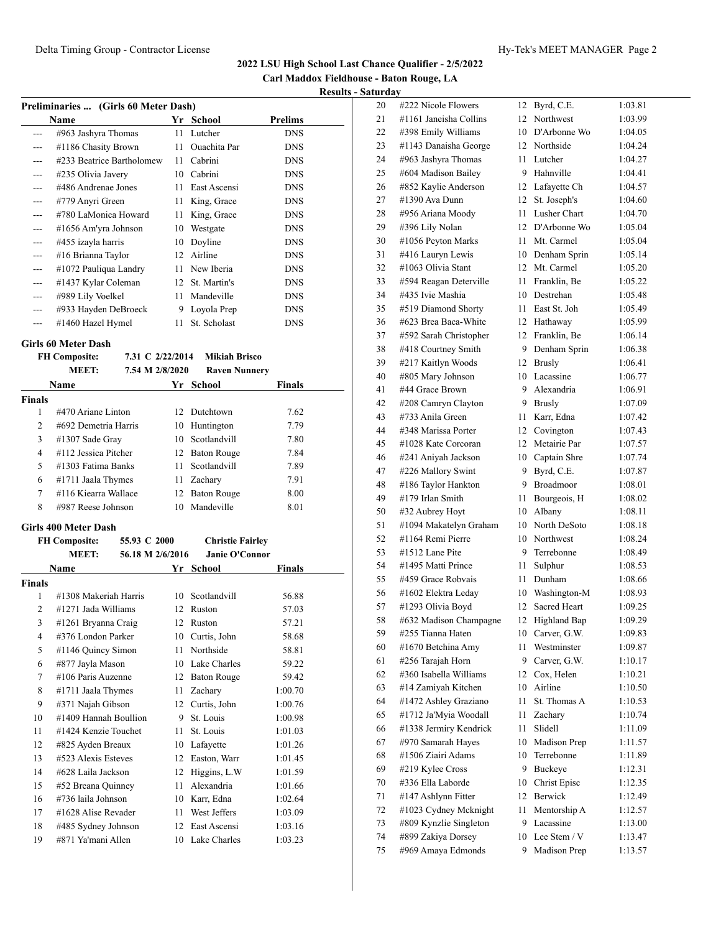**Carl Maddox Fieldhouse - Baton Rouge, LA**

#### **Results - Saturday**

| Preliminaries  (Girls 60 Meter Dash) |                           |    |                     |                |  |  |
|--------------------------------------|---------------------------|----|---------------------|----------------|--|--|
|                                      | Name                      | Yr | School              | <b>Prelims</b> |  |  |
|                                      | #963 Jashyra Thomas       | 11 | Lutcher             | <b>DNS</b>     |  |  |
|                                      | #1186 Chasity Brown       | 11 | <b>Ouachita Par</b> | <b>DNS</b>     |  |  |
| ---                                  | #233 Beatrice Bartholomew | 11 | Cabrini             | <b>DNS</b>     |  |  |
| ---                                  | #235 Olivia Javery        | 10 | Cabrini             | <b>DNS</b>     |  |  |
| ---                                  | #486 Andrenae Jones       | 11 | East Ascensi        | <b>DNS</b>     |  |  |
| ---                                  | #779 Anyri Green          | 11 | King, Grace         | <b>DNS</b>     |  |  |
|                                      | #780 LaMonica Howard      | 11 | King, Grace         | <b>DNS</b>     |  |  |
| ---                                  | #1656 Am'yra Johnson      | 10 | Westgate            | <b>DNS</b>     |  |  |
| ---                                  | #455 izayla harris        | 10 | Doyline             | <b>DNS</b>     |  |  |
| ---                                  | #16 Brianna Taylor        | 12 | Airline             | <b>DNS</b>     |  |  |
|                                      | #1072 Pauliqua Landry     | 11 | New Iberia          | <b>DNS</b>     |  |  |
| ---                                  | #1437 Kylar Coleman       | 12 | St. Martin's        | <b>DNS</b>     |  |  |
| ---                                  | #989 Lily Voelkel         | 11 | Mandeville          | <b>DNS</b>     |  |  |
|                                      | #933 Hayden DeBroeck      | 9  | Loyola Prep         | <b>DNS</b>     |  |  |
|                                      | #1460 Hazel Hymel         | 11 | St. Scholast        | <b>DNS</b>     |  |  |
|                                      |                           |    |                     |                |  |  |

#### **Girls 60 Meter Dash**

**FH Composite: 7.31 C 2/22/2014 Mikiah Brisco**

| <b>MEET:</b>      |      | <b>Raven Nunnery</b>                                                                                                                                            |                                                                                                                                 |
|-------------------|------|-----------------------------------------------------------------------------------------------------------------------------------------------------------------|---------------------------------------------------------------------------------------------------------------------------------|
|                   |      |                                                                                                                                                                 | <b>Finals</b>                                                                                                                   |
|                   |      |                                                                                                                                                                 |                                                                                                                                 |
|                   |      |                                                                                                                                                                 | 7.62                                                                                                                            |
|                   |      |                                                                                                                                                                 | 7.79                                                                                                                            |
| $#1307$ Sade Gray |      |                                                                                                                                                                 | 7.80                                                                                                                            |
|                   |      |                                                                                                                                                                 | 7.84                                                                                                                            |
|                   | 11   | Scotlandvill                                                                                                                                                    | 7.89                                                                                                                            |
|                   | 11   |                                                                                                                                                                 | 7.91                                                                                                                            |
|                   |      |                                                                                                                                                                 | 8.00                                                                                                                            |
|                   | 10   | Mandeville                                                                                                                                                      | 8.01                                                                                                                            |
|                   | Name | #470 Ariane Linton<br>#692 Demetria Harris<br>#112 Jessica Pitcher<br>#1303 Fatima Banks<br>#1711 Jaala Thymes<br>#116 Kiearra Wallace<br>$\#987$ Reese Johnson | 7.54 M 2/8/2020<br>Yr School<br>12 Dutchtown<br>10 Huntington<br>10 Scotlandvill<br>12 Baton Rouge<br>Zachary<br>12 Baton Rouge |

#### **Girls 400 Meter Dash**

|        |              | 55.93 C 2000                 |                                                                                                                                                                                                                                                                                                                                                                                                                                            | <b>Christie Fairley</b> |                                                                                                                                                                                                                               |                |
|--------|--------------|------------------------------|--------------------------------------------------------------------------------------------------------------------------------------------------------------------------------------------------------------------------------------------------------------------------------------------------------------------------------------------------------------------------------------------------------------------------------------------|-------------------------|-------------------------------------------------------------------------------------------------------------------------------------------------------------------------------------------------------------------------------|----------------|
|        | <b>MEET:</b> |                              |                                                                                                                                                                                                                                                                                                                                                                                                                                            |                         |                                                                                                                                                                                                                               |                |
|        |              |                              |                                                                                                                                                                                                                                                                                                                                                                                                                                            | School                  | Finals                                                                                                                                                                                                                        |                |
| Finals |              |                              |                                                                                                                                                                                                                                                                                                                                                                                                                                            |                         |                                                                                                                                                                                                                               |                |
| 1      |              |                              | 10                                                                                                                                                                                                                                                                                                                                                                                                                                         | Scotlandvill            | 56.88                                                                                                                                                                                                                         |                |
| 2      |              |                              | 12                                                                                                                                                                                                                                                                                                                                                                                                                                         |                         | 57.03                                                                                                                                                                                                                         |                |
| 3      |              |                              | 12                                                                                                                                                                                                                                                                                                                                                                                                                                         |                         | 57.21                                                                                                                                                                                                                         |                |
| 4      |              |                              | 10                                                                                                                                                                                                                                                                                                                                                                                                                                         |                         | 58.68                                                                                                                                                                                                                         |                |
| 5      |              |                              | 11                                                                                                                                                                                                                                                                                                                                                                                                                                         |                         | 58.81                                                                                                                                                                                                                         |                |
| 6      |              |                              | 10                                                                                                                                                                                                                                                                                                                                                                                                                                         |                         | 59.22                                                                                                                                                                                                                         |                |
| 7      |              |                              | 12                                                                                                                                                                                                                                                                                                                                                                                                                                         |                         | 59.42                                                                                                                                                                                                                         |                |
| 8      |              |                              | 11                                                                                                                                                                                                                                                                                                                                                                                                                                         |                         | 1:00.70                                                                                                                                                                                                                       |                |
| 9      |              |                              | 12                                                                                                                                                                                                                                                                                                                                                                                                                                         | Curtis, John            | 1:00.76                                                                                                                                                                                                                       |                |
| 10     |              |                              | 9                                                                                                                                                                                                                                                                                                                                                                                                                                          | St. Louis               | 1:00.98                                                                                                                                                                                                                       |                |
| 11     |              |                              | 11                                                                                                                                                                                                                                                                                                                                                                                                                                         | St. Louis               | 1:01.03                                                                                                                                                                                                                       |                |
| 12     |              |                              | 10                                                                                                                                                                                                                                                                                                                                                                                                                                         |                         | 1:01.26                                                                                                                                                                                                                       |                |
| 13     |              |                              | 12                                                                                                                                                                                                                                                                                                                                                                                                                                         |                         | 1:01.45                                                                                                                                                                                                                       |                |
| 14     |              |                              | 12                                                                                                                                                                                                                                                                                                                                                                                                                                         |                         | 1:01.59                                                                                                                                                                                                                       |                |
| 15     |              |                              | 11                                                                                                                                                                                                                                                                                                                                                                                                                                         |                         | 1:01.66                                                                                                                                                                                                                       |                |
| 16     |              |                              | 10                                                                                                                                                                                                                                                                                                                                                                                                                                         |                         | 1:02.64                                                                                                                                                                                                                       |                |
| 17     |              |                              | 11                                                                                                                                                                                                                                                                                                                                                                                                                                         | West Jeffers            | 1:03.09                                                                                                                                                                                                                       |                |
| 18     |              |                              | 12                                                                                                                                                                                                                                                                                                                                                                                                                                         |                         | 1:03.16                                                                                                                                                                                                                       |                |
| 19     |              |                              |                                                                                                                                                                                                                                                                                                                                                                                                                                            |                         | 1:03.23                                                                                                                                                                                                                       |                |
|        |              | <b>FH Composite:</b><br>Name | #1308 Makeriah Harris<br>#1271 Jada Williams<br>#1261 Bryanna Craig<br>#376 London Parker<br>#1146 Quincy Simon<br>#877 Jayla Mason<br>#106 Paris Auzenne<br>#1711 Jaala Thymes<br>#371 Najah Gibson<br>#1409 Hannah Boullion<br>#1424 Kenzie Touchet<br>#825 Ayden Breaux<br>#523 Alexis Esteves<br>#628 Laila Jackson<br>#52 Breana Quinney<br>#736 laila Johnson<br>$\#1628$ Alise Revader<br>#485 Sydney Johnson<br>#871 Ya'mani Allen |                         | 56.18 M 2/6/2016<br>Yr<br>Ruston<br>Ruston<br>Curtis, John<br>Northside<br>Lake Charles<br>Baton Rouge<br>Zachary<br>Lafayette<br>Easton, Warr<br>Higgins, L.W<br>Alexandria<br>Karr, Edna<br>East Ascensi<br>10 Lake Charles | Janie O'Connor |

| $\mathbf{u}$ $\mathbf{u}$ |                        |    |                  |         |
|---------------------------|------------------------|----|------------------|---------|
| 20                        | #222 Nicole Flowers    | 12 | Byrd, C.E.       | 1:03.81 |
| 21                        | #1161 Janeisha Collins | 12 | Northwest        | 1:03.99 |
| 22                        | #398 Emily Williams    | 10 | D'Arbonne Wo     | 1:04.05 |
| 23                        | #1143 Danaisha George  | 12 | Northside        | 1:04.24 |
| 24                        | #963 Jashyra Thomas    | 11 | Lutcher          | 1:04.27 |
| 25                        | #604 Madison Bailey    | 9  | Hahnville        | 1:04.41 |
| 26                        | #852 Kaylie Anderson   | 12 | Lafayette Ch     | 1:04.57 |
| 27                        | #1390 Ava Dunn         | 12 | St. Joseph's     | 1:04.60 |
| 28                        | #956 Ariana Moody      | 11 | Lusher Chart     | 1:04.70 |
| 29                        | #396 Lily Nolan        | 12 | D'Arbonne Wo     | 1:05.04 |
| 30                        | #1056 Peyton Marks     | 11 | Mt. Carmel       | 1:05.04 |
| 31                        | #416 Lauryn Lewis      | 10 | Denham Sprin     | 1:05.14 |
| 32                        | #1063 Olivia Stant     | 12 | Mt. Carmel       | 1:05.20 |
| 33                        | #594 Reagan Deterville | 11 | Franklin, Be     | 1:05.22 |
| 34                        | #435 Ivie Mashia       | 10 | Destrehan        | 1:05.48 |
| 35                        | #519 Diamond Shorty    | 11 | East St. Joh     | 1:05.49 |
| 36                        | #623 Brea Baca-White   | 12 | Hathaway         | 1:05.99 |
| 37                        | #592 Sarah Christopher | 12 | Franklin, Be     | 1:06.14 |
| 38                        | #418 Courtney Smith    | 9  | Denham Sprin     | 1:06.38 |
| 39                        | #217 Kaitlyn Woods     | 12 | <b>Brusly</b>    | 1:06.41 |
| 40                        | #805 Mary Johnson      | 10 | Lacassine        | 1:06.77 |
| 41                        | #44 Grace Brown        | 9  | Alexandria       | 1:06.91 |
| 42                        | #208 Camryn Clayton    | 9  | <b>Brusly</b>    | 1:07.09 |
| 43                        | #733 Anila Green       | 11 | Karr, Edna       | 1:07.42 |
| 44                        | #348 Marissa Porter    | 12 | Covington        | 1:07.43 |
| 45                        | #1028 Kate Corcoran    | 12 | Metairie Par     | 1:07.57 |
| 46                        | #241 Aniyah Jackson    | 10 | Captain Shre     | 1:07.74 |
| 47                        | #226 Mallory Swint     | 9  | Byrd, C.E.       | 1:07.87 |
| 48                        | #186 Taylor Hankton    | 9  | <b>Broadmoor</b> | 1:08.01 |
| 49                        | #179 Irlan Smith       | 11 | Bourgeois, H     | 1:08.02 |
| 50                        | #32 Aubrey Hoyt        | 10 | Albany           | 1:08.11 |
| 51                        | #1094 Makatelyn Graham | 10 | North DeSoto     | 1:08.18 |
| 52                        | #1164 Remi Pierre      | 10 | Northwest        | 1:08.24 |
| 53                        | #1512 Lane Pite        | 9  | Terrebonne       | 1:08.49 |
| 54                        | #1495 Matti Prince     | 11 |                  | 1:08.53 |
|                           | #459 Grace Robvais     |    | Sulphur          |         |
| 55                        |                        | 11 | Dunham           | 1:08.66 |
| 56                        | #1602 Elektra Leday    | 10 | Washington-M     | 1:08.93 |
| 57                        | #1293 Olivia Boyd      | 12 | Sacred Heart     | 1:09.25 |
| 58                        | #632 Madison Champagne |    | 12 Highland Bap  | 1:09.29 |
| 59                        | #255 Tianna Haten      | 10 | Carver, G.W.     | 1:09.83 |
| 60                        | #1670 Betchina Amy     | 11 | Westminster      | 1:09.87 |
| 61                        | #256 Tarajah Horn      | 9  | Carver, G.W.     | 1:10.17 |
| 62                        | #360 Isabella Williams | 12 | Cox, Helen       | 1:10.21 |
| 63                        | #14 Zamiyah Kitchen    | 10 | Airline          | 1:10.50 |
| 64                        | #1472 Ashley Graziano  | 11 | St. Thomas A     | 1:10.53 |
| 65                        | #1712 Ja'Myia Woodall  | 11 | Zachary          | 1:10.74 |
| 66                        | #1338 Jermiry Kendrick | 11 | Slidell          | 1:11.09 |
| 67                        | #970 Samarah Hayes     | 10 | Madison Prep     | 1:11.57 |
| 68                        | #1506 Ziairi Adams     | 10 | Terrebonne       | 1:11.89 |
| 69                        | #219 Kylee Cross       | 9  | Buckeye          | 1:12.31 |
| 70                        | #336 Ella Laborde      | 10 | Christ Episc     | 1:12.35 |
| 71                        | #147 Ashlynn Fitter    | 12 | Berwick          | 1:12.49 |
| 72                        | #1023 Cydney Mcknight  | 11 | Mentorship A     | 1:12.57 |
| 73                        | #809 Kynzlie Singleton | 9  | Lacassine        | 1:13.00 |
| 74                        | #899 Zakiya Dorsey     | 10 | Lee Stem / V     | 1:13.47 |
| 75                        | #969 Amaya Edmonds     | 9  | Madison Prep     | 1:13.57 |
|                           |                        |    |                  |         |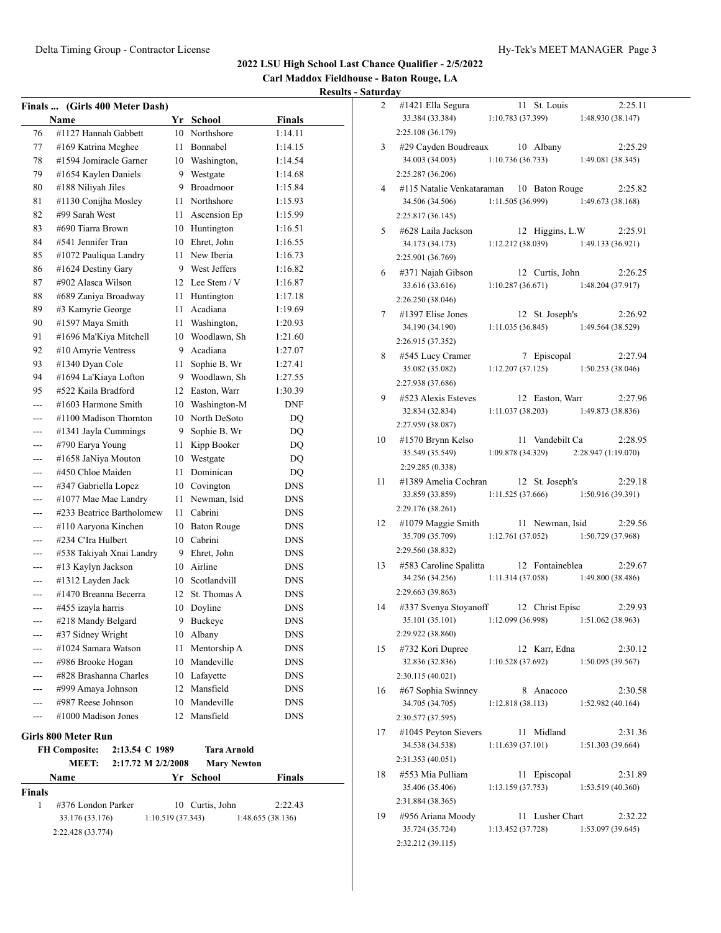**Carl Maddox Fieldhouse - Baton Rouge, LA Results - Saturday**

|                                                                                     | Finals  (Girls 400 Meter Dash) |                   |                    |                   |  |  |
|-------------------------------------------------------------------------------------|--------------------------------|-------------------|--------------------|-------------------|--|--|
|                                                                                     | Name                           | Yr                | <b>School</b>      | <b>Finals</b>     |  |  |
| 76                                                                                  | #1127 Hannah Gabbett           | 10                | Northshore         | 1:14.11           |  |  |
| 77                                                                                  | #169 Katrina Mcghee            | 11                | Bonnabel           | 1:14.15           |  |  |
| 78                                                                                  | #1594 Jomiracle Garner         | 10                | Washington,        | 1:14.54           |  |  |
| 79                                                                                  | #1654 Kaylen Daniels           | 9                 | Westgate           | 1:14.68           |  |  |
| 80                                                                                  | #188 Niliyah Jiles             | 9                 | Broadmoor          | 1:15.84           |  |  |
| 81                                                                                  | #1130 Conijha Mosley           | 11                | Northshore         | 1:15.93           |  |  |
| 82                                                                                  | #99 Sarah West                 | 11                | Ascension Ep       | 1:15.99           |  |  |
| 83                                                                                  | #690 Tiarra Brown              | 10                | Huntington         | 1:16.51           |  |  |
| 84                                                                                  | #541 Jennifer Tran             |                   | 10 Ehret, John     | 1:16.55           |  |  |
| 85                                                                                  | #1072 Pauliqua Landry          | 11                | New Iberia         | 1:16.73           |  |  |
| 86                                                                                  | #1624 Destiny Gary             | 9.                | West Jeffers       | 1:16.82           |  |  |
| 87                                                                                  | #902 Alasca Wilson             | 12                | Lee Stem / V       | 1:16.87           |  |  |
| 88                                                                                  | #689 Zaniya Broadway           | 11                | Huntington         | 1:17.18           |  |  |
| 89                                                                                  | #3 Kamyrie George              | 11                | Acadiana           | 1:19.69           |  |  |
| 90                                                                                  | #1597 Maya Smith               | 11                | Washington,        | 1:20.93           |  |  |
| 91                                                                                  | #1696 Ma'Kiya Mitchell         | 10                | Woodlawn, Sh       | 1:21.60           |  |  |
| 92                                                                                  | #10 Amyrie Ventress            | 9                 | Acadiana           | 1:27.07           |  |  |
| 93                                                                                  | #1340 Dyan Cole                | 11                | Sophie B. Wr       | 1:27.41           |  |  |
| 94                                                                                  | #1694 La'Kiaya Lofton          | 9                 | Woodlawn, Sh       | 1:27.55           |  |  |
| 95                                                                                  | #522 Kaila Bradford            | 12                | Easton, Warr       | 1:30.39           |  |  |
| $- - -$                                                                             | #1603 Harmone Smith            | 10                | Washington-M       | <b>DNF</b>        |  |  |
|                                                                                     | #1100 Madison Thornton         | 10                | North DeSoto       | DQ                |  |  |
| ---                                                                                 | #1341 Jayla Cummings           | 9                 | Sophie B. Wr       | DQ                |  |  |
| ---                                                                                 | #790 Earya Young               | 11                | Kipp Booker        | DQ                |  |  |
|                                                                                     | #1658 JaNiya Mouton            | 10                | Westgate           | DQ                |  |  |
|                                                                                     | #450 Chloe Maiden              | 11                | Dominican          | DQ                |  |  |
|                                                                                     | #347 Gabriella Lopez           | 10                | Covington          | <b>DNS</b>        |  |  |
| ---                                                                                 | #1077 Mae Mae Landry           | 11                | Newman, Isid       | <b>DNS</b>        |  |  |
| ---                                                                                 | #233 Beatrice Bartholomew      | 11                | Cabrini            | <b>DNS</b>        |  |  |
| ---                                                                                 | #110 Aaryona Kinchen           | 10                | <b>Baton Rouge</b> | <b>DNS</b>        |  |  |
| ---                                                                                 | #234 C'Ira Hulbert             | 10                | Cabrini            | DNS               |  |  |
|                                                                                     | #538 Takiyah Xnai Landry       | 9                 | Ehret, John        | <b>DNS</b>        |  |  |
| ---                                                                                 | #13 Kaylyn Jackson             | 10                | Airline            | <b>DNS</b>        |  |  |
|                                                                                     | #1312 Layden Jack              |                   | 10 Scotlandvill    | DNS               |  |  |
| ---                                                                                 | #1470 Breanna Becerra          |                   | 12 St. Thomas A    | <b>DNS</b>        |  |  |
| ---                                                                                 | #455 izayla harris             | 10                | Doyline            | DNS               |  |  |
|                                                                                     | #218 Mandy Belgard             | 9                 | Buckeye            | DNS               |  |  |
|                                                                                     | #37 Sidney Wright              |                   | 10 Albany          | <b>DNS</b>        |  |  |
|                                                                                     | #1024 Samara Watson            | 11                | Mentorship A       | <b>DNS</b>        |  |  |
| ---                                                                                 | #986 Brooke Hogan              |                   | 10 Mandeville      | <b>DNS</b>        |  |  |
| ---                                                                                 | #828 Brashanna Charles         |                   | 10 Lafayette       | <b>DNS</b>        |  |  |
| ---                                                                                 | #999 Amaya Johnson             |                   | 12 Mansfield       | <b>DNS</b>        |  |  |
| ---                                                                                 | #987 Reese Johnson             |                   | 10 Mandeville      | DNS               |  |  |
| ---                                                                                 | #1000 Madison Jones            |                   | 12 Mansfield       | <b>DNS</b>        |  |  |
|                                                                                     |                                |                   |                    |                   |  |  |
| Girls 800 Meter Run<br><b>FH Composite:</b><br>2:13.54 C 1989<br><b>Tara Arnold</b> |                                |                   |                    |                   |  |  |
|                                                                                     | MEET:<br>2:17.72 M 2/2/2008    |                   | <b>Mary Newton</b> |                   |  |  |
|                                                                                     | Name                           | Yr                | School             | Finals            |  |  |
| Finals                                                                              |                                |                   |                    |                   |  |  |
| 1                                                                                   | #376 London Parker             |                   | 10 Curtis, John    | 2:22.43           |  |  |
|                                                                                     | 33.176 (33.176)                | 1:10.519 (37.343) |                    | 1:48.655 (38.136) |  |  |
|                                                                                     | 2:22.428 (33.774)              |                   |                    |                   |  |  |

| ul ua y |                                                     |                   |    |                  |                                         |
|---------|-----------------------------------------------------|-------------------|----|------------------|-----------------------------------------|
| 2       | #1421 Ella Segura                                   |                   |    | 11 St. Louis     | 2:25.11                                 |
|         | 33.384 (33.384)                                     | 1:10.783(37.399)  |    |                  | 1:48.930 (38.147)                       |
|         | 2:25.108 (36.179)                                   |                   |    |                  |                                         |
| 3       | #29 Cayden Boudreaux 10 Albany                      |                   |    |                  | 2:25.29                                 |
|         | 34.003 (34.003)                                     | 1:10.736(36.733)  |    |                  | 1:49.081 (38.345)                       |
|         | 2:25.287 (36.206)                                   |                   |    |                  |                                         |
| 4       | #115 Natalie Venkataraman 10 Baton Rouge            |                   |    |                  | 2:25.82                                 |
|         | 34.506 (34.506)                                     |                   |    |                  | $1:11.505(36.999)$ $1:49.673(38.168)$   |
|         | 2:25.817 (36.145)                                   |                   |    |                  |                                         |
| 5       | #628 Laila Jackson                                  |                   |    | 12 Higgins, L.W  | 2:25.91                                 |
|         | 34.173 (34.173)                                     |                   |    |                  | $1:12.212(38.039)$ $1:49.133(36.921)$   |
|         | 2:25.901 (36.769)                                   |                   |    |                  |                                         |
| 6       | #371 Najah Gibson                                   |                   |    | 12 Curtis, John  | 2:26.25                                 |
|         | 33.616 (33.616)                                     |                   |    |                  | $1:10.287(36.671)$ $1:48.204(37.917)$   |
|         | 2:26.250 (38.046)                                   |                   |    |                  |                                         |
| 7       | #1397 Elise Jones                                   |                   |    | 12 St. Joseph's  | 2:26.92                                 |
|         | 34.190 (34.190)                                     |                   |    |                  | $1:11.035(36.845)$ $1:49.564(38.529)$   |
|         | 2:26.915 (37.352)                                   |                   |    |                  |                                         |
| 8       | #545 Lucy Cramer                                    |                   |    | 7 Episcopal      | 2:27.94                                 |
|         | 35.082 (35.082)                                     |                   |    |                  | $1:12.207(37.125)$ $1:50.253(38.046)$   |
|         | 2:27.938 (37.686)                                   |                   |    |                  |                                         |
| 9       | #523 Alexis Esteves                                 |                   |    | 12 Easton, Warr  | 2:27.96                                 |
|         | 32.834 (32.834)                                     | 1:11.037(38.203)  |    |                  | 1:49.873 (38.836)                       |
|         | 2:27.959 (38.087)                                   |                   |    |                  |                                         |
| 10      | #1570 Brynn Kelso                                   |                   |    | 11 Vandebilt Ca  | 2:28.95                                 |
|         | 35.549 (35.549)                                     |                   |    |                  | $1:09.878(34.329)$ $2:28.947(1:19.070)$ |
|         | 2:29.285 (0.338)                                    |                   |    |                  |                                         |
| 11      | #1389 Amelia Cochran                                |                   |    | 12 St. Joseph's  | 2:29.18                                 |
|         | 33.859 (33.859)                                     |                   |    | 1:11.525(37.666) | 1:50.916 (39.391)                       |
|         | 2:29.176 (38.261)                                   |                   |    |                  |                                         |
| 12      | #1079 Maggie Smith                                  |                   |    | 11 Newman, Isid  | 2:29.56                                 |
|         | 35.709 (35.709)                                     | 1:12.761(37.052)  |    |                  | 1:50.729 (37.968)                       |
|         | 2:29.560 (38.832)                                   |                   |    |                  |                                         |
| 13      | #583 Caroline Spalitta                              |                   |    | 12 Fontaineblea  | 2:29.67                                 |
|         | 34.256 (34.256)                                     | 1:11.314 (37.058) |    |                  | 1:49.800 (38.486)                       |
|         | 2:29.663 (39.863)                                   |                   |    |                  |                                         |
| 14      | #337 Svenya Stoyanoff 12 Christ Episc               |                   |    |                  | 2:29.93                                 |
|         | 35.101 (35.101) 1:12.099 (36.998) 1:51.062 (38.963) |                   |    |                  |                                         |
|         | 2:29.922 (38.860)                                   |                   |    |                  |                                         |
| 15      | #732 Kori Dupree                                    |                   |    | 12 Karr, Edna    | 2:30.12                                 |
|         | 32.836 (32.836)                                     | 1:10.528(37.692)  |    |                  | 1:50.095(39.567)                        |
|         | 2:30.115 (40.021)                                   |                   |    |                  |                                         |
| 16      | #67 Sophia Swinney                                  |                   | 8  | Anacoco          | 2:30.58                                 |
|         | 34.705 (34.705)                                     | 1:12.818(38.113)  |    |                  | 1:52.982(40.164)                        |
|         |                                                     |                   |    |                  |                                         |
| 17      | 2:30.577 (37.595)                                   |                   |    |                  |                                         |
|         | #1045 Peyton Sievers                                |                   | 11 | Midland          | 2:31.36                                 |
|         | 34.538 (34.538)                                     | 1:11.639(37.101)  |    |                  | 1:51.303 (39.664)                       |
|         | 2:31.353 (40.051)                                   |                   |    |                  |                                         |
| 18      | #553 Mia Pulliam                                    |                   |    | 11 Episcopal     | 2:31.89                                 |
|         | 35.406 (35.406)                                     | 1:13.159(37.753)  |    |                  | 1:53.519 (40.360)                       |
|         | 2:31.884 (38.365)                                   |                   |    |                  |                                         |
| 19      | #956 Ariana Moody                                   |                   | 11 | Lusher Chart     | 2:32.22                                 |
|         | 35.724 (35.724)                                     | 1:13.452 (37.728) |    |                  | 1:53.097 (39.645)                       |
|         | 2:32.212 (39.115)                                   |                   |    |                  |                                         |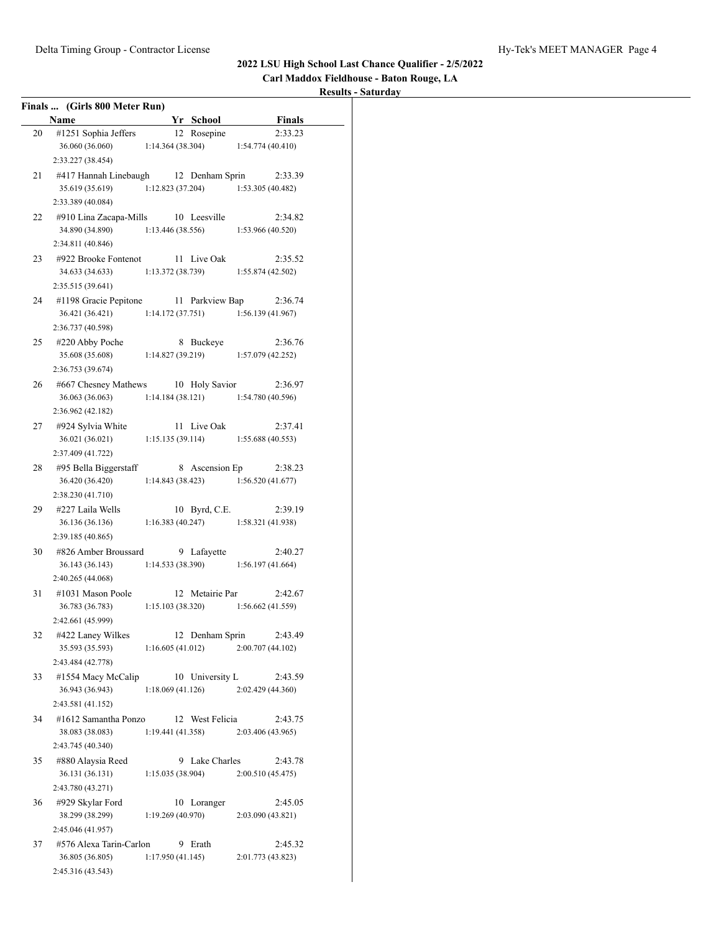**Carl Maddox Fieldhouse - Baton Rouge, LA**

|    | Finals  (Girls 800 Meter Run)                       |                   |                                       |                   |         |
|----|-----------------------------------------------------|-------------------|---------------------------------------|-------------------|---------|
|    | <b>Name</b>                                         |                   | Yr School                             |                   | Finals  |
| 20 | #1251 Sophia Jeffers                                |                   | 12 Rosepine                           |                   | 2:33.23 |
|    | 36.060 (36.060)                                     |                   | 1:14.364 (38.304)                     | 1:54.774(40.410)  |         |
|    | 2:33.227 (38.454)                                   |                   |                                       |                   |         |
| 21 | #417 Hannah Linebaugh 12 Denham Sprin 2:33.39       |                   |                                       |                   |         |
|    | 35.619 (35.619)                                     |                   | $1:12.823(37.204)$ $1:53.305(40.482)$ |                   |         |
|    | 2:33.389 (40.084)                                   |                   |                                       |                   |         |
| 22 | #910 Lina Zacapa-Mills 10 Leesville                 |                   |                                       |                   | 2:34.82 |
|    | 34.890 (34.890) 1:13.446 (38.556)                   |                   |                                       | 1:53.966 (40.520) |         |
|    | 2:34.811 (40.846)                                   |                   |                                       |                   |         |
| 23 | #922 Brooke Fontenot 11 Live Oak                    |                   |                                       |                   | 2:35.52 |
|    | 34.633 (34.633) 1:13.372 (38.739) 1:55.874 (42.502) |                   |                                       |                   |         |
|    | 2:35.515 (39.641)                                   |                   |                                       |                   |         |
| 24 | #1198 Gracie Pepitone 11 Parkview Bap               |                   |                                       |                   | 2:36.74 |
|    | 36.421 (36.421) 1:14.172 (37.751)                   |                   |                                       | 1:56.139(41.967)  |         |
|    | 2:36.737 (40.598)                                   |                   |                                       |                   |         |
| 25 | #220 Abby Poche                                     |                   | 8 Buckeye                             |                   | 2:36.76 |
|    | 35.608 (35.608)                                     | 1:14.827 (39.219) |                                       | 1:57.079 (42.252) |         |
|    | 2:36.753 (39.674)                                   |                   |                                       |                   |         |
|    | 26 #667 Chesney Mathews 10 Holy Savior              |                   |                                       |                   | 2:36.97 |
|    | 36.063 (36.063)                                     |                   | $1:14.184(38.121)$ $1:54.780(40.596)$ |                   |         |
|    | 2:36.962 (42.182)                                   |                   |                                       |                   |         |
|    | 27 #924 Sylvia White                                |                   | 11 Live Oak                           |                   | 2:37.41 |
|    | 36.021 (36.021) 1:15.135 (39.114) 1:55.688 (40.553) |                   |                                       |                   |         |
|    | 2:37.409 (41.722)                                   |                   |                                       |                   |         |
| 28 | #95 Bella Biggerstaff 8 Ascension Ep                |                   |                                       |                   | 2:38.23 |
|    | 36.420 (36.420) 1:14.843 (38.423) 1:56.520 (41.677) |                   |                                       |                   |         |
|    | 2:38.230 (41.710)                                   |                   |                                       |                   |         |
| 29 | #227 Laila Wells                                    |                   | 10 Byrd, C.E.                         |                   | 2:39.19 |
|    | 36.136 (36.136)                                     |                   | $1:16.383(40.247)$ $1:58.321(41.938)$ |                   |         |
|    | 2:39.185 (40.865)                                   |                   |                                       |                   |         |
| 30 | #826 Amber Broussard 9 Lafayette                    |                   |                                       |                   | 2:40.27 |
|    | 36.143 (36.143)                                     |                   | $1:14.533(38.390)$ $1:56.197(41.664)$ |                   |         |
|    | 2:40.265 (44.068)                                   |                   |                                       |                   |         |
| 31 | #1031 Mason Poole                                   |                   | 12 Metairie Par                       |                   | 2:42.67 |
|    | 36.783 (36.783)                                     | 1:15.103(38.320)  |                                       | 1:56.662(41.559)  |         |
|    | 2:42.661 (45.999)                                   |                   |                                       |                   |         |
| 32 | #422 Laney Wilkes                                   |                   | 12 Denham Sprin                       |                   | 2:43.49 |
|    | 35.593 (35.593)                                     | 1:16.605(41.012)  |                                       | 2:00.707 (44.102) |         |
|    | 2:43.484 (42.778)                                   |                   |                                       |                   |         |
| 33 | #1554 Macy McCalip                                  |                   | 10 University L                       |                   | 2:43.59 |
|    | 36.943 (36.943)                                     | 1:18.069(41.126)  |                                       | 2:02.429 (44.360) |         |
|    | 2:43.581 (41.152)                                   |                   |                                       |                   |         |
| 34 | #1612 Samantha Ponzo                                |                   | 12 West Felicia                       |                   | 2:43.75 |
|    | 38.083 (38.083)                                     | 1:19.441(41.358)  |                                       | 2:03.406 (43.965) |         |
|    | 2:43.745 (40.340)                                   |                   |                                       |                   |         |
| 35 | #880 Alaysia Reed                                   |                   | 9 Lake Charles                        |                   | 2:43.78 |
|    | 36.131 (36.131)                                     | 1:15.035(38.904)  |                                       | 2:00.510(45.475)  |         |
|    | 2:43.780 (43.271)                                   |                   |                                       |                   |         |
| 36 | #929 Skylar Ford                                    |                   | 10 Loranger                           |                   | 2:45.05 |
|    | 38.299 (38.299)                                     | 1:19.269(40.970)  |                                       | 2:03.090 (43.821) |         |
|    | 2:45.046 (41.957)                                   |                   |                                       |                   |         |
| 37 | #576 Alexa Tarin-Carlon                             |                   | 9 Erath                               |                   | 2:45.32 |
|    | 36.805 (36.805)                                     | 1:17.950(41.145)  |                                       | 2:01.773 (43.823) |         |
|    | 2:45.316 (43.543)                                   |                   |                                       |                   |         |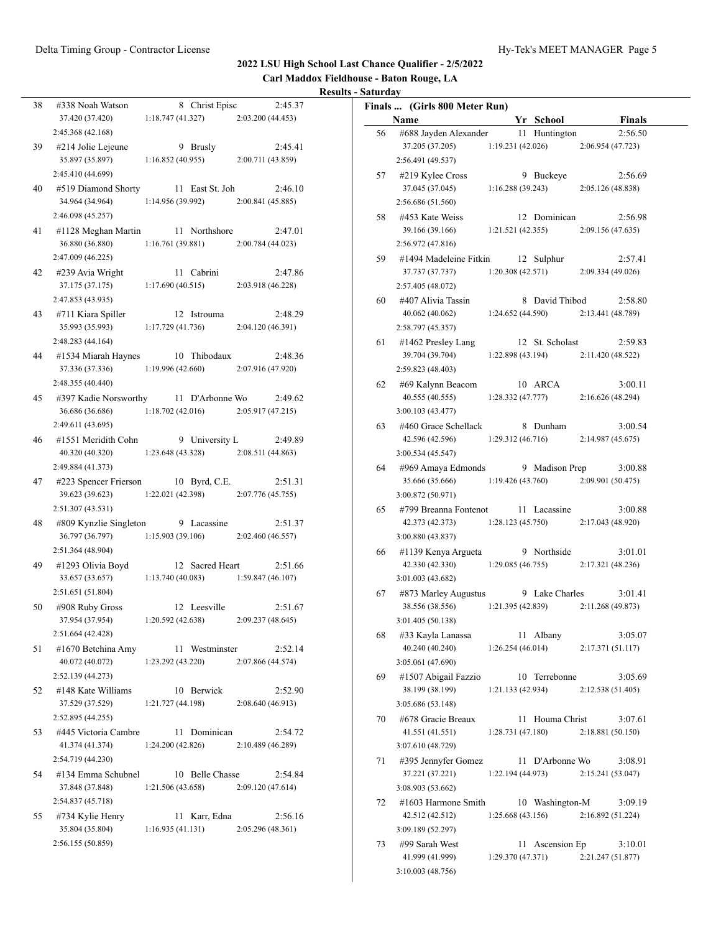$\overline{\phantom{0}}$ 

#### **2022 LSU High School Last Chance Qualifier - 2/5/2022**

**Carl Maddox Fieldhouse - Baton Rouge, LA**

#### **Results - Saturday**

| 38 | #338 Noah Watson                    | 8 Christ Episc                                      | 2:45.37           |
|----|-------------------------------------|-----------------------------------------------------|-------------------|
|    |                                     |                                                     |                   |
|    | 37.420 (37.420)                     | 1:18.747(41.327)                                    | 2:03.200(44.453)  |
|    | 2:45.368 (42.168)                   |                                                     |                   |
| 39 | #214 Jolie Lejeune                  | 9 Brusly                                            | 2:45.41           |
|    | 35.897 (35.897)                     | 1:16.852(40.955)                                    | 2:00.711 (43.859) |
|    | 2:45.410 (44.699)                   |                                                     |                   |
| 40 |                                     | #519 Diamond Shorty 11 East St. Joh                 | 2:46.10           |
|    | 34.964 (34.964)                     | 1:14.956(39.992)                                    | 2:00.841 (45.885) |
|    | 2:46.098 (45.257)                   |                                                     |                   |
|    |                                     |                                                     |                   |
| 41 | #1128 Meghan Martin                 | 11 Northshore                                       | 2:47.01           |
|    | 36.880 (36.880)                     | 1:16.761 (39.881)                                   | 2:00.784 (44.023) |
|    | 2:47.009 (46.225)                   |                                                     |                   |
| 42 | #239 Avia Wright                    | 11 Cabrini                                          | 2:47.86           |
|    | 37.175 (37.175)                     | 1:17.690(40.515)                                    | 2:03.918 (46.228) |
|    | 2:47.853 (43.935)                   |                                                     |                   |
| 43 | #711 Kiara Spiller                  | 12 Istrouma                                         | 2:48.29           |
|    | 35.993 (35.993)                     | 1:17.729 (41.736)                                   | 2:04.120 (46.391) |
|    |                                     |                                                     |                   |
|    | 2:48.283(44.164)                    |                                                     |                   |
| 44 | #1534 Miarah Haynes                 | 10 Thibodaux                                        | 2:48.36           |
|    |                                     | 37.336 (37.336) 1:19.996 (42.660)                   | 2:07.916 (47.920) |
|    | 2:48.355 (40.440)                   |                                                     |                   |
| 45 |                                     | #397 Kadie Norsworthy 11 D'Arbonne Wo               | 2:49.62           |
|    | 36.686 (36.686)                     | $1:18.702(42.016)$ $2:05.917(47.215)$               |                   |
|    | 2:49.611 (43.695)                   |                                                     |                   |
| 46 | #1551 Meridith Cohn                 | 9 University L                                      | 2:49.89           |
|    | 40.320 (40.320) 1:23.648 (43.328)   |                                                     | 2:08.511(44.863)  |
|    |                                     |                                                     |                   |
|    | 2:49.884 (41.373)                   |                                                     |                   |
| 47 | #223 Spencer Frierson 10 Byrd, C.E. |                                                     | 2:51.31           |
|    | 39.623 (39.623)                     | $1:22.021(42.398)$ $2:07.776(45.755)$               |                   |
|    | 2:51.307 (43.531)                   |                                                     |                   |
| 48 | #809 Kynzlie Singleton              | 9 Lacassine                                         | 2:51.37           |
|    | 36.797 (36.797)                     | $1:15.903(39.106)$ $2:02.460(46.557)$               |                   |
|    | 2:51.364 (48.904)                   |                                                     |                   |
| 49 | #1293 Olivia Boyd                   | 12 Sacred Heart                                     | 2:51.66           |
|    |                                     | 33.657 (33.657) 1:13.740 (40.083) 1:59.847 (46.107) |                   |
|    | 2:51.651 (51.804)                   |                                                     |                   |
|    |                                     |                                                     |                   |
| 50 | #908 Ruby Gross                     | 12 Leesville                                        | 2:51.67           |
|    | 37.954 (37.954)                     | 1:20.592(42.638)                                    | 2:09.237 (48.645) |
|    | 2:51.664 (42.428)                   |                                                     |                   |
| 51 | #1670 Betchina Amy                  | 11 Westminster                                      | 2:52.14           |
|    | 40.072 (40.072)                     | 1:23.292 (43.220)                                   | 2:07.866 (44.574) |
|    | 2:52.139 (44.273)                   |                                                     |                   |
| 52 | #148 Kate Williams                  | 10 Berwick                                          | 2:52.90           |
|    | 37.529 (37.529)                     | 1:21.727 (44.198)                                   | 2:08.640 (46.913) |
|    | 2:52.895 (44.255)                   |                                                     |                   |
|    |                                     |                                                     |                   |
| 53 | #445 Victoria Cambre                | 11 Dominican                                        | 2:54.72           |
|    | 41.374 (41.374)                     | 1:24.200 (42.826)                                   | 2:10.489(46.289)  |
|    | 2:54.719 (44.230)                   |                                                     |                   |
| 54 | #134 Emma Schubnel                  | 10 Belle Chasse                                     | 2:54.84           |
|    | 37.848 (37.848)                     | 1:21.506(43.658)                                    | 2:09.120(47.614)  |
|    | 2:54.837 (45.718)                   |                                                     |                   |
| 55 | #734 Kylie Henry                    | 11 Karr, Edna                                       | 2:56.16           |
|    | 35.804 (35.804)                     | 1:16.935(41.131)                                    | 2:05.296(48.361)  |
|    | 2:56.155 (50.859)                   |                                                     |                   |
|    |                                     |                                                     |                   |
|    |                                     |                                                     |                   |

|    | Finals  (Girls 800 Meter Run)             |                   |                    |                              |  |
|----|-------------------------------------------|-------------------|--------------------|------------------------------|--|
|    | Name                                      |                   | Yr School          | <b>Finals</b>                |  |
| 56 | #688 Jayden Alexander                     |                   | 11 Huntington      | 2:56.50                      |  |
|    | 37.205 (37.205)                           | 1:19.231(42.026)  |                    | 2:06.954 (47.723)            |  |
|    | 2:56.491 (49.537)                         |                   |                    |                              |  |
| 57 | #219 Kylee Cross                          |                   | 9 Buckeye          | 2:56.69                      |  |
|    | 37.045 (37.045)                           |                   | 1:16.288(39.243)   | 2:05.126 (48.838)            |  |
|    | 2:56.686 (51.560)                         |                   |                    |                              |  |
| 58 | #453 Kate Weiss                           |                   | 12 Dominican       | 2:56.98                      |  |
|    | 39.166 (39.166)                           | 1:21.521(42.355)  |                    | 2:09.156 (47.635)            |  |
|    | 2:56.972 (47.816)                         |                   |                    |                              |  |
| 59 | #1494 Madeleine Fitkin                    |                   | 12 Sulphur         | 2:57.41                      |  |
|    | 37.737 (37.737)                           |                   | 1:20.308(42.571)   | 2:09.334(49.026)             |  |
|    | 2:57.405 (48.072)                         |                   |                    |                              |  |
| 60 | #407 Alivia Tassin                        |                   | 8 David Thibod     | 2:58.80                      |  |
|    | 40.062 (40.062)                           | 1:24.652(44.590)  |                    | 2:13.441 (48.789)            |  |
|    | 2:58.797 (45.357)                         |                   |                    |                              |  |
| 61 | #1462 Presley Lang                        |                   | 12 St. Scholast    | 2:59.83                      |  |
|    | 39.704 (39.704)                           | 1:22.898 (43.194) |                    | 2:11.420 (48.522)            |  |
|    | 2:59.823 (48.403)                         |                   |                    |                              |  |
| 62 | #69 Kalynn Beacom                         |                   | 10 ARCA            | 3:00.11                      |  |
|    | 40.555 (40.555)                           | 1:28.332(47.777)  |                    | 2:16.626(48.294)             |  |
|    | 3:00.103(43.477)                          |                   |                    |                              |  |
| 63 | #460 Grace Schellack                      |                   | 8 Dunham           | 3:00.54                      |  |
|    | 42.596 (42.596)                           | 1:29.312 (46.716) |                    | 2:14.987 (45.675)            |  |
|    | 3:00.534(45.547)                          |                   |                    |                              |  |
| 64 | #969 Amaya Edmonds                        |                   | 9 Madison Prep     | 3:00.88                      |  |
|    | 35.666 (35.666)                           | 1:19.426 (43.760) |                    | 2:09.901 (50.475)            |  |
|    | 3:00.872 (50.971)                         |                   |                    |                              |  |
| 65 | #799 Breanna Fontenot                     |                   | 11 Lacassine       | 3:00.88                      |  |
|    | 42.373 (42.373)                           | 1:28.123(45.750)  |                    | 2:17.043 (48.920)            |  |
|    | 3:00.880 (43.837)                         |                   |                    |                              |  |
| 66 | #1139 Kenya Argueta                       |                   | 9 Northside        | 3:01.01                      |  |
|    | 42.330 (42.330)                           | 1:29.085(46.755)  |                    | 2:17.321 (48.236)            |  |
|    | 3:01.003(43.682)                          |                   |                    |                              |  |
| 67 | #873 Marley Augustus                      |                   | 9 Lake Charles     | 3:01.41                      |  |
|    | 38.556 (38.556)                           | 1:21.395 (42.839) |                    | 2:11.268 (49.873)            |  |
|    | 3:01.405 (50.138)                         |                   |                    |                              |  |
| 68 | #33 Kayla Lanassa                         |                   | 11 Albany          | 3:05.07                      |  |
|    | 40.240 (40.240)                           | 1:26.254(46.014)  |                    | 2:17.371 (51.117)            |  |
|    | 3:05.061 (47.690)                         |                   |                    |                              |  |
| 69 | #1507 Abigail Fazzio                      |                   | 10 Terrebonne      | 3:05.69                      |  |
|    | 38.199 (38.199)                           | 1:21.133(42.934)  |                    | 2:12.538 (51.405)            |  |
|    | 3:05.686 (53.148)                         |                   |                    |                              |  |
| 70 | #678 Gracie Breaux                        |                   | Houma Christ       | 3:07.61                      |  |
|    | 41.551 (41.551)                           | 1:28.731(47.180)  | 11                 | 2:18.881 (50.150)            |  |
|    | 3:07.610 (48.729)                         |                   |                    |                              |  |
|    | #395 Jennyfer Gomez                       |                   | 11 D'Arbonne Wo    | 3:08.91                      |  |
| 71 | 37.221 (37.221)                           | 1:22.194 (44.973) |                    | 2:15.241 (53.047)            |  |
|    |                                           |                   |                    |                              |  |
|    | 3:08.903 (53.662)                         |                   |                    |                              |  |
| 72 | $\#1603$ Harmone Smith<br>42.512 (42.512) | 1:25.668(43.156)  | 10 Washington-M    | 3:09.19<br>2:16.892 (51.224) |  |
|    | 3:09.189 (52.297)                         |                   |                    |                              |  |
|    |                                           |                   |                    |                              |  |
| 73 | #99 Sarah West                            |                   | Ascension Ep<br>11 | 3:10.01                      |  |
|    | 41.999 (41.999)                           | 1:29.370 (47.371) |                    | 2:21.247 (51.877)            |  |

3:10.003 (48.756)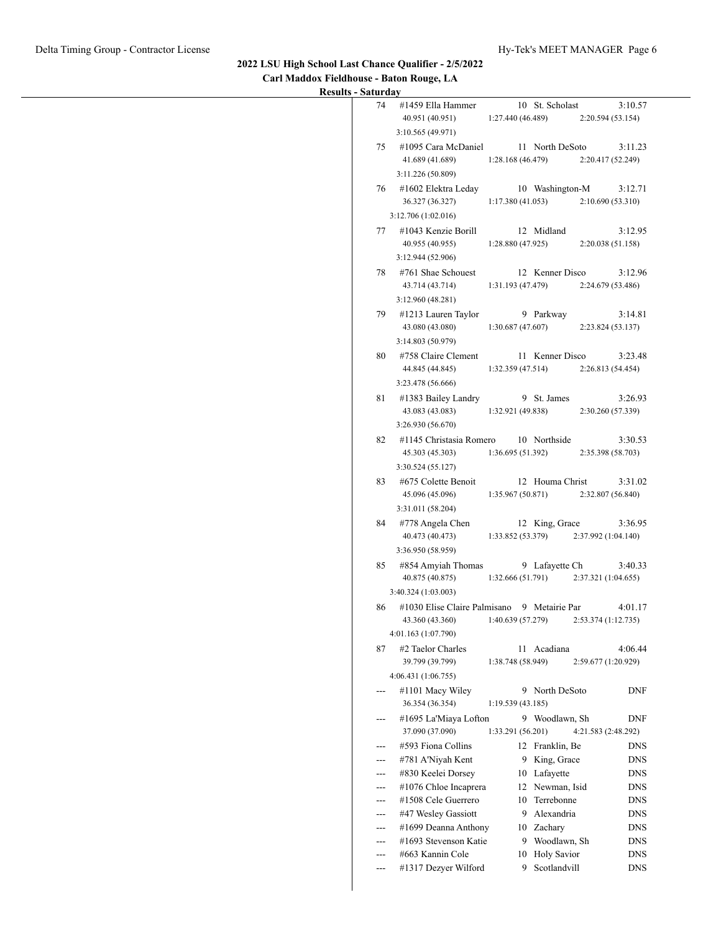#### **2022 LSU High School Last Chance Qualifier - 2/5/2022 Carl Maddox Fieldhouse - Baton Rouge, LA**

| 74                | #1459 Ella Hammer                            | 10 St. Scholast                             | 3:10.57                        |
|-------------------|----------------------------------------------|---------------------------------------------|--------------------------------|
|                   | 40.951 (40.951)                              | 1:27.440 (46.489)                           | 2:20.594(53.154)               |
|                   | 3:10.565(49.971)                             |                                             |                                |
|                   | 75 #1095 Cara McDaniel<br>41.689 (41.689)    | 11 North DeSoto<br>1:28.168(46.479)         | 3:11.23<br>2:20.417(52.249)    |
|                   | 3:11.226 (50.809)                            |                                             |                                |
|                   | 76 #1602 Elektra Leday                       | 10 Washington-M                             | 3:12.71                        |
|                   | 36.327 (36.327)                              | 1:17.380 (41.053)                           | 2:10.690(53.310)               |
|                   | 3:12.706(1:02.016)                           |                                             |                                |
|                   | 77 #1043 Kenzie Borill                       | 12 Midland                                  | 3:12.95                        |
|                   | 40.955 (40.955)                              | 1:28.880(47.925)                            | 2:20.038(51.158)               |
|                   | 3:12.944(52.906)                             |                                             |                                |
|                   | 78 #761 Shae Schouest                        | 12 Kenner Disco                             | 3:12.96                        |
|                   | 43.714 (43.714)<br>3:12.960 (48.281)         | 1:31.193 (47.479)                           | 2:24.679 (53.486)              |
|                   | 79 #1213 Lauren Taylor                       | 9 Parkway                                   | 3:14.81                        |
|                   | 43.080 (43.080)                              | 1:30.687(47.607)                            | 2:23.824(53.137)               |
|                   | 3:14.803(50.979)                             |                                             |                                |
| 80                | #758 Claire Clement                          | 11 Kenner Disco                             | 3:23.48                        |
|                   | 44.845 (44.845)                              | 1:32.359(47.514)                            | 2:26.813(54.454)               |
|                   | 3:23.478 (56.666)                            |                                             |                                |
|                   | 81 #1383 Bailey Landry                       | 9 St. James                                 | 3:26.93                        |
|                   | 43.083 (43.083)                              | 1:32.921(49.838)                            | 2:30.260 (57.339)              |
|                   | 3:26.930 (56.670)<br>#1145 Christasia Romero | 10 Northside                                |                                |
| 82                | 45.303 (45.303)                              | 1:36.695(51.392)                            | 3:30.53<br>2:35.398 (58.703)   |
|                   | 3:30.524(55.127)                             |                                             |                                |
| 83                | #675 Colette Benoit                          | 12 Houma Christ                             | 3:31.02                        |
|                   | 45.096 (45.096)                              | 1:35.967(50.871)                            | 2:32.807(56.840)               |
|                   | 3:31.011 (58.204)                            |                                             |                                |
| 84                | #778 Angela Chen                             | 12 King, Grace                              | 3:36.95                        |
|                   | 40.473 (40.473)<br>3:36.950 (58.959)         | 1:33.852 (53.379)                           | 2:37.992(1:04.140)             |
| 85                | #854 Amyiah Thomas                           | 9 Lafayette Ch                              | 3:40.33                        |
|                   | 40.875 (40.875)                              | 1:32.666 (51.791)                           | 2:37.321(1:04.655)             |
|                   | 3:40.324 (1:03.003)                          |                                             |                                |
| 86                |                                              | #1030 Elise Claire Palmisano 9 Metairie Par | 4:01.17                        |
|                   | 43.360 (43.360)                              | 1:40.639(57.279)                            | 2:53.374(1:12.735)             |
|                   | 4:01.163 (1:07.790)                          |                                             |                                |
| 87                | #2 Taelor Charles<br>39.799 (39.799)         | 11 Acadiana<br>1:38.748 (58.949)            | 4:06.44<br>2:59.677 (1:20.929) |
|                   | 4:06.431 (1:06.755)                          |                                             |                                |
| $---$             | #1101 Macy Wiley                             | 9 North DeSoto                              | DNF                            |
|                   | 36.354 (36.354)                              | 1:19.539 (43.185)                           |                                |
| $---$             | #1695 La'Miaya Lofton                        | 9 Woodlawn, Sh                              | <b>DNF</b>                     |
|                   | 37.090 (37.090)                              | 1:33.291 (56.201)                           | 4:21.583 (2:48.292)            |
| ---               | #593 Fiona Collins                           | 12 Franklin, Be                             | <b>DNS</b>                     |
| ---               | #781 A'Niyah Kent<br>#830 Keelei Dorsey      | 9 King, Grace                               | <b>DNS</b>                     |
| $---$<br>$---$    | #1076 Chloe Incaprera                        | 10 Lafayette<br>12 Newman, Isid             | <b>DNS</b><br><b>DNS</b>       |
| $---$             | #1508 Cele Guerrero                          | 10 Terrebonne                               | <b>DNS</b>                     |
| $---$             | #47 Wesley Gassiott                          | 9 Alexandria                                | <b>DNS</b>                     |
| ---               | #1699 Deanna Anthony                         | 10 Zachary                                  | <b>DNS</b>                     |
| $\qquad \qquad -$ | #1693 Stevenson Katie                        | 9 Woodlawn, Sh                              | <b>DNS</b>                     |
| $---$             | #663 Kannin Cole                             | 10 Holy Savior                              | <b>DNS</b>                     |
| ---               | #1317 Dezyer Wilford                         | Scotlandvill<br>9                           | <b>DNS</b>                     |
|                   |                                              |                                             |                                |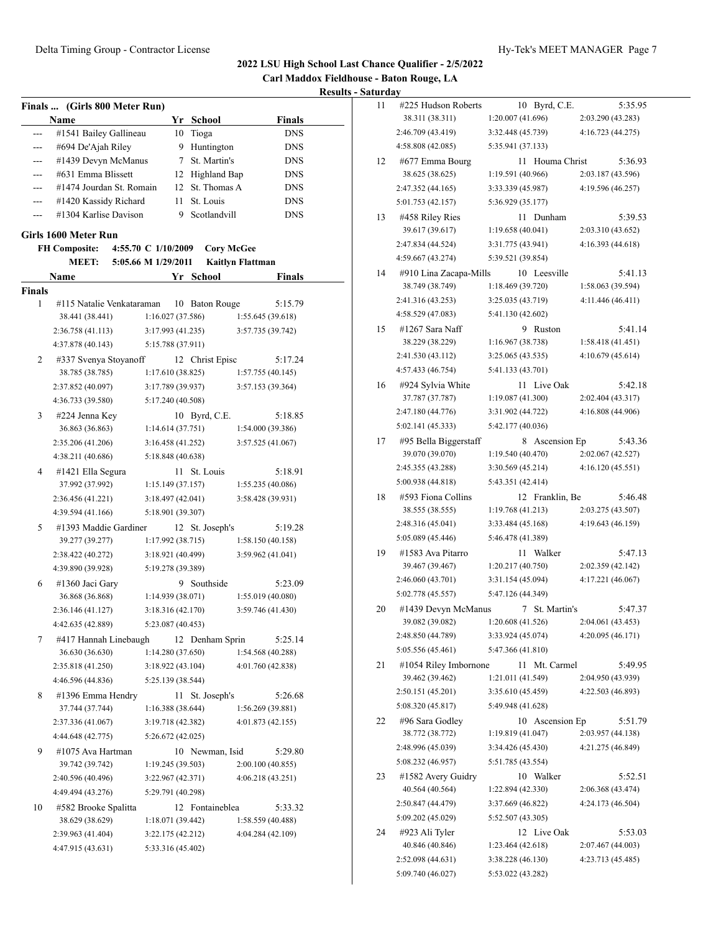**Carl Maddox Fieldhouse - Baton Rouge, LA**

|        | Finals  (Girls 800 Meter Run) |                     |    |                    |                         |
|--------|-------------------------------|---------------------|----|--------------------|-------------------------|
|        | Name                          |                     |    | Yr School          | <b>Finals</b>           |
|        | #1541 Bailey Gallineau        |                     | 10 | Tioga              | <b>DNS</b>              |
|        | #694 De'Ajah Riley            |                     | 9. | Huntington         | <b>DNS</b>              |
|        | #1439 Devyn McManus           |                     | 7  | St. Martin's       | <b>DNS</b>              |
| ---    | #631 Emma Blissett            |                     |    | 12 Highland Bap    | DNS                     |
| ---    | #1474 Jourdan St. Romain      |                     |    | 12 St. Thomas A    | <b>DNS</b>              |
| $---$  | #1420 Kassidy Richard         |                     | 11 | St. Louis          | <b>DNS</b>              |
| ---    | #1304 Karlise Davison         |                     | 9  | Scotlandvill       | DNS                     |
|        | Girls 1600 Meter Run          |                     |    |                    |                         |
|        | <b>FH Composite:</b>          | 4:55.70 C 1/10/2009 |    | <b>Cory McGee</b>  |                         |
|        | <b>MEET:</b>                  | 5:05.66 M 1/29/2011 |    |                    | <b>Kaitlyn Flattman</b> |
|        | Name                          |                     |    | Yr School          | Finals                  |
| Finals |                               |                     |    |                    |                         |
| 1      | #115 Natalie Venkataraman     |                     | 10 | <b>Baton Rouge</b> | 5:15.79                 |
|        | 38.441 (38.441)               | 1:16.027 (37.586)   |    |                    | 1:55.645 (39.618)       |
|        | 2:36.758 (41.113)             | 3:17.993 (41.235)   |    |                    | 3:57.735 (39.742)       |
|        | 4:37.878 (40.143)             | 5:15.788 (37.911)   |    |                    |                         |
|        |                               |                     |    |                    |                         |
| 2      | #337 Svenya Stoyanoff         |                     |    | 12 Christ Episc    | 5:17.24                 |
|        | 38.785 (38.785)               | 1:17.610(38.825)    |    |                    | 1:57.755(40.145)        |
|        | 2:37.852 (40.097)             | 3:17.789 (39.937)   |    |                    | 3:57.153 (39.364)       |
|        | 4:36.733 (39.580)             | 5:17.240 (40.508)   |    |                    |                         |
| 3      | #224 Jenna Key                |                     |    | 10 Byrd, C.E.      | 5:18.85                 |
|        | 36.863 (36.863)               | 1:14.614(37.751)    |    |                    | 1:54.000 (39.386)       |
|        | 2:35.206 (41.206)             | 3:16.458(41.252)    |    |                    | 3:57.525 (41.067)       |
|        | 4:38.211 (40.686)             | 5:18.848 (40.638)   |    |                    |                         |
| 4      | #1421 Ella Segura             |                     | 11 | St. Louis          | 5:18.91                 |
|        | 37.992 (37.992)               | 1:15.149 (37.157)   |    |                    | 1:55.235 (40.086)       |
|        | 2:36.456 (41.221)             | 3:18.497 (42.041)   |    |                    | 3:58.428 (39.931)       |
|        | 4:39.594 (41.166)             | 5:18.901 (39.307)   |    |                    |                         |
| 5      | #1393 Maddie Gardiner         |                     |    | 12 St. Joseph's    | 5:19.28                 |
|        | 39.277 (39.277)               | 1:17.992 (38.715)   |    |                    | 1:58.150(40.158)        |
|        | 2:38.422 (40.272)             | 3:18.921 (40.499)   |    |                    | 3:59.962 (41.041)       |
|        | 4:39.890 (39.928)             | 5:19.278 (39.389)   |    |                    |                         |
| 6      | #1360 Jaci Gary               |                     |    | 9 Southside        | 5:23.09                 |
|        | 36.868 (36.868)               | 1:14.939 (38.071)   |    |                    | 1:55.019 (40.080)       |
|        | 2:36.146 (41.127)             | 3:18.316 (42.170)   |    |                    | 3:59.746 (41.430)       |
|        | 4:42.635 (42.889)             | 5:23.087 (40.453)   |    |                    |                         |
| 7      | #417 Hannah Linebaugh         |                     |    | 12 Denham Sprin    | 5:25.14                 |
|        | 36.630 (36.630)               | 1:14.280 (37.650)   |    |                    | 1:54.568 (40.288)       |
|        | 2:35.818 (41.250)             | 3:18.922(43.104)    |    |                    | 4:01.760 (42.838)       |
|        | 4:46.596 (44.836)             | 5:25.139 (38.544)   |    |                    |                         |
|        |                               |                     |    |                    |                         |
| 8      | #1396 Emma Hendry             |                     |    | 11 St. Joseph's    | 5:26.68                 |
|        | 37.744 (37.744)               | 1:16.388(38.644)    |    |                    | 1:56.269(39.881)        |
|        | 2:37.336 (41.067)             | 3:19.718 (42.382)   |    |                    | 4:01.873 (42.155)       |
|        | 4:44.648 (42.775)             | 5:26.672 (42.025)   |    |                    |                         |
| 9      | #1075 Ava Hartman             |                     |    | 10 Newman, Isid    | 5:29.80                 |
|        | 39.742 (39.742)               | 1:19.245 (39.503)   |    |                    | 2:00.100 (40.855)       |
|        | 2:40.596 (40.496)             | 3:22.967 (42.371)   |    |                    | 4:06.218(43.251)        |
|        | 4:49.494 (43.276)             | 5:29.791 (40.298)   |    |                    |                         |
| 10     | #582 Brooke Spalitta          |                     |    | 12 Fontaineblea    | 5:33.32                 |
|        | 38.629 (38.629)               | 1:18.071 (39.442)   |    |                    | 1:58.559 (40.488)       |
|        | 2:39.963 (41.404)             | 3:22.175(42.212)    |    |                    | 4:04.284 (42.109)       |
|        | 4:47.915 (43.631)             | 5:33.316 (45.402)   |    |                    |                         |
|        |                               |                     |    |                    |                         |

| 11 | #225 Hudson Roberts                    |                                        | 10  | Byrd, C.E.      | 5:35.95           |
|----|----------------------------------------|----------------------------------------|-----|-----------------|-------------------|
|    | 38.311 (38.311)                        | 1:20.007 (41.696)                      |     |                 | 2:03.290 (43.283) |
|    | 2:46.709 (43.419)                      | 3:32.448 (45.739)                      |     |                 | 4:16.723 (44.275) |
|    | 4:58.808 (42.085)                      | 5:35.941 (37.133)                      |     |                 |                   |
| 12 | #677 Emma Bourg                        |                                        | 11. | Houma Christ    | 5:36.93           |
|    | 38.625 (38.625)                        | 1:19.591 (40.966)                      |     |                 | 2:03.187 (43.596) |
|    | 2:47.352 (44.165)                      | 3:33.339 (45.987)                      |     |                 | 4:19.596 (46.257) |
|    | 5:01.753 (42.157)                      | 5:36.929 (35.177)                      |     |                 |                   |
| 13 | #458 Riley Ries                        |                                        | 11  | Dunham          | 5:39.53           |
|    | 39.617 (39.617)                        | 1:19.658 (40.041)                      |     |                 | 2:03.310 (43.652) |
|    | 2:47.834 (44.524)                      | 3:31.775 (43.941)                      |     |                 | 4:16.393 (44.618) |
|    | 4:59.667 (43.274)                      | 5:39.521 (39.854)                      |     |                 |                   |
| 14 | #910 Lina Zacapa-Mills                 |                                        |     | 10 Leesville    | 5:41.13           |
|    | 38.749 (38.749)                        | 1:18.469 (39.720)                      |     |                 | 1:58.063 (39.594) |
|    | 2:41.316 (43.253)                      | 3:25.035 (43.719)                      |     |                 | 4:11.446 (46.411) |
|    | 4:58.529 (47.083)                      | 5:41.130 (42.602)                      |     |                 |                   |
| 15 | $\#1267$ Sara Naff                     |                                        | 9   | Ruston          | 5:41.14           |
|    | 38.229 (38.229)                        | 1:16.967 (38.738)                      |     |                 | 1:58.418 (41.451) |
|    | 2:41.530 (43.112)                      | 3:25.065 (43.535)                      |     |                 | 4:10.679 (45.614) |
|    | 4:57.433 (46.754)                      | 5:41.133 (43.701)                      |     |                 |                   |
| 16 | #924 Sylvia White                      |                                        | 11  | Live Oak        | 5:42.18           |
|    | 37.787 (37.787)                        | 1:19.087 (41.300)                      |     |                 | 2:02.404 (43.317) |
|    | 2:47.180 (44.776)                      | 3:31.902 (44.722)                      |     |                 | 4:16.808 (44.906) |
|    | 5:02.141 (45.333)                      | 5:42.177 (40.036)                      |     |                 |                   |
| 17 | #95 Bella Biggerstaff                  |                                        | 8   | Ascension Ep    | 5:43.36           |
|    | 39.070 (39.070)                        | 1:19.540(40.470)                       |     |                 | 2:02.067 (42.527) |
|    | 2:45.355 (43.288)                      | 3:30.569 (45.214)                      |     |                 | 4:16.120 (45.551) |
|    | 5:00.938 (44.818)                      | 5:43.351 (42.414)                      |     |                 |                   |
| 18 | #593 Fiona Collins                     |                                        | 12  | Franklin, Be    | 5:46.48           |
|    | 38.555 (38.555)                        | 1:19.768 (41.213)                      |     |                 | 2:03.275 (43.507) |
|    | 2:48.316 (45.041)                      | 3:33.484 (45.168)                      |     |                 | 4:19.643 (46.159) |
|    | 5:05.089 (45.446)                      | 5:46.478 (41.389)                      |     |                 |                   |
| 19 | #1583 Ava Pitarro                      |                                        | 11  | Walker          | 5:47.13           |
|    |                                        |                                        |     |                 |                   |
|    | 39.467 (39.467)                        | 1:20.217 (40.750)                      |     |                 | 2:02.359 (42.142) |
|    | 2:46.060 (43.701)                      | 3:31.154 (45.094)                      |     |                 | 4:17.221 (46.067) |
|    | 5:02.778 (45.557)                      | 5:47.126 (44.349)                      |     |                 |                   |
| 20 | #1439 Devyn McManus                    |                                        | 7   | St. Martin's    | 5:47.37           |
|    | 39.082 (39.082)                        | 1:20.608 (41.526)                      |     |                 | 2:04.061 (43.453) |
|    | 2:48.850 (44.789)                      | 3:33.924 (45.074)                      |     |                 | 4:20.095 (46.171) |
|    | 5:05.556 (45.461)                      | 5:47.366 (41.810)                      |     |                 |                   |
| 21 | #1054 Riley Imbornone                  |                                        | 11  | Mt. Carmel      | 5:49.95           |
|    | 39.462 (39.462)                        | 1:21.011 (41.549)                      |     |                 | 2:04.950 (43.939) |
|    | 2:50.151 (45.201)                      | 3:35.610 (45.459)                      |     |                 | 4:22.503 (46.893) |
|    | 5:08.320 (45.817)                      | 5:49.948 (41.628)                      |     |                 |                   |
| 22 | #96 Sara Godley                        |                                        |     | 10 Ascension Ep | 5:51.79           |
|    | 38.772 (38.772)                        | 1:19.819 (41.047)                      |     |                 | 2:03.957 (44.138) |
|    | 2:48.996 (45.039)                      | 3:34.426 (45.430)                      |     |                 | 4:21.275 (46.849) |
|    | 5:08.232 (46.957)                      | 5:51.785 (43.554)                      |     |                 |                   |
| 23 | #1582 Avery Guidry                     |                                        |     | 10 Walker       | 5:52.51           |
|    | 40.564 (40.564)                        | 1:22.894 (42.330)                      |     |                 | 2:06.368 (43.474) |
|    | 2:50.847 (44.479)                      | 3:37.669 (46.822)                      |     |                 | 4:24.173 (46.504) |
|    | 5:09.202 (45.029)                      | 5:52.507 (43.305)                      |     |                 |                   |
| 24 | #923 Ali Tyler                         |                                        | 12  | Live Oak        | 5:53.03           |
|    | 40.846 (40.846)                        | 1:23.464 (42.618)                      |     |                 | 2:07.467 (44.003) |
|    | 2:52.098 (44.631)<br>5:09.740 (46.027) | 3:38.228 (46.130)<br>5:53.022 (43.282) |     |                 | 4:23.713 (45.485) |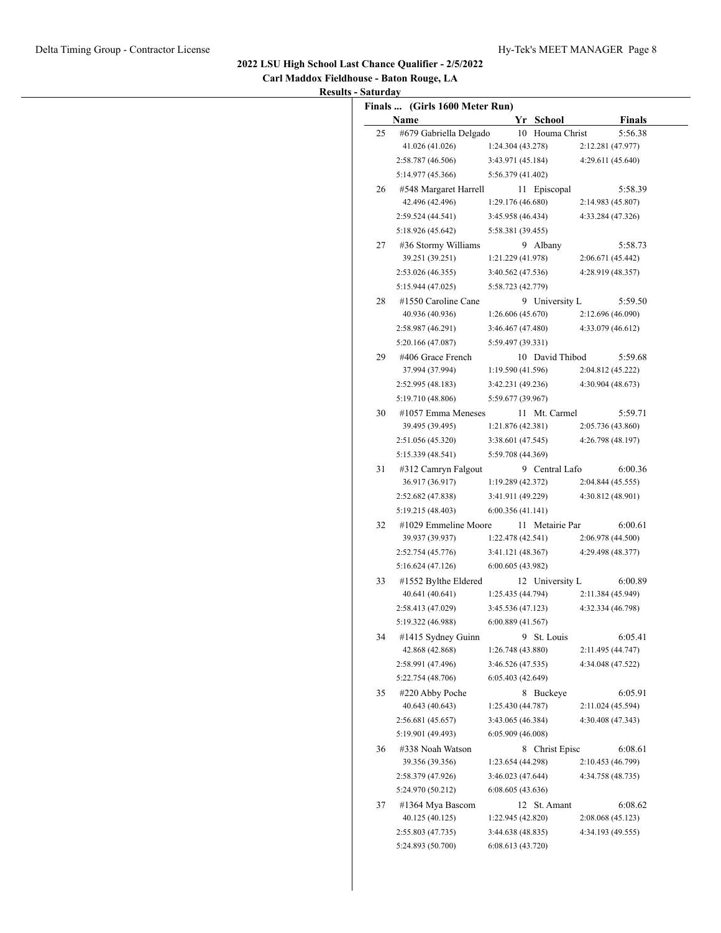| Carl Maddox Fieldhouse - Baton Rouge, LA |
|------------------------------------------|
| <b>Results - Saturday</b>                |

|    | Name                   | Yr School         |                  | Finals                       |
|----|------------------------|-------------------|------------------|------------------------------|
| 25 | #679 Gabriella Delgado |                   | 10 Houma Christ  | 5:56.38                      |
|    | 41.026 (41.026)        | 1:24.304(43.278)  |                  | 2:12.281 (47.977)            |
|    | 2:58.787 (46.506)      | 3:43.971 (45.184) |                  | 4:29.611(45.640)             |
|    | 5:14.977 (45.366)      | 5:56.379 (41.402) |                  |                              |
| 26 | #548 Margaret Harrell  |                   | 11 Episcopal     | 5:58.39                      |
|    | 42.496 (42.496)        | 1:29.176 (46.680) |                  | 2:14.983 (45.807)            |
|    | 2:59.524 (44.541)      | 3:45.958 (46.434) |                  | 4:33.284 (47.326)            |
|    | 5:18.926 (45.642)      | 5:58.381 (39.455) |                  |                              |
| 27 | #36 Stormy Williams    |                   | 9 Albany         | 5:58.73                      |
|    | 39.251 (39.251)        | 1:21.229 (41.978) |                  | 2:06.671 (45.442)            |
|    | 2:53.026 (46.355)      | 3:40.562 (47.536) |                  | 4:28.919 (48.357)            |
|    | 5:15.944 (47.025)      | 5:58.723 (42.779) |                  |                              |
| 28 | #1550 Caroline Cane    |                   | 9 University L   | 5:59.50                      |
|    | 40.936 (40.936)        | 1:26.606(45.670)  |                  | 2:12.696 (46.090)            |
|    | 2:58.987 (46.291)      | 3:46.467 (47.480) |                  | 4:33.079 (46.612)            |
|    | 5:20.166 (47.087)      | 5:59.497 (39.331) |                  |                              |
|    |                        |                   |                  |                              |
| 29 | #406 Grace French      |                   | 10 David Thibod  | 5:59.68                      |
|    | 37.994 (37.994)        | 1:19.590(41.596)  |                  | 2:04.812 (45.222)            |
|    | 2:52.995 (48.183)      | 3:42.231 (49.236) |                  | 4:30.904 (48.673)            |
|    | 5:19.710 (48.806)      | 5:59.677 (39.967) |                  |                              |
| 30 | #1057 Emma Meneses     |                   | 11 Mt. Carmel    | 5:59.71                      |
|    | 39.495 (39.495)        | 1:21.876(42.381)  |                  | 2:05.736 (43.860)            |
|    | 2:51.056 (45.320)      | 3:38.601 (47.545) |                  | 4:26.798 (48.197)            |
|    | 5:15.339 (48.541)      | 5:59.708 (44.369) |                  |                              |
| 31 | #312 Camryn Falgout    |                   | 9 Central Lafo   | 6:00.36                      |
|    | 36.917 (36.917)        | 1:19.289(42.372)  |                  | 2:04.844 (45.555)            |
|    | 2:52.682 (47.838)      | 3:41.911 (49.229) |                  | 4:30.812 (48.901)            |
|    | 5:19.215 (48.403)      | 6:00.356(41.141)  |                  |                              |
| 32 | #1029 Emmeline Moore   |                   | 11 Metairie Par  | 6:00.61                      |
|    | 39.937 (39.937)        | 1:22.478(42.541)  |                  | 2:06.978 (44.500)            |
|    | 2:52.754 (45.776)      | 3:41.121(48.367)  |                  | 4:29.498 (48.377)            |
|    | 5:16.624 (47.126)      | 6:00.605 (43.982) |                  |                              |
| 33 | #1552 Bylthe Eldered   |                   | 12 University L  | 6:00.89                      |
|    | 40.641 (40.641)        | 1:25.435(44.794)  |                  | 2:11.384 (45.949)            |
|    | 2:58.413 (47.029)      | 3:45.536 (47.123) |                  | 4:32.334 (46.798)            |
|    | 5:19.322 (46.988)      | 6:00.889 (41.567) |                  |                              |
| 34 | #1415 Sydney Guinn     |                   | 9 St. Louis      | 6:05.41                      |
|    | 42.868 (42.868)        | 1:26.748 (43.880) |                  | 2:11.495 (44.747)            |
|    | 2:58.991 (47.496)      | 3:46.526 (47.535) |                  | 4:34.048 (47.522)            |
|    | 5:22.754 (48.706)      | 6:05.403(42.649)  |                  |                              |
| 35 | #220 Abby Poche        |                   | 8 Buckeye        | 6:05.91                      |
|    | 40.643 (40.643)        | 1:25.430 (44.787) |                  | 2:11.024 (45.594)            |
|    | 2:56.681 (45.657)      | 3:43.065 (46.384) |                  | 4:30.408 (47.343)            |
|    | 5:19.901 (49.493)      | 6:05.909(46.008)  |                  |                              |
|    |                        |                   |                  |                              |
| 36 | #338 Noah Watson       |                   | 8 Christ Episc   | 6:08.61<br>2:10.453 (46.799) |
|    | 39.356 (39.356)        | 1:23.654 (44.298) |                  |                              |
|    | 2:58.379 (47.926)      | 3:46.023 (47.644) |                  | 4:34.758 (48.735)            |
|    | 5:24.970 (50.212)      | 6:08.605(43.636)  |                  |                              |
| 37 | #1364 Mya Bascom       |                   | 12 St. Amant     | 6:08.62                      |
|    | 40.125 (40.125)        | 1:22.945 (42.820) |                  | 2:08.068 (45.123)            |
|    | 2:55.803 (47.735)      | 3:44.638 (48.835) | 6:08.613(43.720) | 4:34.193 (49.555)            |
|    | 5:24.893 (50.700)      |                   |                  |                              |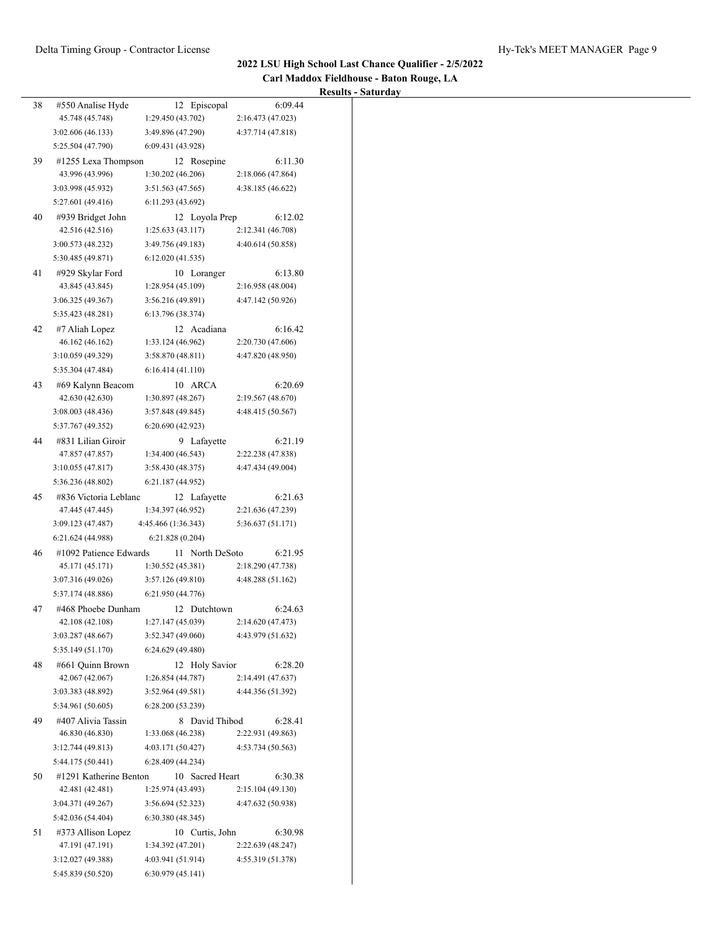**Carl Maddox Fieldhouse - Baton Rouge, LA**

|    |                                      |                                   |                              | <b>Results - Saturday</b> |
|----|--------------------------------------|-----------------------------------|------------------------------|---------------------------|
| 38 | #550 Analise Hyde<br>45.748 (45.748) | 12 Episcopal<br>1:29.450 (43.702) | 6:09.44<br>2:16.473 (47.023) |                           |
|    | 3:02.606 (46.133)                    | 3:49.896 (47.290)                 | 4:37.714 (47.818)            |                           |
|    | 5:25.504 (47.790)                    | 6:09.431 (43.928)                 |                              |                           |
| 39 | #1255 Lexa Thompson                  | 12 Rosepine                       | 6:11.30                      |                           |
|    | 43.996 (43.996)                      | 1:30.202(46.206)                  | 2:18.066 (47.864)            |                           |
|    | 3:03.998 (45.932)                    | 3:51.563 (47.565)                 | 4:38.185 (46.622)            |                           |
|    | 5:27.601 (49.416)                    | 6:11.293 (43.692)                 |                              |                           |
| 40 | #939 Bridget John                    | 12 Loyola Prep                    | 6:12.02                      |                           |
|    | 42.516 (42.516)                      | 1:25.633(43.117)                  | 2:12.341 (46.708)            |                           |
|    | 3:00.573 (48.232)                    | 3:49.756 (49.183)                 | 4:40.614 (50.858)            |                           |
|    | 5:30.485 (49.871)                    | 6:12.020(41.535)                  |                              |                           |
| 41 | #929 Skylar Ford                     | 10 Loranger                       | 6:13.80                      |                           |
|    | 43.845 (43.845)                      | 1:28.954(45.109)                  | 2:16.958 (48.004)            |                           |
|    | 3:06.325 (49.367)                    | 3:56.216 (49.891)                 | 4:47.142 (50.926)            |                           |
|    | 5:35.423 (48.281)                    | 6:13.796 (38.374)                 |                              |                           |
| 42 | #7 Aliah Lopez                       | 12 Acadiana                       | 6:16.42                      |                           |
|    | 46.162 (46.162)                      | 1:33.124 (46.962)                 | 2:20.730 (47.606)            |                           |
|    | 3:10.059 (49.329)                    | 3:58.870(48.811)                  | 4:47.820 (48.950)            |                           |
|    | 5:35.304 (47.484)                    | 6:16.414(41.110)                  |                              |                           |
| 43 | #69 Kalynn Beacom                    | 10 ARCA                           | 6:20.69                      |                           |
|    | 42.630 (42.630)                      | 1:30.897 (48.267)                 | 2:19.567(48.670)             |                           |
|    | 3:08.003 (48.436)                    | 3:57.848 (49.845)                 | 4:48.415 (50.567)            |                           |
|    | 5:37.767 (49.352)                    | 6:20.690 (42.923)                 |                              |                           |
| 44 | #831 Lilian Giroir                   | 9 Lafayette                       | 6:21.19                      |                           |
|    | 47.857 (47.857)                      | 1:34.400(46.543)                  | 2:22.238 (47.838)            |                           |
|    | 3:10.055(47.817)                     | 3:58.430 (48.375)                 | 4:47.434 (49.004)            |                           |
|    | 5:36.236 (48.802)                    | 6:21.187 (44.952)                 |                              |                           |
| 45 | #836 Victoria Leblanc                | 12 Lafayette                      | 6:21.63                      |                           |
|    | 47.445 (47.445)                      | 1:34.397 (46.952)                 | 2:21.636 (47.239)            |                           |
|    | 3:09.123 (47.487)                    | 4:45.466 (1:36.343)               | 5:36.637 (51.171)            |                           |
|    | 6:21.624 (44.988)                    | 6:21.828(0.204)                   |                              |                           |
| 46 | #1092 Patience Edwards               | 11 North DeSoto                   | 6:21.95                      |                           |
|    | 45.171 (45.171)                      | 1:30.552(45.381)                  | 2:18.290 (47.738)            |                           |
|    | 3:07.316 (49.026)                    | 3:57.126 (49.810)                 | 4:48.288 (51.162)            |                           |
|    | 5:37.174 (48.886)                    | 6:21.950 (44.776)                 |                              |                           |
| 47 | #468 Phoebe Dunham                   | 12 Dutchtown                      | 6:24.63                      |                           |
|    | 42.108 (42.108)                      | 1:27.147 (45.039)                 | 2:14.620 (47.473)            |                           |
|    | 3:03.287 (48.667)                    | 3:52.347 (49.060)                 | 4:43.979 (51.632)            |                           |
|    | 5:35.149 (51.170)                    | 6:24.629 (49.480)                 |                              |                           |
| 48 | #661 Quinn Brown                     | 12 Holy Savior                    | 6:28.20                      |                           |
|    | 42.067 (42.067)                      | 1:26.854(44.787)                  | 2:14.491 (47.637)            |                           |
|    | 3:03.383 (48.892)                    | 3:52.964(49.581)                  | 4:44.356 (51.392)            |                           |
|    | 5:34.961 (50.605)                    | 6:28.200 (53.239)                 |                              |                           |
| 49 | #407 Alivia Tassin                   | 8 David Thibod                    | 6:28.41                      |                           |
|    | 46.830 (46.830)                      | 1:33.068 (46.238)                 | 2:22.931 (49.863)            |                           |
|    | 3:12.744 (49.813)                    | 4:03.171 (50.427)                 | 4:53.734 (50.563)            |                           |
|    | 5:44.175 (50.441)                    | 6:28.409 (44.234)                 |                              |                           |
| 50 | #1291 Katherine Benton               | 10 Sacred Heart                   | 6:30.38                      |                           |
|    | 42.481 (42.481)                      | 1:25.974 (43.493)                 | 2:15.104 (49.130)            |                           |
|    | 3:04.371 (49.267)                    | 3:56.694 (52.323)                 | 4:47.632 (50.938)            |                           |
|    | 5:42.036 (54.404)                    | 6:30.380(48.345)                  |                              |                           |
| 51 | #373 Allison Lopez                   | 10 Curtis, John                   | 6:30.98                      |                           |
|    | 47.191 (47.191)                      | 1:34.392 (47.201)                 | 2:22.639 (48.247)            |                           |
|    | 3:12.027 (49.388)                    | 4:03.941 (51.914)                 | 4:55.319 (51.378)            |                           |
|    | 5:45.839 (50.520)                    | 6:30.979(45.141)                  |                              |                           |
|    |                                      |                                   |                              |                           |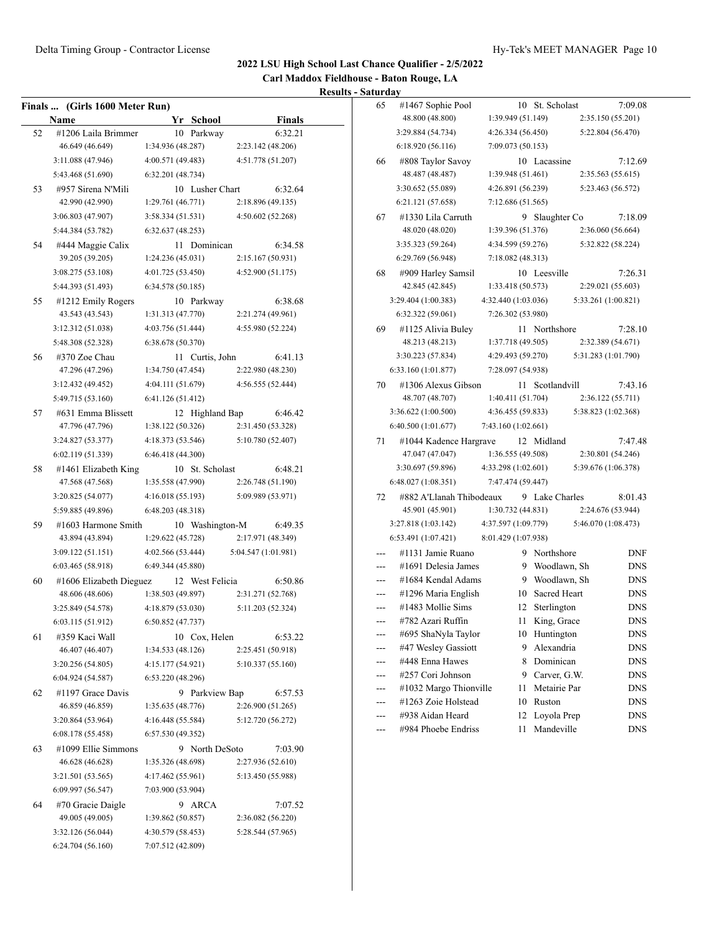**Carl Maddox Fieldhouse - Baton Rouge, LA**

| <b>Finals</b> | (Girls 1600 Meter Run)                 |                   |    |                 |                              |
|---------------|----------------------------------------|-------------------|----|-----------------|------------------------------|
|               | Name                                   |                   |    | Yr School       | <b>Finals</b>                |
| 52            | #1206 Laila Brimmer                    |                   |    | 10 Parkway      | 6:32.21                      |
|               | 46.649 (46.649)                        | 1:34.936 (48.287) |    |                 | 2:23.142 (48.206)            |
|               | 3:11.088 (47.946)                      | 4:00.571 (49.483) |    |                 | 4:51.778 (51.207)            |
|               | 5:43.468 (51.690)                      | 6:32.201 (48.734) |    |                 |                              |
| 53            | #957 Sirena N'Mili                     |                   |    | 10 Lusher Chart | 6:32.64                      |
|               | 42.990 (42.990)                        | 1:29.761 (46.771) |    |                 | 2:18.896 (49.135)            |
|               | 3:06.803 (47.907)                      | 3:58.334 (51.531) |    |                 | 4:50.602 (52.268)            |
|               | 5:44.384 (53.782)                      | 6:32.637(48.253)  |    |                 |                              |
| 54            | #444 Maggie Calix                      |                   | 11 | Dominican       | 6:34.58                      |
|               | 39.205 (39.205)                        | 1:24.236(45.031)  |    |                 | 2:15.167 (50.931)            |
|               | 3:08.275 (53.108)                      | 4:01.725 (53.450) |    |                 | 4:52.900 (51.175)            |
|               | 5:44.393 (51.493)                      | 6:34.578 (50.185) |    |                 |                              |
| 55            | #1212 Emily Rogers                     |                   |    | 10 Parkway      | 6:38.68                      |
|               | 43.543 (43.543)                        | 1:31.313 (47.770) |    |                 | 2:21.274 (49.961)            |
|               | 3:12.312 (51.038)                      | 4:03.756 (51.444) |    |                 | 4:55.980 (52.224)            |
|               | 5:48.308 (52.328)                      | 6:38.678 (50.370) |    |                 |                              |
| 56            | #370 Zoe Chau                          |                   |    | 11 Curtis, John | 6:41.13                      |
|               | 47.296 (47.296)                        | 1:34.750 (47.454) |    |                 | 2:22.980 (48.230)            |
|               | 3:12.432 (49.452)                      | 4:04.111 (51.679) |    |                 | 4:56.555 (52.444)            |
|               | 5:49.715 (53.160)                      | 6:41.126 (51.412) |    |                 |                              |
| 57            | #631 Emma Blissett                     |                   |    | 12 Highland Bap | 6:46.42                      |
|               | 47.796 (47.796)                        | 1:38.122 (50.326) |    |                 | 2:31.450 (53.328)            |
|               | 3:24.827 (53.377)                      | 4:18.373 (53.546) |    |                 | 5:10.780 (52.407)            |
|               | 6:02.119 (51.339)                      | 6:46.418(44.300)  |    |                 |                              |
| 58            | #1461 Elizabeth King                   |                   |    | 10 St. Scholast | 6:48.21                      |
|               | 47.568 (47.568)                        | 1:35.558 (47.990) |    |                 | 2:26.748 (51.190)            |
|               | 3:20.825 (54.077)                      | 4:16.018 (55.193) |    |                 | 5:09.989 (53.971)            |
|               | 5:59.885 (49.896)                      | 6:48.203 (48.318) |    |                 |                              |
| 59            | #1603 Harmone Smith                    |                   |    | 10 Washington-M | 6:49.35                      |
|               | 43.894 (43.894)                        | 1:29.622 (45.728) |    |                 | 2:17.971 (48.349)            |
|               | 3:09.122(51.151)                       | 4:02.566 (53.444) |    |                 | 5:04.547 (1:01.981)          |
|               | 6:03.465 (58.918)                      | 6:49.344 (45.880) |    |                 |                              |
| 60            | #1606 Elizabeth Dieguez                |                   |    | 12 West Felicia | 6:50.86                      |
|               | 48.606 (48.606)                        | 1:38.503 (49.897) |    |                 | 2:31.271 (52.768)            |
|               | 3:25.849 (54.578)                      | 4:18.879 (53.030) |    |                 | 5:11.203 (52.324)            |
|               | 6:03.115 (51.912)                      | 6:50.852(47.737)  |    |                 |                              |
| 61            | #359 Kaci Wall                         |                   |    | 10 Cox, Helen   | 6:53.22                      |
|               | 46.407 (46.407)                        | 1:34.533 (48.126) |    |                 | 2:25.451 (50.918)            |
|               | 3:20.256 (54.805)                      | 4:15.177 (54.921) |    |                 | 5:10.337 (55.160)            |
|               | 6:04.924(54.587)                       | 6:53.220 (48.296) |    |                 |                              |
| 62            | #1197 Grace Davis                      |                   |    | 9 Parkview Bap  | 6:57.53                      |
|               | 46.859 (46.859)                        | 1:35.635(48.776)  |    |                 | 2:26.900 (51.265)            |
|               | 3:20.864 (53.964)                      | 4:16.448 (55.584) |    |                 | 5:12.720 (56.272)            |
|               | 6:08.178(55.458)                       | 6:57.530 (49.352) |    |                 |                              |
|               |                                        |                   |    |                 |                              |
| 63            | #1099 Ellie Simmons<br>46.628 (46.628) | 1:35.326 (48.698) | 9  | North DeSoto    | 7:03.90<br>2:27.936 (52.610) |
|               |                                        |                   |    |                 |                              |
|               | 3:21.501 (53.565)                      | 4:17.462 (55.961) |    |                 | 5:13.450 (55.988)            |
|               | 6:09.997(56.547)                       | 7:03.900 (53.904) |    |                 |                              |
| 64            | #70 Gracie Daigle                      |                   | 9  | ARCA            | 7:07.52                      |
|               | 49.005 (49.005)                        | 1:39.862 (50.857) |    |                 | 2:36.082 (56.220)            |
|               | 3:32.126 (56.044)                      | 4:30.579 (58.453) |    |                 | 5:28.544 (57.965)            |
|               | 6:24.704(56.160)                       | 7:07.512 (42.809) |    |                 |                              |

| 65             | #1467 Sophie Pool        |                     |    | 10 St. Scholast |                     | 7:09.08    |
|----------------|--------------------------|---------------------|----|-----------------|---------------------|------------|
|                | 48.800 (48.800)          | 1:39.949 (51.149)   |    |                 | 2:35.150 (55.201)   |            |
|                | 3:29.884 (54.734)        | 4:26.334(56.450)    |    |                 | 5:22.804 (56.470)   |            |
|                | 6:18.920(56.116)         | 7:09.073 (50.153)   |    |                 |                     |            |
| 66             | #808 Taylor Savoy        |                     |    | 10 Lacassine    |                     | 7:12.69    |
|                | 48.487 (48.487)          | 1:39.948 (51.461)   |    |                 | 2:35.563 (55.615)   |            |
|                | 3:30.652 (55.089)        | 4:26.891 (56.239)   |    |                 | 5:23.463 (56.572)   |            |
|                | 6:21.121 (57.658)        | 7:12.686 (51.565)   |    |                 |                     |            |
| 67             | #1330 Lila Carruth       |                     |    | 9 Slaughter Co  |                     | 7:18.09    |
|                | 48.020 (48.020)          | 1:39.396 (51.376)   |    |                 | 2:36.060 (56.664)   |            |
|                | 3:35.323 (59.264)        | 4:34.599 (59.276)   |    |                 | 5:32.822 (58.224)   |            |
|                | 6:29.769 (56.948)        | 7:18.082 (48.313)   |    |                 |                     |            |
| 68             | #909 Harley Samsil       |                     |    | 10 Leesville    |                     | 7:26.31    |
|                | 42.845 (42.845)          | 1:33.418 (50.573)   |    |                 | 2:29.021 (55.603)   |            |
|                | 3:29.404 (1:00.383)      | 4:32.440 (1:03.036) |    |                 | 5:33.261 (1:00.821) |            |
|                | 6:32.322 (59.061)        | 7:26.302 (53.980)   |    |                 |                     |            |
| 69             | #1125 Alivia Buley       |                     |    | 11 Northshore   |                     | 7:28.10    |
|                | 48.213 (48.213)          | 1:37.718 (49.505)   |    |                 | 2:32.389 (54.671)   |            |
|                | 3:30.223 (57.834)        | 4:29.493 (59.270)   |    |                 | 5:31.283 (1:01.790) |            |
|                | 6:33.160 (1:01.877)      | 7:28.097 (54.938)   |    |                 |                     |            |
| 70             | #1306 Alexus Gibson      |                     |    | 11 Scotlandvill |                     | 7:43.16    |
|                | 48.707 (48.707)          | 1:40.411(51.704)    |    |                 | 2:36.122 (55.711)   |            |
|                | 3:36.622 (1:00.500)      | 4:36.455 (59.833)   |    |                 | 5:38.823 (1:02.368) |            |
|                | 6:40.500 (1:01.677)      | 7:43.160 (1:02.661) |    |                 |                     |            |
| 71             | #1044 Kadence Hargrave   |                     |    | 12 Midland      |                     | 7:47.48    |
|                | 47.047 (47.047)          | 1:36.555 (49.508)   |    |                 | 2:30.801 (54.246)   |            |
|                | 3:30.697 (59.896)        | 4:33.298(1:02.601)  |    |                 | 5:39.676 (1:06.378) |            |
|                | 6:48.027(1:08.351)       | 7:47.474 (59.447)   |    |                 |                     |            |
| 72             | #882 A'Llanah Thibodeaux |                     |    | 9 Lake Charles  |                     | 8:01.43    |
|                | 45.901 (45.901)          | 1:30.732 (44.831)   |    |                 | 2:24.676 (53.944)   |            |
|                | 3:27.818 (1:03.142)      | 4:37.597 (1:09.779) |    |                 | 5:46.070 (1:08.473) |            |
|                | 6:53.491 (1:07.421)      | 8:01.429 (1:07.938) |    |                 |                     |            |
| $---$          | #1131 Jamie Ruano        |                     | 9  | Northshore      |                     | <b>DNF</b> |
| $---$          | #1691 Delesia James      |                     | 9  | Woodlawn, Sh    |                     | <b>DNS</b> |
|                | #1684 Kendal Adams       |                     |    | 9 Woodlawn, Sh  |                     | <b>DNS</b> |
| $-$            | #1296 Maria English      |                     |    | 10 Sacred Heart |                     | <b>DNS</b> |
| $\overline{a}$ | #1483 Mollie Sims        |                     | 12 | Sterlington     |                     | <b>DNS</b> |
|                | #782 Azari Ruffin        |                     | 11 | King, Grace     |                     | DNS        |
|                | #695 ShaNyla Taylor      |                     | 10 | Huntington      |                     | DNS        |
|                | #47 Wesley Gassiott      |                     | 9  | Alexandria      |                     | DNS        |
|                | #448 Enna Hawes          |                     | 8  | Dominican       |                     | DNS        |
|                | #257 Cori Johnson        |                     | 9  | Carver, G.W.    |                     | DNS        |
|                | #1032 Margo Thionville   |                     | 11 | Metairie Par    |                     | <b>DNS</b> |
|                | #1263 Zoie Holstead      |                     | 10 | Ruston          |                     | DNS        |
| ---            | #938 Aidan Heard         |                     | 12 | Loyola Prep     |                     | DNS        |
| ---            | #984 Phoebe Endriss      |                     | 11 | Mandeville      |                     | <b>DNS</b> |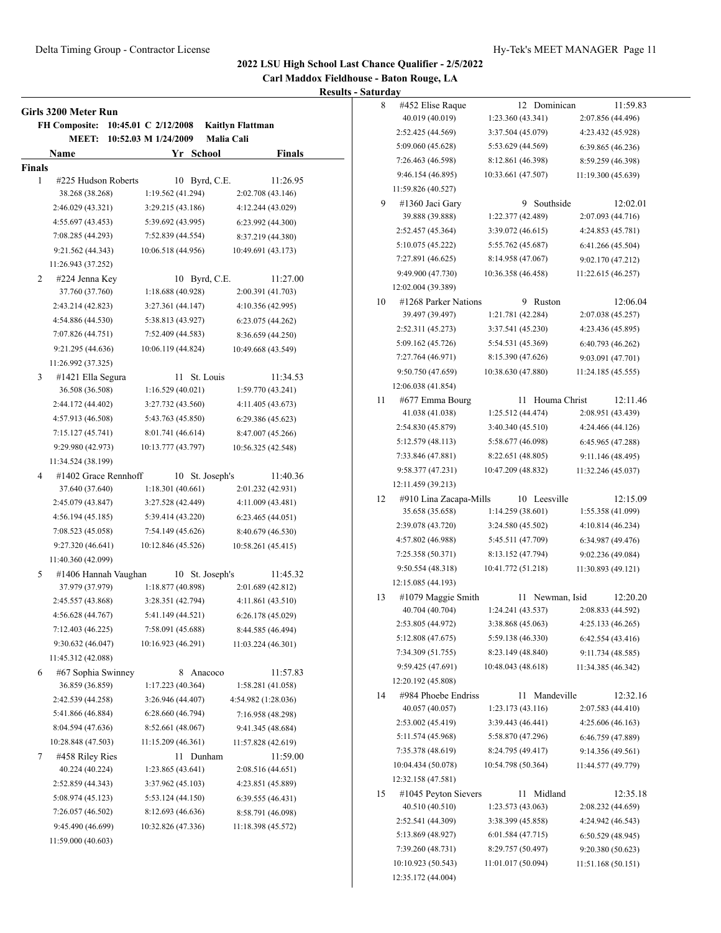**Carl Maddox Fieldhouse - Baton Rouge, LA**

|        | Girls 3200 Meter Run<br><b>FH Composite:</b> | 10:45.01 C 2/12/2008 | <b>Kaitlyn Flattman</b> |
|--------|----------------------------------------------|----------------------|-------------------------|
|        | <b>MEET:</b>                                 | 10:52.03 M 1/24/2009 | Malia Cali              |
|        | Name                                         | Yr School            | <b>Finals</b>           |
| Finals |                                              |                      |                         |
| 1      | #225 Hudson Roberts                          | Byrd, C.E.<br>10     | 11:26.95                |
|        | 38.268 (38.268)                              | 1:19.562 (41.294)    | 2:02.708 (43.146)       |
|        | 2:46.029 (43.321)                            | 3:29.215 (43.186)    | 4:12.244 (43.029)       |
|        | 4:55.697 (43.453)                            | 5:39.692 (43.995)    | 6:23.992 (44.300)       |
|        | 7:08.285 (44.293)                            | 7:52.839 (44.554)    | 8:37.219 (44.380)       |
|        | 9:21.562 (44.343)                            | 10:06.518 (44.956)   | 10:49.691 (43.173)      |
|        | 11:26.943 (37.252)                           |                      |                         |
| 2      | #224 Jenna Key                               | 10 Byrd, C.E.        | 11:27.00                |
|        | 37.760 (37.760)                              | 1:18.688(40.928)     | 2:00.391 (41.703)       |
|        | 2:43.214 (42.823)                            | 3:27.361 (44.147)    | 4:10.356 (42.995)       |
|        | 4:54.886 (44.530)                            | 5:38.813 (43.927)    | 6:23.075(44.262)        |
|        | 7:07.826 (44.751)                            | 7:52.409 (44.583)    | 8:36.659 (44.250)       |
|        | 9:21.295 (44.636)                            | 10:06.119 (44.824)   | 10:49.668 (43.549)      |
|        | 11:26.992 (37.325)                           |                      |                         |
| 3      | #1421 Ella Segura                            | St. Louis<br>11      | 11:34.53                |
|        | 36.508 (36.508)                              | 1:16.529(40.021)     | 1:59.770 (43.241)       |
|        | 2:44.172 (44.402)                            | 3:27.732 (43.560)    | 4:11.405 (43.673)       |
|        | 4:57.913 (46.508)                            | 5:43.763 (45.850)    | 6:29.386 (45.623)       |
|        | 7:15.127 (45.741)                            | 8:01.741 (46.614)    | 8:47.007 (45.266)       |
|        | 9:29.980 (42.973)                            | 10:13.777 (43.797)   | 10:56.325 (42.548)      |
|        | 11:34.524 (38.199)                           |                      |                         |
| 4      | #1402 Grace Rennhoff                         | 10 St. Joseph's      | 11:40.36                |
|        | 37.640 (37.640)                              | 1:18.301(40.661)     | 2:01.232 (42.931)       |
|        | 2:45.079 (43.847)                            | 3:27.528 (42.449)    | 4:11.009 (43.481)       |
|        | 4:56.194 (45.185)                            | 5:39.414 (43.220)    | 6:23.465(44.051)        |
|        | 7:08.523 (45.058)                            | 7:54.149 (45.626)    | 8:40.679 (46.530)       |
|        | 9:27.320 (46.641)                            | 10:12.846 (45.526)   | 10:58.261 (45.415)      |
|        | 11:40.360 (42.099)                           |                      |                         |
| 5      | #1406 Hannah Vaughan                         | St. Joseph's<br>10   | 11:45.32                |
|        | 37.979 (37.979)                              | 1:18.877 (40.898)    | 2:01.689 (42.812)       |
|        | 2:45.557 (43.868)                            | 3:28.351 (42.794)    | 4:11.861 (43.510)       |
|        | 4:56.628 (44.767)                            | 5:41.149 (44.521)    | 6:26.178(45.029)        |
|        | 7:12.403 (46.225)                            | 7:58.091 (45.688)    | 8:44.585 (46.494)       |
|        | 9:30.632 (46.047)                            | 10:16.923 (46.291)   | 11:03.224 (46.301)      |
|        | 11:45.312 (42.088)                           |                      |                         |
| 6      | #67 Sophia Swinney                           | Anacoco<br>8         | 11:57.83                |
|        | 36.859 (36.859)                              | 1:17.223(40.364)     | 1:58.281 (41.058)       |
|        | 2:42.539 (44.258)                            | 3:26.946 (44.407)    | 4:54.982 (1:28.036)     |
|        | 5:41.866 (46.884)                            | 6:28.660 (46.794)    | 7:16.958 (48.298)       |
|        | 8:04.594 (47.636)                            | 8:52.661 (48.067)    | 9:41.345 (48.684)       |
|        | 10:28.848 (47.503)                           | 11:15.209 (46.361)   | 11:57.828 (42.619)      |
| 7      | #458 Riley Ries                              | 11 Dunham            | 11:59.00                |
|        | 40.224 (40.224)                              | 1:23.865 (43.641)    | 2:08.516 (44.651)       |
|        | 2:52.859 (44.343)                            | 3:37.962 (45.103)    | 4:23.851 (45.889)       |
|        | 5:08.974 (45.123)                            | 5:53.124 (44.150)    | 6:39.555 (46.431)       |
|        | 7:26.057 (46.502)                            | 8:12.693 (46.636)    | 8:58.791 (46.098)       |
|        | 9:45.490 (46.699)                            | 10:32.826 (47.336)   | 11:18.398 (45.572)      |
|        | 11:59.000 (40.603)                           |                      |                         |
|        |                                              |                      |                         |

| 8  | #452 Elise Raque       |                    | 12 | Dominican    |                    | 11:59.83 |
|----|------------------------|--------------------|----|--------------|--------------------|----------|
|    | 40.019 (40.019)        | 1:23.360 (43.341)  |    |              | 2:07.856 (44.496)  |          |
|    | 2:52.425 (44.569)      | 3:37.504 (45.079)  |    |              | 4:23.432 (45.928)  |          |
|    | 5:09.060 (45.628)      | 5:53.629 (44.569)  |    |              | 6:39.865 (46.236)  |          |
|    | 7:26.463 (46.598)      | 8:12.861 (46.398)  |    |              | 8:59.259 (46.398)  |          |
|    | 9:46.154 (46.895)      | 10:33.661 (47.507) |    |              | 11:19.300 (45.639) |          |
|    | 11:59.826 (40.527)     |                    |    |              |                    |          |
| 9  | #1360 Jaci Gary        |                    |    | 9 Southside  |                    | 12:02.01 |
|    | 39.888 (39.888)        | 1:22.377 (42.489)  |    |              | 2:07.093 (44.716)  |          |
|    | 2:52.457 (45.364)      | 3:39.072 (46.615)  |    |              | 4:24.853 (45.781)  |          |
|    | 5:10.075 (45.222)      | 5:55.762 (45.687)  |    |              | 6:41.266 (45.504)  |          |
|    | 7:27.891 (46.625)      | 8:14.958 (47.067)  |    |              | 9:02.170 (47.212)  |          |
|    | 9:49.900 (47.730)      | 10:36.358 (46.458) |    |              | 11:22.615 (46.257) |          |
|    | 12:02.004 (39.389)     |                    |    |              |                    |          |
| 10 | #1268 Parker Nations   |                    | 9  | Ruston       |                    | 12:06.04 |
|    | 39.497 (39.497)        | 1:21.781 (42.284)  |    |              | 2:07.038 (45.257)  |          |
|    | 2:52.311 (45.273)      | 3:37.541 (45.230)  |    |              | 4:23.436 (45.895)  |          |
|    | 5:09.162 (45.726)      | 5:54.531 (45.369)  |    |              | 6:40.793 (46.262)  |          |
|    | 7:27.764 (46.971)      | 8:15.390 (47.626)  |    |              | 9:03.091 (47.701)  |          |
|    | 9:50.750 (47.659)      | 10:38.630 (47.880) |    |              | 11:24.185 (45.555) |          |
|    | 12:06.038 (41.854)     |                    |    |              |                    |          |
| 11 | #677 Emma Bourg        |                    | 11 | Houma Christ |                    | 12:11.46 |
|    | 41.038 (41.038)        | 1:25.512 (44.474)  |    |              | 2:08.951 (43.439)  |          |
|    | 2:54.830 (45.879)      | 3:40.340 (45.510)  |    |              | 4:24.466 (44.126)  |          |
|    | 5:12.579 (48.113)      | 5:58.677 (46.098)  |    |              | 6:45.965 (47.288)  |          |
|    | 7:33.846 (47.881)      | 8:22.651 (48.805)  |    |              | 9:11.146 (48.495)  |          |
|    | 9:58.377 (47.231)      | 10:47.209 (48.832) |    |              | 11:32.246 (45.037) |          |
|    | 12:11.459 (39.213)     |                    |    |              |                    |          |
| 12 | #910 Lina Zacapa-Mills |                    | 10 | Leesville    |                    | 12:15.09 |
|    | 35.658 (35.658)        | 1:14.259(38.601)   |    |              | 1:55.358 (41.099)  |          |
|    | 2:39.078 (43.720)      | 3:24.580 (45.502)  |    |              | 4:10.814 (46.234)  |          |
|    | 4:57.802 (46.988)      | 5:45.511 (47.709)  |    |              | 6:34.987 (49.476)  |          |
|    | 7:25.358 (50.371)      | 8:13.152 (47.794)  |    |              | 9:02.236 (49.084)  |          |
|    | 9:50.554 (48.318)      | 10:41.772 (51.218) |    |              | 11:30.893 (49.121) |          |
|    | 12:15.085 (44.193)     |                    |    |              |                    |          |
| 13 | #1079 Maggie Smith     |                    | 11 | Newman, Isid |                    | 12:20.20 |
|    | 40.704 (40.704)        | 1:24.241 (43.537)  |    |              | 2:08.833 (44.592)  |          |
|    | 2:53.805 (44.972)      | 3:38.868 (45.063)  |    |              | 4:25.133 (46.265)  |          |
|    | 5:12.808 (47.675)      | 5:59.138 (46.330)  |    |              | 6:42.554 (43.416)  |          |
|    | 7:34.309 (51.755)      | 8:23.149 (48.840)  |    |              | 9:11.734 (48.585)  |          |
|    | 9:59.425 (47.691)      | 10:48.043 (48.618) |    |              | 11:34.385 (46.342) |          |
|    | 12:20.192 (45.808)     |                    |    |              |                    |          |
| 14 | #984 Phoebe Endriss    |                    | 11 | Mandeville   |                    | 12:32.16 |
|    | 40.057 (40.057)        | 1:23.173(43.116)   |    |              | 2:07.583 (44.410)  |          |
|    | 2:53.002 (45.419)      | 3:39.443 (46.441)  |    |              | 4:25.606 (46.163)  |          |
|    | 5:11.574 (45.968)      | 5:58.870 (47.296)  |    |              | 6:46.759 (47.889)  |          |
|    | 7:35.378 (48.619)      | 8:24.795 (49.417)  |    |              | 9:14.356 (49.561)  |          |
|    | 10:04.434 (50.078)     | 10:54.798 (50.364) |    |              | 11:44.577 (49.779) |          |
|    | 12:32.158 (47.581)     |                    |    |              |                    |          |
| 15 | #1045 Peyton Sievers   |                    | 11 | Midland      |                    | 12:35.18 |
|    | 40.510 (40.510)        | 1:23.573(43.063)   |    |              | 2:08.232 (44.659)  |          |
|    | 2:52.541 (44.309)      | 3:38.399 (45.858)  |    |              | 4:24.942 (46.543)  |          |
|    | 5:13.869 (48.927)      | 6:01.584(47.715)   |    |              | 6:50.529 (48.945)  |          |
|    | 7:39.260 (48.731)      | 8:29.757 (50.497)  |    |              | 9:20.380 (50.623)  |          |
|    | 10:10.923 (50.543)     | 11:01.017 (50.094) |    |              | 11:51.168 (50.151) |          |
|    | 12:35.172 (44.004)     |                    |    |              |                    |          |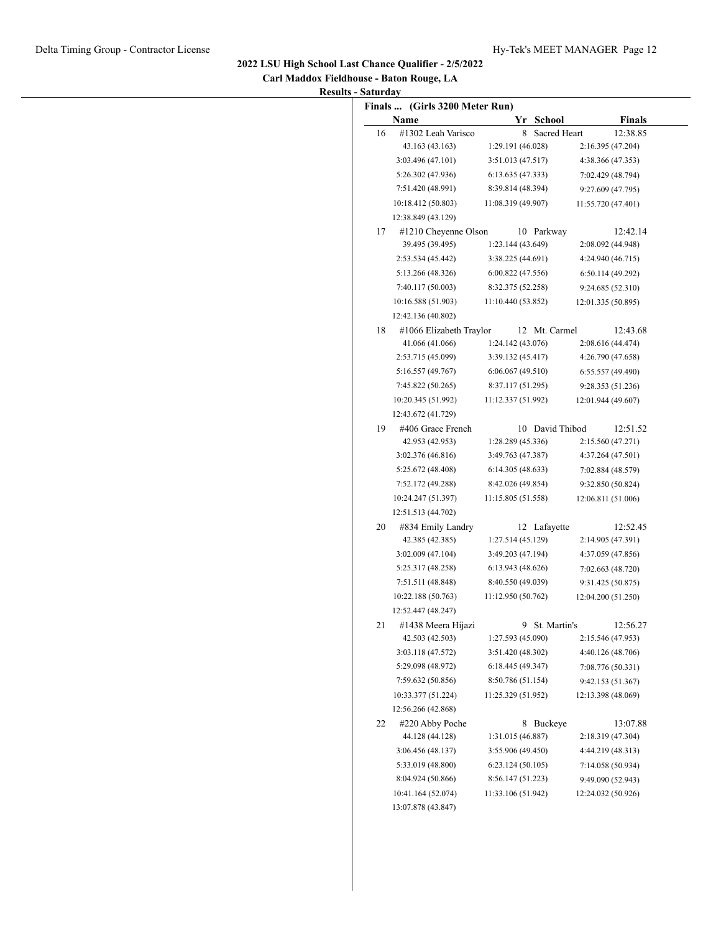**Carl Maddox Fieldhouse - Baton Rouge, LA Results - Saturday**

|    | Finals  (Girls 3200 Meter Run) |                    |                 |                    |
|----|--------------------------------|--------------------|-----------------|--------------------|
|    | Name                           |                    | Yr School       | <b>Finals</b>      |
| 16 | #1302 Leah Varisco             | 8                  | Sacred Heart    | 12:38.85           |
|    | 43.163 (43.163)                | 1:29.191 (46.028)  |                 | 2:16.395 (47.204)  |
|    | 3:03.496 (47.101)              | 3:51.013 (47.517)  |                 | 4:38.366 (47.353)  |
|    | 5:26.302 (47.936)              | 6:13.635(47.333)   |                 | 7:02.429 (48.794)  |
|    | 7:51.420 (48.991)              | 8:39.814 (48.394)  |                 | 9:27.609 (47.795)  |
|    | 10:18.412 (50.803)             | 11:08.319 (49.907) |                 | 11:55.720 (47.401) |
|    | 12:38.849 (43.129)             |                    |                 |                    |
| 17 | #1210 Cheyenne Olson           |                    | 10 Parkway      | 12:42.14           |
|    | 39.495 (39.495)                | 1:23.144 (43.649)  |                 | 2:08.092 (44.948)  |
|    | 2:53.534 (45.442)              | 3:38.225 (44.691)  |                 | 4:24.940 (46.715)  |
|    | 5:13.266 (48.326)              | 6:00.822(47.556)   |                 | 6:50.114(49.292)   |
|    | 7:40.117 (50.003)              | 8:32.375 (52.258)  |                 | 9:24.685 (52.310)  |
|    | 10:16.588 (51.903)             | 11:10.440 (53.852) |                 | 12:01.335 (50.895) |
|    | 12:42.136 (40.802)             |                    |                 |                    |
| 18 | #1066 Elizabeth Traylor        |                    | 12 Mt. Carmel   | 12:43.68           |
|    | 41.066 (41.066)                | 1:24.142(43.076)   |                 | 2:08.616 (44.474)  |
|    | 2:53.715 (45.099)              | 3:39.132 (45.417)  |                 | 4:26.790 (47.658)  |
|    | 5:16.557 (49.767)              | 6:06.067(49.510)   |                 | 6:55.557(49.490)   |
|    | 7:45.822 (50.265)              | 8:37.117 (51.295)  |                 | 9:28.353 (51.236)  |
|    | 10:20.345 (51.992)             | 11:12.337 (51.992) |                 | 12:01.944 (49.607) |
|    | 12:43.672 (41.729)             |                    |                 |                    |
| 19 | #406 Grace French              |                    | 10 David Thibod | 12:51.52           |
|    | 42.953 (42.953)                | 1:28.289 (45.336)  |                 | 2:15.560 (47.271)  |
|    | 3:02.376 (46.816)              | 3:49.763 (47.387)  |                 | 4:37.264 (47.501)  |
|    | 5:25.672 (48.408)              | 6:14.305(48.633)   |                 | 7:02.884 (48.579)  |
|    | 7:52.172 (49.288)              | 8:42.026 (49.854)  |                 | 9:32.850 (50.824)  |
|    | 10:24.247 (51.397)             | 11:15.805 (51.558) |                 | 12:06.811 (51.006) |
|    | 12:51.513 (44.702)             |                    |                 |                    |
| 20 | #834 Emily Landry              |                    | 12 Lafayette    | 12:52.45           |
|    | 42.385 (42.385)                | 1:27.514 (45.129)  |                 | 2:14.905 (47.391)  |
|    | 3:02.009(47.104)               | 3:49.203 (47.194)  |                 | 4:37.059 (47.856)  |
|    | 5:25.317 (48.258)              | 6:13.943(48.626)   |                 | 7:02.663 (48.720)  |
|    | 7:51.511 (48.848)              | 8:40.550 (49.039)  |                 | 9:31.425 (50.875)  |
|    | 10:22.188 (50.763)             | 11:12.950 (50.762) |                 | 12:04.200 (51.250) |
|    | 12:52.447 (48.247)             |                    |                 |                    |
| 21 | #1438 Meera Hijazi             | 9                  | St. Martin's    | 12:56.27           |
|    | 42.503 (42.503)                | 1:27.593 (45.090)  |                 | 2:15.546 (47.953)  |
|    | 3:03.118 (47.572)              | 3:51.420 (48.302)  |                 | 4:40.126 (48.706)  |
|    | 5:29.098 (48.972)              | 6:18.445(49.347)   |                 | 7:08.776 (50.331)  |
|    | 7:59.632 (50.856)              | 8:50.786 (51.154)  |                 | 9:42.153 (51.367)  |
|    | 10:33.377 (51.224)             | 11:25.329 (51.952) |                 | 12:13.398 (48.069) |
|    | 12:56.266 (42.868)             |                    |                 |                    |
| 22 | #220 Abby Poche                |                    | 8 Buckeye       | 13:07.88           |
|    | 44.128 (44.128)                | 1:31.015 (46.887)  |                 | 2:18.319 (47.304)  |
|    | 3:06.456 (48.137)              | 3:55.906 (49.450)  |                 | 4:44.219 (48.313)  |
|    | 5:33.019 (48.800)              | 6:23.124(50.105)   |                 | 7:14.058 (50.934)  |
|    | 8:04.924 (50.866)              | 8:56.147 (51.223)  |                 | 9:49.090 (52.943)  |
|    | 10:41.164 (52.074)             | 11:33.106 (51.942) |                 | 12:24.032 (50.926) |
|    | 13:07.878 (43.847)             |                    |                 |                    |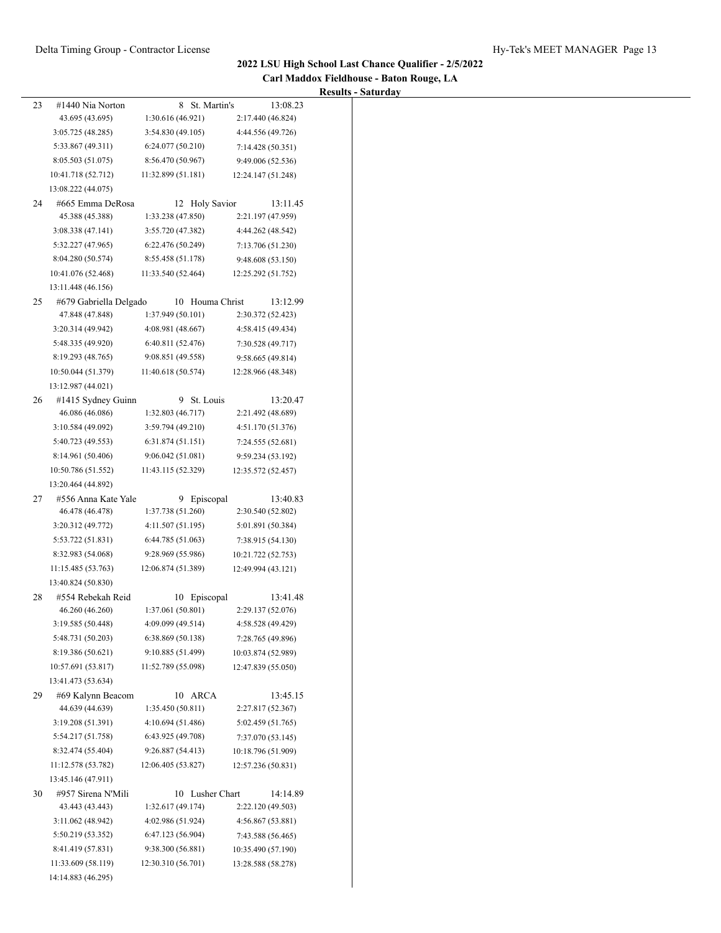| Carl Maddox Fieldhouse - Baton Rouge, LA |  |
|------------------------------------------|--|
| <b>Results - Saturday</b>                |  |

|                                          |                                                                                                                                                                                                                                                                                                                                                                                                                                                     |                                                                                                                                                                                                                                                                                                                                                                                                                 | Results - Saturday                                                                                                                                                                                                                                                                                                                                                                                                                            |
|------------------------------------------|-----------------------------------------------------------------------------------------------------------------------------------------------------------------------------------------------------------------------------------------------------------------------------------------------------------------------------------------------------------------------------------------------------------------------------------------------------|-----------------------------------------------------------------------------------------------------------------------------------------------------------------------------------------------------------------------------------------------------------------------------------------------------------------------------------------------------------------------------------------------------------------|-----------------------------------------------------------------------------------------------------------------------------------------------------------------------------------------------------------------------------------------------------------------------------------------------------------------------------------------------------------------------------------------------------------------------------------------------|
| #1440 Nia Norton                         | 8 St. Martin's                                                                                                                                                                                                                                                                                                                                                                                                                                      | 13:08.23                                                                                                                                                                                                                                                                                                                                                                                                        |                                                                                                                                                                                                                                                                                                                                                                                                                                               |
| 43.695 (43.695)                          | 1:30.616(46.921)                                                                                                                                                                                                                                                                                                                                                                                                                                    | 2:17.440 (46.824)                                                                                                                                                                                                                                                                                                                                                                                               |                                                                                                                                                                                                                                                                                                                                                                                                                                               |
| 3:05.725 (48.285)                        | 3:54.830(49.105)                                                                                                                                                                                                                                                                                                                                                                                                                                    | 4:44.556 (49.726)                                                                                                                                                                                                                                                                                                                                                                                               |                                                                                                                                                                                                                                                                                                                                                                                                                                               |
|                                          |                                                                                                                                                                                                                                                                                                                                                                                                                                                     | 7:14.428 (50.351)                                                                                                                                                                                                                                                                                                                                                                                               |                                                                                                                                                                                                                                                                                                                                                                                                                                               |
|                                          |                                                                                                                                                                                                                                                                                                                                                                                                                                                     |                                                                                                                                                                                                                                                                                                                                                                                                                 |                                                                                                                                                                                                                                                                                                                                                                                                                                               |
|                                          |                                                                                                                                                                                                                                                                                                                                                                                                                                                     |                                                                                                                                                                                                                                                                                                                                                                                                                 |                                                                                                                                                                                                                                                                                                                                                                                                                                               |
| 13:08.222 (44.075)                       |                                                                                                                                                                                                                                                                                                                                                                                                                                                     |                                                                                                                                                                                                                                                                                                                                                                                                                 |                                                                                                                                                                                                                                                                                                                                                                                                                                               |
| #665 Emma DeRosa                         |                                                                                                                                                                                                                                                                                                                                                                                                                                                     |                                                                                                                                                                                                                                                                                                                                                                                                                 |                                                                                                                                                                                                                                                                                                                                                                                                                                               |
|                                          |                                                                                                                                                                                                                                                                                                                                                                                                                                                     |                                                                                                                                                                                                                                                                                                                                                                                                                 |                                                                                                                                                                                                                                                                                                                                                                                                                                               |
|                                          |                                                                                                                                                                                                                                                                                                                                                                                                                                                     |                                                                                                                                                                                                                                                                                                                                                                                                                 |                                                                                                                                                                                                                                                                                                                                                                                                                                               |
|                                          |                                                                                                                                                                                                                                                                                                                                                                                                                                                     |                                                                                                                                                                                                                                                                                                                                                                                                                 |                                                                                                                                                                                                                                                                                                                                                                                                                                               |
|                                          |                                                                                                                                                                                                                                                                                                                                                                                                                                                     | 9:48.608 (53.150)                                                                                                                                                                                                                                                                                                                                                                                               |                                                                                                                                                                                                                                                                                                                                                                                                                                               |
|                                          |                                                                                                                                                                                                                                                                                                                                                                                                                                                     |                                                                                                                                                                                                                                                                                                                                                                                                                 |                                                                                                                                                                                                                                                                                                                                                                                                                                               |
| 13:11.448 (46.156)                       |                                                                                                                                                                                                                                                                                                                                                                                                                                                     |                                                                                                                                                                                                                                                                                                                                                                                                                 |                                                                                                                                                                                                                                                                                                                                                                                                                                               |
|                                          |                                                                                                                                                                                                                                                                                                                                                                                                                                                     |                                                                                                                                                                                                                                                                                                                                                                                                                 |                                                                                                                                                                                                                                                                                                                                                                                                                                               |
|                                          |                                                                                                                                                                                                                                                                                                                                                                                                                                                     |                                                                                                                                                                                                                                                                                                                                                                                                                 |                                                                                                                                                                                                                                                                                                                                                                                                                                               |
|                                          |                                                                                                                                                                                                                                                                                                                                                                                                                                                     |                                                                                                                                                                                                                                                                                                                                                                                                                 |                                                                                                                                                                                                                                                                                                                                                                                                                                               |
|                                          |                                                                                                                                                                                                                                                                                                                                                                                                                                                     |                                                                                                                                                                                                                                                                                                                                                                                                                 |                                                                                                                                                                                                                                                                                                                                                                                                                                               |
|                                          |                                                                                                                                                                                                                                                                                                                                                                                                                                                     | 9:58.665 (49.814)                                                                                                                                                                                                                                                                                                                                                                                               |                                                                                                                                                                                                                                                                                                                                                                                                                                               |
| 10:50.044 (51.379)                       | 11:40.618 (50.574)                                                                                                                                                                                                                                                                                                                                                                                                                                  | 12:28.966 (48.348)                                                                                                                                                                                                                                                                                                                                                                                              |                                                                                                                                                                                                                                                                                                                                                                                                                                               |
| 13:12.987 (44.021)                       |                                                                                                                                                                                                                                                                                                                                                                                                                                                     |                                                                                                                                                                                                                                                                                                                                                                                                                 |                                                                                                                                                                                                                                                                                                                                                                                                                                               |
|                                          |                                                                                                                                                                                                                                                                                                                                                                                                                                                     |                                                                                                                                                                                                                                                                                                                                                                                                                 |                                                                                                                                                                                                                                                                                                                                                                                                                                               |
|                                          |                                                                                                                                                                                                                                                                                                                                                                                                                                                     |                                                                                                                                                                                                                                                                                                                                                                                                                 |                                                                                                                                                                                                                                                                                                                                                                                                                                               |
|                                          |                                                                                                                                                                                                                                                                                                                                                                                                                                                     |                                                                                                                                                                                                                                                                                                                                                                                                                 |                                                                                                                                                                                                                                                                                                                                                                                                                                               |
|                                          |                                                                                                                                                                                                                                                                                                                                                                                                                                                     |                                                                                                                                                                                                                                                                                                                                                                                                                 |                                                                                                                                                                                                                                                                                                                                                                                                                                               |
|                                          |                                                                                                                                                                                                                                                                                                                                                                                                                                                     |                                                                                                                                                                                                                                                                                                                                                                                                                 |                                                                                                                                                                                                                                                                                                                                                                                                                                               |
|                                          |                                                                                                                                                                                                                                                                                                                                                                                                                                                     |                                                                                                                                                                                                                                                                                                                                                                                                                 |                                                                                                                                                                                                                                                                                                                                                                                                                                               |
|                                          |                                                                                                                                                                                                                                                                                                                                                                                                                                                     |                                                                                                                                                                                                                                                                                                                                                                                                                 |                                                                                                                                                                                                                                                                                                                                                                                                                                               |
|                                          |                                                                                                                                                                                                                                                                                                                                                                                                                                                     |                                                                                                                                                                                                                                                                                                                                                                                                                 |                                                                                                                                                                                                                                                                                                                                                                                                                                               |
|                                          |                                                                                                                                                                                                                                                                                                                                                                                                                                                     |                                                                                                                                                                                                                                                                                                                                                                                                                 |                                                                                                                                                                                                                                                                                                                                                                                                                                               |
|                                          |                                                                                                                                                                                                                                                                                                                                                                                                                                                     |                                                                                                                                                                                                                                                                                                                                                                                                                 |                                                                                                                                                                                                                                                                                                                                                                                                                                               |
| 3:20.312 (49.772)                        | 4:11.507 (51.195)                                                                                                                                                                                                                                                                                                                                                                                                                                   | 5:01.891 (50.384)                                                                                                                                                                                                                                                                                                                                                                                               |                                                                                                                                                                                                                                                                                                                                                                                                                                               |
| 5:53.722 (51.831)                        | 6:44.785 (51.063)                                                                                                                                                                                                                                                                                                                                                                                                                                   | 7:38.915 (54.130)                                                                                                                                                                                                                                                                                                                                                                                               |                                                                                                                                                                                                                                                                                                                                                                                                                                               |
| 8:32.983 (54.068)                        | 9:28.969 (55.986)                                                                                                                                                                                                                                                                                                                                                                                                                                   | 10:21.722 (52.753)                                                                                                                                                                                                                                                                                                                                                                                              |                                                                                                                                                                                                                                                                                                                                                                                                                                               |
| 11:15.485 (53.763)                       | 12:06.874 (51.389)                                                                                                                                                                                                                                                                                                                                                                                                                                  | 12:49.994 (43.121)                                                                                                                                                                                                                                                                                                                                                                                              |                                                                                                                                                                                                                                                                                                                                                                                                                                               |
| 13:40.824 (50.830)                       |                                                                                                                                                                                                                                                                                                                                                                                                                                                     |                                                                                                                                                                                                                                                                                                                                                                                                                 |                                                                                                                                                                                                                                                                                                                                                                                                                                               |
| #554 Rebekah Reid                        | 10 Episcopal                                                                                                                                                                                                                                                                                                                                                                                                                                        | 13:41.48                                                                                                                                                                                                                                                                                                                                                                                                        |                                                                                                                                                                                                                                                                                                                                                                                                                                               |
| 46.260 (46.260)                          | 1:37.061 (50.801)                                                                                                                                                                                                                                                                                                                                                                                                                                   | 2:29.137 (52.076)                                                                                                                                                                                                                                                                                                                                                                                               |                                                                                                                                                                                                                                                                                                                                                                                                                                               |
| 3:19.585 (50.448)                        | 4:09.099 (49.514)                                                                                                                                                                                                                                                                                                                                                                                                                                   | 4:58.528 (49.429)                                                                                                                                                                                                                                                                                                                                                                                               |                                                                                                                                                                                                                                                                                                                                                                                                                                               |
| 5:48.731 (50.203)                        | 6:38.869 (50.138)                                                                                                                                                                                                                                                                                                                                                                                                                                   | 7:28.765 (49.896)                                                                                                                                                                                                                                                                                                                                                                                               |                                                                                                                                                                                                                                                                                                                                                                                                                                               |
| 8:19.386 (50.621)                        | 9:10.885 (51.499)                                                                                                                                                                                                                                                                                                                                                                                                                                   | 10:03.874 (52.989)                                                                                                                                                                                                                                                                                                                                                                                              |                                                                                                                                                                                                                                                                                                                                                                                                                                               |
| 10:57.691 (53.817)                       | 11:52.789 (55.098)                                                                                                                                                                                                                                                                                                                                                                                                                                  | 12:47.839 (55.050)                                                                                                                                                                                                                                                                                                                                                                                              |                                                                                                                                                                                                                                                                                                                                                                                                                                               |
| 13:41.473 (53.634)                       |                                                                                                                                                                                                                                                                                                                                                                                                                                                     |                                                                                                                                                                                                                                                                                                                                                                                                                 |                                                                                                                                                                                                                                                                                                                                                                                                                                               |
| #69 Kalynn Beacom                        | 10 ARCA                                                                                                                                                                                                                                                                                                                                                                                                                                             | 13:45.15                                                                                                                                                                                                                                                                                                                                                                                                        |                                                                                                                                                                                                                                                                                                                                                                                                                                               |
| 44.639 (44.639)                          | 1:35.450 (50.811)                                                                                                                                                                                                                                                                                                                                                                                                                                   | 2:27.817 (52.367)                                                                                                                                                                                                                                                                                                                                                                                               |                                                                                                                                                                                                                                                                                                                                                                                                                                               |
| 3:19.208 (51.391)                        | 4:10.694 (51.486)                                                                                                                                                                                                                                                                                                                                                                                                                                   | 5:02.459 (51.765)                                                                                                                                                                                                                                                                                                                                                                                               |                                                                                                                                                                                                                                                                                                                                                                                                                                               |
| 5:54.217 (51.758)                        | 6:43.925 (49.708)                                                                                                                                                                                                                                                                                                                                                                                                                                   | 7:37.070 (53.145)                                                                                                                                                                                                                                                                                                                                                                                               |                                                                                                                                                                                                                                                                                                                                                                                                                                               |
| 8:32.474 (55.404)                        | 9:26.887 (54.413)                                                                                                                                                                                                                                                                                                                                                                                                                                   | 10:18.796 (51.909)                                                                                                                                                                                                                                                                                                                                                                                              |                                                                                                                                                                                                                                                                                                                                                                                                                                               |
| 11:12.578 (53.782)                       | 12:06.405 (53.827)                                                                                                                                                                                                                                                                                                                                                                                                                                  | 12:57.236 (50.831)                                                                                                                                                                                                                                                                                                                                                                                              |                                                                                                                                                                                                                                                                                                                                                                                                                                               |
| 13:45.146 (47.911)                       |                                                                                                                                                                                                                                                                                                                                                                                                                                                     |                                                                                                                                                                                                                                                                                                                                                                                                                 |                                                                                                                                                                                                                                                                                                                                                                                                                                               |
| #957 Sirena N'Mili                       | 10 Lusher Chart                                                                                                                                                                                                                                                                                                                                                                                                                                     | 14:14.89                                                                                                                                                                                                                                                                                                                                                                                                        |                                                                                                                                                                                                                                                                                                                                                                                                                                               |
| 43.443 (43.443)                          | 1:32.617 (49.174)                                                                                                                                                                                                                                                                                                                                                                                                                                   | 2:22.120 (49.503)                                                                                                                                                                                                                                                                                                                                                                                               |                                                                                                                                                                                                                                                                                                                                                                                                                                               |
| 3:11.062 (48.942)                        | 4:02.986 (51.924)                                                                                                                                                                                                                                                                                                                                                                                                                                   | 4:56.867(53.881)                                                                                                                                                                                                                                                                                                                                                                                                |                                                                                                                                                                                                                                                                                                                                                                                                                                               |
| 5:50.219 (53.352)                        | 6:47.123 (56.904)                                                                                                                                                                                                                                                                                                                                                                                                                                   | 7:43.588 (56.465)                                                                                                                                                                                                                                                                                                                                                                                               |                                                                                                                                                                                                                                                                                                                                                                                                                                               |
| 8:41.419 (57.831)                        | 9:38.300 (56.881)                                                                                                                                                                                                                                                                                                                                                                                                                                   | 10:35.490 (57.190)                                                                                                                                                                                                                                                                                                                                                                                              |                                                                                                                                                                                                                                                                                                                                                                                                                                               |
| 11:33.609 (58.119)<br>14:14.883 (46.295) | 12:30.310 (56.701)                                                                                                                                                                                                                                                                                                                                                                                                                                  | 13:28.588 (58.278)                                                                                                                                                                                                                                                                                                                                                                                              |                                                                                                                                                                                                                                                                                                                                                                                                                                               |
|                                          | 5:33.867 (49.311)<br>8:05.503 (51.075)<br>10:41.718 (52.712)<br>45.388 (45.388)<br>3:08.338(47.141)<br>5:32.227 (47.965)<br>8:04.280 (50.574)<br>10:41.076 (52.468)<br>47.848 (47.848)<br>3:20.314 (49.942)<br>5:48.335 (49.920)<br>8:19.293 (48.765)<br>#1415 Sydney Guinn<br>46.086 (46.086)<br>3:10.584 (49.092)<br>5:40.723 (49.553)<br>8:14.961 (50.406)<br>10:50.786 (51.552)<br>13:20.464 (44.892)<br>#556 Anna Kate Yale<br>46.478 (46.478) | 6:24.077(50.210)<br>8:56.470 (50.967)<br>11:32.899 (51.181)<br>1:33.238 (47.850)<br>3:55.720 (47.382)<br>6:22.476 (50.249)<br>8:55.458 (51.178)<br>11:33.540 (52.464)<br>#679 Gabriella Delgado<br>1:37.949 (50.101)<br>4:08.981 (48.667)<br>6:40.811 (52.476)<br>9:08.851 (49.558)<br>1:32.803 (46.717)<br>3:59.794(49.210)<br>6:31.874(51.151)<br>9:06.042(51.081)<br>11:43.115 (52.329)<br>1:37.738 (51.260) | 9:49.006 (52.536)<br>12:24.147 (51.248)<br>13:11.45<br>12 Holy Savior<br>2:21.197 (47.959)<br>4:44.262 (48.542)<br>7:13.706 (51.230)<br>12:25.292 (51.752)<br>10 Houma Christ<br>13:12.99<br>2:30.372 (52.423)<br>4:58.415 (49.434)<br>7:30.528 (49.717)<br>9 St. Louis<br>13:20.47<br>2:21.492 (48.689)<br>4:51.170 (51.376)<br>7:24.555 (52.681)<br>9:59.234 (53.192)<br>12:35.572 (52.457)<br>13:40.83<br>9 Episcopal<br>2:30.540 (52.802) |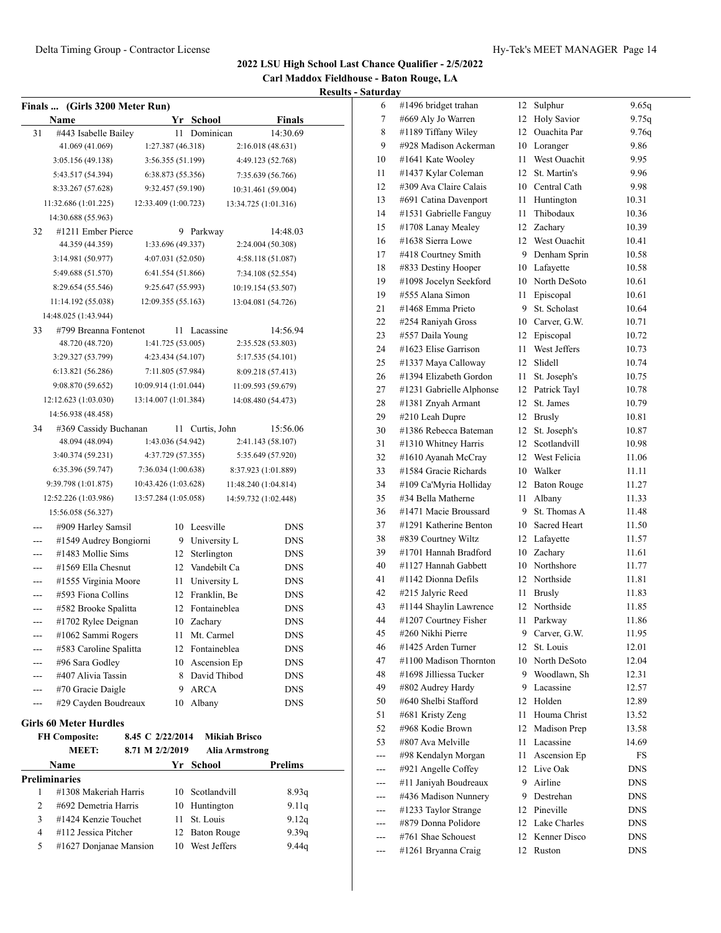**Carl Maddox Fieldhouse - Baton Rouge, LA Results - Saturday**

| <b>Finals …</b> | (Girls 3200 Meter Run)                        |                      |    |                            |                      |                |
|-----------------|-----------------------------------------------|----------------------|----|----------------------------|----------------------|----------------|
|                 | Name                                          |                      |    | Yr School                  |                      | <b>Finals</b>  |
| 31              | #443 Isabelle Bailey                          |                      | 11 | Dominican                  |                      | 14:30.69       |
|                 | 41.069 (41.069)                               | 1:27.387 (46.318)    |    |                            | 2:16.018 (48.631)    |                |
|                 | 3:05.156 (49.138)                             | 3:56.355 (51.199)    |    |                            | 4:49.123 (52.768)    |                |
|                 | 5:43.517 (54.394)                             | 6:38.873 (55.356)    |    |                            | 7:35.639 (56.766)    |                |
|                 | 8:33.267 (57.628)                             | 9:32.457 (59.190)    |    |                            | 10:31.461 (59.004)   |                |
|                 | 11:32.686 (1:01.225)                          | 12:33.409 (1:00.723) |    |                            | 13:34.725 (1:01.316) |                |
|                 | 14:30.688 (55.963)                            |                      |    |                            |                      |                |
| 32              | #1211 Ember Pierce                            |                      | 9  | Parkway                    |                      | 14:48.03       |
|                 | 44.359 (44.359)                               | 1:33.696 (49.337)    |    |                            | 2:24.004 (50.308)    |                |
|                 | 3:14.981 (50.977)                             | 4:07.031 (52.050)    |    |                            | 4:58.118 (51.087)    |                |
|                 | 5:49.688 (51.570)                             | 6:41.554 (51.866)    |    |                            | 7:34.108 (52.554)    |                |
|                 | 8:29.654 (55.546)                             | 9:25.647 (55.993)    |    |                            | 10:19.154 (53.507)   |                |
|                 | 11:14.192 (55.038)                            | 12:09.355 (55.163)   |    |                            | 13:04.081 (54.726)   |                |
|                 | 14:48.025 (1:43.944)                          |                      |    |                            |                      |                |
| 33              | #799 Breanna Fontenot                         |                      | 11 | Lacassine                  |                      | 14:56.94       |
|                 | 48.720 (48.720)                               | 1:41.725 (53.005)    |    |                            | 2:35.528 (53.803)    |                |
|                 | 3:29.327 (53.799)                             | 4:23.434 (54.107)    |    |                            | 5:17.535 (54.101)    |                |
|                 | 6:13.821 (56.286)                             | 7:11.805 (57.984)    |    |                            | 8:09.218 (57.413)    |                |
|                 | 9:08.870 (59.652)                             | 10:09.914 (1:01.044) |    |                            | 11:09.593 (59.679)   |                |
|                 | 12:12.623 (1:03.030)                          | 13:14.007 (1:01.384) |    |                            | 14:08.480 (54.473)   |                |
|                 | 14:56.938 (48.458)                            |                      |    |                            |                      |                |
| 34              | #369 Cassidy Buchanan                         |                      | 11 | Curtis, John               |                      | 15:56.06       |
|                 | 48.094 (48.094)                               | 1:43.036 (54.942)    |    |                            | 2:41.143 (58.107)    |                |
|                 | 3:40.374 (59.231)                             | 4:37.729 (57.355)    |    |                            | 5:35.649 (57.920)    |                |
|                 | 6:35.396 (59.747)                             | 7:36.034(1:00.638)   |    |                            | 8:37.923 (1:01.889)  |                |
|                 | 9:39.798 (1:01.875)                           | 10:43.426 (1:03.628) |    |                            | 11:48.240 (1:04.814) |                |
|                 | 12:52.226 (1:03.986)                          | 13:57.284 (1:05.058) |    |                            | 14:59.732 (1:02.448) |                |
|                 | 15:56.058 (56.327)                            |                      |    |                            |                      |                |
|                 | #909 Harley Samsil                            |                      | 10 | Leesville                  |                      | <b>DNS</b>     |
|                 | #1549 Audrey Bongiorni                        |                      | 9. | University L               |                      | <b>DNS</b>     |
| ---             | #1483 Mollie Sims                             |                      | 12 | Sterlington                |                      | DNS            |
|                 | #1569 Ella Chesnut                            |                      | 12 | Vandebilt Ca               |                      | <b>DNS</b>     |
|                 | #1555 Virginia Moore                          |                      | 11 | University L               |                      | <b>DNS</b>     |
| ---             | #593 Fiona Collins                            |                      | 12 | Franklin, Be               |                      | DNS            |
| ---             | #582 Brooke Spalitta                          |                      | 12 | Fontaineblea               |                      | <b>DNS</b>     |
|                 | #1702 Rylee Deignan                           |                      | 10 | Zachary                    |                      | <b>DNS</b>     |
|                 | #1062 Sammi Rogers                            |                      |    | 11 Mt. Carmel              |                      | <b>DNS</b>     |
|                 | #583 Caroline Spalitta                        |                      |    | 12 Fontaineblea            |                      | <b>DNS</b>     |
|                 | #96 Sara Godley                               |                      |    | 10 Ascension Ep            |                      | <b>DNS</b>     |
|                 | #407 Alivia Tassin                            |                      |    | 8 David Thibod             |                      | <b>DNS</b>     |
| ---             | #70 Gracie Daigle                             |                      | 9. | <b>ARCA</b>                |                      | <b>DNS</b>     |
|                 | #29 Cayden Boudreaux                          |                      | 10 | Albany                     |                      | <b>DNS</b>     |
|                 | <b>Girls 60 Meter Hurdles</b>                 |                      |    |                            |                      |                |
|                 | <b>FH Composite:</b>                          | 8.45 C 2/22/2014     |    |                            | <b>Mikiah Brisco</b> |                |
|                 | <b>MEET:</b>                                  | 8.71 M 2/2/2019      |    |                            | Alia Armstrong       |                |
|                 | Name                                          |                      |    | Yr School                  |                      | Prelims        |
|                 | <b>Preliminaries</b>                          |                      |    |                            |                      |                |
| 1<br>2          | #1308 Makeriah Harris<br>#692 Demetria Harris |                      |    | 10 Scotlandvill            |                      | 8.93q          |
| 3               | #1424 Kenzie Touchet                          |                      | 11 | 10 Huntington<br>St. Louis |                      | 9.11q<br>9.12q |
| 4               | #112 Jessica Pitcher                          |                      | 12 | Baton Rouge                |                      | 9.39q          |
| 5               | #1627 Donjanae Mansion                        |                      |    | 10 West Jeffers            |                      | 9.44q          |

| ul ua y |                          |      |                    |       |
|---------|--------------------------|------|--------------------|-------|
| 6       | #1496 bridget trahan     | 12   | Sulphur            | 9.65q |
| 7       | #669 Aly Jo Warren       | 12   | <b>Holy Savior</b> | 9.75q |
| 8       | #1189 Tiffany Wiley      | 12   | Ouachita Par       | 9.76q |
| 9       | #928 Madison Ackerman    |      | 10 Loranger        | 9.86  |
| 10      | #1641 Kate Wooley        | 11 - | West Ouachit       | 9.95  |
| 11      | #1437 Kylar Coleman      | 12   | St. Martin's       | 9.96  |
| 12      | #309 Ava Claire Calais   | 10   | Central Cath       | 9.98  |
| 13      | #691 Catina Davenport    | 11   | Huntington         | 10.31 |
| 14      | #1531 Gabrielle Fanguy   | 11   | Thibodaux          | 10.36 |
| 15      | #1708 Lanay Mealey       |      | 12 Zacharv         | 10.39 |
| 16      | #1638 Sierra Lowe        |      | 12 West Ouachit    | 10.41 |
| 17      | #418 Courtney Smith      |      | 9 Denham Sprin     | 10.58 |
| 18      | #833 Destiny Hooper      |      | 10 Lafayette       | 10.58 |
| 19      | #1098 Jocelyn Seekford   |      | 10 North DeSoto    | 10.61 |
| 19      | #555 Alana Simon         | 11   | Episcopal          | 10.61 |
| 21      | #1468 Emma Prieto        | 9.   | St. Scholast       | 10.64 |
| 22      | #254 Raniyah Gross       | 10   | Carver, G.W.       | 10.71 |
| 23      | #557 Daila Young         | 12   | Episcopal          | 10.72 |
| 24      | #1623 Elise Garrison     | 11 - | West Jeffers       | 10.73 |
| 25      | #1337 Maya Calloway      | 12   | Slidell            | 10.74 |
| 26      | #1394 Elizabeth Gordon   | 11   | St. Joseph's       | 10.75 |
| 27      | #1231 Gabrielle Alphonse |      | 12 Patrick Tayl    | 10.78 |
| 28      | #1381 Znyah Armant       | 12   | St. James          | 10.79 |
| 29      | #210 Leah Dupre          |      | 12 Brusly          | 10.81 |
| 30      | #1386 Rebecca Bateman    | 12   | St. Joseph's       | 10.87 |
| 31      | #1310 Whitney Harris     | 12   | Scotlandvill       | 10.98 |
| 32      | #1610 Ayanah McCray      |      | 12 West Felicia    | 11.06 |
| 33      | #1584 Gracie Richards    |      | 10 Walker          | 11.11 |
| 34      | #109 Ca'Myria Holliday   | 12   | <b>Baton Rouge</b> | 11.27 |
| 35      | #34 Bella Matherne       | 11   | Albany             | 11.33 |
| 36      | #1471 Macie Broussard    | 9    | St. Thomas A       | 11.48 |
| 37      | #1291 Katherine Benton   |      | 10 Sacred Heart    | 11.50 |
| 38      | #839 Courtney Wiltz      |      | 12 Lafayette       | 11.57 |
| 39      | #1701 Hannah Bradford    |      | 10 Zachary         | 11.61 |
| 40      | #1127 Hannah Gabbett     |      | 10 Northshore      | 11.77 |
| 41      | #1142 Dionna Defils      |      | 12 Northside       | 11.81 |
| 42      | #215 Jalyric Reed        | 11   | <b>Brusly</b>      | 11.83 |
| 43      | #1144 Shaylin Lawrence   | 12   | Northside          | 11.85 |
| 44      | #1207 Courtney Fisher    |      | 11 Parkway         | 11.86 |
| 45      | #260 Nikhi Pierre        |      | 9 Carver, G.W.     | 11.95 |
| 46      | #1425 Arden Turner       | 12   | St. Louis          | 12.01 |
| 47      | #1100 Madison Thornton   | 10   | North DeSoto       | 12.04 |
| 48      | #1698 Jilliessa Tucker   |      | 9 Woodlawn, Sh     | 12.31 |
| 49      | #802 Audrey Hardy        |      | 9 Lacassine        | 12.57 |
| 50      | #640 Shelbi Stafford     | 12   | Holden             | 12.89 |
| 51      | #681 Kristy Zeng         | 11   | Houma Christ       | 13.52 |
| 52      | #968 Kodie Brown         | 12   | Madison Prep       | 13.58 |
| 53      | #807 Ava Melville        |      | 11 Lacassine       | 14.69 |
| ---     | #98 Kendalyn Morgan      | 11 - | Ascension Ep       | FS    |
| ---     | #921 Angelle Coffey      |      | 12 Live Oak        | DNS   |
| ---     | #11 Janiyah Boudreaux    | 9    | Airline            | DNS   |
| ---     | #436 Madison Nunnery     | 9.   | Destrehan          | DNS   |
| ---     | #1233 Taylor Strange     | 12   | Pineville          | DNS   |
| ---     | #879 Donna Polidore      |      | 12 Lake Charles    | DNS   |
| ---     | #761 Shae Schouest       | 12   | Kenner Disco       | DNS   |
| $---$   | #1261 Bryanna Craig      | 12   | Ruston             | DNS   |
|         |                          |      |                    |       |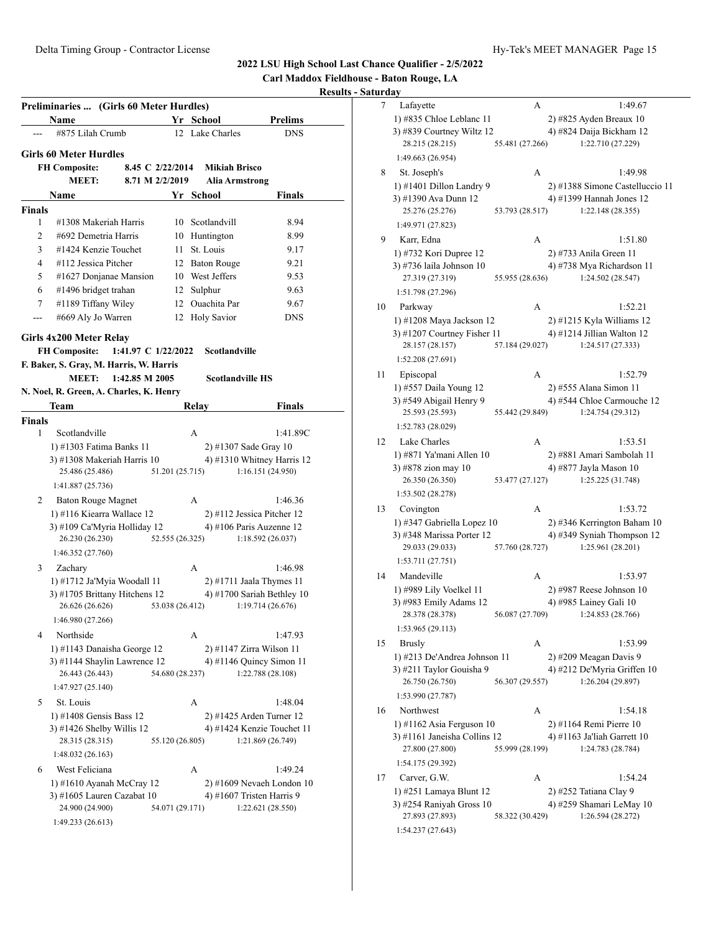**Carl Maddox Fieldhouse - Baton Rouge, LA**

#### **Results - Sat**

|               | Preliminaries  (Girls 60 Meter Hurdles)<br>Name             |                     |                 | Yr School       | <b>Prelims</b>                                       |
|---------------|-------------------------------------------------------------|---------------------|-----------------|-----------------|------------------------------------------------------|
|               | #875 Lilah Crumb                                            |                     |                 | 12 Lake Charles | <b>DNS</b>                                           |
|               | <b>Girls 60 Meter Hurdles</b>                               |                     |                 |                 |                                                      |
|               | <b>FH Composite:</b>                                        | 8.45 C 2/22/2014    |                 |                 | <b>Mikiah Brisco</b>                                 |
|               | <b>MEET:</b>                                                | 8.71 M 2/2/2019     |                 |                 | Alia Armstrong                                       |
|               | Name                                                        |                     |                 | Yr School       | Finals                                               |
| <b>Finals</b> |                                                             |                     |                 |                 |                                                      |
| 1             | #1308 Makeriah Harris                                       |                     | 10              | Scotlandvill    | 8.94                                                 |
| 2             | #692 Demetria Harris                                        |                     |                 | 10 Huntington   | 8.99                                                 |
| 3             | #1424 Kenzie Touchet                                        |                     | 11 -            | St. Louis       | 9.17                                                 |
| 4             | #112 Jessica Pitcher                                        |                     |                 | 12 Baton Rouge  | 9.21                                                 |
| 5             | #1627 Donjanae Mansion                                      |                     |                 | 10 West Jeffers | 9.53                                                 |
| 6             | #1496 bridget trahan                                        |                     |                 | 12 Sulphur      | 9.63                                                 |
| 7             | #1189 Tiffany Wiley                                         |                     |                 | 12 Ouachita Par | 9.67                                                 |
| ---           | #669 Aly Jo Warren                                          |                     |                 | 12 Holy Savior  | <b>DNS</b>                                           |
|               |                                                             |                     |                 |                 |                                                      |
|               | Girls 4x200 Meter Relay                                     |                     |                 |                 |                                                      |
|               | <b>FH Composite:</b>                                        | 1:41.97 C 1/22/2022 |                 |                 | Scotlandville                                        |
|               | F. Baker, S. Gray, M. Harris, W. Harris                     |                     |                 |                 |                                                      |
|               | MEET:                                                       | 1:42.85 M 2005      |                 |                 | <b>Scotlandville HS</b>                              |
|               | N. Noel, R. Green, A. Charles, K. Henry                     |                     |                 |                 |                                                      |
|               | Team                                                        |                     |                 | Relay           | Finals                                               |
| <b>Finals</b> |                                                             |                     |                 |                 |                                                      |
| 1             | Scotlandville                                               |                     |                 | A               | 1:41.89C                                             |
|               | 1) #1303 Fatima Banks 11                                    |                     |                 |                 | 2) #1307 Sade Gray 10                                |
|               | 3) #1308 Makeriah Harris 10<br>25.486 (25.486)              |                     |                 |                 | 4) #1310 Whitney Harris 12<br>1:16.151(24.950)       |
|               |                                                             |                     | 51.201 (25.715) |                 |                                                      |
|               | 1:41.887 (25.736)                                           |                     |                 |                 |                                                      |
| 2             | <b>Baton Rouge Magnet</b>                                   |                     |                 | A               | 1:46.36                                              |
|               | 1) #116 Kiearra Wallace 12                                  |                     |                 |                 | 2) #112 Jessica Pitcher 12                           |
|               | 3) #109 Ca'Myria Holliday 12                                |                     | 52.555 (26.325) |                 | 4) #106 Paris Auzenne 12                             |
|               | 26.230 (26.230)                                             |                     |                 |                 | 1:18.592 (26.037)                                    |
|               | 1:46.352 (27.760)                                           |                     |                 |                 |                                                      |
| 3             | Zachary                                                     |                     |                 | А               | 1:46.98                                              |
|               | 1) #1712 Ja'Myia Woodall 11                                 |                     |                 |                 | $2)$ #1711 Jaala Thymes 11                           |
|               | 3) #1705 Brittany Hitchens 12<br>26.626 (26.626)            |                     | 53.038 (26.412) |                 | 4) #1700 Sariah Bethley 10<br>1:19.714(26.676)       |
|               | 1:46.980 (27.266)                                           |                     |                 |                 |                                                      |
|               |                                                             |                     |                 |                 |                                                      |
| 4             | Northside                                                   |                     |                 | A               | 1:47.93                                              |
|               | 1) #1143 Danaisha George 12<br>3) #1144 Shaylin Lawrence 12 |                     |                 |                 | 2) #1147 Zirra Wilson 11<br>4) #1146 Quincy Simon 11 |
|               | 26.443 (26.443)                                             |                     | 54.680 (28.237) |                 | 1:22.788 (28.108)                                    |
|               | 1:47.927 (25.140)                                           |                     |                 |                 |                                                      |
| 5             | St. Louis                                                   |                     |                 | A               | 1:48.04                                              |
|               | 1) #1408 Gensis Bass 12                                     |                     |                 |                 | 2) #1425 Arden Turner 12                             |
|               | $3)$ #1426 Shelby Willis 12                                 |                     |                 |                 | 4) #1424 Kenzie Touchet 11                           |
|               | 28.315 (28.315)                                             |                     | 55.120 (26.805) |                 | 1:21.869 (26.749)                                    |
|               | 1:48.032(26.163)                                            |                     |                 |                 |                                                      |
|               | West Feliciana                                              |                     |                 | A               | 1:49.24                                              |
|               |                                                             |                     |                 |                 | $2)$ #1609 Nevaeh London 10                          |
| 6             |                                                             |                     |                 |                 |                                                      |
|               | 1) #1610 Ayanah McCray 12                                   |                     |                 |                 |                                                      |
|               | 3) #1605 Lauren Cazabat 10<br>24.900 (24.900)               |                     | 54.071 (29.171) |                 | 4) #1607 Tristen Harris 9<br>1:22.621 (28.550)       |

| turday |                                                             |                 |   |                                                          |
|--------|-------------------------------------------------------------|-----------------|---|----------------------------------------------------------|
| 7      | Lafayette                                                   |                 | А | 1:49.67                                                  |
|        | 1) #835 Chloe Leblanc 11                                    |                 |   | 2) #825 Ayden Breaux 10                                  |
|        | 3) #839 Courtney Wiltz 12                                   |                 |   | 4) #824 Daija Bickham 12                                 |
|        | 28.215 (28.215)                                             | 55.481 (27.266) |   | 1:22.710 (27.229)                                        |
|        | 1:49.663 (26.954)                                           |                 |   |                                                          |
| 8      | St. Joseph's                                                |                 | А | 1:49.98                                                  |
|        | 1) #1401 Dillon Landry 9                                    |                 |   | 2) #1388 Simone Castelluccio 11                          |
|        | 3) #1390 Ava Dunn 12                                        |                 |   | 4) #1399 Hannah Jones 12                                 |
|        | 25.276 (25.276)                                             | 53.793 (28.517) |   | 1:22.148 (28.355)                                        |
|        | 1:49.971 (27.823)                                           |                 |   |                                                          |
| 9      | Karr, Edna                                                  |                 | А | 1:51.80                                                  |
|        | 1) #732 Kori Dupree 12                                      |                 |   | 2) #733 Anila Green 11                                   |
|        | 3) #736 laila Johnson 10                                    |                 |   | 4) #738 Mya Richardson 11                                |
|        | 27.319 (27.319)                                             | 55.955 (28.636) |   | 1:24.502 (28.547)                                        |
|        | 1:51.798 (27.296)                                           |                 |   |                                                          |
| 10     | Parkway                                                     |                 | А | 1:52.21                                                  |
|        | 1) #1208 Maya Jackson 12                                    |                 |   | 2) #1215 Kyla Williams 12                                |
|        | 3) #1207 Courtney Fisher 11                                 |                 |   | 4) #1214 Jillian Walton $12$                             |
|        | 28.157 (28.157)                                             | 57.184 (29.027) |   | 1:24.517 (27.333)                                        |
|        | 1:52.208 (27.691)                                           |                 |   |                                                          |
| 11     | Episcopal                                                   |                 | А | 1:52.79                                                  |
|        | 1) #557 Daila Young 12                                      |                 |   | 2) #555 Alana Simon 11                                   |
|        | 3) #549 Abigail Henry 9                                     |                 |   | 4) #544 Chloe Carmouche 12                               |
|        | 25.593 (25.593)                                             | 55.442 (29.849) |   | 1:24.754 (29.312)                                        |
|        | 1:52.783 (28.029)                                           |                 |   |                                                          |
| 12     | Lake Charles                                                |                 | А | 1:53.51                                                  |
|        | 1) #871 Ya'mani Allen 10                                    |                 |   | 2) #881 Amari Sambolah 11                                |
|        | 3) #878 zion may 10                                         |                 |   | 4) #877 Jayla Mason 10                                   |
|        | 26.350 (26.350)                                             | 53.477 (27.127) |   | 1:25.225 (31.748)                                        |
|        | 1:53.502 (28.278)                                           |                 |   |                                                          |
| 13     | Covington                                                   |                 | А | 1:53.72                                                  |
|        | 1) #347 Gabriella Lopez 10                                  |                 |   | 2) #346 Kerrington Baham 10                              |
|        | 3) #348 Marissa Porter 12                                   |                 |   | 4) #349 Syniah Thompson 12                               |
|        | 29.033 (29.033)                                             | 57.760 (28.727) |   | 1:25.961 (28.201)                                        |
|        | 1:53.711(27.751)                                            |                 |   |                                                          |
| 14     | Mandeville                                                  |                 | А | 1:53.97                                                  |
|        | 1) #989 Lily Voelkel 11                                     |                 |   | $2)$ #987 Reese Johnson 10                               |
|        | 3) #983 Emily Adams 12                                      | 56.087 (27.709) |   | 4) #985 Lainey Gali 10<br>1:24.853 (28.766)              |
|        | 28.378 (28.378)<br>1:53.965 (29.113)                        |                 |   |                                                          |
|        |                                                             |                 |   |                                                          |
| 15     | <b>Brusly</b>                                               |                 | А | 1:53.99                                                  |
|        | 1) #213 De'Andrea Johnson 11<br>3) #211 Taylor Gouisha 9    |                 |   | 2) #209 Meagan Davis 9<br>4) #212 De'Myria Griffen 10    |
|        | 26.750 (26.750)                                             | 56.307 (29.557) |   | 1:26.204 (29.897)                                        |
|        | 1:53.990 (27.787)                                           |                 |   |                                                          |
|        | Northwest                                                   |                 |   |                                                          |
| 16     |                                                             |                 | А | 1:54.18                                                  |
|        | 1) #1162 Asia Ferguson $10$<br>3) #1161 Janeisha Collins 12 |                 |   | 2) #1164 Remi Pierre 10<br>4) #1163 Ja'liah Garrett $10$ |
|        | 27.800 (27.800)                                             | 55.999 (28.199) |   | 1:24.783 (28.784)                                        |
|        | 1:54.175 (29.392)                                           |                 |   |                                                          |
|        |                                                             |                 |   |                                                          |
| 17     | Carver, G.W.                                                |                 | A | 1:54.24                                                  |
|        | 1) #251 Lamaya Blunt 12<br>3) #254 Raniyah Gross 10         |                 |   | 2) #252 Tatiana Clay 9<br>4) #259 Shamari LeMay 10       |
|        | 27.893 (27.893)                                             | 58.322 (30.429) |   | 1:26.594 (28.272)                                        |
|        | 1:54.237 (27.643)                                           |                 |   |                                                          |
|        |                                                             |                 |   |                                                          |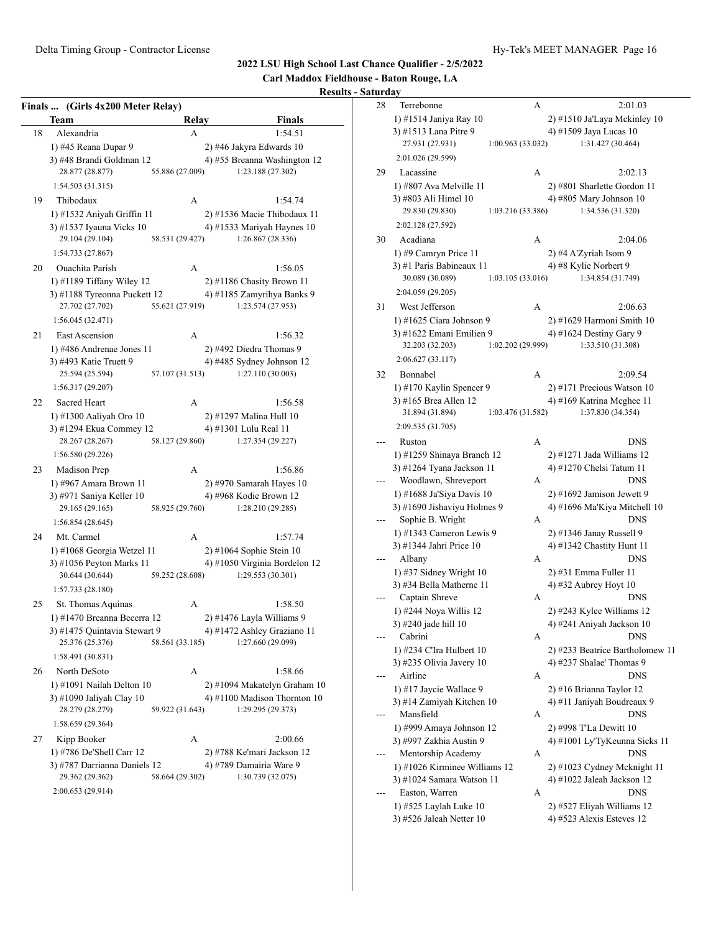**Carl Maddox Fieldhouse - Baton Rouge, LA**

|    | Finals  (Girls 4x200 Meter Relay)<br>Team | Relay           | Finals                                                   |
|----|-------------------------------------------|-----------------|----------------------------------------------------------|
| 18 | Alexandria                                | А               | 1:54.51                                                  |
|    | 1) #45 Reana Dupar 9                      |                 | 2) #46 Jakyra Edwards 10                                 |
|    | 3) #48 Brandi Goldman 12                  |                 | 4) #55 Breanna Washington 12                             |
|    | 28.877 (28.877)                           | 55.886 (27.009) | 1:23.188 (27.302)                                        |
|    | 1:54.503(31.315)                          |                 |                                                          |
| 19 | Thibodaux                                 | A               | 1:54.74                                                  |
|    | 1) #1532 Aniyah Griffin 11                |                 | 2) #1536 Macie Thibodaux 11                              |
|    | 3) #1537 Iyauna Vicks 10                  |                 | 4) #1533 Mariyah Haynes 10                               |
|    | 29.104 (29.104)                           | 58.531 (29.427) | 1:26.867 (28.336)                                        |
|    | 1:54.733 (27.867)                         |                 |                                                          |
| 20 | <b>Ouachita Parish</b>                    | A               | 1:56.05                                                  |
|    | 1) #1189 Tiffany Wiley 12                 |                 | $2)$ #1186 Chasity Brown 11                              |
|    | 3) #1188 Tyreonna Puckett 12              |                 | 4) #1185 Zamyrihya Banks 9                               |
|    | 27.702 (27.702)                           | 55.621 (27.919) | 1:23.574 (27.953)                                        |
|    | 1:56.045(32.471)                          |                 |                                                          |
|    | East Ascension                            | A               | 1:56.32                                                  |
|    | 1) #486 Andrenae Jones 11                 |                 | 2) #492 Diedra Thomas 9                                  |
|    | 3) #493 Katie Truett 9                    |                 | 4) #485 Sydney Johnson 12                                |
|    | 25.594 (25.594)                           | 57.107 (31.513) | 1:27.110 (30.003)                                        |
|    | 1:56.317 (29.207)                         |                 |                                                          |
| 22 | <b>Sacred Heart</b>                       | A               | 1:56.58                                                  |
|    | 1) #1300 Aaliyah Oro 10                   |                 | 2) #1297 Malina Hull 10                                  |
|    | 3) #1294 Ekua Commey 12                   |                 | 4) #1301 Lulu Real 11                                    |
|    | 28.267 (28.267)                           | 58.127 (29.860) | 1:27.354 (29.227)                                        |
|    | 1:56.580 (29.226)                         |                 |                                                          |
|    | Madison Prep                              | A               | 1:56.86                                                  |
|    | 1) #967 Amara Brown 11                    |                 | $2)$ #970 Samarah Hayes 10                               |
|    | 3) #971 Saniya Keller 10                  |                 | 4) #968 Kodie Brown 12                                   |
|    | 29.165 (29.165)                           | 58.925 (29.760) | 1:28.210 (29.285)                                        |
|    | 1:56.854(28.645)                          |                 |                                                          |
|    | Mt. Carmel                                | A               | 1:57.74                                                  |
|    | 1) #1068 Georgia Wetzel 11                |                 | 2) #1064 Sophie Stein 10                                 |
|    | 3) #1056 Peyton Marks 11                  |                 | 4) #1050 Virginia Bordelon 12                            |
|    | 30.644 (30.644)                           | 59.252 (28.608) | 1:29.553 (30.301)                                        |
|    | 1:57.733 (28.180)                         |                 |                                                          |
|    | St. Thomas Aquinas                        | A               | 1:58.50                                                  |
|    | 1) #1470 Breanna Becerra 12               |                 | 2) #1476 Layla Williams 9                                |
|    |                                           |                 | 3) #1475 Quintavia Stewart 9 4) #1472 Ashley Graziano 11 |
|    | 25.376 (25.376)                           | 58.561 (33.185) | 1:27.660 (29.099)                                        |
|    | 1:58.491(30.831)                          |                 |                                                          |
| 26 | North DeSoto                              | А               | 1:58.66                                                  |
|    | 1) #1091 Nailah Delton 10                 |                 | 2) #1094 Makatelyn Graham 10                             |
|    | 3) #1090 Jaliyah Clay 10                  |                 | 4) #1100 Madison Thornton 10                             |
|    | 28.279 (28.279)                           | 59.922 (31.643) | 1:29.295 (29.373)                                        |
|    | 1:58.659 (29.364)                         |                 |                                                          |
|    | Kipp Booker                               | А               | 2:00.66                                                  |
|    | 1) #786 De'Shell Carr 12                  |                 | 2) #788 Ke'mari Jackson 12                               |
|    | 3) #787 Darrianna Daniels 12              |                 | 4) #789 Damairia Ware 9                                  |
|    | 29.362 (29.362)                           | 58.664 (29.302) | 1:30.739 (32.075)                                        |
|    | 2:00.653 (29.914)                         |                 |                                                          |

| urday |                                                      |                   |                                          |
|-------|------------------------------------------------------|-------------------|------------------------------------------|
| 28    | Terrebonne                                           | А                 | 2:01.03                                  |
|       | 1) #1514 Janiya Ray 10                               |                   | 2) #1510 Ja'Laya Mckinley 10             |
|       | 3) #1513 Lana Pitre 9                                |                   | 4) #1509 Jaya Lucas 10                   |
|       | 27.931 (27.931)                                      | 1:00.963 (33.032) | 1:31.427 (30.464)                        |
|       | 2:01.026 (29.599)                                    |                   |                                          |
| 29    | Lacassine                                            | А                 | 2:02.13                                  |
|       | 1) #807 Ava Melville 11                              |                   | 2) #801 Sharlette Gordon 11              |
|       | 3) #803 Ali Himel 10                                 |                   | 4) #805 Mary Johnson 10                  |
|       | 29.830 (29.830)                                      | 1:03.216 (33.386) | 1:34.536 (31.320)                        |
|       | 2:02.128 (27.592)                                    |                   |                                          |
| 30    | Acadiana                                             | А                 | 2:04.06                                  |
|       | 1) #9 Camryn Price 11                                |                   | 2) #4 A'Zyriah Isom 9                    |
|       | 3) #1 Paris Babineaux 11                             |                   | 4) #8 Kylie Norbert 9                    |
|       | 30.089 (30.089)                                      | 1:03.105 (33.016) | 1:34.854 (31.749)                        |
|       | 2:04.059 (29.205)                                    |                   |                                          |
| 31    | West Jefferson                                       | А                 | 2:06.63                                  |
|       | 1) #1625 Ciara Johnson 9                             |                   | 2) #1629 Harmoni Smith 10                |
|       | 3) #1622 Emani Emilien 9                             |                   | 4) #1624 Destiny Gary 9                  |
|       | 32.203 (32.203)                                      | 1:02.202 (29.999) | 1:33.510 (31.308)                        |
|       | 2:06.627 (33.117)                                    |                   |                                          |
| 32    | Bonnabel                                             | А                 | 2:09.54                                  |
|       | 1) #170 Kaylin Spencer 9                             |                   | 2) #171 Precious Watson 10               |
|       | 3) #165 Brea Allen 12                                |                   | 4) #169 Katrina Mcghee 11                |
|       | 31.894 (31.894)                                      | 1:03.476 (31.582) | 1:37.830 (34.354)                        |
|       | 2:09.535 (31.705)                                    |                   |                                          |
|       | Ruston                                               | А                 | <b>DNS</b>                               |
|       | 1) #1259 Shinaya Branch 12                           |                   | 2) #1271 Jada Williams 12                |
|       | 3) #1264 Tyana Jackson 11                            |                   | 4) #1270 Chelsi Tatum 11                 |
|       | Woodlawn, Shreveport                                 | А                 | DNS                                      |
|       | 1) #1688 Ja'Siya Davis 10                            |                   | $2)$ #1692 Jamison Jewett 9              |
|       | 3) #1690 Jishaviyu Holmes 9                          |                   | 4) #1696 Ma'Kiya Mitchell 10             |
|       | Sophie B. Wright                                     | А                 | DNS                                      |
|       | 1) #1343 Cameron Lewis 9                             |                   | 2) #1346 Janay Russell 9                 |
|       | 3) #1344 Jahri Price 10                              |                   | 4) #1342 Chastity Hunt 11                |
|       | Albany                                               | А                 | <b>DNS</b>                               |
|       | 1) #37 Sidney Wright 10                              |                   | 2) #31 Emma Fuller 11                    |
|       | 3) #34 Bella Matherne 11                             |                   | 4) #32 Aubrey Hoyt 10                    |
|       | Captain Shreve                                       | А                 | <b>DNS</b>                               |
|       | 1) #244 Noya Willis 12                               |                   | 2) #243 Kylee Williams 12                |
|       | 3) #240 jade hill 10                                 |                   | 4) #241 Aniyah Jackson 10                |
|       | Cabrini                                              | А                 | DNS                                      |
|       | 1) #234 C'Ira Hulbert 10                             |                   | 2) #233 Beatrice Bartholomew 11          |
|       | 3) #235 Olivia Javery $10$                           |                   | 4) #237 Shalae' Thomas 9                 |
|       | Airline                                              | А                 | DNS                                      |
|       | 1) #17 Jaycie Wallace 9<br>3) #14 Zamiyah Kitchen 10 |                   | 2) #16 Brianna Taylor 12                 |
|       | Mansfield                                            |                   | 4) #11 Janiyah Boudreaux 9<br><b>DNS</b> |
|       | 1) #999 Amaya Johnson 12                             | А                 | 2) #998 T'La Dewitt 10                   |
|       | 3) #997 Zakhia Austin 9                              |                   | 4) #1001 Ly'TyKeunna Sicks 11            |
|       | Mentorship Academy                                   | А                 | <b>DNS</b>                               |
|       | 1) #1026 Kirminee Williams 12                        |                   | 2) #1023 Cydney Mcknight 11              |
|       | 3) #1024 Samara Watson 11                            |                   | 4) #1022 Jaleah Jackson 12               |
|       | Easton, Warren                                       | А                 | DNS                                      |
|       | 1) #525 Laylah Luke 10                               |                   | 2) #527 Eliyah Williams 12               |
|       | 3) #526 Jaleah Netter 10                             |                   | 4) #523 Alexis Esteves 12                |
|       |                                                      |                   |                                          |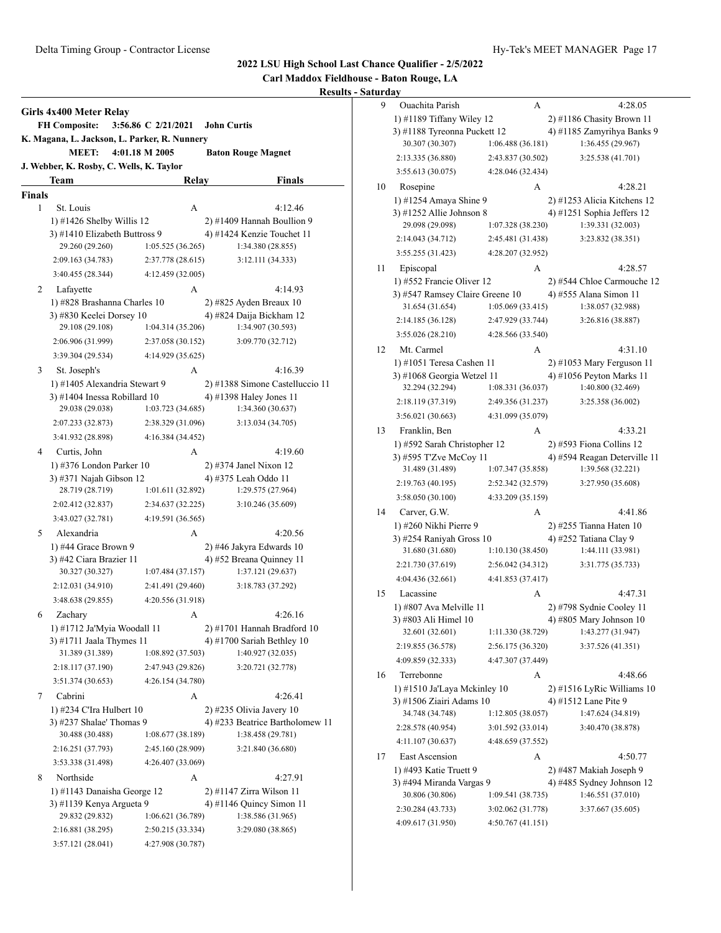**Carl Maddox Fieldhouse - Baton Rouge, LA**

|        | <b>FH Composite:</b>                       | 3:56.86 C 2/21/2021<br>K. Magana, L. Jackson, L. Parker, R. Nunnery |                   | <b>John Curtis</b>                                         |  |  |  |
|--------|--------------------------------------------|---------------------------------------------------------------------|-------------------|------------------------------------------------------------|--|--|--|
|        | <b>MEET:</b>                               | 4:01.18 M 2005                                                      |                   | <b>Baton Rouge Magnet</b>                                  |  |  |  |
|        | Team                                       | J. Webber, K. Rosby, C. Wells, K. Taylor                            |                   | <b>Finals</b>                                              |  |  |  |
| Finals |                                            |                                                                     | Relay             |                                                            |  |  |  |
| 1      | St. Louis                                  |                                                                     | А                 | 4:12.46                                                    |  |  |  |
|        | 1) #1426 Shelby Willis $12$                |                                                                     |                   | 2) #1409 Hannah Boullion 9                                 |  |  |  |
|        | 3) #1410 Elizabeth Buttross 9              |                                                                     |                   | 4) #1424 Kenzie Touchet 11                                 |  |  |  |
|        | 29.260 (29.260)                            |                                                                     | 1:05.525(36.265)  | 1:34.380 (28.855)                                          |  |  |  |
|        | 2:09.163 (34.783)                          |                                                                     | 2:37.778 (28.615) | 3:12.111 (34.333)                                          |  |  |  |
|        | 3:40.455 (28.344)                          |                                                                     | 4:12.459 (32.005) |                                                            |  |  |  |
| 2      | Lafayette                                  |                                                                     | A                 | 4:14.93                                                    |  |  |  |
|        |                                            | 1) #828 Brashanna Charles 10                                        |                   | 2) #825 Ayden Breaux 10                                    |  |  |  |
|        | 3) #830 Keelei Dorsey 10                   |                                                                     |                   | 4) #824 Daija Bickham 12                                   |  |  |  |
|        | 29.108 (29.108)                            |                                                                     | 1:04.314 (35.206) | 1:34.907 (30.593)                                          |  |  |  |
|        | 2:06.906 (31.999)                          |                                                                     | 2:37.058 (30.152) | 3:09.770 (32.712)                                          |  |  |  |
|        | 3:39.304 (29.534)                          |                                                                     | 4:14.929 (35.625) |                                                            |  |  |  |
|        |                                            |                                                                     |                   |                                                            |  |  |  |
| 3      | St. Joseph's                               |                                                                     | А                 | 4:16.39                                                    |  |  |  |
|        | 3) #1404 Inessa Robillard 10               | 1) #1405 Alexandria Stewart 9                                       |                   | 2) #1388 Simone Castelluccio 11<br>4) #1398 Haley Jones 11 |  |  |  |
|        | 29.038 (29.038)                            |                                                                     | 1:03.723(34.685)  | 1:34.360 (30.637)                                          |  |  |  |
|        | 2:07.233 (32.873)                          |                                                                     | 2:38.329 (31.096) | 3:13.034 (34.705)                                          |  |  |  |
|        | 3:41.932 (28.898)                          |                                                                     |                   |                                                            |  |  |  |
|        |                                            |                                                                     | 4:16.384 (34.452) |                                                            |  |  |  |
| 4      | Curtis, John                               |                                                                     | A                 | 4:19.60                                                    |  |  |  |
|        | 1) #376 London Parker 10                   |                                                                     |                   | 2) #374 Janel Nixon 12                                     |  |  |  |
|        | 3) #371 Najah Gibson 12<br>28.719 (28.719) |                                                                     | 1:01.611 (32.892) | 4) #375 Leah Oddo 11<br>1:29.575 (27.964)                  |  |  |  |
|        |                                            |                                                                     |                   |                                                            |  |  |  |
|        | 2:02.412 (32.837)                          |                                                                     | 2:34.637 (32.225) | 3:10.246 (35.609)                                          |  |  |  |
|        | 3:43.027 (32.781)                          |                                                                     | 4:19.591 (36.565) |                                                            |  |  |  |
| 5      | Alexandria                                 |                                                                     | А                 | 4:20.56                                                    |  |  |  |
|        | 1) #44 Grace Brown 9                       |                                                                     |                   | 2) #46 Jakyra Edwards 10                                   |  |  |  |
|        | 3) #42 Ciara Brazier 11<br>30.327 (30.327) |                                                                     | 1:07.484(37.157)  | 4) #52 Breana Quinney 11                                   |  |  |  |
|        |                                            |                                                                     |                   | 1:37.121 (29.637)                                          |  |  |  |
|        | 2:12.031 (34.910)                          |                                                                     | 2:41.491 (29.460) | 3:18.783 (37.292)                                          |  |  |  |
|        | 3:48.638 (29.855)                          |                                                                     | 4:20.556 (31.918) |                                                            |  |  |  |
| 6      | Zachary                                    |                                                                     | А                 | 4:26.16                                                    |  |  |  |
|        |                                            | 1) #1712 Ja'Myia Woodall 11                                         |                   | 2) #1701 Hannah Bradford 10                                |  |  |  |
|        | 3) #1711 Jaala Thymes 11                   |                                                                     |                   | 4) #1700 Sariah Bethley 10                                 |  |  |  |
|        | 31.389 (31.389)                            |                                                                     | 1:08.892 (37.503) | 1:40.927 (32.035)                                          |  |  |  |
|        | 2:18.117 (37.190)                          |                                                                     | 2:47.943 (29.826) | 3:20.721 (32.778)                                          |  |  |  |
|        | 3:51.374 (30.653)                          |                                                                     | 4:26.154 (34.780) |                                                            |  |  |  |
| 7      | Cabrini                                    |                                                                     | А                 | 4:26.41                                                    |  |  |  |
|        | 1) #234 C'Ira Hulbert 10                   |                                                                     |                   | $2)$ #235 Olivia Javery 10                                 |  |  |  |
|        | 3) #237 Shalae' Thomas 9                   |                                                                     |                   | 4) #233 Beatrice Bartholomew 11                            |  |  |  |
|        | 30.488 (30.488)                            |                                                                     | 1:08.677 (38.189) | 1:38.458 (29.781)                                          |  |  |  |
|        | 2:16.251 (37.793)                          |                                                                     | 2:45.160 (28.909) | 3:21.840 (36.680)                                          |  |  |  |
|        | 3:53.338 (31.498)                          |                                                                     | 4:26.407 (33.069) |                                                            |  |  |  |
| 8      | Northside                                  |                                                                     | А                 | 4:27.91                                                    |  |  |  |
|        |                                            | 1) #1143 Danaisha George 12                                         |                   | 2) #1147 Zirra Wilson 11                                   |  |  |  |
|        | 3) #1139 Kenya Argueta 9                   |                                                                     |                   | 4) #1146 Quincy Simon 11                                   |  |  |  |
|        | 29.832 (29.832)                            |                                                                     | 1:06.621 (36.789) | 1:38.586 (31.965)                                          |  |  |  |
|        | 2:16.881 (38.295)                          |                                                                     | 2:50.215 (33.334) | 3:29.080 (38.865)                                          |  |  |  |
|        | 3:57.121 (28.041)                          |                                                                     | 4:27.908 (30.787) |                                                            |  |  |  |

| 9  | Ouachita Parish                               | А                 | 4:28.05                                        |
|----|-----------------------------------------------|-------------------|------------------------------------------------|
|    | 1) #1189 Tiffany Wiley 12                     |                   | 2) #1186 Chasity Brown 11                      |
|    | 3) #1188 Tyreonna Puckett 12                  |                   | 4) #1185 Zamyrihya Banks 9                     |
|    | 30.307 (30.307)                               | 1:06.488 (36.181) | 1:36.455 (29.967)                              |
|    | 2:13.335 (36.880)                             | 2:43.837 (30.502) | 3:25.538 (41.701)                              |
|    | 3:55.613 (30.075)                             | 4:28.046 (32.434) |                                                |
| 10 | Rosepine                                      | A                 | 4:28.21                                        |
|    | 1) #1254 Amaya Shine 9                        |                   | 2) #1253 Alicia Kitchens 12                    |
|    | 3) #1252 Allie Johnson 8                      |                   | 4) #1251 Sophia Jeffers 12                     |
|    | 29.098 (29.098)                               | 1:07.328 (38.230) | 1:39.331 (32.003)                              |
|    | 2:14.043 (34.712)                             | 2:45.481 (31.438) | 3:23.832 (38.351)                              |
|    | 3:55.255 (31.423)                             | 4:28.207 (32.952) |                                                |
| 11 | Episcopal                                     | А                 | 4:28.57                                        |
|    | 1) #552 Francie Oliver 12                     |                   | 2) #544 Chloe Carmouche 12                     |
|    | 3) #547 Ramsey Claire Greene 10               |                   | 4) #555 Alana Simon 11                         |
|    | 31.654 (31.654)                               | 1:05.069 (33.415) | 1:38.057 (32.988)                              |
|    | 2:14.185 (36.128)                             | 2:47.929 (33.744) | 3:26.816 (38.887)                              |
|    | 3:55.026 (28.210)                             | 4:28.566 (33.540) |                                                |
| 12 | Mt. Carmel                                    | А                 | 4:31.10                                        |
|    | 1) #1051 Teresa Cashen 11                     |                   | $2)$ #1053 Mary Ferguson 11                    |
|    | 3) #1068 Georgia Wetzel 11<br>32.294 (32.294) | 1:08.331(36.037)  | 4) #1056 Peyton Marks 11<br>1:40.800 (32.469)  |
|    | 2:18.119 (37.319)                             | 2:49.356 (31.237) | 3:25.358 (36.002)                              |
|    | 3:56.021 (30.663)                             | 4:31.099 (35.079) |                                                |
|    |                                               |                   |                                                |
| 13 | Franklin, Ben<br>1) #592 Sarah Christopher 12 | А                 | 4:33.21<br>2) #593 Fiona Collins 12            |
|    | 3) #595 T'Zve McCoy 11                        |                   | 4) #594 Reagan Deterville 11                   |
|    | 31.489 (31.489)                               | 1:07.347 (35.858) | 1:39.568 (32.221)                              |
|    | 2:19.763 (40.195)                             | 2:52.342 (32.579) | 3:27.950 (35.608)                              |
|    | 3:58.050 (30.100)                             | 4:33.209 (35.159) |                                                |
| 14 | Carver, G.W.                                  | A                 | 4:41.86                                        |
|    | 1) #260 Nikhi Pierre 9                        |                   | 2) #255 Tianna Haten 10                        |
|    | 3) #254 Raniyah Gross 10                      |                   | 4) #252 Tatiana Clay 9                         |
|    | 31.680 (31.680)                               | 1:10.130 (38.450) | 1:44.111 (33.981)                              |
|    | 2:21.730 (37.619)                             | 2:56.042 (34.312) | 3:31.775 (35.733)                              |
|    | 4:04.436 (32.661)                             | 4:41.853 (37.417) |                                                |
| 15 | Lacassine                                     | А                 | 4:47.31                                        |
|    | 1) #807 Ava Melville 11                       |                   | 2) #798 Sydnie Cooley 11                       |
|    | 3) #803 Ali Himel 10                          |                   | 4) #805 Mary Johnson 10                        |
|    | 32.601 (32.601)                               | 1:11.330 (38.729) | 1:43.277 (31.947)                              |
|    | 2:19.855 (36.578)                             | 2:56.175 (36.320) | 3:37.526 (41.351)                              |
|    | 4:09.859 (32.333)                             | 4:47.307 (37.449) |                                                |
| 16 | Terrebonne                                    | А                 | 4:48.66                                        |
|    | 1) #1510 Ja'Laya Mckinley 10                  |                   | $2)$ #1516 LyRic Williams 10                   |
|    | 3) #1506 Ziairi Adams 10                      |                   | 4) #1512 Lane Pite 9                           |
|    | 34.748 (34.748)                               | 1:12.805 (38.057) | 1:47.624 (34.819)                              |
|    | 2:28.578 (40.954)                             | 3:01.592 (33.014) | 3:40.470 (38.878)                              |
|    | 4:11.107 (30.637)                             | 4:48.659 (37.552) |                                                |
| 17 | East Ascension                                | А                 | 4:50.77                                        |
|    | 1) #493 Katie Truett 9                        |                   | 2) #487 Makiah Joseph 9                        |
|    | 3) #494 Miranda Vargas 9<br>30.806 (30.806)   | 1:09.541 (38.735) | 4) #485 Sydney Johnson 12<br>1:46.551 (37.010) |
|    | 2:30.284 (43.733)                             | 3:02.062 (31.778) | 3:37.667 (35.605)                              |
|    | 4:09.617 (31.950)                             | 4:50.767(41.151)  |                                                |
|    |                                               |                   |                                                |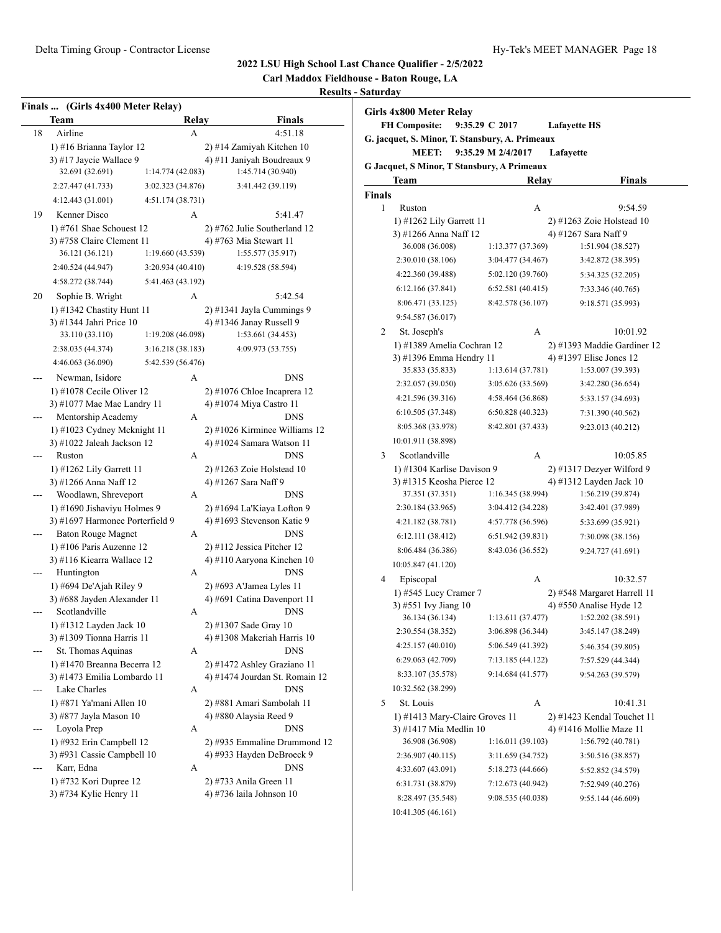**Carl Maddox Fieldhouse - Baton Rouge, LA**

|    | Finals  (Girls 4x400 Meter Relay)                 |                   |                                                               |
|----|---------------------------------------------------|-------------------|---------------------------------------------------------------|
|    | Team                                              | Relay             | <b>Finals</b>                                                 |
| 18 | Airline                                           | А                 | 4:51.18                                                       |
|    | 1) #16 Brianna Taylor 12                          |                   | 2) #14 Zamiyah Kitchen 10                                     |
|    | 3) #17 Jaycie Wallace 9                           |                   | 4) #11 Janiyah Boudreaux 9                                    |
|    | 32.691 (32.691)                                   | 1:14.774 (42.083) | 1:45.714 (30.940)                                             |
|    | 2:27.447 (41.733)                                 | 3:02.323 (34.876) | 3:41.442 (39.119)                                             |
|    | 4:12.443 (31.001)                                 | 4:51.174 (38.731) |                                                               |
| 19 | Kenner Disco                                      | А                 | 5:41.47                                                       |
|    | 1) #761 Shae Schouest $12$                        |                   | 2) #762 Julie Southerland 12                                  |
|    | 3) #758 Claire Clement 11                         |                   | 4) #763 Mia Stewart 11                                        |
|    | 36.121 (36.121)                                   | 1:19.660 (43.539) | 1:55.577 (35.917)                                             |
|    | 2:40.524 (44.947)                                 | 3:20.934(40.410)  | 4:19.528 (58.594)                                             |
|    | 4:58.272 (38.744)                                 | 5:41.463 (43.192) |                                                               |
| 20 | Sophie B. Wright                                  | А                 | 5:42.54                                                       |
|    | 1) #1342 Chastity Hunt 11                         |                   | 2) #1341 Jayla Cummings 9                                     |
|    | 3) #1344 Jahri Price 10                           |                   | 4) #1346 Janay Russell 9                                      |
|    | 33.110 (33.110)                                   | 1:19.208 (46.098) | 1:53.661 (34.453)                                             |
|    | 2:38.035 (44.374)                                 | 3:16.218 (38.183) | 4:09.973 (53.755)                                             |
|    | 4:46.063 (36.090)                                 | 5:42.539 (56.476) |                                                               |
|    | Newman, Isidore                                   | А                 | <b>DNS</b>                                                    |
|    | 1) #1078 Cecile Oliver $12$                       |                   | $2)$ #1076 Chloe Incaprera 12                                 |
|    | 3) #1077 Mae Mae Landry 11                        |                   | 4) #1074 Miya Castro 11                                       |
|    | Mentorship Academy                                | А                 | <b>DNS</b>                                                    |
|    | 1) #1023 Cydney Mcknight 11                       |                   | 2) #1026 Kirminee Williams 12                                 |
|    | 3) #1022 Jaleah Jackson 12                        |                   | 4) #1024 Samara Watson 11                                     |
|    | Ruston                                            | А                 | <b>DNS</b>                                                    |
|    | 1) #1262 Lily Garrett 11                          |                   | 2) #1263 Zoie Holstead 10                                     |
|    | 3) #1266 Anna Naff 12                             |                   | 4) #1267 Sara Naff 9                                          |
|    | Woodlawn, Shreveport                              | А                 | <b>DNS</b>                                                    |
|    | 1) #1690 Jishaviyu Holmes 9                       |                   | 2) #1694 La'Kiaya Lofton 9                                    |
|    | 3) #1697 Harmonee Porterfield 9                   |                   | 4) #1693 Stevenson Katie 9                                    |
|    | <b>Baton Rouge Magnet</b>                         | А                 | <b>DNS</b>                                                    |
|    | 1) #106 Paris Auzenne 12                          |                   | 2) #112 Jessica Pitcher 12                                    |
|    | 3) #116 Kiearra Wallace 12                        |                   | 4) #110 Aaryona Kinchen 10                                    |
|    | Huntington                                        | A                 | <b>DNS</b>                                                    |
|    | 1) #694 De'Ajah Riley 9                           |                   | 2) #693 A'Jamea Lyles 11                                      |
|    | 3) #688 Jayden Alexander 11                       |                   | 4) #691 Catina Davenport 11                                   |
|    | Scotlandville                                     | А                 | DNS                                                           |
|    | 1) #1312 Layden Jack 10                           |                   | 2) #1307 Sade Gray 10                                         |
|    | 3) #1309 Tionna Harris 11                         |                   | 4) #1308 Makeriah Harris 10<br><b>DNS</b>                     |
|    | St. Thomas Aquinas<br>1) #1470 Breanna Becerra 12 | A                 |                                                               |
|    | 3) #1473 Emilia Lombardo 11                       |                   | 2) #1472 Ashley Graziano 11<br>4) #1474 Jourdan St. Romain 12 |
|    | Lake Charles                                      | А                 | DNS                                                           |
|    | 1) #871 Ya'mani Allen 10                          |                   | 2) #881 Amari Sambolah 11                                     |
|    | 3) #877 Jayla Mason 10                            |                   | 4) #880 Alaysia Reed 9                                        |
|    | Loyola Prep                                       | А                 | DNS                                                           |
|    | 1) #932 Erin Campbell 12                          |                   | 2) #935 Emmaline Drummond 12                                  |
|    | 3) #931 Cassie Campbell 10                        |                   | 4) #933 Hayden DeBroeck 9                                     |
|    | Karr, Edna                                        | А                 | DNS                                                           |
|    | 1) #732 Kori Dupree 12                            |                   | 2) #733 Anila Green 11                                        |
|    | 3) #734 Kylie Henry 11                            |                   | 4) #736 laila Johnson 10                                      |
|    |                                                   |                   |                                                               |

|        | <b>MEET:</b>                                | 9:35.29 M 2/4/2017 | Lafayette                   |               |
|--------|---------------------------------------------|--------------------|-----------------------------|---------------|
|        | G Jacquet, S Minor, T Stansbury, A Primeaux |                    |                             |               |
|        | Team                                        | Relay              |                             | <b>Finals</b> |
| Finals |                                             |                    |                             |               |
| 1      | Ruston                                      | А                  |                             | 9:54.59       |
|        | 1) #1262 Lily Garrett 11                    |                    | $2)$ #1263 Zoie Holstead 10 |               |
|        | 3) #1266 Anna Naff 12                       |                    | 4) #1267 Sara Naff 9        |               |
|        | 36.008 (36.008)                             | 1:13.377 (37.369)  | 1:51.904 (38.527)           |               |
|        | 2:30.010 (38.106)                           | 3:04.477 (34.467)  | 3:42.872 (38.395)           |               |
|        | 4:22.360 (39.488)                           | 5:02.120 (39.760)  | 5:34.325 (32.205)           |               |
|        | 6:12.166(37.841)                            | 6:52.581(40.415)   | 7:33.346 (40.765)           |               |
|        | 8:06.471 (33.125)                           | 8:42.578 (36.107)  | 9:18.571 (35.993)           |               |
|        | 9:54.587 (36.017)                           |                    |                             |               |
| 2      | St. Joseph's                                | А                  |                             | 10:01.92      |
|        | 1) #1389 Amelia Cochran 12                  |                    | 2) #1393 Maddie Gardiner 12 |               |
|        | 3) #1396 Emma Hendry 11                     |                    | 4) #1397 Elise Jones 12     |               |
|        | 35.833 (35.833)                             | 1:13.614 (37.781)  | 1:53.007 (39.393)           |               |
|        | 2:32.057 (39.050)                           | 3:05.626 (33.569)  | 3:42.280 (36.654)           |               |
|        | 4:21.596 (39.316)                           | 4:58.464 (36.868)  | 5:33.157 (34.693)           |               |
|        | 6:10.505 (37.348)                           | 6:50.828 (40.323)  | 7:31.390 (40.562)           |               |
|        | 8:05.368 (33.978)                           | 8:42.801 (37.433)  | 9:23.013 (40.212)           |               |
|        | 10:01.911 (38.898)                          |                    |                             |               |
| 3      | Scotlandville                               | А                  |                             | 10:05.85      |
|        | 1) #1304 Karlise Davison 9                  |                    | 2) #1317 Dezyer Wilford 9   |               |
|        | 3) #1315 Keosha Pierce 12                   |                    | 4) #1312 Layden Jack 10     |               |
|        | 37.351 (37.351)                             | 1:16.345 (38.994)  | 1:56.219 (39.874)           |               |
|        | 2:30.184 (33.965)                           | 3:04.412 (34.228)  | 3:42.401 (37.989)           |               |
|        | 4:21.182 (38.781)                           | 4:57.778 (36.596)  | 5:33.699 (35.921)           |               |
|        | 6:12.111(38.412)                            | 6:51.942 (39.831)  | 7:30.098 (38.156)           |               |
|        | 8:06.484 (36.386)                           | 8:43.036 (36.552)  | 9:24.727 (41.691)           |               |
|        | 10:05.847 (41.120)                          |                    |                             |               |
| 4      | Episcopal                                   | А                  |                             | 10:32.57      |
|        | 1) #545 Lucy Cramer 7                       |                    | 2) #548 Margaret Harrell 11 |               |
|        | 3) #551 Ivy Jiang 10                        |                    | 4) #550 Analise Hyde 12     |               |
|        | 36.134 (36.134)                             | 1:13.611(37.477)   | 1:52.202 (38.591)           |               |
|        | 2:30.554 (38.352)                           | 3:06.898 (36.344)  | 3:45.147 (38.249)           |               |
|        | 4:25.157(40.010)                            | 5:06.549 (41.392)  | 5:46.354 (39.805)           |               |
|        | 6:29.063 (42.709)                           | 7:13.185 (44.122)  | 7:57.529 (44.344)           |               |
|        | 8:33.107 (35.578)                           | 9:14.684 (41.577)  | 9:54.263 (39.579)           |               |
|        | 10:32.562 (38.299)                          |                    |                             |               |
| 5      | St. Louis                                   | А                  |                             | 10:41.31      |
|        | 1) #1413 Mary-Claire Groves 11              |                    | 2) #1423 Kendal Touchet 11  |               |
|        | 3) #1417 Mia Medlin 10                      |                    | 4) #1416 Mollie Maze 11     |               |
|        | 36.908 (36.908)                             | 1:16.011 (39.103)  | 1:56.792 (40.781)           |               |
|        | 2:36.907 (40.115)                           | 3:11.659 (34.752)  | 3:50.516 (38.857)           |               |
|        | 4:33.607 (43.091)                           | 5:18.273 (44.666)  | 5:52.852 (34.579)           |               |
|        |                                             |                    |                             |               |
|        | 6:31.731 (38.879)                           | 7:12.673 (40.942)  | 7:52.949 (40.276)           |               |
|        | 8:28.497 (35.548)                           | 9:08.535 (40.038)  | 9:55.144 (46.609)           |               |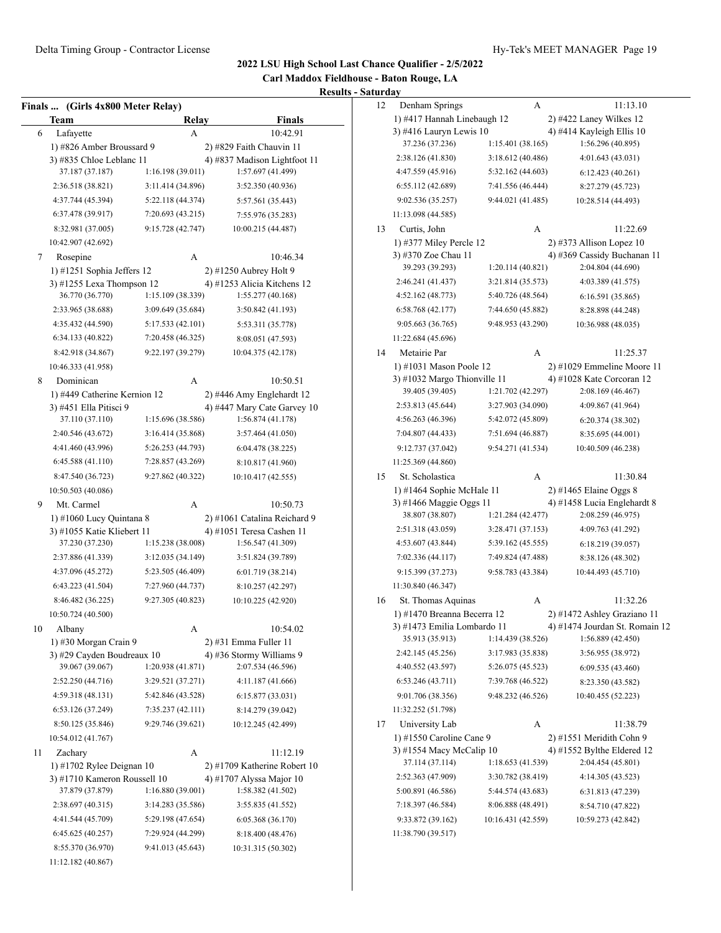**Carl Maddox Fieldhouse - Baton Rouge, LA Results - Saturday**

| Finals … | (Girls 4x800 Meter Relay)                               |                   | ncəun                                                    |
|----------|---------------------------------------------------------|-------------------|----------------------------------------------------------|
|          | Team                                                    | Relay             | <b>Finals</b>                                            |
| 6        | Lafayette                                               | А                 | 10:42.91                                                 |
|          | 1) #826 Amber Broussard 9<br>3) #835 Chloe Leblanc 11   |                   | 2) #829 Faith Chauvin 11<br>4) #837 Madison Lightfoot 11 |
|          | 37.187 (37.187)                                         | 1:16.198(39.011)  | 1:57.697 (41.499)                                        |
|          | 2:36.518 (38.821)                                       | 3:11.414 (34.896) | 3:52.350 (40.936)                                        |
|          | 4:37.744 (45.394)                                       | 5:22.118 (44.374) | 5:57.561 (35.443)                                        |
|          | 6:37.478 (39.917)                                       | 7:20.693 (43.215) | 7:55.976 (35.283)                                        |
|          | 8:32.981 (37.005)                                       | 9:15.728 (42.747) | 10:00.215 (44.487)                                       |
|          | 10:42.907 (42.692)                                      |                   |                                                          |
| 7        | Rosepine                                                | A                 | 10:46.34                                                 |
|          | 1) #1251 Sophia Jeffers 12<br>3) #1255 Lexa Thompson 12 |                   | 2) #1250 Aubrey Holt 9<br>4) #1253 Alicia Kitchens 12    |
|          | 36.770 (36.770)                                         | 1:15.109 (38.339) | 1:55.277(40.168)                                         |
|          | 2:33.965 (38.688)                                       | 3:09.649 (35.684) | 3:50.842 (41.193)                                        |
|          | 4:35.432 (44.590)                                       | 5:17.533 (42.101) | 5:53.311 (35.778)                                        |
|          | 6:34.133 (40.822)                                       | 7:20.458 (46.325) |                                                          |
|          | 8:42.918 (34.867)                                       | 9:22.197 (39.279) | 8:08.051 (47.593)<br>10:04.375 (42.178)                  |
|          |                                                         |                   |                                                          |
|          | 10:46.333 (41.958)<br>Dominican                         |                   |                                                          |
| 8        |                                                         | А                 | 10:50.51<br>2) #446 Amy Englehardt 12                    |
|          | 1) #449 Catherine Kernion 12<br>3) #451 Ella Pitisci 9  |                   | 4) #447 Mary Cate Garvey 10                              |
|          | 37.110 (37.110)                                         | 1:15.696(38.586)  | 1:56.874 (41.178)                                        |
|          | 2:40.546 (43.672)                                       | 3:16.414 (35.868) | 3:57.464 (41.050)                                        |
|          | 4:41.460 (43.996)                                       | 5:26.253 (44.793) | 6:04.478 (38.225)                                        |
|          | 6:45.588(41.110)                                        | 7:28.857 (43.269) | 8:10.817 (41.960)                                        |
|          | 8:47.540 (36.723)                                       | 9:27.862 (40.322) | 10:10.417 (42.555)                                       |
|          | 10:50.503 (40.086)                                      |                   |                                                          |
| 9        | Mt. Carmel                                              | А                 | 10:50.73                                                 |
|          | 1) #1060 Lucy Quintana 8                                |                   | 2) #1061 Catalina Reichard 9                             |
|          | 3) #1055 Katie Kliebert 11                              |                   | 4) #1051 Teresa Cashen 11                                |
|          | 37.230 (37.230)                                         | 1:15.238 (38.008) | 1:56.547 (41.309)                                        |
|          | 2:37.886 (41.339)                                       | 3:12.035 (34.149) | 3:51.824 (39.789)                                        |
|          | 4:37.096 (45.272)                                       | 5:23.505 (46.409) | 6:01.719 (38.214)                                        |
|          | 6:43.223 (41.504)                                       | 7:27.960 (44.737) | 8:10.257 (42.297)                                        |
|          | 8:46.482 (36.225)                                       | 9:27.305 (40.823) | 10:10.225 (42.920)                                       |
|          | 10:50.724 (40.500)                                      |                   |                                                          |
| 10       | Albany                                                  | А                 | 10:54.02                                                 |
|          | 1) #30 Morgan Crain 9                                   |                   | 2) #31 Emma Fuller 11                                    |
|          | 3) #29 Cavden Boudreaux 10                              |                   | 4) #36 Stormy Williams 9                                 |
|          | 39.067 (39.067)                                         | 1:20.938(41.871)  | 2:07.534 (46.596)                                        |
|          | 2:52.250 (44.716)                                       | 3:29.521 (37.271) | 4:11.187 (41.666)                                        |
|          | 4:59.318 (48.131)                                       | 5:42.846 (43.528) | 6:15.877(33.031)                                         |
|          | 6:53.126 (37.249)                                       | 7:35.237(42.111)  | 8:14.279 (39.042)                                        |
|          | 8:50.125 (35.846)                                       | 9:29.746 (39.621) | 10:12.245 (42.499)                                       |
|          | 10:54.012 (41.767)                                      |                   |                                                          |
| 11       | Zachary                                                 | А                 | 11:12.19                                                 |
|          | $1)$ #1702 Rylee Deignan 10                             |                   | 2) #1709 Katherine Robert 10                             |
|          | 3) #1710 Kameron Roussell 10                            |                   | 4) #1707 Alyssa Major 10                                 |
|          | 37.879 (37.879)                                         | 1:16.880(39.001)  | 1:58.382 (41.502)                                        |
|          | 2:38.697 (40.315)                                       | 3:14.283 (35.586) | 3:55.835 (41.552)                                        |
|          | 4:41.544 (45.709)                                       | 5:29.198 (47.654) | 6:05.368 (36.170)                                        |
|          | 6:45.625(40.257)                                        | 7:29.924 (44.299) | 8:18.400 (48.476)                                        |
|          | 8:55.370 (36.970)                                       | 9:41.013 (45.643) | 10:31.315 (50.302)                                       |
|          | 11:12.182 (40.867)                                      |                   |                                                          |

| 12 | Denham Springs                                             |                    | А | 11:13.10                                                      |
|----|------------------------------------------------------------|--------------------|---|---------------------------------------------------------------|
|    | 1) #417 Hannah Linebaugh 12                                |                    |   | 2) #422 Laney Wilkes 12                                       |
|    | 3) #416 Lauryn Lewis 10                                    |                    |   | 4) #414 Kayleigh Ellis 10                                     |
|    | 37.236 (37.236)                                            | 1:15.401 (38.165)  |   | 1:56.296 (40.895)                                             |
|    | 2:38.126 (41.830)                                          | 3:18.612 (40.486)  |   | 4:01.643 (43.031)                                             |
|    | 4:47.559 (45.916)                                          | 5:32.162 (44.603)  |   | 6:12.423(40.261)                                              |
|    | 6:55.112 (42.689)                                          | 7:41.556 (46.444)  |   | 8:27.279 (45.723)                                             |
|    | 9:02.536 (35.257)                                          | 9:44.021 (41.485)  |   | 10:28.514 (44.493)                                            |
|    | 11:13.098 (44.585)                                         |                    |   |                                                               |
|    |                                                            |                    |   |                                                               |
| 13 | Curtis, John                                               |                    | А | 11:22.69                                                      |
|    | 1) #377 Miley Percle 12<br>3) #370 Zoe Chau 11             |                    |   | $2)$ #373 Allison Lopez 10                                    |
|    | 39.293 (39.293)                                            | 1:20.114 (40.821)  |   | 4) #369 Cassidy Buchanan 11<br>2:04.804 (44.690)              |
|    |                                                            |                    |   |                                                               |
|    | 2:46.241 (41.437)                                          | 3:21.814 (35.573)  |   | 4:03.389 (41.575)                                             |
|    | 4:52.162 (48.773)                                          | 5:40.726 (48.564)  |   | 6:16.591 (35.865)                                             |
|    | 6:58.768(42.177)                                           | 7:44.650 (45.882)  |   | 8:28.898 (44.248)                                             |
|    | 9:05.663 (36.765)                                          | 9:48.953 (43.290)  |   | 10:36.988 (48.035)                                            |
|    | 11:22.684 (45.696)                                         |                    |   |                                                               |
| 14 | Metairie Par                                               |                    | А | 11:25.37                                                      |
|    | 1) #1031 Mason Poole 12                                    |                    |   | 2) #1029 Emmeline Moore 11                                    |
|    | 3) #1032 Margo Thionville 11                               |                    |   | 4) #1028 Kate Corcoran 12                                     |
|    | 39.405 (39.405)                                            | 1:21.702 (42.297)  |   | 2:08.169 (46.467)                                             |
|    | 2:53.813 (45.644)                                          | 3:27.903 (34.090)  |   | 4:09.867 (41.964)                                             |
|    | 4:56.263 (46.396)                                          | 5:42.072 (45.809)  |   | 6:20.374 (38.302)                                             |
|    | 7:04.807 (44.433)                                          | 7:51.694 (46.887)  |   | 8:35.695 (44.001)                                             |
|    | 9:12.737 (37.042)                                          | 9:54.271 (41.534)  |   | 10:40.509 (46.238)                                            |
|    | 11:25.369 (44.860)                                         |                    |   |                                                               |
| 15 | St. Scholastica                                            |                    | А | 11:30.84                                                      |
|    | 1) #1464 Sophie McHale 11                                  |                    |   | 2) #1465 Elaine Oggs 8                                        |
|    | 3) #1466 Maggie Oggs 11                                    |                    |   | 4) #1458 Lucia Englehardt 8                                   |
|    | 38.807 (38.807)                                            | 1:21.284 (42.477)  |   | 2:08.259 (46.975)                                             |
|    | 2:51.318 (43.059)                                          | 3:28.471 (37.153)  |   | 4:09.763 (41.292)                                             |
|    | 4:53.607 (43.844)                                          | 5:39.162 (45.555)  |   | 6:18.219(39.057)                                              |
|    | 7:02.336 (44.117)                                          | 7:49.824 (47.488)  |   | 8:38.126 (48.302)                                             |
|    | 9:15.399 (37.273)                                          | 9:58.783 (43.384)  |   | 10:44.493 (45.710)                                            |
|    | 11:30.840 (46.347)                                         |                    |   |                                                               |
|    |                                                            |                    |   |                                                               |
| 16 | St. Thomas Aquinas                                         |                    | А | 11:32.26                                                      |
|    | 1) #1470 Breanna Becerra 12<br>3) #1473 Emilia Lombardo 11 |                    |   | 2) #1472 Ashley Graziano 11<br>4) #1474 Jourdan St. Romain 12 |
|    | 35.913 (35.913)                                            | 1:14.439 (38.526)  |   | 1:56.889(42.450)                                              |
|    |                                                            |                    |   |                                                               |
|    | 2:42.145 (45.256)                                          | 3:17.983 (35.838)  |   | 3:56.955 (38.972)                                             |
|    | 4:40.552 (43.597)                                          | 5:26.075 (45.523)  |   | 6:09.535(43.460)                                              |
|    | 6:53.246 (43.711)                                          | 7:39.768 (46.522)  |   | 8:23.350 (43.582)                                             |
|    | 9:01.706 (38.356)                                          | 9:48.232 (46.526)  |   | 10:40.455 (52.223)                                            |
|    | 11:32.252 (51.798)                                         |                    |   |                                                               |
| 17 | University Lab                                             |                    | А | 11:38.79                                                      |
|    | 1) #1550 Caroline Cane 9                                   |                    |   | 2) #1551 Meridith Cohn 9                                      |
|    | 3) #1554 Macy McCalip 10                                   |                    |   | 4) #1552 Bylthe Eldered 12                                    |
|    | 37.114 (37.114)                                            | 1:18.653 (41.539)  |   | 2:04.454 (45.801)                                             |
|    | 2:52.363 (47.909)                                          | 3:30.782 (38.419)  |   | 4:14.305 (43.523)                                             |
|    | 5:00.891 (46.586)                                          | 5:44.574 (43.683)  |   | 6:31.813 (47.239)                                             |
|    | 7:18.397 (46.584)                                          | 8:06.888 (48.491)  |   | 8:54.710 (47.822)                                             |
|    | 9:33.872 (39.162)                                          | 10:16.431 (42.559) |   | 10:59.273 (42.842)                                            |
|    | 11:38.790 (39.517)                                         |                    |   |                                                               |
|    |                                                            |                    |   |                                                               |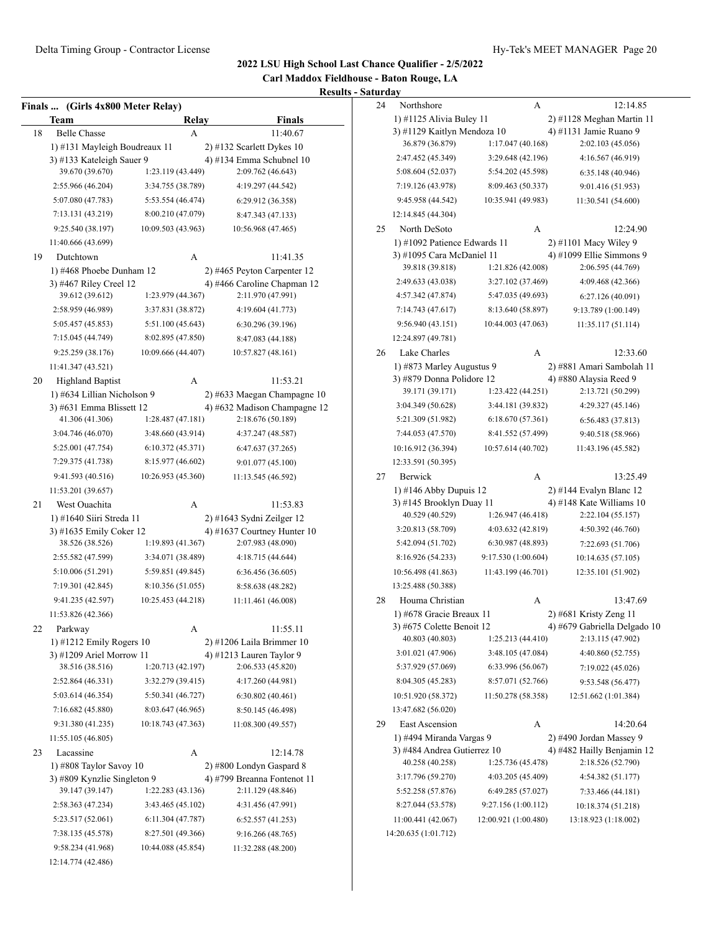**Carl Maddox Fieldhouse - Baton Rouge, LA**

|    | Finals  (Girls 4x800 Meter Relay) |                    |                               |
|----|-----------------------------------|--------------------|-------------------------------|
|    | Team                              | Relay              | Finals                        |
| 18 | <b>Belle Chasse</b>               | A                  | 11:40.67                      |
|    | 1) #131 Mayleigh Boudreaux 11     |                    | $2)$ #132 Scarlett Dykes 10   |
|    | 3) #133 Kateleigh Sauer 9         |                    | 4) #134 Emma Schubnel 10      |
|    | 39.670 (39.670)                   | 1:23.119 (43.449)  | 2:09.762 (46.643)             |
|    | 2:55.966 (46.204)                 | 3:34.755 (38.789)  | 4:19.297 (44.542)             |
|    | 5:07.080 (47.783)                 | 5:53.554 (46.474)  | 6:29.912 (36.358)             |
|    | 7:13.131 (43.219)                 | 8:00.210 (47.079)  | 8:47.343 (47.133)             |
|    | 9:25.540 (38.197)                 | 10:09.503 (43.963) | 10:56.968 (47.465)            |
|    | 11:40.666 (43.699)                |                    |                               |
| 19 | Dutchtown                         | А                  | 11:41.35                      |
|    | 1) #468 Phoebe Dunham 12          |                    | 2) #465 Peyton Carpenter 12   |
|    | 3) #467 Riley Creel 12            |                    | 4) #466 Caroline Chapman 12   |
|    | 39.612 (39.612)                   | 1:23.979 (44.367)  | 2:11.970 (47.991)             |
|    | 2:58.959 (46.989)                 | 3:37.831 (38.872)  | 4:19.604 (41.773)             |
|    | 5:05.457 (45.853)                 | 5:51.100 (45.643)  | 6:30.296 (39.196)             |
|    | 7:15.045 (44.749)                 | 8:02.895 (47.850)  | 8:47.083 (44.188)             |
|    | 9:25.259 (38.176)                 | 10:09.666 (44.407) | 10:57.827 (48.161)            |
|    | 11:41.347 (43.521)                |                    |                               |
| 20 | <b>Highland Baptist</b>           | A                  | 11:53.21                      |
|    | 1) #634 Lillian Nicholson 9       |                    | $2)$ #633 Maegan Champagne 10 |
|    | 3) #631 Emma Blissett 12          |                    | 4) #632 Madison Champagne 12  |
|    | 41.306 (41.306)                   | 1:28.487 (47.181)  | 2:18.676 (50.189)             |
|    | 3:04.746 (46.070)                 | 3:48.660 (43.914)  | 4:37.247 (48.587)             |
|    | 5:25.001 (47.754)                 | 6:10.372 (45.371)  | 6:47.637(37.265)              |
|    | 7:29.375 (41.738)                 | 8:15.977 (46.602)  | 9:01.077 (45.100)             |
|    | 9:41.593 (40.516)                 | 10:26.953 (45.360) | 11:13.545 (46.592)            |
|    | 11:53.201 (39.657)                |                    |                               |
| 21 | West Ouachita                     | А                  | 11:53.83                      |
|    | 1) #1640 Siiri Streda 11          |                    | 2) #1643 Sydni Zeilger 12     |
|    | 3) #1635 Emily Coker 12           |                    | 4) #1637 Courtney Hunter $10$ |
|    | 38.526 (38.526)                   | 1:19.893 (41.367)  | 2:07.983 (48.090)             |
|    | 2:55.582 (47.599)                 | 3:34.071 (38.489)  | 4:18.715 (44.644)             |
|    | 5:10.006 (51.291)                 | 5:59.851 (49.845)  | 6:36.456 (36.605)             |
|    | 7:19.301 (42.845)                 | 8:10.356 (51.055)  | 8:58.638 (48.282)             |
|    | 9:41.235 (42.597)                 | 10:25.453 (44.218) | 11:11.461 (46.008)            |
|    | 11:53.826 (42.366)                |                    |                               |
| 22 | Parkway                           | А                  | 11:55.11                      |
|    | 1) #1212 Emily Rogers 10          |                    | $2)$ #1206 Laila Brimmer 10   |
|    | 3) #1209 Ariel Morrow 11          |                    | 4) #1213 Lauren Taylor 9      |
|    | 38.516 (38.516)                   | 1:20.713 (42.197)  | 2:06.533 (45.820)             |
|    | 2:52.864 (46.331)                 | 3:32.279 (39.415)  | 4:17.260 (44.981)             |
|    | 5:03.614 (46.354)                 | 5:50.341 (46.727)  | 6:30.802(40.461)              |
|    | 7:16.682 (45.880)                 | 8:03.647 (46.965)  | 8:50.145 (46.498)             |
|    | 9:31.380 (41.235)                 | 10:18.743 (47.363) | 11:08.300 (49.557)            |
|    | 11:55.105 (46.805)                |                    |                               |
| 23 | Lacassine                         | А                  | 12:14.78                      |
|    | 1) #808 Taylor Savoy 10           |                    | 2) #800 Londyn Gaspard 8      |
|    | 3) #809 Kynzlie Singleton 9       |                    | 4) #799 Breanna Fontenot 11   |
|    | 39.147 (39.147)                   | 1:22.283 (43.136)  | 2:11.129 (48.846)             |
|    | 2:58.363 (47.234)                 | 3:43.465 (45.102)  | 4:31.456 (47.991)             |
|    | 5:23.517 (52.061)                 | 6:11.304 (47.787)  | 6:52.557(41.253)              |
|    | 7:38.135 (45.578)                 | 8:27.501 (49.366)  | 9:16.266 (48.765)             |
|    | 9:58.234 (41.968)                 | 10:44.088 (45.854) | 11:32.288 (48.200)            |
|    | 12:14.774 (42.486)                |                    |                               |

| 24 | Northshore                                         | А                    | 12:14.85                                              |
|----|----------------------------------------------------|----------------------|-------------------------------------------------------|
|    | 1) #1125 Alivia Buley 11                           |                      | 2) #1128 Meghan Martin 11                             |
|    | 3) #1129 Kaitlyn Mendoza 10                        |                      | 4) #1131 Jamie Ruano 9                                |
|    | 36.879 (36.879)                                    | 1:17.047(40.168)     | 2:02.103 (45.056)                                     |
|    | 2:47.452 (45.349)                                  | 3:29.648 (42.196)    | 4:16.567 (46.919)                                     |
|    | 5:08.604 (52.037)                                  | 5:54.202 (45.598)    | 6:35.148(40.946)                                      |
|    | 7:19.126 (43.978)                                  | 8:09.463 (50.337)    | 9:01.416 (51.953)                                     |
|    | 9:45.958 (44.542)                                  | 10:35.941 (49.983)   | 11:30.541 (54.600)                                    |
|    | 12:14.845 (44.304)                                 |                      |                                                       |
| 25 | North DeSoto                                       | А                    | 12:24.90                                              |
|    | 1) #1092 Patience Edwards 11                       |                      | 2) #1101 Macy Wiley 9                                 |
|    | 3) #1095 Cara McDaniel 11                          |                      | 4) #1099 Ellie Simmons 9                              |
|    | 39.818 (39.818)                                    | 1:21.826 (42.008)    | 2:06.595 (44.769)                                     |
|    | 2:49.633 (43.038)                                  | 3:27.102 (37.469)    | 4:09.468 (42.366)                                     |
|    | 4:57.342 (47.874)                                  | 5:47.035 (49.693)    | 6:27.126 (40.091)                                     |
|    | 7:14.743 (47.617)                                  | 8:13.640 (58.897)    | 9:13.789 (1:00.149)                                   |
|    | 9:56.940 (43.151)                                  | 10:44.003 (47.063)   | 11:35.117 (51.114)                                    |
|    | 12:24.897 (49.781)                                 |                      |                                                       |
| 26 | Lake Charles                                       | А                    | 12:33.60                                              |
|    | 1) #873 Marley Augustus 9                          |                      | 2) #881 Amari Sambolah 11                             |
|    | 3) #879 Donna Polidore 12                          |                      | 4) #880 Alaysia Reed 9                                |
|    | 39.171 (39.171)                                    | 1:23.422 (44.251)    | 2:13.721 (50.299)                                     |
|    | 3:04.349 (50.628)                                  | 3:44.181 (39.832)    | 4:29.327 (45.146)                                     |
|    | 5:21.309 (51.982)                                  | 6:18.670(57.361)     | 6:56.483(37.813)                                      |
|    | 7:44.053 (47.570)                                  | 8:41.552 (57.499)    | 9:40.518 (58.966)                                     |
|    | 10:16.912 (36.394)                                 | 10:57.614 (40.702)   |                                                       |
|    |                                                    |                      | 11:43.196 (45.582)                                    |
|    | 12:33.591 (50.395)                                 |                      |                                                       |
| 27 | Berwick                                            | А                    | 13:25.49                                              |
|    | 1) #146 Abby Dupuis 12<br>3) #145 Brooklyn Duay 11 |                      | 2) #144 Evalyn Blanc 12<br>4) #148 Kate Williams $10$ |
|    | 40.529 (40.529)                                    | 1:26.947 (46.418)    | 2:22.104 (55.157)                                     |
|    | 3:20.813 (58.709)                                  | 4:03.632 (42.819)    | 4:50.392 (46.760)                                     |
|    | 5:42.094 (51.702)                                  | 6:30.987 (48.893)    |                                                       |
|    | 8:16.926 (54.233)                                  |                      | 7:22.693 (51.706)                                     |
|    |                                                    | 9:17.530 (1:00.604)  | 10:14.635 (57.105)                                    |
|    | 10:56.498 (41.863)                                 | 11:43.199 (46.701)   | 12:35.101 (51.902)                                    |
|    | 13:25.488 (50.388)                                 |                      |                                                       |
| 28 | Houma Christian                                    | А                    | 13:47.69                                              |
|    | 1) #678 Gracie Breaux 11                           |                      | 2) #681 Kristy Zeng 11                                |
|    | 3) #675 Colette Benoit 12                          |                      | 4) #679 Gabriella Delgado 10                          |
|    | 40.803 (40.803)                                    | 1:25.213 (44.410)    | 2:13.115 (47.902)                                     |
|    | 3:01.021 (47.906)                                  | 3:48.105 (47.084)    | 4:40.860 (52.755)                                     |
|    | 5:37.929 (57.069)                                  | 6:33.996 (56.067)    | 7:19.022 (45.026)                                     |
|    | 8:04.305 (45.283)                                  | 8:57.071 (52.766)    | 9:53.548 (56.477)                                     |
|    | 10:51.920 (58.372)                                 | 11:50.278 (58.358)   | 12:51.662 (1:01.384)                                  |
|    | 13:47.682 (56.020)                                 |                      |                                                       |
| 29 | East Ascension                                     | А                    | 14:20.64                                              |
|    | 1) #494 Miranda Vargas 9                           |                      | 2) #490 Jordan Massey 9                               |
|    |                                                    |                      | 4) #482 Hailly Benjamin 12                            |
|    | 3) #484 Andrea Gutierrez 10                        |                      |                                                       |
|    | 40.258 (40.258)                                    | 1:25.736 (45.478)    | 2:18.526 (52.790)                                     |
|    | 3:17.796 (59.270)                                  | 4:03.205 (45.409)    | 4:54.382 (51.177)                                     |
|    | 5:52.258 (57.876)                                  | 6:49.285 (57.027)    | 7:33.466 (44.181)                                     |
|    | 8:27.044 (53.578)                                  | 9:27.156 (1:00.112)  | 10:18.374 (51.218)                                    |
|    | 11:00.441 (42.067)                                 | 12:00.921 (1:00.480) | 13:18.923 (1:18.002)                                  |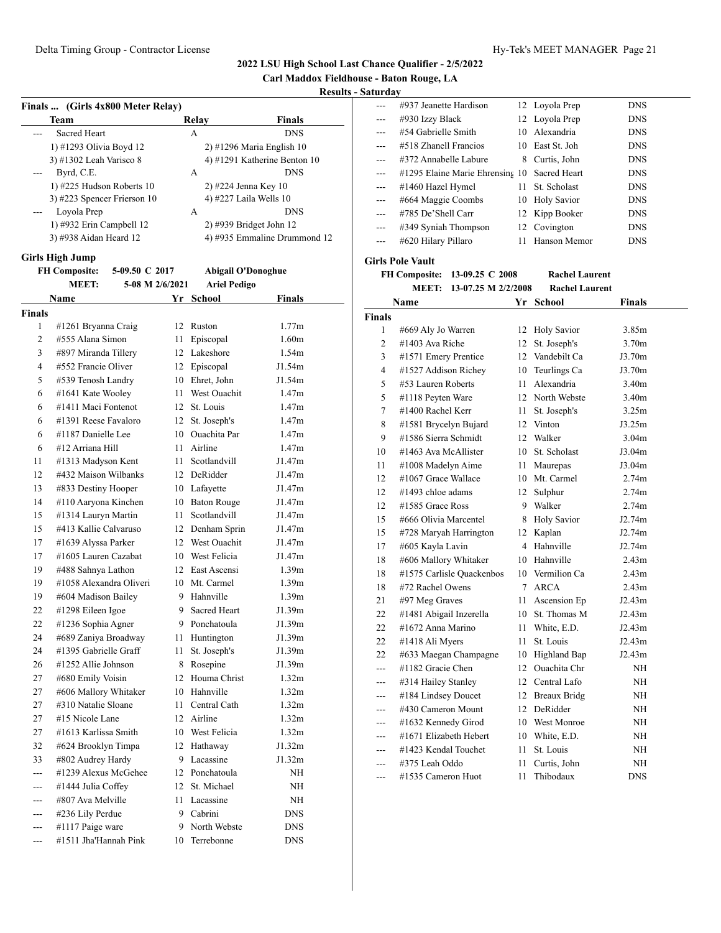**Carl Maddox Fieldhouse - Baton Rouge, LA**

#### **Results - Saturday**

| Finals  (Girls 4x800 Meter Relay)                      |                                        |      |                           |                              |
|--------------------------------------------------------|----------------------------------------|------|---------------------------|------------------------------|
|                                                        | Team                                   |      | Relay                     | Finals                       |
|                                                        | <b>Sacred Heart</b>                    |      | A                         | <b>DNS</b>                   |
|                                                        | 1) #1293 Olivia Boyd 12                |      |                           | 2) #1296 Maria English 10    |
|                                                        | 3) #1302 Leah Varisco 8                |      |                           | 4) #1291 Katherine Benton 10 |
|                                                        | Byrd, C.E.                             |      | A                         | <b>DNS</b>                   |
|                                                        | 1) #225 Hudson Roberts 10              |      | 2) #224 Jenna Key 10      |                              |
|                                                        | 3) #223 Spencer Frierson 10            |      | 4) #227 Laila Wells 10    |                              |
|                                                        | Loyola Prep                            |      | A                         | <b>DNS</b>                   |
|                                                        | 1) #932 Erin Campbell 12               |      | 2) #939 Bridget John 12   |                              |
|                                                        | 3) #938 Aidan Heard 12                 |      |                           | 4) #935 Emmaline Drummond 12 |
|                                                        | <b>Girls High Jump</b>                 |      |                           |                              |
|                                                        | <b>FH Composite:</b><br>5-09.50 C 2017 |      | <b>Abigail O'Donoghue</b> |                              |
| <b>MEET:</b><br>5-08 M 2/6/2021<br><b>Ariel Pedigo</b> |                                        |      |                           |                              |
|                                                        | <b>Name</b>                            |      | Yr School                 | <b>Finals</b>                |
| <b>Finals</b>                                          |                                        |      |                           |                              |
| 1                                                      | #1261 Bryanna Craig                    |      | 12 Ruston                 | 1.77m                        |
| 2                                                      | #555 Alana Simon                       | 11 - | Episcopal                 | 1.60 <sub>m</sub>            |
| 3                                                      | #897 Miranda Tillery                   |      | 12 Lakeshore              | 1.54m                        |
| 4                                                      | #552 Francie Oliver                    |      | 12 Episcopal              | J1.54m                       |
| 5                                                      | #539 Tenosh Landry                     |      | 10 Ehret, John            | J1.54m                       |
| 6                                                      | #1641 Kate Wooley                      |      | 11 West Ouachit           | 1.47 <sub>m</sub>            |
| 6                                                      | #1411 Maci Fontenot                    |      | 12 St. Louis              | 1.47 <sub>m</sub>            |
| 6                                                      | #1391 Reese Favaloro                   | 12   | St. Joseph's              | 1.47m                        |
| 6                                                      | #1187 Danielle Lee                     |      | 10 Ouachita Par           | 1.47 <sub>m</sub>            |
| 6                                                      | #12 Arriana Hill                       | 11   | Airline                   | 1.47 <sub>m</sub>            |
| 11                                                     | #1313 Madyson Kent                     |      | 11 Scotlandvill           | J1.47m                       |
| 12                                                     | #432 Maison Wilbanks                   |      | 12 DeRidder               | J1.47m                       |
| 13                                                     | #833 Destiny Hooper                    |      | 10 Lafayette              | J1.47m                       |
| 14                                                     | #110 Aaryona Kinchen                   |      | 10 Baton Rouge            | J1.47m                       |
| 15                                                     | #1314 Lauryn Martin                    | 11 - | Scotlandvill              | J1.47m                       |
| 15                                                     | #413 Kallie Calvaruso                  |      | 12 Denham Sprin           | J1.47m                       |
| 17                                                     | #1639 Alyssa Parker                    |      | 12 West Ouachit           | J1.47m                       |
| 17                                                     | #1605 Lauren Cazabat                   |      | 10 West Felicia           | J1.47m                       |
| 19                                                     | #488 Sahnya Lathon                     |      | 12 East Ascensi           | 1.39 <sub>m</sub>            |
| 19                                                     | #1058 Alexandra Oliveri                |      | 10 Mt. Carmel             | 1.39 <sub>m</sub>            |
| 19                                                     | #604 Madison Bailey                    |      | 9 Hahnville               | 1.39 <sub>m</sub>            |
| 22                                                     | #1298 Eileen Igoe                      | 9    | Sacred Heart              | J1.39m                       |
| 22                                                     | #1236 Sophia Agner                     |      | 9 Ponchatoula             | J1.39m                       |
| 24                                                     | #689 Zaniya Broadway                   | 11 - | Huntington                | J1.39m                       |
| 24                                                     | #1395 Gabrielle Graff                  | 11   | St. Joseph's              | J1.39m                       |
| 26                                                     | #1252 Allie Johnson                    | 8    | Rosepine                  | J1.39m                       |
| 27                                                     | #680 Emily Voisin                      | 12   | Houma Christ              | 1.32m                        |
| 27                                                     | #606 Mallory Whitaker                  | 10   | Hahnville                 | 1.32 <sub>m</sub>            |
| 27                                                     | #310 Natalie Sloane                    | 11   | Central Cath              | 1.32 <sub>m</sub>            |
| 27                                                     | #15 Nicole Lane                        | 12   | Airline                   | 1.32 <sub>m</sub>            |
| 27                                                     | #1613 Karlissa Smith                   |      | 10 West Felicia           | 1.32m                        |
| 32                                                     | #624 Brooklyn Timpa                    | 12   | Hathaway                  | J1.32m                       |
| 33                                                     | #802 Audrey Hardy                      |      | 9 Lacassine               | J1.32m                       |
| ---                                                    | #1239 Alexus McGehee                   |      | 12 Ponchatoula            | NΗ                           |
|                                                        | #1444 Julia Coffey                     | 12   | St. Michael               | NΗ                           |
| ---                                                    | #807 Ava Melville                      | 11   | Lacassine                 | NΗ                           |
|                                                        | #236 Lily Perdue                       | 9    | Cabrini                   | DNS                          |
|                                                        | #1117 Paige ware                       | 9    | North Webste              | <b>DNS</b>                   |
|                                                        | #1511 Jha'Hannah Pink                  | 10   | Terrebonne                | <b>DNS</b>                   |
|                                                        |                                        |      |                           |                              |

|                  | #937 Jeanette Hardison                       |    | 12 Loyola Prep  | <b>DNS</b> |  |
|------------------|----------------------------------------------|----|-----------------|------------|--|
| ---              | #930 Izzy Black                              |    | 12 Loyola Prep  | <b>DNS</b> |  |
|                  | #54 Gabrielle Smith                          |    | 10 Alexandria   | <b>DNS</b> |  |
|                  | #518 Zhanell Francios                        |    | 10 East St. Joh | <b>DNS</b> |  |
|                  | #372 Annabelle Labure                        |    | 8 Curtis, John  | <b>DNS</b> |  |
|                  | #1295 Elaine Marie Ehrensing 10 Sacred Heart |    |                 | <b>DNS</b> |  |
|                  | #1460 Hazel Hymel                            | 11 | St. Scholast    | <b>DNS</b> |  |
| ---              | #664 Maggie Coombs                           |    | 10 Holy Savior  | <b>DNS</b> |  |
| ---              | $\#785$ De'Shell Carr                        |    | 12 Kipp Booker  | <b>DNS</b> |  |
| ---              | #349 Syniah Thompson                         |    | 12 Covington    | <b>DNS</b> |  |
| ---              | #620 Hilary Pillaro                          |    | 11 Hanson Memor | <b>DNS</b> |  |
| Girls Pole Vault |                                              |    |                 |            |  |

**FH Composite: 13-09.25 C 2008 Rachel Laurent**

**MEET: 13-07.25 M 2/2/2008 Rachel Laurent**

|                | Name                      |    | Yr School           | <b>Finals</b>     |
|----------------|---------------------------|----|---------------------|-------------------|
| <b>Finals</b>  |                           |    |                     |                   |
| 1              | #669 Aly Jo Warren        | 12 | <b>Holy Savior</b>  | 3.85m             |
| $\overline{c}$ | #1403 Ava Riche           | 12 | St. Joseph's        | 3.70m             |
| 3              | #1571 Emery Prentice      |    | 12 Vandebilt Ca     | J3.70m            |
| 4              | #1527 Addison Richey      | 10 | Teurlings Ca        | J3.70m            |
| 5              | #53 Lauren Roberts        | 11 | Alexandria          | 3.40 <sub>m</sub> |
| 5              | #1118 Peyten Ware         |    | 12 North Webste     | 3.40 <sub>m</sub> |
| 7              | #1400 Rachel Kerr         | 11 | St. Joseph's        | 3.25m             |
| 8              | #1581 Brycelyn Bujard     | 12 | Vinton              | J3.25m            |
| 9              | #1586 Sierra Schmidt      | 12 | Walker              | 3.04m             |
| 10             | #1463 Ava McAllister      | 10 | St. Scholast        | J3.04m            |
| 11             | #1008 Madelyn Aime        | 11 | Maurepas            | J3.04m            |
| 12             | #1067 Grace Wallace       | 10 | Mt. Carmel          | 2.74m             |
| 12             | #1493 chloe adams         | 12 | Sulphur             | 2.74m             |
| 12             | #1585 Grace Ross          | 9  | Walker              | 2.74m             |
| 15             | #666 Olivia Marcentel     | 8  | <b>Holy Savior</b>  | J2.74m            |
| 15             | #728 Maryah Harrington    | 12 | Kaplan              | J2.74m            |
| 17             | #605 Kayla Lavin          | 4  | Hahnville           | J2.74m            |
| 18             | #606 Mallory Whitaker     | 10 | Hahnville           | 2.43 <sub>m</sub> |
| 18             | #1575 Carlisle Quackenbos | 10 | Vermilion Ca        | 2.43m             |
| 18             | #72 Rachel Owens          | 7  | <b>ARCA</b>         | 2.43m             |
| 21             | #97 Meg Graves            | 11 | Ascension Ep        | J2.43m            |
| 22             | #1481 Abigail Inzerella   |    | 10 St. Thomas M     | J2.43m            |
| 22             | #1672 Anna Marino         | 11 | White, E.D.         | J2.43m            |
| 22             | #1418 Ali Myers           | 11 | St. Louis           | J2.43m            |
| 22             | #633 Maegan Champagne     | 10 | Highland Bap        | J2.43m            |
| ---            | #1182 Gracie Chen         | 12 | Ouachita Chr        | <b>NH</b>         |
| ---            | #314 Hailey Stanley       |    | 12 Central Lafo     | NH                |
| ---            | #184 Lindsey Doucet       | 12 | <b>Breaux Bridg</b> | NH                |
| ---            | #430 Cameron Mount        | 12 | DeRidder            | NH                |
| ---            | #1632 Kennedy Girod       | 10 | <b>West Monroe</b>  | NH                |
|                | #1671 Elizabeth Hebert    |    | 10 White, E.D.      | NH                |
|                | #1423 Kendal Touchet      | 11 | St. Louis           | NH                |
|                | #375 Leah Oddo            | 11 | Curtis, John        | ΝH                |
|                | #1535 Cameron Huot        | 11 | Thibodaux           | <b>DNS</b>        |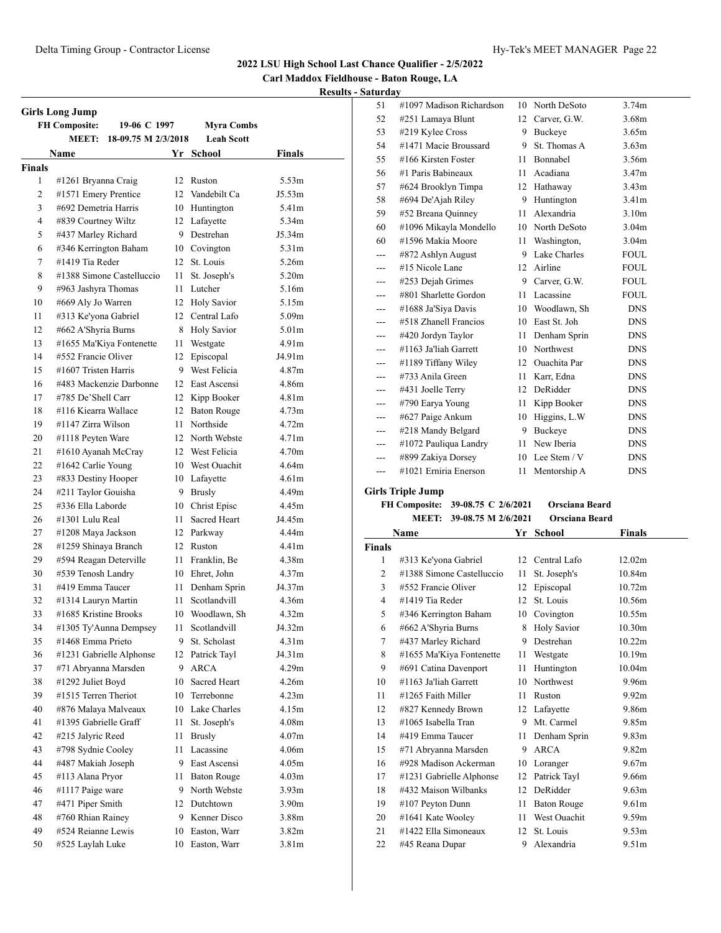**Carl Maddox Fieldhouse - Baton Rouge, LA**

**Results - Saturday**

|               | <b>Girls Long Jump</b>               |          |                            |                   |  |
|---------------|--------------------------------------|----------|----------------------------|-------------------|--|
|               | <b>FH Composite:</b><br>19-06 C 1997 |          | <b>Myra Combs</b>          |                   |  |
|               | MEET:<br>18-09.75 M 2/3/2018         |          | <b>Leah Scott</b>          |                   |  |
|               | Name                                 |          | Yr School                  | Finals            |  |
| <b>Finals</b> |                                      |          |                            |                   |  |
| 1             | #1261 Bryanna Craig                  | 12       | Ruston                     | 5.53m             |  |
| 2             | #1571 Emery Prentice                 |          | 12 Vandebilt Ca            | J5.53m            |  |
| 3             | #692 Demetria Harris                 |          | 10 Huntington              | 5.41 <sub>m</sub> |  |
| 4             | #839 Courtney Wiltz                  |          | 12 Lafayette               | 5.34m             |  |
| 5             | #437 Marley Richard                  |          | 9 Destrehan                | J5.34m            |  |
| 6             | #346 Kerrington Baham                |          | 10 Covington               | 5.31 <sub>m</sub> |  |
| 7             | #1419 Tia Reder                      | 12       | St. Louis                  | 5.26m             |  |
| 8             | #1388 Simone Castelluccio            | 11       | St. Joseph's               | 5.20 <sub>m</sub> |  |
| 9             | #963 Jashyra Thomas                  | 11       | Lutcher                    | 5.16m             |  |
| 10            | #669 Aly Jo Warren                   | 12       | <b>Holy Savior</b>         | 5.15m             |  |
| 11            | #313 Ke'yona Gabriel                 | 12       | Central Lafo               | 5.09 <sub>m</sub> |  |
| 12            | #662 A'Shyria Burns                  | 8        | <b>Holy Savior</b>         | 5.01m             |  |
| 13            | #1655 Ma'Kiya Fontenette             | 11       | Westgate                   | 4.91m             |  |
| 14            | #552 Francie Oliver                  | 12       | Episcopal                  | J4.91m            |  |
| 15            | #1607 Tristen Harris                 |          | 9 West Felicia             | 4.87m             |  |
| 16            | #483 Mackenzie Darbonne              |          | 12 East Ascensi            | 4.86m             |  |
| 17            | #785 De'Shell Carr                   |          | 12 Kipp Booker             | 4.81 <sub>m</sub> |  |
| 18            | #116 Kiearra Wallace                 |          | 12 Baton Rouge             | 4.73m             |  |
| 19            | #1147 Zirra Wilson                   | 11       | Northside                  | 4.72 <sub>m</sub> |  |
| 20            | #1118 Peyten Ware                    |          | 12 North Webste            | 4.71 <sub>m</sub> |  |
| 21            | #1610 Ayanah McCray                  |          | 12 West Felicia            | 4.70 <sub>m</sub> |  |
| 22            | #1642 Carlie Young                   |          | 10 West Ouachit            | 4.64m             |  |
| 23            | #833 Destiny Hooper                  |          | 10 Lafayette               | 4.61m             |  |
| 24            | #211 Taylor Gouisha                  | 9        | <b>Brusly</b>              | 4.49m             |  |
| 25            | #336 Ella Laborde                    | 10       | Christ Episc               | 4.45m             |  |
| 26            | #1301 Lulu Real                      | 11.      | Sacred Heart               | J4.45m            |  |
| 27            | #1208 Maya Jackson                   |          | 12 Parkway                 | 4.44m             |  |
| 28            | #1259 Shinaya Branch                 |          | 12 Ruston                  | 4.41m             |  |
| 29            | #594 Reagan Deterville               | 11       | Franklin, Be               | 4.38m             |  |
| 30            | #539 Tenosh Landry                   |          | 10 Ehret, John             | 4.37m             |  |
| 31            | #419 Emma Taucer                     | 11       | Denham Sprin               | J4.37m            |  |
| 32            | #1314 Lauryn Martin                  | 11       | Scotlandvill               | 4.36m             |  |
| 33            | #1685 Kristine Brooks                | 10       | Woodlawn, Sh               | 4.32m             |  |
| 34            | #1305 Ty'Aunna Dempsey               | 11       | Scotlandvill               | J4.32m            |  |
| 35            | #1468 Emma Prieto                    | 9        | St. Scholast               | 4.31m             |  |
| 36            | #1231 Gabrielle Alphonse             | 12       | Patrick Tayl               | J4.31m            |  |
| 37            | #71 Abryanna Marsden                 | 9.       | <b>ARCA</b>                | 4.29m             |  |
| 38            | #1292 Juliet Boyd                    |          | Sacred Heart               | 4.26m             |  |
| 39            | #1515 Terren Theriot                 | 10<br>10 | Terrebonne                 | 4.23m             |  |
| 40            | #876 Malaya Malveaux                 |          | 10 Lake Charles            | 4.15m             |  |
| 41            | #1395 Gabrielle Graff                |          | St. Joseph's               |                   |  |
|               |                                      | 11       |                            | 4.08m             |  |
| 42            | #215 Jalyric Reed                    | 11       | <b>Brusly</b><br>Lacassine | 4.07 <sub>m</sub> |  |
| 43            | #798 Sydnie Cooley                   | 11       |                            | 4.06m             |  |
| 44            | #487 Makiah Joseph                   |          | 9 East Ascensi             | 4.05m             |  |
| 45            | #113 Alana Pryor                     | 11       | <b>Baton Rouge</b>         | 4.03 <sub>m</sub> |  |
| 46            | #1117 Paige ware                     | 9        | North Webste               | 3.93 <sub>m</sub> |  |
| 47            | #471 Piper Smith                     |          | 12 Dutchtown               | 3.90 <sub>m</sub> |  |
| 48            | #760 Rhian Rainey                    | 9.       | Kenner Disco               | 3.88m             |  |
| 49            | #524 Reianne Lewis                   | 10       | Easton, Warr               | 3.82 <sub>m</sub> |  |
| 50            | #525 Laylah Luke                     | 10       | Easton, Warr               | 3.81m             |  |
|               |                                      |          |                            |                   |  |

| 51    | #1097 Madison Richardson | 10           | North DeSoto        | 3.74m             |  |
|-------|--------------------------|--------------|---------------------|-------------------|--|
| 52    | #251 Lamaya Blunt        | 12           | Carver, G.W.        | 3.68m             |  |
| 53    | #219 Kylee Cross         | 9            | Buckeye             | 3.65m             |  |
| 54    | #1471 Macie Broussard    | 9            | St. Thomas A        | 3.63 <sub>m</sub> |  |
| 55    | #166 Kirsten Foster      | 11           | Bonnabel            | 3.56m             |  |
| 56    | #1 Paris Babineaux       | 11           | Acadiana            | 3.47m             |  |
| 57    | #624 Brooklyn Timpa      | 12           | Hathaway            | 3.43 <sub>m</sub> |  |
| 58    | #694 De'Ajah Riley       | 9            | Huntington          | 3.41m             |  |
| 59    | #52 Breana Quinney       | 11           | Alexandria          | 3.10 <sub>m</sub> |  |
| 60    | #1096 Mikayla Mondello   | 10           | North DeSoto        | 3.04 <sub>m</sub> |  |
| 60    | #1596 Makia Moore        | 11           | Washington,         | 3.04 <sub>m</sub> |  |
| ---   | #872 Ashlyn August       | 9            | Lake Charles        | <b>FOUL</b>       |  |
| ---   | #15 Nicole Lane          | $12^{\circ}$ | Airline             | <b>FOUL</b>       |  |
| ---   | #253 Dejah Grimes        | 9.           | Carver, G.W.        | <b>FOUL</b>       |  |
| ---   | #801 Sharlette Gordon    | 11           | Lacassine           | <b>FOUL</b>       |  |
| ---   | #1688 Ja'Siya Davis      |              | 10 Woodlawn, Sh     | <b>DNS</b>        |  |
| ---   | #518 Zhanell Francios    | 10           | East St. Joh        | <b>DNS</b>        |  |
| ---   | #420 Jordyn Taylor       | 11           | Denham Sprin        | <b>DNS</b>        |  |
| ---   | #1163 Ja'liah Garrett    | 10           | Northwest           | <b>DNS</b>        |  |
| ---   | #1189 Tiffany Wiley      | 12           | <b>Ouachita</b> Par | <b>DNS</b>        |  |
| ---   | #733 Anila Green         | 11           | Karr, Edna          | <b>DNS</b>        |  |
| ---   | #431 Joelle Terry        | 12           | DeRidder            | <b>DNS</b>        |  |
| ---   | #790 Earya Young         | 11           | Kipp Booker         | <b>DNS</b>        |  |
| ---   | #627 Paige Ankum         | 10           | Higgins, L.W.       | <b>DNS</b>        |  |
| ---   | #218 Mandy Belgard       | 9            | Buckeye             | <b>DNS</b>        |  |
| $---$ | #1072 Pauliqua Landry    | 11           | New Iberia          | <b>DNS</b>        |  |
| ---   | #899 Zakiya Dorsey       | 10           | Lee Stem / V        | <b>DNS</b>        |  |
| ---   | #1021 Erniria Enerson    | 11           | Mentorship A        | <b>DNS</b>        |  |

#### **Girls Triple Jump**

#### **FH Composite: 39-08.75 C 2/6/2021 Orsciana Beard MEET: 39-08.75 M 2/6/2021 Orsciana Beard**

|               | Name                      | Yr | <b>School</b>       | <b>Finals</b>      |
|---------------|---------------------------|----|---------------------|--------------------|
| <b>Finals</b> |                           |    |                     |                    |
| 1             | #313 Ke'yona Gabriel      | 12 | Central Lafo        | 12.02m             |
| 2             | #1388 Simone Castelluccio | 11 | St. Joseph's        | 10.84m             |
| 3             | #552 Francie Oliver       | 12 | Episcopal           | 10.72m             |
| 4             | #1419 Tia Reder           | 12 | St. Louis           | 10.56m             |
| 5             | #346 Kerrington Baham     | 10 | Covington           | 10.55m             |
| 6             | #662 A'Shyria Burns       | 8  | <b>Holy Savior</b>  | 10.30 <sub>m</sub> |
| 7             | #437 Marley Richard       | 9  | Destrehan           | 10.22m             |
| 8             | #1655 Ma'Kiya Fontenette  | 11 | Westgate            | 10.19m             |
| 9             | #691 Catina Davenport     | 11 | Huntington          | 10.04m             |
| 10            | #1163 Ja'liah Garrett     | 10 | Northwest           | 9.96m              |
| 11            | #1265 Faith Miller        | 11 | Ruston              | 9.92 <sub>m</sub>  |
| 12            | #827 Kennedy Brown        | 12 | Lafayette           | 9.86m              |
| 13            | #1065 Isabella Tran       | 9  | Mt. Carmel          | 9.85m              |
| 14            | #419 Emma Taucer          | 11 | Denham Sprin        | 9.83 <sub>m</sub>  |
| 15            | #71 Abryanna Marsden      | 9  | <b>ARCA</b>         | 9.82m              |
| 16            | #928 Madison Ackerman     | 10 | Loranger            | 9.67 <sub>m</sub>  |
| 17            | #1231 Gabrielle Alphonse  | 12 | Patrick Tayl        | 9.66m              |
| 18            | #432 Maison Wilbanks      | 12 | DeRidder            | 9.63 <sub>m</sub>  |
| 19            | #107 Peyton Dunn          | 11 | <b>Baton Rouge</b>  | 9.61 <sub>m</sub>  |
| 20            | #1641 Kate Wooley         | 11 | <b>West Ouachit</b> | 9.59m              |
| 21            | #1422 Ella Simoneaux      | 12 | St. Louis           | 9.53 <sub>m</sub>  |
| 22            | #45 Reana Dupar           | 9  | Alexandria          | 9.51 <sub>m</sub>  |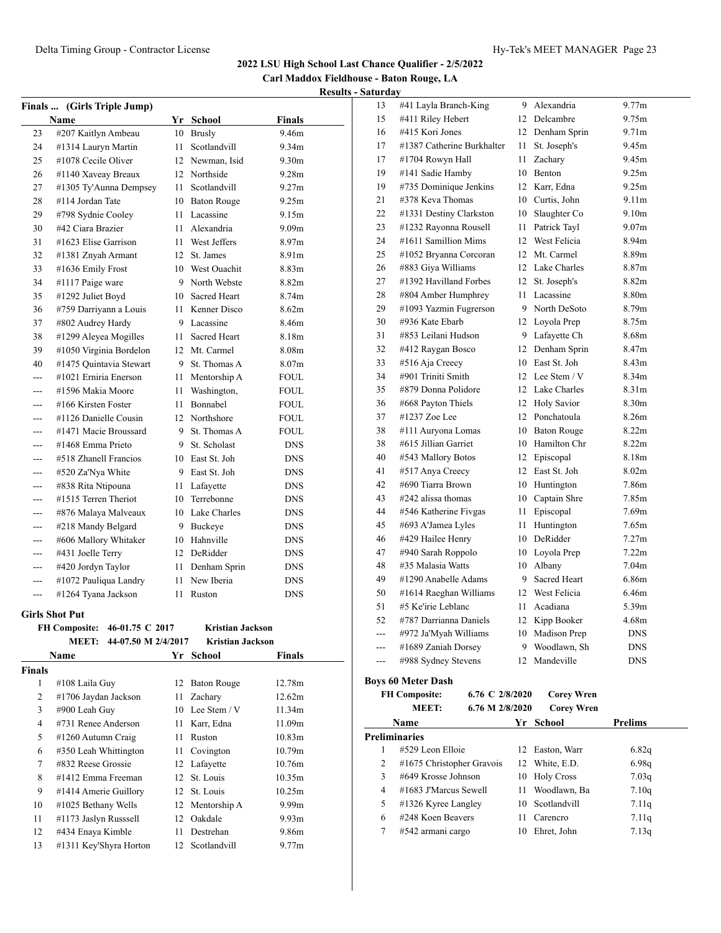**Carl Maddox Fieldhouse - Baton Rouge, LA Results - Saturday**

| Finals  (Girls Triple Jump) |                         |                 |                     |                   |  |  |  |
|-----------------------------|-------------------------|-----------------|---------------------|-------------------|--|--|--|
|                             | Name                    | Yr              | <b>School</b>       | <b>Finals</b>     |  |  |  |
| 23                          | #207 Kaitlyn Ambeau     | 10              | <b>Brusly</b>       | 9.46m             |  |  |  |
| 24                          | #1314 Lauryn Martin     | 11              | Scotlandvill        | 9.34m             |  |  |  |
| 25                          | #1078 Cecile Oliver     | 12              | Newman, Isid        | 9.30 <sub>m</sub> |  |  |  |
| 26                          | #1140 Xaveay Breaux     | 12              | Northside           | 9.28m             |  |  |  |
| 27                          | #1305 Ty'Aunna Dempsey  | 11              | Scotlandvill        | 9.27m             |  |  |  |
| 28                          | #114 Jordan Tate        | 10              | <b>Baton Rouge</b>  | 9.25m             |  |  |  |
| 29                          | #798 Sydnie Cooley      | 11              | Lacassine           | 9.15m             |  |  |  |
| 30                          | #42 Ciara Brazier       | 11              | Alexandria          | 9.09 <sub>m</sub> |  |  |  |
| 31                          | #1623 Elise Garrison    | 11              | West Jeffers        | 8.97m             |  |  |  |
| 32                          | #1381 Znyah Armant      | 12              | St. James           | 8.91m             |  |  |  |
| 33                          | #1636 Emily Frost       | 10              | <b>West Ouachit</b> | 8.83m             |  |  |  |
| 34                          | #1117 Paige ware        | 9               | North Webste        | 8.82m             |  |  |  |
| 35                          | #1292 Juliet Boyd       | 10              | <b>Sacred Heart</b> | 8.74m             |  |  |  |
| 36                          | #759 Darriyann a Louis  | 11              | Kenner Disco        | 8.62m             |  |  |  |
| 37                          | #802 Audrey Hardy       | 9               | Lacassine           | 8.46m             |  |  |  |
| 38                          | #1299 Aleyea Mogilles   | 11              | Sacred Heart        | 8.18m             |  |  |  |
| 39                          | #1050 Virginia Bordelon | 12              | Mt. Carmel          | 8.08m             |  |  |  |
| 40                          | #1475 Quintavia Stewart | 9               | St. Thomas A        | 8.07 <sub>m</sub> |  |  |  |
| $- - -$                     | #1021 Erniria Enerson   | 11              | Mentorship A        | FOUL              |  |  |  |
| ---                         | #1596 Makia Moore       | 11              | Washington,         | FOUL              |  |  |  |
| $- - -$                     | #166 Kirsten Foster     | 11              | Bonnabel            | FOUL              |  |  |  |
| ---                         | #1126 Danielle Cousin   | 12.             | Northshore          | FOUL              |  |  |  |
| ---                         | #1471 Macie Broussard   | 9               | St. Thomas A        | FOUL              |  |  |  |
| ---                         | #1468 Emma Prieto       |                 | 9 St. Scholast      | <b>DNS</b>        |  |  |  |
|                             | #518 Zhanell Francios   |                 | 10 East St. Joh     | <b>DNS</b>        |  |  |  |
|                             | #520 Za'Nya White       |                 | 9 East St. Joh      | <b>DNS</b>        |  |  |  |
|                             | #838 Rita Ntipouna      | 11              | Lafayette           | <b>DNS</b>        |  |  |  |
|                             | #1515 Terren Theriot    | 10              | Terrebonne          | <b>DNS</b>        |  |  |  |
|                             | #876 Malaya Malveaux    |                 | 10 Lake Charles     | <b>DNS</b>        |  |  |  |
|                             | #218 Mandy Belgard      | 9               | Buckeye             | <b>DNS</b>        |  |  |  |
| ---                         | #606 Mallory Whitaker   | 10              | Hahnville           | <b>DNS</b>        |  |  |  |
| ---                         | #431 Joelle Terry       | 12 <sub>1</sub> | DeRidder            | <b>DNS</b>        |  |  |  |
| $---$                       | #420 Jordyn Taylor      | 11              | Denham Sprin        | <b>DNS</b>        |  |  |  |
| ---                         | #1072 Pauliqua Landry   | 11              | New Iberia          | <b>DNS</b>        |  |  |  |
| ---                         | #1264 Tyana Jackson     | 11              | Ruston              | <b>DNS</b>        |  |  |  |
|                             | <b>Cirls Shot Put</b>   |                 |                     |                   |  |  |  |

|        | <b>FH Composite:</b><br>46-01.75 C 2017<br>44-07.50 M 2/4/2017<br>MEET: |                 | <b>Kristian Jackson</b><br><b>Kristian Jackson</b> |                   |
|--------|-------------------------------------------------------------------------|-----------------|----------------------------------------------------|-------------------|
|        | Name                                                                    |                 | Yr School                                          | Finals            |
| Finals |                                                                         |                 |                                                    |                   |
| 1      | #108 Laila Guy                                                          | 12              | <b>Baton Rouge</b>                                 | 12.78m            |
| 2      | #1706 Jaydan Jackson                                                    | 11              | Zachary                                            | 12.62m            |
| 3      | #900 Leah Guy                                                           |                 | 10 Lee Stem / V                                    | 11.34m            |
| 4      | #731 Renee Anderson                                                     | 11              | Karr, Edna                                         | 11.09m            |
| 5      | #1260 Autumn Craig                                                      | 11              | Ruston                                             | 10.83m            |
| 6      | #350 Leah Whittington                                                   | 11              | Covington                                          | 10.79m            |
| 7      | #832 Reese Grossie                                                      |                 | 12 Lafayette                                       | 10.76m            |
| 8      | #1412 Emma Freeman                                                      | 12 <sup>7</sup> | St. Louis                                          | 10.35m            |
| 9      | #1414 Amerie Guillory                                                   | 12              | St. Louis                                          | 10.25m            |
| 10     | #1025 Bethany Wells                                                     | 12              | Mentorship A                                       | 9.99m             |
| 11     | #1173 Jaslyn Russsell                                                   | 12              | Oakdale                                            | 9.93 <sub>m</sub> |
| 12     | #434 Enaya Kimble                                                       | 11              | Destrehan                                          | 9.86m             |
| 13     | #1311 Key'Shyra Horton                                                  |                 | 12 Scotlandvill                                    | 9.77m             |

| 13  | #41 Layla Branch-King      | 9               | Alexandria         | 9.77m             |
|-----|----------------------------|-----------------|--------------------|-------------------|
| 15  | #411 Riley Hebert          | 12 <sup>2</sup> | Delcambre          | 9.75m             |
| 16  | #415 Kori Jones            | 12              | Denham Sprin       | 9.71 <sub>m</sub> |
| 17  | #1387 Catherine Burkhalter | 11              | St. Joseph's       | 9.45m             |
| 17  | #1704 Rowyn Hall           | 11              | Zachary            | 9.45m             |
| 19  | #141 Sadie Hamby           | 10              | <b>Benton</b>      | 9.25m             |
| 19  | #735 Dominique Jenkins     | 12              | Karr, Edna         | 9.25m             |
| 21  | #378 Keva Thomas           | 10              | Curtis, John       | 9.11m             |
| 22  | #1331 Destiny Clarkston    | 10              | Slaughter Co       | 9.10 <sub>m</sub> |
| 23  | #1232 Rayonna Rousell      | 11              | Patrick Tayl       | 9.07 <sub>m</sub> |
| 24  | #1611 Samillion Mims       | 12              | West Felicia       | 8.94m             |
| 25  | #1052 Bryanna Corcoran     | 12              | Mt. Carmel         | 8.89m             |
| 26  | #883 Giya Williams         |                 | 12 Lake Charles    | 8.87m             |
| 27  | #1392 Havilland Forbes     | 12              | St. Joseph's       | 8.82m             |
| 28  | #804 Amber Humphrey        | 11              | Lacassine          | 8.80m             |
| 29  | #1093 Yazmin Fugrerson     |                 | 9 North DeSoto     | 8.79m             |
| 30  | #936 Kate Ebarb            | 12              | Loyola Prep        | 8.75m             |
| 31  | #853 Leilani Hudson        |                 | 9 Lafayette Ch     | 8.68m             |
| 32  | #412 Raygan Bosco          | 12              | Denham Sprin       | 8.47m             |
| 33  | #516 Aja Creecy            |                 | 10 East St. Joh    | 8.43m             |
| 34  | #901 Triniti Smith         | 12              | Lee Stem / V       | 8.34m             |
| 35  | #879 Donna Polidore        |                 | 12 Lake Charles    | 8.31m             |
| 36  | #668 Payton Thiels         | 12              | <b>Holy Savior</b> | 8.30m             |
| 37  | #1237 Zoe Lee              | 12              | Ponchatoula        | 8.26m             |
| 38  | #111 Auryona Lomas         | 10              | <b>Baton Rouge</b> | 8.22m             |
| 38  | #615 Jillian Garriet       | 10              | Hamilton Chr       | 8.22m             |
| 40  | #543 Mallory Botos         | 12              | Episcopal          | 8.18m             |
| 41  | #517 Anya Creecy           | 12              | East St. Joh       | 8.02m             |
| 42  | #690 Tiarra Brown          | 10              | Huntington         | 7.86m             |
| 43  | #242 alissa thomas         | 10              | Captain Shre       | 7.85m             |
| 44  | #546 Katherine Fivgas      | 11              | Episcopal          | 7.69 <sub>m</sub> |
| 45  | #693 A'Jamea Lyles         | 11              | Huntington         | 7.65m             |
| 46  | #429 Hailee Henry          | 10              | DeRidder           | 7.27m             |
| 47  | #940 Sarah Roppolo         | 10              | Loyola Prep        | 7.22m             |
| 48  | #35 Malasia Watts          | 10              | Albany             | 7.04 <sub>m</sub> |
| 49  | #1290 Anabelle Adams       | 9               | Sacred Heart       | 6.86m             |
| 50  | #1614 Raeghan Williams     | 12              | West Felicia       | 6.46m             |
| 51  | #5 Ke'irie Leblanc         | 11              | Acadiana           | 5.39m             |
| 52  | #787 Darrianna Daniels     | 12              | Kipp Booker        | 4.68m             |
| --- | #972 Ja'Myah Williams      | 10              | Madison Prep       | <b>DNS</b>        |
| --- | #1689 Zaniah Dorsey        | 9               | Woodlawn, Sh       | <b>DNS</b>        |
| --- | #988 Sydney Stevens        | 12              | Mandeville         | <b>DNS</b>        |

#### **Boys 60 Meter Dash**

**FH Composite: 6.76 C 2/8/2020 Corey Wren MEET: 6.76 M 2/8/2020 Corey Wren**

|   | .<br>0.70111707707        |     | COLUT TELLE     |                |
|---|---------------------------|-----|-----------------|----------------|
|   | <b>Name</b>               |     | Yr School       | <b>Prelims</b> |
|   | <b>Preliminaries</b>      |     |                 |                |
|   | #529 Leon Elloie          | 12  | Easton, Warr    | 6.82q          |
| 2 | #1675 Christopher Gravois | 12  | White, E.D.     | 6.98q          |
| 3 | #649 Krosse Johnson       |     | 10 Holy Cross   | 7.03q          |
| 4 | #1683 J'Marcus Sewell     | 11. | Woodlawn, Ba    | 7.10q          |
| 5 | $\#1326$ Kyree Langley    |     | 10 Scotlandvill | 7.11q          |
| 6 | #248 Koen Beavers         | 11  | Carencro        | 7.11q          |
|   | #542 armani cargo         | 10  | Ehret, John     | 7.13q          |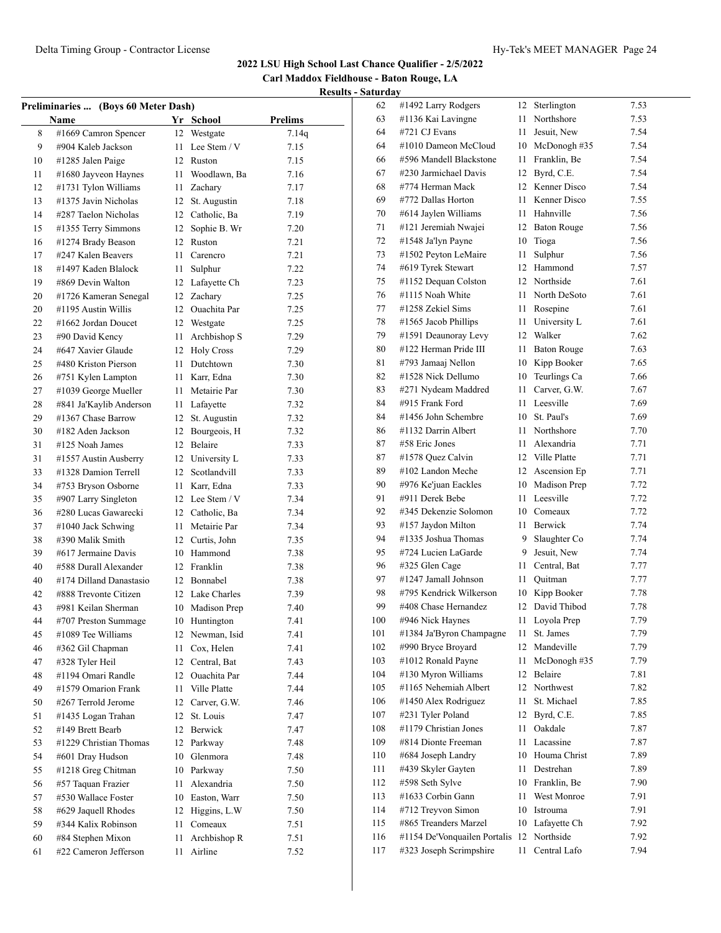**Carl Maddox Fieldhouse - Baton Rouge, LA Results - Saturday**

| Preliminaries  (Boys 60 Meter Dash) |                         |          |                 |                |  |
|-------------------------------------|-------------------------|----------|-----------------|----------------|--|
|                                     | <b>Name</b>             |          | Yr School       | <b>Prelims</b> |  |
| 8                                   | #1669 Camron Spencer    | 12       | Westgate        | 7.14q          |  |
| 9                                   | #904 Kaleb Jackson      | 11       | Lee Stem / V    | 7.15           |  |
| 10                                  | #1285 Jalen Paige       | 12       | Ruston          | 7.15           |  |
| 11                                  | #1680 Jayveon Haynes    | 11       | Woodlawn, Ba    | 7.16           |  |
| 12                                  | #1731 Tylon Williams    | 11       | Zachary         | 7.17           |  |
| 13                                  | #1375 Javin Nicholas    | 12       | St. Augustin    | 7.18           |  |
| 14                                  | #287 Taelon Nicholas    |          | 12 Catholic, Ba | 7.19           |  |
| 15                                  | #1355 Terry Simmons     | 12       | Sophie B. Wr    | 7.20           |  |
| 16                                  | #1274 Brady Beason      | 12       | Ruston          | 7.21           |  |
| 17                                  | #247 Kalen Beavers      | 11       | Carencro        | 7.21           |  |
| 18                                  | #1497 Kaden Blalock     | 11       | Sulphur         | 7.22           |  |
| 19                                  | #869 Devin Walton       | 12       | Lafayette Ch    | 7.23           |  |
| 20                                  | #1726 Kameran Senegal   | 12       | Zachary         | 7.25           |  |
| 20                                  | #1195 Austin Willis     |          | 12 Ouachita Par | 7.25           |  |
| 22                                  | #1662 Jordan Doucet     |          | 12 Westgate     | 7.25           |  |
| 23                                  | #90 David Kency         | 11       | Archbishop S    | 7.29           |  |
| 24                                  | #647 Xavier Glaude      |          | 12 Holy Cross   | 7.29           |  |
| 25                                  | #480 Kriston Pierson    | 11 -     | Dutchtown       | 7.30           |  |
| 26                                  | #751 Kylen Lampton      |          | 11 Karr, Edna   | 7.30           |  |
| 27                                  | #1039 George Mueller    |          | 11 Metairie Par | 7.30           |  |
| 28                                  | #841 Ja'Kaylib Anderson |          | 11 Lafayette    | 7.32           |  |
| 29                                  | #1367 Chase Barrow      | 12       | St. Augustin    | 7.32           |  |
| 30                                  | #182 Aden Jackson       | 12       | Bourgeois, H    | 7.32           |  |
| 31                                  | #125 Noah James         | 12       | Belaire         | 7.33           |  |
| 31                                  | #1557 Austin Ausberry   | 12       | University L    | 7.33           |  |
| 33                                  | #1328 Damion Terrell    | 12       | Scotlandvill    | 7.33           |  |
| 34                                  | #753 Bryson Osborne     | 11       | Karr, Edna      | 7.33           |  |
| 35                                  | #907 Larry Singleton    |          | 12 Lee Stem / V | 7.34           |  |
| 36                                  | #280 Lucas Gawarecki    |          | 12 Catholic, Ba | 7.34           |  |
| 37                                  | #1040 Jack Schwing      | 11       | Metairie Par    | 7.34           |  |
| 38                                  | #390 Malik Smith        |          | 12 Curtis, John | 7.35           |  |
| 39                                  | #617 Jermaine Davis     |          | 10 Hammond      | 7.38           |  |
| 40                                  | #588 Durall Alexander   |          | 12 Franklin     | 7.38           |  |
| 40                                  | #174 Dilland Danastasio |          | 12 Bonnabel     | 7.38           |  |
| 42                                  | #888 Trevonte Citizen   |          | 12 Lake Charles | 7.39           |  |
| 43                                  | #981 Keilan Sherman     | 10       | Madison Prep    | 7.40           |  |
| 44                                  | #707 Preston Summage    | 10       | Huntington      | 7.41           |  |
| 45                                  | #1089 Tee Williams      | 12       | Newman, Isid    | 7.41           |  |
| 46                                  | #362 Gil Chapman        | 11       | Cox, Helen      | 7.41           |  |
| 47                                  | #328 Tyler Heil         | 12       | Central, Bat    | 7.43           |  |
| 48                                  | #1194 Omari Randle      | 12       | Ouachita Par    | 7.44           |  |
| 49                                  | #1579 Omarion Frank     | 11       | Ville Platte    | 7.44           |  |
| 50                                  | #267 Terrold Jerome     | 12       | Carver, G.W.    | 7.46           |  |
| 51                                  | #1435 Logan Trahan      | 12       | St. Louis       | 7.47           |  |
| 52                                  | #149 Brett Bearb        | 12       | Berwick         | 7.47           |  |
| 53                                  | #1229 Christian Thomas  | 12       | Parkway         | 7.48           |  |
| 54                                  | #601 Dray Hudson        | 10       | Glenmora        | 7.48           |  |
| 55                                  | #1218 Greg Chitman      | 10       | Parkway         | 7.50           |  |
| 56                                  | #57 Taquan Frazier      | 11       | Alexandria      | 7.50           |  |
| 57                                  | #530 Wallace Foster     | 10       | Easton, Warr    | 7.50           |  |
| 58                                  | #629 Jaquell Rhodes     | 12       | Higgins, L.W    | 7.50           |  |
| 59                                  | #344 Kalix Robinson     |          | Comeaux         |                |  |
| 60                                  | #84 Stephen Mixon       | 11<br>11 |                 | 7.51           |  |
|                                     | #22 Cameron Jefferson   |          | Archbishop R    | 7.51           |  |
| 61                                  |                         | 11       | Airline         | 7.52           |  |

| 62  | #1492 Larry Rodgers          | 12           | Sterlington        | 7.53 |
|-----|------------------------------|--------------|--------------------|------|
| 63  | #1136 Kai Lavingne           | 11           | Northshore         | 7.53 |
| 64  | #721 CJ Evans                | 11           | Jesuit, New        | 7.54 |
| 64  | #1010 Dameon McCloud         | 10           | McDonogh #35       | 7.54 |
| 66  | #596 Mandell Blackstone      | 11           | Franklin, Be       | 7.54 |
| 67  | #230 Jarmichael Davis        | 12           | Byrd, C.E.         | 7.54 |
| 68  | #774 Herman Mack             | 12           | Kenner Disco       | 7.54 |
| 69  | #772 Dallas Horton           | 11           | Kenner Disco       | 7.55 |
| 70  | #614 Jaylen Williams         | 11           | Hahnville          | 7.56 |
| 71  | #121 Jeremiah Nwajei         | 12           | <b>Baton Rouge</b> | 7.56 |
| 72  | #1548 Ja'lyn Payne           | 10           | Tioga              | 7.56 |
| 73  | #1502 Peyton LeMaire         | 11           | Sulphur            | 7.56 |
| 74  | #619 Tyrek Stewart           | 12           | Hammond            | 7.57 |
| 75  | #1152 Dequan Colston         | 12           | Northside          | 7.61 |
| 76  | #1115 Noah White             | 11.          | North DeSoto       | 7.61 |
| 77  | #1258 Zekiel Sims            | 11           | Rosepine           | 7.61 |
| 78  | #1565 Jacob Phillips         | 11           | University L       | 7.61 |
| 79  | #1591 Deaunoray Levy         | 12           | Walker             | 7.62 |
| 80  | #122 Herman Pride III        | 11           | <b>Baton Rouge</b> | 7.63 |
| 81  | #793 Jamaaj Nellon           | 10           | Kipp Booker        | 7.65 |
| 82  | #1528 Nick Dellumo           | 10           | Teurlings Ca       | 7.66 |
| 83  | #271 Nydeam Maddred          | 11           | Carver, G.W.       | 7.67 |
| 84  | #915 Frank Ford              | 11           | Leesville          | 7.69 |
| 84  | #1456 John Schembre          | 10           | St. Paul's         | 7.69 |
| 86  | #1132 Darrin Albert          | 11           | Northshore         | 7.70 |
| 87  | #58 Eric Jones               | 11           | Alexandria         | 7.71 |
| 87  | #1578 Quez Calvin            | $12^{\circ}$ | Ville Platte       | 7.71 |
| 89  | #102 Landon Meche            | 12           | Ascension Ep       | 7.71 |
| 90  | #976 Ke'juan Eackles         | 10           | Madison Prep       | 7.72 |
| 91  | #911 Derek Bebe              | 11           | Leesville          | 7.72 |
| 92  | #345 Dekenzie Solomon        | 10           | Comeaux            | 7.72 |
| 93  | #157 Jaydon Milton           | 11           | Berwick            | 7.74 |
| 94  | #1335 Joshua Thomas          | 9            | Slaughter Co       | 7.74 |
| 95  | #724 Lucien LaGarde          | 9            | Jesuit, New        | 7.74 |
| 96  | #325 Glen Cage               | 11           | Central, Bat       | 7.77 |
| 97  | #1247 Jamall Johnson         | 11           | Ouitman            | 7.77 |
| 98  | #795 Kendrick Wilkerson      | 10           | Kipp Booker        | 7.78 |
| 99  | #408 Chase Hernandez         | 12           | David Thibod       | 7.78 |
| 100 | #946 Nick Haynes             | 11           | Loyola Prep        | 7.79 |
| 101 | #1384 Ja'Byron Champagne     | 11           | St. James          | 7.79 |
| 102 | #990 Bryce Broyard           | 12           | Mandeville         | 7.79 |
| 103 | #1012 Ronald Payne           | 11           | McDonogh #35       | 7.79 |
| 104 | #130 Myron Williams          | 12           | Belaire            | 7.81 |
| 105 | #1165 Nehemiah Albert        | 12           | Northwest          | 7.82 |
| 106 | #1450 Alex Rodriguez         | 11           | St. Michael        | 7.85 |
| 107 | #231 Tyler Poland            | 12           | Byrd, C.E.         | 7.85 |
| 108 | #1179 Christian Jones        | 11           | Oakdale            | 7.87 |
| 109 | #814 Dionte Freeman          | 11           | Lacassine          | 7.87 |
| 110 | #684 Joseph Landry           | 10           | Houma Christ       | 7.89 |
| 111 | #439 Skyler Gayten           | 11           | Destrehan          | 7.89 |
| 112 | #598 Seth Sylve              | 10           | Franklin, Be       | 7.90 |
| 113 | #1633 Corbin Gann            | 11           | West Monroe        | 7.91 |
| 114 | #712 Treyvon Simon           | 10           | Istrouma           | 7.91 |
| 115 | #865 Treanders Marzel        | 10           | Lafayette Ch       | 7.92 |
| 116 | #1154 De'Vonquailen Portalis | 12           | Northside          | 7.92 |
| 117 | #323 Joseph Scrimpshire      | 11           | Central Lafo       | 7.94 |
|     |                              |              |                    |      |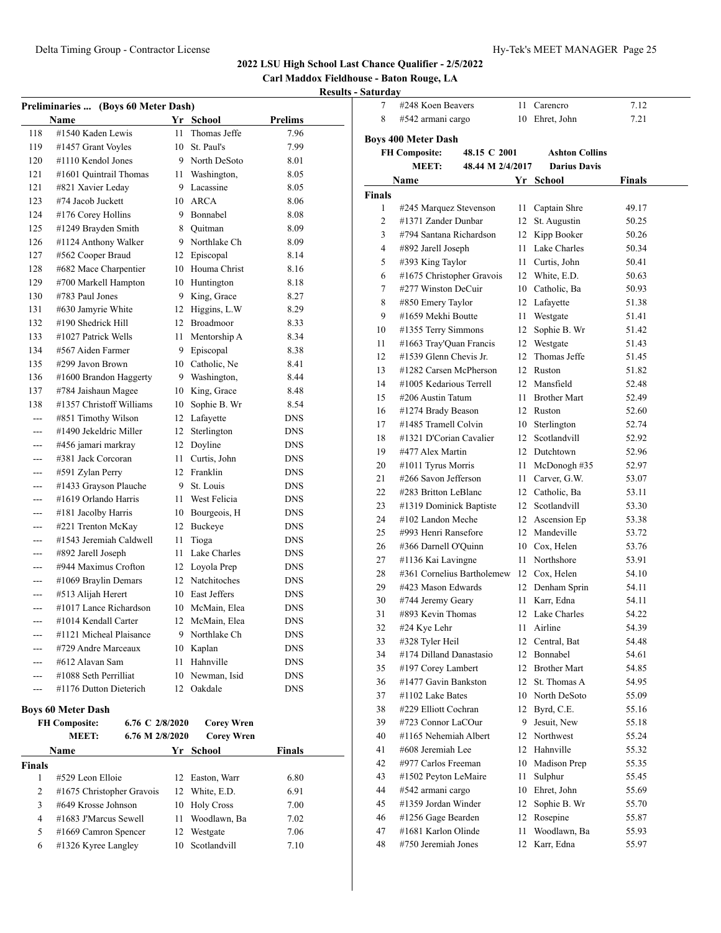**Carl Maddox Fieldhouse - Baton Rouge, LA**

#### **Results - Saturday**

|         | Preliminaries  (Boys 60 Meter Dash) |     |                 |            |
|---------|-------------------------------------|-----|-----------------|------------|
|         | Name                                | Yr  | School          | Prelims    |
| 118     | #1540 Kaden Lewis                   | 11  | Thomas Jeffe    | 7.96       |
| 119     | #1457 Grant Voyles                  | 10  | St. Paul's      | 7.99       |
| 120     | #1110 Kendol Jones                  | 9   | North DeSoto    | 8.01       |
| 121     | #1601 Quintrail Thomas              | 11  | Washington,     | 8.05       |
| 121     | #821 Xavier Leday                   | 9   | Lacassine       | 8.05       |
| 123     | #74 Jacob Juckett                   | 10  | <b>ARCA</b>     | 8.06       |
| 124     | #176 Corey Hollins                  | 9   | Bonnabel        | 8.08       |
| 125     | #1249 Brayden Smith                 | 8   | Quitman         | 8.09       |
| 126     | #1124 Anthony Walker                | 9   | Northlake Ch    | 8.09       |
| 127     | #562 Cooper Braud                   | 12  | Episcopal       | 8.14       |
| 128     | #682 Mace Charpentier               |     | 10 Houma Christ | 8.16       |
| 129     | #700 Markell Hampton                |     | 10 Huntington   | 8.18       |
| 130     | #783 Paul Jones                     | 9   | King, Grace     | 8.27       |
| 131     | #630 Jamyrie White                  | 12  | Higgins, L.W    | 8.29       |
| 132     | #190 Shedrick Hill                  | 12  | Broadmoor       | 8.33       |
| 133     | #1027 Patrick Wells                 | 11  | Mentorship A    | 8.34       |
| 134     | #567 Aiden Farmer                   | 9   | Episcopal       | 8.38       |
| 135     | #299 Javon Brown                    |     | 10 Catholic, Ne | 8.41       |
| 136     | #1600 Brandon Haggerty              | 9   | Washington,     | 8.44       |
| 137     | #784 Jaishaun Magee                 |     | 10 King, Grace  | 8.48       |
| 138     | #1357 Christoff Williams            | 10  | Sophie B. Wr    | 8.54       |
| ---     | #851 Timothy Wilson                 | 12  | Lafayette       | <b>DNS</b> |
|         | #1490 Jekeldric Miller              | 12  | Sterlington     | <b>DNS</b> |
| $- - -$ | #456 jamari markray                 | 12  | Doyline         | <b>DNS</b> |
| $---$   | #381 Jack Corcoran                  | 11. | Curtis, John    | <b>DNS</b> |
| ---     | #591 Zylan Perry                    | 12  | Franklin        | <b>DNS</b> |
| ---     | #1433 Grayson Plauche               | 9   | St. Louis       | <b>DNS</b> |
| $---$   | #1619 Orlando Harris                | 11  | West Felicia    | <b>DNS</b> |
| ---     | #181 Jacolby Harris                 |     | 10 Bourgeois, H | <b>DNS</b> |
| ---     | #221 Trenton McKay                  | 12  | Buckeye         | <b>DNS</b> |
|         | #1543 Jeremiah Caldwell             | 11  | Tioga           | <b>DNS</b> |
| ---     | #892 Jarell Joseph                  | 11  | Lake Charles    | <b>DNS</b> |
| ---     | #944 Maximus Crofton                |     | 12 Loyola Prep  | <b>DNS</b> |
| ---     | #1069 Braylin Demars                | 12  | Natchitoches    | <b>DNS</b> |
| ---     | #513 Alijah Herert                  |     | 10 East Jeffers | <b>DNS</b> |
|         | #1017 Lance Richardson              |     | 10 McMain, Elea | <b>DNS</b> |
| ---     | #1014 Kendall Carter                | 12  | McMain, Elea    | <b>DNS</b> |
| $---$   | #1121 Micheal Plaisance             |     | 9 Northlake Ch  | <b>DNS</b> |
|         | #729 Andre Marceaux                 |     | 10 Kaplan       | <b>DNS</b> |
|         | #612 Alavan Sam                     | 11  | Hahnville       | <b>DNS</b> |
| ---     | #1088 Seth Perrilliat               | 10  | Newman, Isid    | <b>DNS</b> |
| ---     | #1176 Dutton Dieterich              | 12  | Oakdale         | <b>DNS</b> |

#### **Boys 60 Meter Dash**

|               | <b>FH Composite:</b>        | 6.76 C 2/8/2020 |     | <b>Corey Wren</b> |               |
|---------------|-----------------------------|-----------------|-----|-------------------|---------------|
|               | <b>MEET:</b>                | 6.76 M 2/8/2020 |     | <b>Corey Wren</b> |               |
|               | Name                        |                 | Yr. | School            | <b>Finals</b> |
| <b>Finals</b> |                             |                 |     |                   |               |
|               | #529 Leon Elloie            |                 |     | 12 Easton, Warr   | 6.80          |
| 2             | $#1675$ Christopher Gravois |                 | 12  | White, E.D.       | 6.91          |
| 3             | #649 Krosse Johnson         |                 |     | 10 Holy Cross     | 7.00          |
| 4             | #1683 J'Marcus Sewell       |                 | 11  | Woodlawn, Ba      | 7.02          |
| 5             | $\#1669$ Camron Spencer     |                 | 12. | Westgate          | 7.06          |
| 6             | #1326 Kyree Langley         |                 | 10  | Scotlandvill      | 7.10          |

|               | #248 Koen Beavers                    |      |                       |        |  |
|---------------|--------------------------------------|------|-----------------------|--------|--|
| 7             |                                      | 11   | Carencro              | 7.12   |  |
| 8             | #542 armani cargo                    | 10   | Ehret, John           | 7.21   |  |
|               | <b>Boys 400 Meter Dash</b>           |      |                       |        |  |
|               | <b>FH Composite:</b><br>48.15 C 2001 |      | <b>Ashton Collins</b> |        |  |
|               | MEET:<br>48.44 M 2/4/2017            |      | <b>Darius Davis</b>   |        |  |
|               | <b>Name</b>                          |      | Yr School             | Finals |  |
| <b>Finals</b> |                                      |      |                       |        |  |
| 1             | #245 Marquez Stevenson               | 11 - | Captain Shre          | 49.17  |  |
| 2             | #1371 Zander Dunbar                  |      | 12 St. Augustin       | 50.25  |  |
| 3             | #794 Santana Richardson              |      | 12 Kipp Booker        | 50.26  |  |
| 4             | #892 Jarell Joseph                   |      | 11 Lake Charles       | 50.34  |  |
| 5             | #393 King Taylor                     |      | 11 Curtis, John       | 50.41  |  |
| 6             | #1675 Christopher Gravois            |      | 12 White, E.D.        | 50.63  |  |
| 7             | #277 Winston DeCuir                  |      | 10 Catholic, Ba       | 50.93  |  |
| 8             | #850 Emery Taylor                    |      | 12 Lafayette          | 51.38  |  |
| 9             | #1659 Mekhi Boutte                   | 11 - | Westgate              | 51.41  |  |
| 10            | #1355 Terry Simmons                  | 12   | Sophie B. Wr          | 51.42  |  |
| 11            | #1663 Tray'Quan Francis              | 12   | Westgate              | 51.43  |  |
| 12            | #1539 Glenn Chevis Jr.               | 12   | Thomas Jeffe          | 51.45  |  |
| 13            | #1282 Carsen McPherson               |      | 12 Ruston             | 51.82  |  |
| 14            | #1005 Kedarious Terrell              |      | 12 Mansfield          | 52.48  |  |
| 15            | #206 Austin Tatum                    |      | 11 Brother Mart       | 52.49  |  |
| 16            | #1274 Brady Beason                   |      | 12 Ruston             | 52.60  |  |
| 17            | #1485 Tramell Colvin                 |      | 10 Sterlington        | 52.74  |  |
| 18            | #1321 D'Corian Cavalier              |      | 12 Scotlandvill       | 52.92  |  |
| 19            | #477 Alex Martin                     |      | 12 Dutchtown          | 52.96  |  |
| 20            | #1011 Tyrus Morris                   | 11 - | McDonogh#35           | 52.97  |  |
| 21            | #266 Savon Jefferson                 |      | 11 Carver, G.W.       | 53.07  |  |
| 22            | #283 Britton LeBlanc                 |      | 12 Catholic, Ba       | 53.11  |  |
| 23            | #1319 Dominick Baptiste              |      | 12 Scotlandvill       | 53.30  |  |
| 24            | #102 Landon Meche                    |      | 12 Ascension Ep       | 53.38  |  |
| 25            | #993 Henri Ransefore                 |      | 12 Mandeville         | 53.72  |  |
| 26            | #366 Darnell O'Quinn                 |      | 10 Cox, Helen         | 53.76  |  |
| 27            | #1136 Kai Lavingne                   |      | 11 Northshore         | 53.91  |  |
| 28            | #361 Cornelius Bartholemew           |      | 12 Cox, Helen         | 54.10  |  |
| 29            | #423 Mason Edwards                   |      | 12 Denham Sprin       | 54.11  |  |
| 30            | #744 Jeremy Geary                    | 11   | Karr, Edna            | 54.11  |  |
| 31            | #893 Kevin Thomas                    |      | 12 Lake Charles       | 54.22  |  |
| 32            | #24 Kye Lehr                         | 11   | Airline               | 54.39  |  |
| 33            | #328 Tyler Heil                      | 12   | Central, Bat          | 54.48  |  |
| 34            | #174 Dilland Danastasio              | 12   | Bonnabel              | 54.61  |  |
| 35            | #197 Corey Lambert                   |      | 12 Brother Mart       | 54.85  |  |
| 36            | #1477 Gavin Bankston                 |      | 12 St. Thomas A       | 54.95  |  |
| 37            | #1102 Lake Bates                     |      | 10 North DeSoto       | 55.09  |  |
| 38            | #229 Elliott Cochran                 |      | 12 Byrd, C.E.         | 55.16  |  |
| 39            | #723 Connor LaCOur                   | 9.   | Jesuit, New           | 55.18  |  |
| 40            | #1165 Nehemiah Albert                |      | 12 Northwest          | 55.24  |  |
| 41            | #608 Jeremiah Lee                    |      | 12 Hahnville          | 55.32  |  |
| 42            | #977 Carlos Freeman                  | 10   | Madison Prep          | 55.35  |  |
| 43            | #1502 Peyton LeMaire                 | 11   | Sulphur               | 55.45  |  |
| 44            | #542 armani cargo                    | 10   | Ehret, John           | 55.69  |  |
| 45            | #1359 Jordan Winder                  | 12   | Sophie B. Wr          | 55.70  |  |
| 46            | #1256 Gage Bearden                   | 12   | Rosepine              | 55.87  |  |
| 47            | #1681 Karlon Olinde                  | 11   | Woodlawn, Ba          | 55.93  |  |
| 48            | #750 Jeremiah Jones                  | 12   | Karr, Edna            | 55.97  |  |
|               |                                      |      |                       |        |  |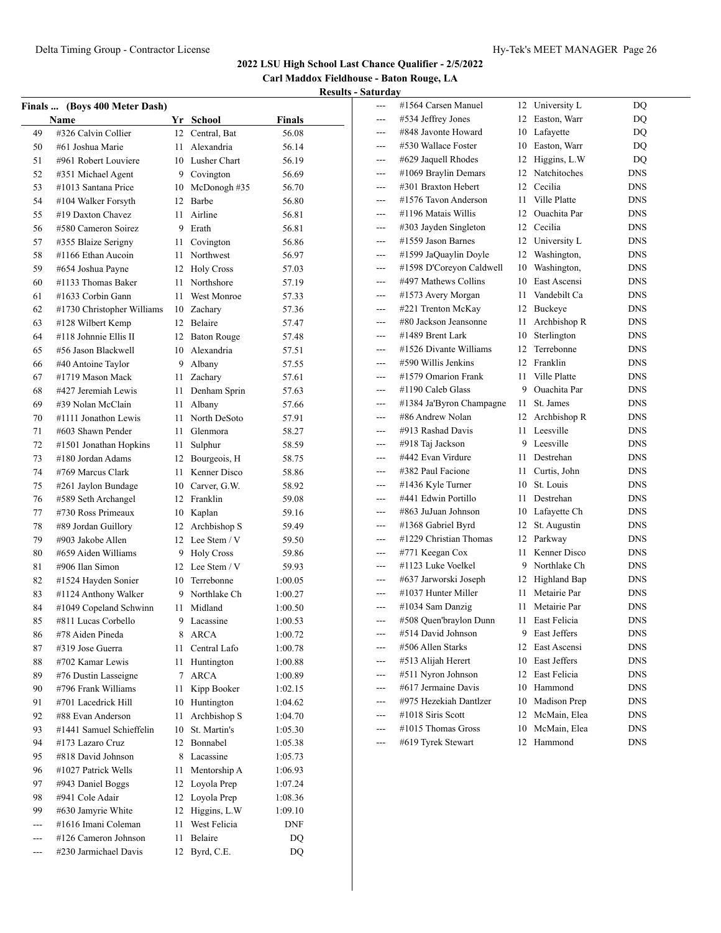**Carl Maddox Fieldhouse - Baton Rouge, LA Results - Saturday**

|          | Finals  (Boys 400 Meter Dash)              |      |                                 |         |
|----------|--------------------------------------------|------|---------------------------------|---------|
|          | <b>Name</b>                                |      | Yr School                       | Finals  |
| 49       | #326 Calvin Collier                        |      | 12 Central, Bat                 | 56.08   |
| 50       | #61 Joshua Marie                           | 11   | Alexandria                      | 56.14   |
| 51       | #961 Robert Louviere                       |      | 10 Lusher Chart                 | 56.19   |
| 52       | #351 Michael Agent                         |      | 9 Covington                     | 56.69   |
| 53       | #1013 Santana Price                        | 10   | McDonogh #35                    | 56.70   |
| 54       | #104 Walker Forsyth                        | 12   | Barbe                           | 56.80   |
| 55       | #19 Daxton Chavez                          | 11   | Airline                         | 56.81   |
| 56       | #580 Cameron Soirez                        |      | 9 Erath                         | 56.81   |
| 57       | #355 Blaize Serigny                        | 11 - | Covington                       | 56.86   |
| 58       | #1166 Ethan Aucoin                         | 11.  | Northwest                       | 56.97   |
| 59       | #654 Joshua Payne                          |      | 12 Holy Cross                   | 57.03   |
| 60       | #1133 Thomas Baker                         | 11 - | Northshore                      | 57.19   |
| 61       | #1633 Corbin Gann                          | 11   | West Monroe                     | 57.33   |
| 62       | #1730 Christopher Williams                 |      | 10 Zachary                      | 57.36   |
| 63       | #128 Wilbert Kemp                          |      | 12 Belaire                      | 57.47   |
| 64       | #118 Johnnie Ellis II                      | 12   | <b>Baton Rouge</b>              | 57.48   |
| 65       | #56 Jason Blackwell                        | 10   | Alexandria                      | 57.51   |
| 66       | #40 Antoine Taylor                         | 9    | Albany                          | 57.55   |
| 67       | #1719 Mason Mack                           | 11   | Zachary                         | 57.61   |
| 68       | #427 Jeremiah Lewis                        | 11   | Denham Sprin                    | 57.63   |
| 69       | #39 Nolan McClain                          | 11   | Albany                          | 57.66   |
| 70       | #1111 Jonathon Lewis                       | 11   | North DeSoto                    | 57.91   |
| 71       | #603 Shawn Pender                          | 11   | Glenmora                        | 58.27   |
| 72       | #1501 Jonathan Hopkins                     | 11   | Sulphur                         | 58.59   |
| 73       | #180 Jordan Adams                          |      | 12 Bourgeois, H                 | 58.75   |
| 74       | #769 Marcus Clark                          | 11   | Kenner Disco                    |         |
|          |                                            |      | 10 Carver, G.W.                 | 58.86   |
| 75<br>76 | #261 Jaylon Bundage<br>#589 Seth Archangel |      | 12 Franklin                     | 58.92   |
|          | #730 Ross Primeaux                         |      |                                 | 59.08   |
| 77       |                                            | 10   | Kaplan                          | 59.16   |
| 78       | #89 Jordan Guillory                        | 12   | Archbishop S<br>12 Lee Stem / V | 59.49   |
| 79       | #903 Jakobe Allen<br>#659 Aiden Williams   |      |                                 | 59.50   |
| 80       |                                            |      | 9 Holy Cross                    | 59.86   |
| 81       | #906 Ilan Simon                            |      | 12 Lee Stem / V                 | 59.93   |
| 82       | #1524 Hayden Sonier                        |      | 10 Terrebonne                   | 1:00.05 |
| 83       | #1124 Anthony Walker                       |      | 9 Northlake Ch                  | 1:00.27 |
| 84       | #1049 Copeland Schwinn                     | 11 - | Midland                         | 1:00.50 |
| 85       | #811 Lucas Corbello                        | 9    | Lacassine                       | 1:00.53 |
| 86       | #78 Aiden Pineda                           | 8    | ARCA                            | 1:00.72 |
| 87       | #319 Jose Guerra                           | 11   | Central Lafo                    | 1:00.78 |
| 88       | #702 Kamar Lewis                           | 11   | Huntington                      | 1:00.88 |
| 89       | #76 Dustin Lasseigne                       | 7    | <b>ARCA</b>                     | 1:00.89 |
| 90       | #796 Frank Williams                        | 11   | Kipp Booker                     | 1:02.15 |
| 91       | #701 Lacedrick Hill                        | 10   | Huntington                      | 1:04.62 |
| 92       | #88 Evan Anderson                          | 11   | Archbishop S                    | 1:04.70 |
| 93       | #1441 Samuel Schieffelin                   | 10   | St. Martin's                    | 1:05.30 |
| 94       | #173 Lazaro Cruz                           |      | 12 Bonnabel                     | 1:05.38 |
| 95       | #818 David Johnson                         | 8    | Lacassine                       | 1:05.73 |
| 96       | #1027 Patrick Wells                        | 11   | Mentorship A                    | 1:06.93 |
| 97       | #943 Daniel Boggs                          | 12   | Loyola Prep                     | 1:07.24 |
| 98       | #941 Cole Adair                            | 12   | Loyola Prep                     | 1:08.36 |
| 99       | #630 Jamyrie White                         | 12   | Higgins, L.W                    | 1:09.10 |
| $---$    | #1616 Imani Coleman                        | 11   | West Felicia                    | DNF     |
|          | #126 Cameron Johnson                       | 11   | Belaire                         | DQ      |
|          | #230 Jarmichael Davis                      | 12   | Byrd, C.E.                      | DQ      |
|          |                                            |      |                                 |         |

| ---   | #1564 Carsen Manuel      | 12 | University L | DQ         |
|-------|--------------------------|----|--------------|------------|
| ---   | #534 Jeffrey Jones       | 12 | Easton, Warr | DO         |
|       | #848 Javonte Howard      | 10 | Lafayette    | DQ         |
|       | #530 Wallace Foster      | 10 | Easton, Warr | DQ         |
| ---   | #629 Jaquell Rhodes      | 12 | Higgins, L.W | DQ         |
| ---   | #1069 Braylin Demars     | 12 | Natchitoches | <b>DNS</b> |
|       | #301 Braxton Hebert      | 12 | Cecilia      | <b>DNS</b> |
| ---   | #1576 Tavon Anderson     | 11 | Ville Platte | <b>DNS</b> |
| ---   | #1196 Matais Willis      | 12 | Ouachita Par | <b>DNS</b> |
| ---   | #303 Jayden Singleton    | 12 | Cecilia      | <b>DNS</b> |
| ---   | #1559 Jason Barnes       | 12 | University L | <b>DNS</b> |
| ---   | #1599 JaQuaylin Doyle    | 12 | Washington,  | <b>DNS</b> |
| $---$ | #1598 D'Coreyon Caldwell | 10 | Washington,  | <b>DNS</b> |
| ---   | #497 Mathews Collins     | 10 | East Ascensi | <b>DNS</b> |
| ---   | #1573 Avery Morgan       | 11 | Vandebilt Ca | <b>DNS</b> |
|       | #221 Trenton McKay       | 12 | Buckeye      | <b>DNS</b> |
| ---   | #80 Jackson Jeansonne    | 11 | Archbishop R | <b>DNS</b> |
| $---$ | #1489 Brent Lark         | 10 | Sterlington  | <b>DNS</b> |
| ---   | #1526 Divante Williams   | 12 | Terrebonne   | <b>DNS</b> |
| $---$ | #590 Willis Jenkins      | 12 | Franklin     | <b>DNS</b> |
| ---   | #1579 Omarion Frank      | 11 | Ville Platte | <b>DNS</b> |
|       | #1190 Caleb Glass        | 9  | Ouachita Par | <b>DNS</b> |
| ---   | #1384 Ja'Byron Champagne | 11 | St. James    | <b>DNS</b> |
| ---   | #86 Andrew Nolan         | 12 | Archbishop R | <b>DNS</b> |
| ---   | #913 Rashad Davis        | 11 | Leesville    | <b>DNS</b> |
| ---   | #918 Taj Jackson         | 9  | Leesville    | <b>DNS</b> |
|       | #442 Evan Virdure        | 11 | Destrehan    | <b>DNS</b> |
|       | #382 Paul Facione        | 11 | Curtis, John | <b>DNS</b> |
| ---   | #1436 Kyle Turner        | 10 | St. Louis    | <b>DNS</b> |
| ---   | #441 Edwin Portillo      | 11 | Destrehan    | <b>DNS</b> |
|       | #863 JuJuan Johnson      | 10 | Lafayette Ch | <b>DNS</b> |
| $---$ | #1368 Gabriel Byrd       | 12 | St. Augustin | <b>DNS</b> |
| ---   | #1229 Christian Thomas   | 12 | Parkway      | <b>DNS</b> |
| ---   | #771 Keegan Cox          | 11 | Kenner Disco | <b>DNS</b> |
| ---   | #1123 Luke Voelkel       | 9  | Northlake Ch | <b>DNS</b> |
| $---$ | #637 Jarworski Joseph    | 12 | Highland Bap | <b>DNS</b> |
| $---$ | #1037 Hunter Miller      | 11 | Metairie Par | <b>DNS</b> |
| $---$ | #1034 Sam Danzig         | 11 | Metairie Par | <b>DNS</b> |
| ---   | #508 Quen'braylon Dunn   | 11 | East Felicia | <b>DNS</b> |
|       | #514 David Johnson       | 9  | East Jeffers | <b>DNS</b> |
|       | #506 Allen Starks        | 12 | East Ascensi | <b>DNS</b> |
|       | #513 Alijah Herert       | 10 | East Jeffers | DNS        |
|       | #511 Nyron Johnson       | 12 | East Felicia | <b>DNS</b> |
|       | #617 Jermaine Davis      | 10 | Hammond      | DNS        |
|       | #975 Hezekiah Dantlzer   | 10 | Madison Prep | DNS        |
|       | #1018 Siris Scott        | 12 | McMain, Elea | DNS        |
|       | #1015 Thomas Gross       | 10 | McMain, Elea | DNS        |
| ---   | #619 Tyrek Stewart       | 12 | Hammond      | DNS        |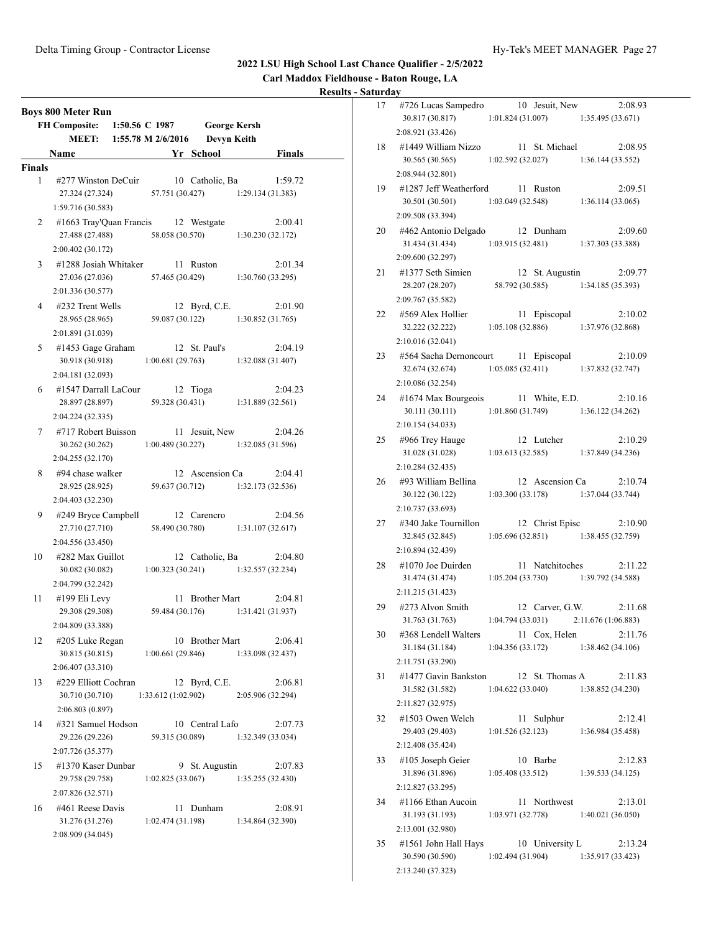**Carl Maddox Fieldhouse - Baton Rouge, LA**

|               | <b>Boys 800 Meter Run</b><br><b>FH Composite:</b><br>MEET: | 1:50.56 C 1987<br>1:55.78 M 2/6/2016 |    |                     | <b>George Kersh</b><br><b>Devyn Keith</b> |                              |
|---------------|------------------------------------------------------------|--------------------------------------|----|---------------------|-------------------------------------------|------------------------------|
|               | Name                                                       |                                      |    | Yr School           |                                           | Finals                       |
| <b>Finals</b> |                                                            |                                      |    |                     |                                           |                              |
| 1             | #277 Winston DeCuir                                        |                                      |    | 10 Catholic, Ba     |                                           | 1:59.72                      |
|               | 27.324 (27.324)                                            | 57.751 (30.427)                      |    |                     |                                           | 1:29.134(31.383)             |
|               | 1:59.716 (30.583)                                          |                                      |    |                     |                                           |                              |
| 2             | #1663 Tray'Quan Francis 12 Westgate                        |                                      |    |                     |                                           | 2:00.41                      |
|               | 27.488 (27.488)                                            | 58.058 (30.570)                      |    |                     |                                           | 1:30.230 (32.172)            |
|               | 2:00.402 (30.172)                                          |                                      |    |                     |                                           |                              |
| 3             | #1288 Josiah Whitaker                                      |                                      |    | 11 Ruston           |                                           | 2:01.34                      |
|               | 27.036 (27.036)                                            | 57.465 (30.429)                      |    |                     |                                           | 1:30.760 (33.295)            |
| 4             | 2:01.336 (30.577)                                          |                                      |    |                     |                                           |                              |
|               | #232 Trent Wells<br>28.965 (28.965)                        | 59.087 (30.122)                      |    | 12 Byrd, C.E.       |                                           | 2:01.90<br>1:30.852(31.765)  |
|               | 2:01.891 (31.039)                                          |                                      |    |                     |                                           |                              |
| 5             | #1453 Gage Graham                                          |                                      |    | 12 St. Paul's       |                                           | 2:04.19                      |
|               | 30.918 (30.918)                                            | 1:00.681(29.763)                     |    |                     |                                           | 1:32.088 (31.407)            |
|               | 2:04.181 (32.093)                                          |                                      |    |                     |                                           |                              |
| 6             | #1547 Darrall LaCour                                       |                                      |    | 12 Tioga            |                                           | 2:04.23                      |
|               | 28.897 (28.897)                                            | 59.328 (30.431)                      |    |                     |                                           | 1:31.889 (32.561)            |
|               | 2:04.224 (32.335)                                          |                                      |    |                     |                                           |                              |
| 7             | #717 Robert Buisson                                        |                                      |    | 11 Jesuit, New      |                                           | 2:04.26                      |
|               | 30.262 (30.262)                                            | 1:00.489(30.227)                     |    |                     |                                           | 1:32.085 (31.596)            |
|               | 2:04.255 (32.170)                                          |                                      |    |                     |                                           |                              |
| 8             | $#94$ chase walker                                         |                                      |    | 12 Ascension Ca     |                                           | 2:04.41                      |
|               | 28.925 (28.925)<br>2:04.403 (32.230)                       | 59.637 (30.712)                      |    |                     |                                           | 1:32.173 (32.536)            |
| 9             | #249 Bryce Campbell                                        |                                      |    | 12 Carencro         |                                           | 2:04.56                      |
|               | 27.710 (27.710)                                            | 58.490 (30.780)                      |    |                     |                                           | 1:31.107(32.617)             |
|               | 2:04.556 (33.450)                                          |                                      |    |                     |                                           |                              |
| 10            | #282 Max Guillot                                           |                                      |    | 12 Catholic, Ba     |                                           | 2:04.80                      |
|               | 30.082 (30.082)                                            | 1:00.323(30.241)                     |    |                     |                                           | 1:32.557 (32.234)            |
|               | 2:04.799 (32.242)                                          |                                      |    |                     |                                           |                              |
| 11            | $\#199$ Eli Levy                                           | 11                                   |    | <b>Brother Mart</b> |                                           | 2:04.81                      |
|               | 29.308 (29.308)                                            | 59.484 (30.176)                      |    |                     |                                           | 1:31.421 (31.937)            |
|               | 2:04.809 (33.388)                                          |                                      |    |                     |                                           |                              |
| 12            | #205 Luke Regan                                            |                                      |    | 10 Brother Mart     |                                           | 2:06.41                      |
|               | 30.815 (30.815)                                            | 1:00.661(29.846)                     |    |                     |                                           | 1:33.098 (32.437)            |
|               | 2:06.407 (33.310)                                          |                                      |    |                     |                                           |                              |
| 13            | #229 Elliott Cochran<br>30.710 (30.710)                    | 1:33.612(1:02.902)                   |    | 12 Byrd, C.E.       |                                           | 2:06.81<br>2:05.906 (32.294) |
|               | 2:06.803 (0.897)                                           |                                      |    |                     |                                           |                              |
| 14            | #321 Samuel Hodson                                         |                                      |    | 10 Central Lafo     |                                           | 2:07.73                      |
|               | 29.226 (29.226)                                            | 59.315 (30.089)                      |    |                     |                                           | 1:32.349 (33.034)            |
|               | 2:07.726 (35.377)                                          |                                      |    |                     |                                           |                              |
| 15            | #1370 Kaser Dunbar                                         |                                      | 9. | St. Augustin        |                                           | 2:07.83                      |
|               | 29.758 (29.758)                                            | 1:02.825(33.067)                     |    |                     |                                           | 1:35.255 (32.430)            |
|               | 2:07.826 (32.571)                                          |                                      |    |                     |                                           |                              |
| 16            | #461 Reese Davis                                           | 11                                   |    | Dunham              |                                           | 2:08.91                      |
|               | 31.276 (31.276)                                            | 1:02.474(31.198)                     |    |                     |                                           | 1:34.864 (32.390)            |
|               | 2:08.909 (34.045)                                          |                                      |    |                     |                                           |                              |

| 21 U.U |                                           |                   |    |                                         |                   |         |
|--------|-------------------------------------------|-------------------|----|-----------------------------------------|-------------------|---------|
| 17     | #726 Lucas Sampedro<br>30.817 (30.817)    | 1:01.824(31.007)  |    | 10 Jesuit, New                          | 1:35.495 (33.671) | 2:08.93 |
|        | 2:08.921 (33.426)                         |                   |    |                                         |                   |         |
| 18     | #1449 William Nizzo<br>30.565 (30.565)    | 1:02.592(32.027)  |    | 11 St. Michael                          | 1:36.144(33.552)  | 2:08.95 |
|        | 2:08.944 (32.801)                         |                   |    |                                         |                   |         |
|        |                                           |                   |    |                                         |                   |         |
| 19     | #1287 Jeff Weatherford<br>30.501 (30.501) | 1:03.049(32.548)  |    | 11 Ruston                               | 1:36.114 (33.065) | 2:09.51 |
|        | 2:09.508 (33.394)                         |                   |    |                                         |                   |         |
|        |                                           |                   |    |                                         |                   |         |
| 20     | #462 Antonio Delgado<br>31.434 (31.434)   | 1:03.915(32.481)  |    | 12 Dunham                               | 1:37.303 (33.388) | 2:09.60 |
|        | 2:09.600 (32.297)                         |                   |    |                                         |                   |         |
| 21     | #1377 Seth Simien                         |                   |    | 12 St. Augustin                         |                   | 2:09.77 |
|        | 28.207 (28.207)                           |                   |    | 58.792 (30.585)                         | 1:34.185(35.393)  |         |
|        | 2:09.767 (35.582)                         |                   |    |                                         |                   |         |
| 22     | #569 Alex Hollier                         |                   |    | 11 Episcopal                            |                   | 2:10.02 |
|        | 32.222 (32.222)                           |                   |    | $1:05.108(32.886)$ $1:37.976(32.868)$   |                   |         |
|        | 2:10.016 (32.041)                         |                   |    |                                         |                   |         |
| 23     | #564 Sacha Dernoncourt 11 Episcopal       |                   |    |                                         |                   | 2:10.09 |
|        | 32.674 (32.674)                           |                   |    | $1:05.085(32.411)$ $1:37.832(32.747)$   |                   |         |
|        | 2:10.086 (32.254)                         |                   |    |                                         |                   |         |
| 24     | #1674 Max Bourgeois                       |                   |    | 11 White, E.D.                          |                   | 2:10.16 |
|        | 30.111 (30.111)                           |                   |    | 1:01.860(31.749)                        | 1:36.122(34.262)  |         |
|        | 2:10.154 (34.033)                         |                   |    |                                         |                   |         |
| 25     | #966 Trey Hauge                           |                   |    | 12 Lutcher                              |                   | 2:10.29 |
|        | 31.028 (31.028)                           | 1:03.613(32.585)  |    |                                         | 1:37.849 (34.236) |         |
|        | 2:10.284 (32.435)                         |                   |    |                                         |                   |         |
| 26     | #93 William Bellina                       |                   |    | 12 Ascension Ca                         |                   | 2:10.74 |
|        | 30.122 (30.122)                           |                   |    | 1:03.300(33.178)                        | 1:37.044(33.744)  |         |
|        | 2:10.737 (33.693)                         |                   |    |                                         |                   |         |
| 27     | #340 Jake Tournillon                      |                   |    | 12 Christ Episc                         |                   | 2:10.90 |
|        | 32.845 (32.845)                           | 1:05.696(32.851)  |    |                                         | 1:38.455 (32.759) |         |
|        | 2:10.894 (32.439)                         |                   |    |                                         |                   |         |
| 28     | #1070 Joe Duirden                         |                   |    | 11 Natchitoches                         |                   | 2:11.22 |
|        | 31.474 (31.474)                           | 1:05.204(33.730)  |    |                                         | 1:39.792 (34.588) |         |
|        | 2:11.215 (31.423)                         |                   |    |                                         |                   |         |
| 29     | #273 Alvon Smith                          |                   |    | 12 Carver, G.W.                         |                   | 2:11.68 |
|        | 31.763 (31.763)                           |                   |    | $1:04.794(33.031)$ $2:11.676(1:06.883)$ |                   |         |
| 30     | #368 Lendell Walters                      |                   |    | 11 Cox, Helen                           |                   | 2:11.76 |
|        | 31.184 (31.184)                           | 1:04.356(33.172)  |    |                                         | 1:38.462 (34.106) |         |
|        | 2:11.751 (33.290)                         |                   |    |                                         |                   |         |
| 31     | #1477 Gavin Bankston                      |                   |    | 12 St. Thomas A                         |                   | 2:11.83 |
|        | 31.582 (31.582)                           | 1:04.622(33.040)  |    |                                         | 1:38.852 (34.230) |         |
|        | 2:11.827 (32.975)                         |                   |    |                                         |                   |         |
| 32     | #1503 Owen Welch                          |                   |    | 11 Sulphur                              |                   | 2:12.41 |
|        | 29.403 (29.403)                           | 1:01.526(32.123)  |    |                                         | 1:36.984 (35.458) |         |
|        | 2:12.408 (35.424)                         |                   |    |                                         |                   |         |
| 33     | #105 Joseph Geier<br>31.896 (31.896)      | 1:05.408(33.512)  |    | 10 Barbe                                |                   | 2:12.83 |
|        | 2:12.827 (33.295)                         |                   |    |                                         | 1:39.533 (34.125) |         |
|        |                                           |                   |    |                                         |                   |         |
| 34     | #1166 Ethan Aucoin<br>31.193 (31.193)     | 1:03.971 (32.778) | 11 | Northwest                               | 1:40.021 (36.050) | 2:13.01 |
|        | 2:13.001 (32.980)                         |                   |    |                                         |                   |         |
| 35     | #1561 John Hall Hays                      |                   |    | 10 University L                         |                   | 2:13.24 |
|        | 30.590 (30.590)                           | 1:02.494 (31.904) |    |                                         | 1:35.917 (33.423) |         |
|        | 2:13.240 (37.323)                         |                   |    |                                         |                   |         |
|        |                                           |                   |    |                                         |                   |         |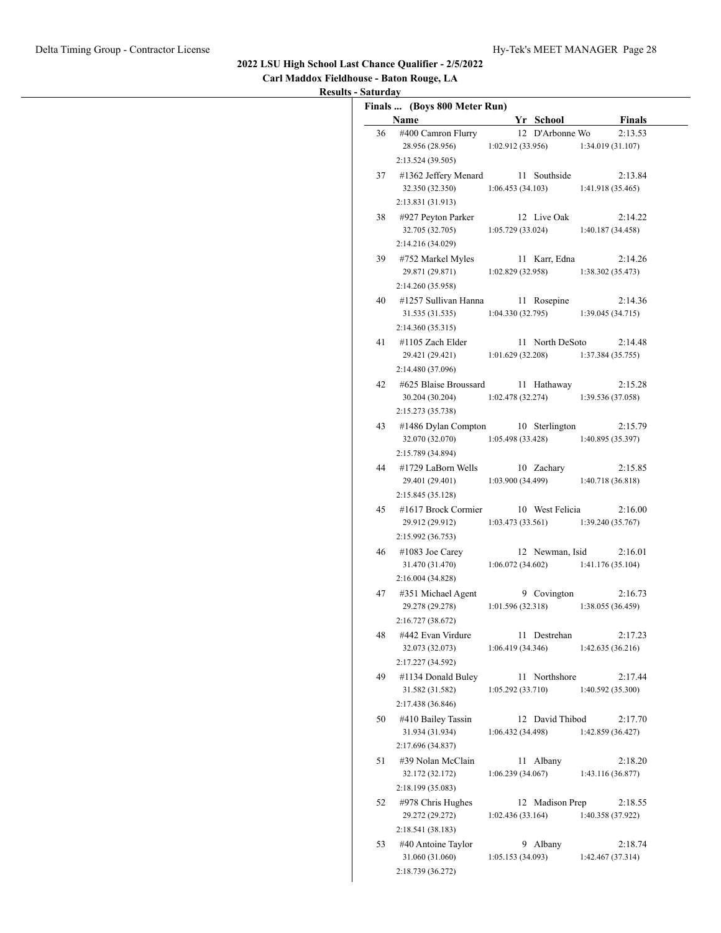| Carl Maddox Fieldhouse - Baton Rouge, LA |
|------------------------------------------|
| <b>Results - Saturday</b>                |

|    | Name                                                          |                   | Yr School       | <b>Finals</b>                |
|----|---------------------------------------------------------------|-------------------|-----------------|------------------------------|
| 36 | #400 Camron Flurry                                            |                   | 12 D'Arbonne Wo | 2:13.53                      |
|    | 28.956 (28.956)<br>2:13.524 (39.505)                          | 1:02.912(33.956)  |                 | 1:34.019(31.107)             |
|    | 37 #1362 Jeffery Menard<br>32.350 (32.350)                    | 1:06.453(34.103)  | 11 Southside    | 2:13.84<br>1:41.918(35.465)  |
|    | 2:13.831 (31.913)                                             |                   |                 |                              |
| 38 | #927 Peyton Parker<br>32.705 (32.705)                         | 1:05.729(33.024)  | 12 Live Oak     | 2:14.22<br>1:40.187 (34.458) |
| 39 | 2:14.216 (34.029)<br>#752 Markel Myles                        |                   | 11 Karr, Edna   | 2:14.26                      |
|    | 29.871 (29.871)<br>2:14.260 (35.958)                          | 1:02.829 (32.958) |                 | 1:38.302(35.473)             |
| 40 | #1257 Sullivan Hanna<br>31.535 (31.535)                       | 1:04.330(32.795)  | 11 Rosepine     | 2:14.36<br>1:39.045(34.715)  |
|    | 2:14.360 (35.315)                                             |                   |                 |                              |
| 41 | #1105 Zach Elder<br>29.421 (29.421)<br>2:14.480 (37.096)      | 1:01.629(32.208)  | 11 North DeSoto | 2:14.48<br>1:37.384(35.755)  |
| 42 | #625 Blaise Broussard<br>30.204 (30.204)<br>2:15.273 (35.738) | 1:02.478(32.274)  | 11 Hathaway     | 2:15.28<br>1:39.536 (37.058) |
| 43 | #1486 Dylan Compton<br>32.070 (32.070)                        | 1:05.498(33.428)  | 10 Sterlington  | 2:15.79<br>1:40.895(35.397)  |
|    | 2:15.789 (34.894)                                             |                   |                 |                              |
| 44 | #1729 LaBorn Wells<br>29.401 (29.401)<br>2:15.845 (35.128)    | 1:03.900(34.499)  | 10 Zachary      | 2:15.85<br>1:40.718 (36.818) |
| 45 | #1617 Brock Cormier<br>29.912 (29.912)<br>2:15.992 (36.753)   | 1:03.473(33.561)  | 10 West Felicia | 2:16.00<br>1:39.240(35.767)  |
| 46 | $\#1083$ Joe Carey<br>31.470 (31.470)<br>2:16.004(34.828)     | 1:06.072(34.602)  | 12 Newman, Isid | 2:16.01<br>1:41.176 (35.104) |
| 47 | #351 Michael Agent<br>29.278 (29.278)                         | 1:01.596(32.318)  | 9 Covington     | 2:16.73<br>1:38.055(36.459)  |
| 48 | 2:16.727 (38.672)<br>#442 Evan Virdure<br>32.073 (32.073)     | 1:06.419(34.346)  | 11 Destrehan    | 2:17.23<br>1:42.635(36.216)  |
| 49 | 2:17.227 (34.592)<br>#1134 Donald Buley<br>31.582 (31.582)    | 1:05.292(33.710)  | 11 Northshore   | 2:17.44<br>1:40.592 (35.300) |
|    | 2:17.438 (36.846)                                             |                   |                 |                              |
| 50 | #410 Bailey Tassin<br>31.934 (31.934)<br>2:17.696 (34.837)    | 1:06.432(34.498)  | 12 David Thibod | 2:17.70<br>1:42.859 (36.427) |
| 51 | #39 Nolan McClain<br>32.172 (32.172)                          | 1:06.239(34.067)  | 11 Albany       | 2:18.20<br>1:43.116 (36.877) |
| 52 | 2:18.199 (35.083)<br>#978 Chris Hughes<br>29.272 (29.272)     | 1:02.436(33.164)  | 12 Madison Prep | 2:18.55<br>1:40.358 (37.922) |
| 53 | 2:18.541 (38.183)<br>#40 Antoine Taylor<br>31.060 (31.060)    | 1:05.153(34.093)  | 9 Albany        | 2:18.74<br>1:42.467(37.314)  |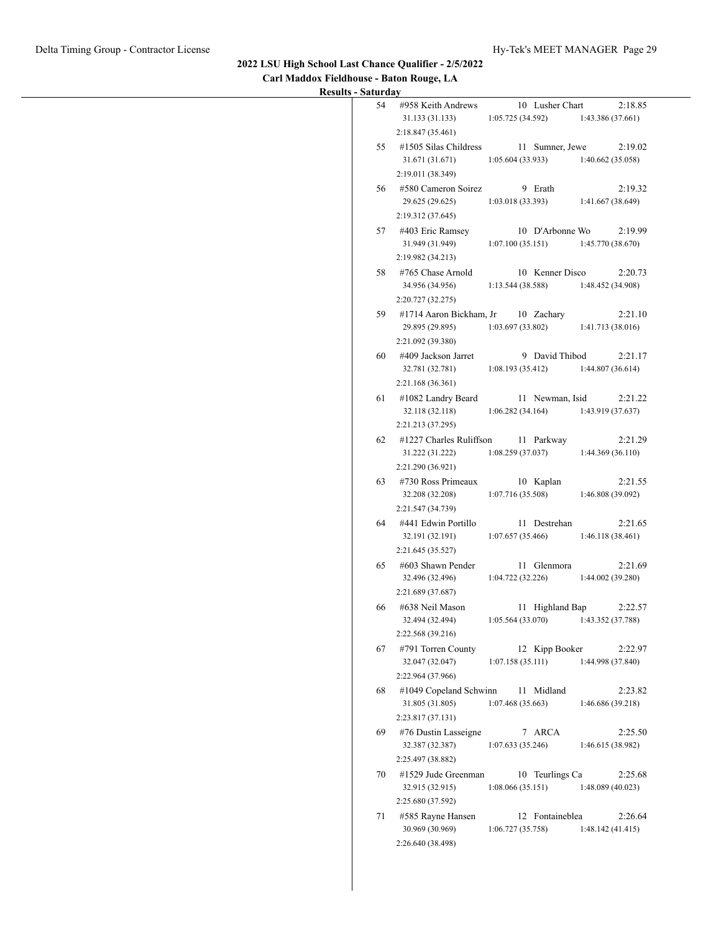#### **2022 LSU High School Last Chance Qualifier - 2/5/2022 Carl Maddox Fieldhouse - Baton Rouge, LA**

**Results - Saturday**

| 54 | #958 Keith Andrews<br>10 Lusher Chart<br>2:18.85                                                                                                       |
|----|--------------------------------------------------------------------------------------------------------------------------------------------------------|
|    | 31.133 (31.133)<br>1:05.725(34.592)<br>1:43.386(37.661)                                                                                                |
|    | 2:18.847(35.461)                                                                                                                                       |
| 55 | 11 Sumner, Jewe<br>#1505 Silas Childress<br>2:19.02<br>31.671 (31.671)<br>1:05.604(33.933)<br>1:40.662(35.058)                                         |
|    | 2:19.011 (38.349)                                                                                                                                      |
| 56 | #580 Cameron Soirez<br>9 Erath<br>2:19.32<br>29.625 (29.625)<br>1:03.018(33.393)<br>1:41.667 (38.649)<br>2:19.312 (37.645)                             |
|    | 57 #403 Eric Ramsey<br>10 D'Arbonne Wo<br>2:19.99<br>31.949 (31.949)<br>1:07.100(35.151)<br>1:45.770(38.670)                                           |
|    | 2:19.982 (34.213)                                                                                                                                      |
| 58 | 10 Kenner Disco<br>#765 Chase Arnold<br>2:20.73<br>34.956 (34.956)<br>1:13.544(38.588)<br>1:48.452 (34.908)<br>2:20.727 (32.275)                       |
|    | 59 #1714 Aaron Bickham, Jr<br>10 Zachary<br>2:21.10<br>29.895 (29.895)<br>1:03.697(33.802)<br>1:41.713 (38.016)                                        |
| 60 | 2:21.092 (39.380)<br>#409 Jackson Jarret<br>9 David Thibod<br>2:21.17<br>32.781 (32.781)<br>1:08.193(35.412)<br>1:44.807(36.614)                       |
| 61 | 2:21.168 (36.361)<br>#1082 Landry Beard<br>11 Newman, Isid<br>2:21.22<br>32.118 (32.118)<br>1:06.282(34.164)<br>1:43.919 (37.637)<br>2:21.213 (37.295) |
| 62 | #1227 Charles Ruliffson<br>11 Parkway<br>2:21.29<br>31.222 (31.222)<br>1:08.259(37.037)<br>1:44.369(36.110)<br>2:21.290 (36.921)                       |
| 63 | #730 Ross Primeaux<br>10 Kaplan<br>2:21.55<br>1:07.716(35.508)<br>32.208 (32.208)<br>1:46.808 (39.092)<br>2:21.547 (34.739)                            |
| 64 | #441 Edwin Portillo<br>11 Destrehan<br>2:21.65<br>32.191 (32.191)<br>1:07.657(35.466)<br>1:46.118(38.461)                                              |
| 65 | 2:21.645 (35.527)<br>#603 Shawn Pender<br>11 Glenmora<br>2:21.69<br>1:04.722(32.226)<br>1:44.002(39.280)<br>32.496 (32.496)                            |
| 66 | 2:21.689 (37.687)<br>#638 Neil Mason<br>11 Highland Bap<br>2:22.57<br>1:05.564(33.070)<br>1:43.352 (37.788)<br>32.494 (32.494)<br>2:22.568 (39.216)    |
| 67 | #791 Torren County<br>12 Kipp Booker<br>2:22.97<br>32.047 (32.047)<br>1:07.158(35.111)<br>1:44.998 (37.840)<br>2:22.964 (37.966)                       |
| 68 | #1049 Copeland Schwinn<br>11 Midland<br>2:23.82<br>31.805 (31.805)<br>1:07.468(35.663)<br>1:46.686 (39.218)<br>2:23.817 (37.131)                       |
| 69 | #76 Dustin Lasseigne<br>7 ARCA<br>2:25.50<br>32.387 (32.387)<br>1:07.633(35.246)<br>1:46.615 (38.982)                                                  |
| 70 | 2:25.497 (38.882)<br>#1529 Jude Greenman<br>10 Teurlings Ca<br>2:25.68<br>32.915 (32.915)<br>1:08.066(35.151)<br>1:48.089(40.023)<br>2:25.680 (37.592) |
| 71 | 12 Fontaineblea<br>#585 Rayne Hansen<br>2:26.64<br>30.969 (30.969)<br>1:06.727(35.758)<br>1:48.142(41.415)<br>2:26.640 (38.498)                        |
|    |                                                                                                                                                        |

 $\overline{\phantom{a}}$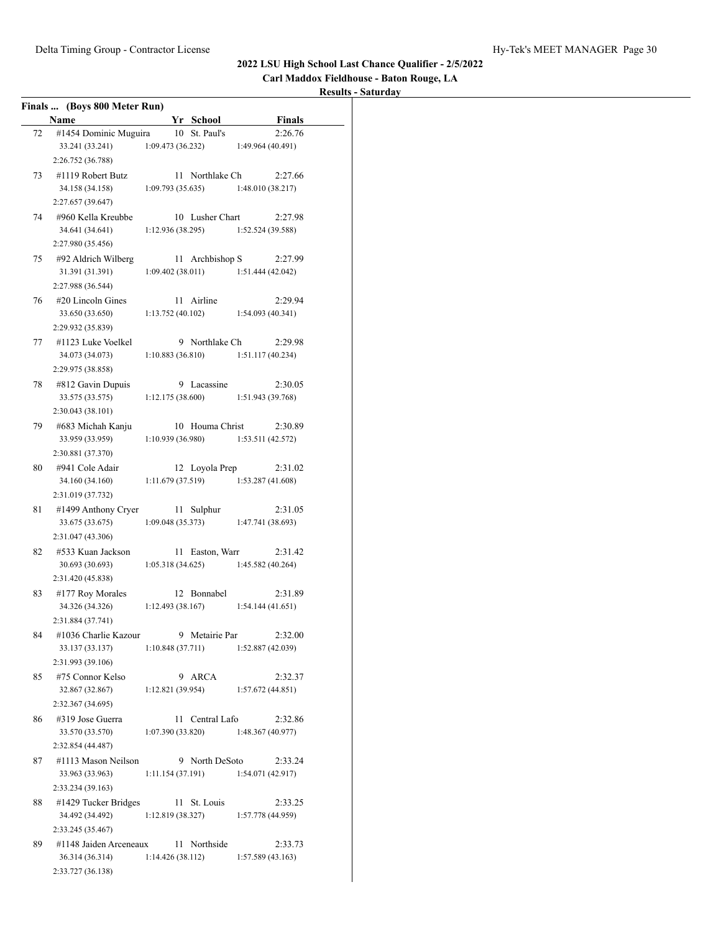**Carl Maddox Fieldhouse - Baton Rouge, LA**

|    | Finals  (Boys 800 Meter Run)         |                  |    |                                       |                   |               |
|----|--------------------------------------|------------------|----|---------------------------------------|-------------------|---------------|
|    | Name                                 |                  |    | Yr School                             |                   | <b>Finals</b> |
| 72 | #1454 Dominic Muguira                |                  |    | 10 St. Paul's                         |                   | 2:26.76       |
|    | 33.241 (33.241)<br>2:26.752 (36.788) | 1:09.473(36.232) |    |                                       | 1:49.964 (40.491) |               |
| 73 | #1119 Robert Butz                    |                  |    | 11 Northlake Ch                       |                   | 2:27.66       |
|    | 34.158 (34.158)                      | 1:09.793(35.635) |    |                                       | 1:48.010 (38.217) |               |
|    | 2:27.657 (39.647)                    |                  |    |                                       |                   |               |
| 74 | #960 Kella Kreubbe                   |                  |    | 10 Lusher Chart                       |                   | 2:27.98       |
|    | 34.641 (34.641)                      |                  |    | $1:12.936(38.295)$ $1:52.524(39.588)$ |                   |               |
|    | 2:27.980 (35.456)                    |                  |    |                                       |                   |               |
| 75 | #92 Aldrich Wilberg                  |                  |    | 11 Archbishop S                       |                   | 2:27.99       |
|    | 31.391 (31.391)                      |                  |    | 1:09.402(38.011)                      | 1:51.444 (42.042) |               |
|    | 2:27.988 (36.544)                    |                  |    |                                       |                   |               |
| 76 | $#20$ Lincoln Gines                  |                  |    | 11 Airline                            |                   | 2:29.94       |
|    | 33.650 (33.650)                      | 1:13.752(40.102) |    |                                       | 1:54.093(40.341)  |               |
|    | 2:29.932 (35.839)                    |                  |    |                                       |                   |               |
| 77 | #1123 Luke Voelkel                   |                  |    | 9 Northlake Ch                        |                   | 2:29.98       |
|    | 34.073 (34.073)                      |                  |    | 1:10.883(36.810)                      | 1:51.117(40.234)  |               |
|    | 2:29.975 (38.858)                    |                  |    |                                       |                   |               |
| 78 | #812 Gavin Dupuis                    |                  |    | 9 Lacassine                           |                   | 2:30.05       |
|    | 33.575 (33.575)                      |                  |    | 1:12.175(38.600)                      | 1:51.943 (39.768) |               |
|    | 2:30.043 (38.101)                    |                  |    |                                       |                   |               |
| 79 | #683 Michah Kanju                    |                  |    | 10 Houma Christ                       |                   | 2:30.89       |
|    | 33.959 (33.959)                      | 1:10.939(36.980) |    |                                       | 1:53.511(42.572)  |               |
|    | 2:30.881 (37.370)                    |                  |    |                                       |                   |               |
| 80 | #941 Cole Adair                      |                  |    | 12 Loyola Prep                        |                   | 2:31.02       |
|    | 34.160 (34.160)                      |                  |    | 1:11.679(37.519)                      | 1:53.287(41.608)  |               |
|    | 2:31.019 (37.732)                    |                  |    |                                       |                   |               |
| 81 | #1499 Anthony Cryer                  |                  |    | 11 Sulphur                            |                   | 2:31.05       |
|    | 33.675 (33.675)                      | 1:09.048(35.373) |    |                                       | 1:47.741 (38.693) |               |
|    | 2:31.047 (43.306)                    |                  |    |                                       |                   |               |
| 82 | #533 Kuan Jackson                    |                  |    | 11 Easton, Warr                       |                   | 2:31.42       |
|    | 30.693 (30.693)                      | 1:05.318(34.625) |    |                                       | 1:45.582 (40.264) |               |
|    | 2:31.420 (45.838)                    |                  |    |                                       |                   |               |
| 83 | #177 Roy Morales                     |                  |    | 12 Bonnabel                           |                   | 2:31.89       |
|    | 34.326 (34.326)                      | 1:12.493(38.167) |    |                                       | 1:54.144(41.651)  |               |
|    | 2:31.884 (37.741)                    |                  |    |                                       |                   |               |
| 84 | #1036 Charlie Kazour                 |                  | 9. | Metairie Par                          |                   | 2:32.00       |
|    | 33.137 (33.137)                      | 1:10.848(37.711) |    |                                       | 1:52.887(42.039)  |               |
|    | 2:31.993 (39.106)                    |                  |    |                                       |                   |               |
| 85 | #75 Connor Kelso                     |                  | 9  | ARCA                                  |                   | 2:32.37       |
|    | 32.867 (32.867)                      | 1:12.821(39.954) |    |                                       | 1:57.672(44.851)  |               |
|    | 2:32.367 (34.695)                    |                  |    |                                       |                   |               |
| 86 | #319 Jose Guerra                     |                  | 11 | Central Lafo                          |                   | 2:32.86       |
|    | 33.570 (33.570)                      | 1:07.390(33.820) |    |                                       | 1:48.367(40.977)  |               |
|    | 2:32.854 (44.487)                    |                  |    |                                       |                   |               |
| 87 | #1113 Mason Neilson                  |                  |    | 9 North DeSoto                        |                   | 2:33.24       |
|    | 33.963 (33.963)                      | 1:11.154(37.191) |    |                                       | 1:54.071 (42.917) |               |
|    | 2:33.234 (39.163)                    |                  |    |                                       |                   |               |
| 88 | #1429 Tucker Bridges                 |                  |    | 11 St. Louis                          |                   | 2:33.25       |
|    | 34.492 (34.492)                      | 1:12.819(38.327) |    |                                       | 1:57.778 (44.959) |               |
|    | 2:33.245 (35.467)                    |                  |    |                                       |                   |               |
| 89 | #1148 Jaiden Arceneaux               |                  | 11 | Northside                             |                   | 2:33.73       |
|    | 36.314 (36.314)                      | 1:14.426(38.112) |    |                                       | 1:57.589(43.163)  |               |
|    | 2:33.727 (36.138)                    |                  |    |                                       |                   |               |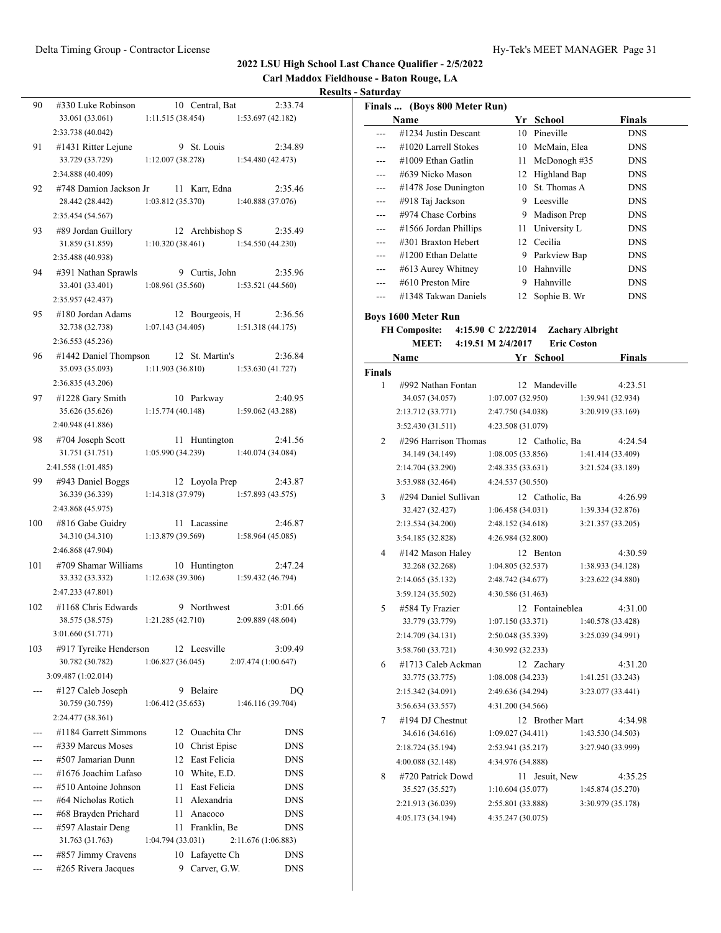**Carl Maddox Fieldhouse - Baton Rouge, LA Results - Saturday**

| 90  | #330 Luke Robinson                                       |                   |      | 10 Central, Bat                       |                     | 2:33.74    |
|-----|----------------------------------------------------------|-------------------|------|---------------------------------------|---------------------|------------|
|     | 33.061 (33.061)                                          | 1:11.515(38.454)  |      |                                       | 1:53.697 (42.182)   |            |
|     | 2:33.738 (40.042)                                        |                   |      |                                       |                     |            |
| 91  | $#1431$ Ritter Lejune                                    |                   |      | 9 St. Louis                           |                     | 2:34.89    |
|     | 33.729 (33.729)                                          | 1:12.007(38.278)  |      |                                       | 1:54.480 (42.473)   |            |
|     | 2:34.888 (40.409)                                        |                   |      |                                       |                     |            |
| 92  | #748 Damion Jackson Jr                                   |                   |      | 11 Karr, Edna                         |                     | 2:35.46    |
|     | 28.442 (28.442)                                          |                   |      | $1:03.812(35.370)$ $1:40.888(37.076)$ |                     |            |
|     | 2:35.454 (54.567)                                        |                   |      |                                       |                     |            |
| 93  | #89 Jordan Guillory                                      |                   |      | 12 Archbishop S                       |                     | 2:35.49    |
|     | 31.859 (31.859)                                          |                   |      | 1:10.320(38.461)                      | 1:54.550(44.230)    |            |
|     | 2:35.488 (40.938)                                        |                   |      |                                       |                     |            |
| 94  | #391 Nathan Sprawls                                      |                   |      | 9 Curtis, John                        |                     | 2:35.96    |
|     | 33.401 (33.401)                                          |                   |      | 1:08.961(35.560)                      | 1:53.521 (44.560)   |            |
|     | 2:35.957 (42.437)                                        |                   |      |                                       |                     |            |
| 95  | #180 Jordan Adams                                        |                   |      | 12 Bourgeois, H                       |                     | 2:36.56    |
|     | 32.738 (32.738)                                          |                   |      | 1:07.143(34.405)                      | 1:51.318(44.175)    |            |
|     | 2:36.553 (45.236)                                        |                   |      |                                       |                     |            |
|     |                                                          |                   |      |                                       |                     |            |
| 96  | #1442 Daniel Thompson 12 St. Martin's<br>35.093 (35.093) |                   |      |                                       |                     | 2:36.84    |
|     |                                                          |                   |      | $1:11.903(36.810)$ $1:53.630(41.727)$ |                     |            |
|     | 2:36.835 (43.206)                                        |                   |      |                                       |                     |            |
| 97  | #1228 Gary Smith                                         |                   |      | 10 Parkway                            |                     | 2:40.95    |
|     | 35.626 (35.626)                                          |                   |      | $1:15.774(40.148)$ $1:59.062(43.288)$ |                     |            |
|     | 2:40.948 (41.886)                                        |                   |      |                                       |                     |            |
| 98  | #704 Joseph Scott                                        |                   |      | 11 Huntington                         |                     | 2:41.56    |
|     | 31.751 (31.751)                                          |                   |      | $1:05.990(34.239)$ $1:40.074(34.084)$ |                     |            |
|     | 2:41.558 (1:01.485)                                      |                   |      |                                       |                     |            |
| 99  | #943 Daniel Boggs                                        |                   |      | 12 Loyola Prep                        |                     | 2:43.87    |
|     | 36.339 (36.339)                                          |                   |      | 1:14.318(37.979)                      | 1:57.893(43.575)    |            |
|     | 2:43.868 (45.975)                                        |                   |      |                                       |                     |            |
| 100 | #816 Gabe Guidry                                         |                   |      | 11 Lacassine                          |                     | 2:46.87    |
|     | 34.310 (34.310)                                          | 1:13.879 (39.569) |      |                                       | 1:58.964(45.085)    |            |
|     | 2:46.868 (47.904)                                        |                   |      |                                       |                     |            |
| 101 | #709 Shamar Williams                                     |                   |      | 10 Huntington                         |                     | 2:47.24    |
|     | 33.332 (33.332)                                          | 1:12.638(39.306)  |      |                                       | 1:59.432 (46.794)   |            |
|     | 2:47.233 (47.801)                                        |                   |      |                                       |                     |            |
| 102 | #1168 Chris Edwards                                      |                   |      | 9 Northwest                           |                     | 3:01.66    |
|     | 38.575 (38.575) 1:21.285 (42.710)                        |                   |      |                                       | 2:09.889 (48.604)   |            |
|     | 3:01.660 (51.771)                                        |                   |      |                                       |                     |            |
| 103 | #917 Tyreike Henderson                                   |                   |      | 12 Leesville                          |                     | 3:09.49    |
|     | 30.782 (30.782)                                          | 1:06.827(36.045)  |      |                                       | 2:07.474 (1:00.647) |            |
|     | 3:09.487 (1:02.014)                                      |                   |      |                                       |                     |            |
| --- | #127 Caleb Joseph                                        |                   | 9    | Belaire                               |                     | DQ         |
|     | 30.759 (30.759)                                          | 1:06.412(35.653)  |      |                                       | 1:46.116 (39.704)   |            |
|     | 2:24.477 (38.361)                                        |                   |      |                                       |                     |            |
|     | #1184 Garrett Simmons                                    |                   | 12   | Ouachita Chr                          |                     | <b>DNS</b> |
|     | #339 Marcus Moses                                        |                   | 10   | Christ Episc                          |                     | <b>DNS</b> |
|     | #507 Jamarian Dunn                                       |                   |      | 12 East Felicia                       |                     | DNS        |
|     | #1676 Joachim Lafaso                                     |                   |      | 10 White, E.D.                        |                     | <b>DNS</b> |
|     | #510 Antoine Johnson                                     |                   | 11   | East Felicia                          |                     | <b>DNS</b> |
|     | #64 Nicholas Rotich                                      |                   | 11 - | Alexandria                            |                     | <b>DNS</b> |
|     | #68 Brayden Prichard                                     |                   | 11   | Anacoco                               |                     | <b>DNS</b> |
|     | #597 Alastair Deng                                       |                   | 11   | Franklin, Be                          |                     | <b>DNS</b> |
|     | 31.763 (31.763)                                          | 1:04.794 (33.031) |      |                                       | 2:11.676 (1:06.883) |            |
|     | #857 Jimmy Cravens                                       |                   | 10   | Lafayette Ch                          |                     | DNS        |
|     | #265 Rivera Jacques                                      |                   | 9    | Carver, G.W.                          |                     | <b>DNS</b> |

|     | Finals  (Boys 800 Meter Run) |     |              |               |  |
|-----|------------------------------|-----|--------------|---------------|--|
|     | Name                         | Yr. | School       | <b>Finals</b> |  |
|     | #1234 Justin Descant         | 10  | Pineville    | <b>DNS</b>    |  |
|     | $\#1020$ Larrell Stokes      | 10  | McMain, Elea | <b>DNS</b>    |  |
| --- | $\#1009$ Ethan Gatlin        | 11  | McDonogh#35  | <b>DNS</b>    |  |
| --- | #639 Nicko Mason             | 12  | Highland Bap | <b>DNS</b>    |  |
| --- | $\#1478$ Jose Dunington      | 10  | St. Thomas A | <b>DNS</b>    |  |
| --- | #918 Taj Jackson             | 9   | Leesville    | <b>DNS</b>    |  |
| --- | #974 Chase Corbins           | 9   | Madison Prep | <b>DNS</b>    |  |
| --- | #1566 Jordan Phillips        | 11  | University L | <b>DNS</b>    |  |
|     | #301 Braxton Hebert          | 12. | Cecilia      | <b>DNS</b>    |  |
| --- | #1200 Ethan Delatte          | 9   | Parkview Bap | <b>DNS</b>    |  |
| --- | #613 Aurey Whitney           | 10  | Hahnville    | <b>DNS</b>    |  |
| --- | #610 Preston Mire            | 9   | Hahnville    | <b>DNS</b>    |  |
|     | #1348 Takwan Daniels         | 12. | Sophie B. Wr | <b>DNS</b>    |  |

**Boys 1600 Meter Run**

## **FH Composite: 4:15.90 C 2/22/2014 Zachary Albright**

#### **MEET: 4:19.51 M 2/4/2017 Eric Coston Name Yr School Finals**

|        | Name                 | r r               | <b>SCHOOL</b>   | r Inais           |
|--------|----------------------|-------------------|-----------------|-------------------|
| Finals |                      |                   |                 |                   |
| 1      | #992 Nathan Fontan   |                   | 12 Mandeville   | 4:23.51           |
|        | 34.057 (34.057)      | 1:07.007(32.950)  |                 | 1:39.941 (32.934) |
|        | 2:13.712 (33.771)    | 2:47.750 (34.038) |                 | 3:20.919 (33.169) |
|        | 3:52.430(31.511)     | 4:23.508 (31.079) |                 |                   |
| 2      | #296 Harrison Thomas |                   | 12 Catholic, Ba | 4:24.54           |
|        | 34.149 (34.149)      | 1:08.005(33.856)  |                 | 1:41.414 (33.409) |
|        | 2:14.704 (33.290)    | 2:48.335 (33.631) |                 | 3:21.524 (33.189) |
|        | 3:53.988 (32.464)    | 4:24.537 (30.550) |                 |                   |
| 3      | #294 Daniel Sullivan |                   | 12 Catholic, Ba | 4:26.99           |
|        | 32.427 (32.427)      | 1:06.458(34.031)  |                 | 1:39.334(32.876)  |
|        | 2:13.534 (34.200)    | 2:48.152 (34.618) |                 | 3:21.357 (33.205) |
|        | 3:54.185 (32.828)    | 4:26.984 (32.800) |                 |                   |
| 4      | #142 Mason Haley     |                   | 12 Benton       | 4:30.59           |
|        | 32.268 (32.268)      | 1:04.805(32.537)  |                 | 1:38.933(34.128)  |
|        | 2:14.065(35.132)     | 2:48.742 (34.677) |                 | 3:23.622 (34.880) |
|        | 3:59.124 (35.502)    | 4:30.586 (31.463) |                 |                   |
| 5      | #584 Ty Frazier      |                   | 12 Fontaineblea | 4:31.00           |
|        | 33.779 (33.779)      | 1:07.150(33.371)  |                 | 1:40.578 (33.428) |
|        | 2:14.709 (34.131)    | 2:50.048 (35.339) |                 | 3:25.039 (34.991) |
|        | 3:58.760 (33.721)    | 4:30.992 (32.233) |                 |                   |
| 6      | #1713 Caleb Ackman   |                   | 12 Zachary      | 4:31.20           |
|        | 33.775 (33.775)      | 1:08.008(34.233)  |                 | 1:41.251 (33.243) |
|        | 2:15.342 (34.091)    | 2:49.636 (34.294) |                 | 3:23.077 (33.441) |
|        | 3:56.634(33.557)     | 4:31.200 (34.566) |                 |                   |
| 7      | #194 DJ Chestnut     |                   | 12 Brother Mart | 4:34.98           |
|        | 34.616 (34.616)      | 1:09.027(34.411)  |                 | 1:43.530(34.503)  |
|        | 2:18.724 (35.194)    | 2:53.941(35.217)  |                 | 3:27.940 (33.999) |
|        | 4:00.088(32.148)     | 4:34.976 (34.888) |                 |                   |
| 8      | #720 Patrick Dowd    | 11.               | Jesuit, New     | 4:35.25           |
|        | 35.527 (35.527)      | 1:10.604 (35.077) |                 | 1:45.874 (35.270) |
|        | 2:21.913 (36.039)    | 2:55.801 (33.888) |                 | 3:30.979 (35.178) |
|        | 4:05.173(34.194)     | 4:35.247 (30.075) |                 |                   |
|        |                      |                   |                 |                   |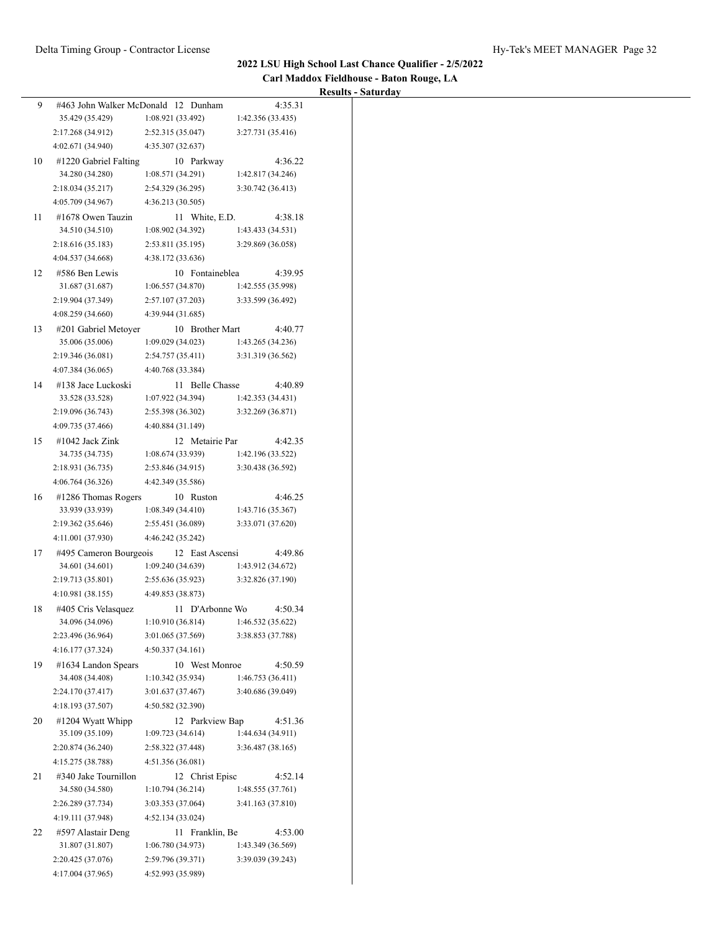| Carl Maddox Fieldhouse - Baton Rouge, LA |  |
|------------------------------------------|--|
| <b>Results - Saturday</b>                |  |

|    |                                      |                                        |                                        | Results - Saturday |
|----|--------------------------------------|----------------------------------------|----------------------------------------|--------------------|
| 9. | #463 John Walker McDonald 12 Dunham  |                                        | 4:35.31                                |                    |
|    | 35.429 (35.429)<br>2:17.268 (34.912) | 1:08.921 (33.492)<br>2:52.315 (35.047) | 1:42.356 (33.435)<br>3:27.731 (35.416) |                    |
|    | 4:02.671 (34.940)                    | 4:35.307 (32.637)                      |                                        |                    |
| 10 | #1220 Gabriel Falting                | 10 Parkway                             | 4:36.22                                |                    |
|    | 34.280 (34.280)                      | 1:08.571 (34.291)                      | 1:42.817 (34.246)                      |                    |
|    | 2:18.034(35.217)                     | 2:54.329 (36.295)                      | 3:30.742 (36.413)                      |                    |
|    | 4:05.709 (34.967)                    | 4:36.213 (30.505)                      |                                        |                    |
| 11 | #1678 Owen Tauzin                    | 11 White, E.D.                         | 4:38.18                                |                    |
|    | 34.510 (34.510)                      | 1:08.902 (34.392)                      | 1:43.433 (34.531)                      |                    |
|    | 2:18.616(35.183)                     | 2:53.811 (35.195)                      | 3:29.869 (36.058)                      |                    |
|    | 4:04.537 (34.668)                    | 4:38.172 (33.636)                      |                                        |                    |
| 12 | #586 Ben Lewis                       | 10 Fontaineblea                        | 4:39.95                                |                    |
|    | 31.687 (31.687)                      | 1:06.557(34.870)                       | 1:42.555 (35.998)                      |                    |
|    | 2:19.904 (37.349)                    | 2:57.107 (37.203)                      | 3:33.599 (36.492)                      |                    |
|    | 4:08.259 (34.660)                    | 4:39.944 (31.685)                      |                                        |                    |
| 13 | #201 Gabriel Metoyer                 | 10 Brother Mart                        | 4:40.77                                |                    |
|    | 35.006 (35.006)                      | 1:09.029(34.023)                       | 1:43.265 (34.236)                      |                    |
|    | 2:19.346 (36.081)                    | 2:54.757 (35.411)                      | 3:31.319 (36.562)                      |                    |
|    | 4:07.384 (36.065)                    | 4:40.768 (33.384)                      |                                        |                    |
| 14 | #138 Jace Luckoski                   | 11 Belle Chasse                        | 4:40.89                                |                    |
|    | 33.528 (33.528)                      | 1:07.922 (34.394)                      | 1:42.353 (34.431)                      |                    |
|    | 2:19.096 (36.743)                    | 2:55.398 (36.302)                      | 3:32.269 (36.871)                      |                    |
|    | 4:09.735 (37.466)                    | 4:40.884 (31.149)                      |                                        |                    |
| 15 | #1042 Jack Zink                      | 12 Metairie Par                        | 4:42.35                                |                    |
|    | 34.735 (34.735)                      | 1:08.674(33.939)                       | 1:42.196 (33.522)                      |                    |
|    | 2:18.931 (36.735)                    | 2:53.846 (34.915)                      | 3:30.438 (36.592)                      |                    |
|    | 4:06.764 (36.326)                    | 4:42.349 (35.586)                      |                                        |                    |
| 16 | #1286 Thomas Rogers                  | 10 Ruston                              | 4:46.25                                |                    |
|    | 33.939 (33.939)                      | 1:08.349(34.410)                       | 1:43.716 (35.367)                      |                    |
|    | 2:19.362 (35.646)                    | 2:55.451 (36.089)                      | 3:33.071 (37.620)                      |                    |
|    | 4:11.001 (37.930)                    | 4:46.242 (35.242)                      |                                        |                    |
| 17 | #495 Cameron Bourgeois               | 12 East Ascensi                        | 4:49.86                                |                    |
|    | 34.601 (34.601)                      | 1:09.240 (34.639)                      | 1:43.912 (34.672)                      |                    |
|    | 2:19.713 (35.801)                    | 2:55.636 (35.923)                      | 3:32.826 (37.190)                      |                    |
|    | 4:10.981 (38.155)                    | 4:49.853 (38.873)                      |                                        |                    |
| 18 | #405 Cris Velasquez                  | 11 D'Arbonne Wo                        | 4:50.34                                |                    |
|    | 34.096 (34.096)                      | 1:10.910 (36.814)                      | 1:46.532 (35.622)                      |                    |
|    | 2:23.496 (36.964)                    | 3:01.065 (37.569)                      | 3:38.853 (37.788)                      |                    |
|    | 4:16.177 (37.324)                    | 4:50.337(34.161)                       |                                        |                    |
| 19 | #1634 Landon Spears                  | 10 West Monroe                         | 4:50.59                                |                    |
|    | 34.408 (34.408)                      | 1:10.342 (35.934)                      | 1:46.753 (36.411)                      |                    |
|    | 2:24.170 (37.417)                    | 3:01.637 (37.467)                      | 3:40.686 (39.049)                      |                    |
|    | 4:18.193 (37.507)                    | 4:50.582 (32.390)                      |                                        |                    |
| 20 | #1204 Wyatt Whipp                    | 12 Parkview Bap                        | 4:51.36                                |                    |
|    | 35.109 (35.109)                      | 1:09.723 (34.614)                      | 1:44.634 (34.911)                      |                    |
|    | 2:20.874 (36.240)                    | 2:58.322 (37.448)                      | 3:36.487 (38.165)                      |                    |
|    | 4:15.275 (38.788)                    | 4:51.356 (36.081)                      |                                        |                    |
| 21 | #340 Jake Tournillon                 | 12 Christ Episc                        | 4:52.14                                |                    |
|    | 34.580 (34.580)                      | 1:10.794 (36.214)                      | 1:48.555 (37.761)                      |                    |
|    | 2:26.289 (37.734)                    | 3:03.353 (37.064)                      | 3:41.163 (37.810)                      |                    |
|    | 4:19.111 (37.948)                    | 4:52.134 (33.024)                      |                                        |                    |
| 22 | #597 Alastair Deng                   | 11 Franklin, Be                        | 4:53.00                                |                    |
|    | 31.807 (31.807)                      | 1:06.780 (34.973)                      | 1:43.349 (36.569)                      |                    |
|    | 2:20.425 (37.076)                    | 2:59.796 (39.371)                      | 3:39.039 (39.243)                      |                    |
|    | 4:17.004 (37.965)                    | 4:52.993 (35.989)                      |                                        |                    |
|    |                                      |                                        |                                        |                    |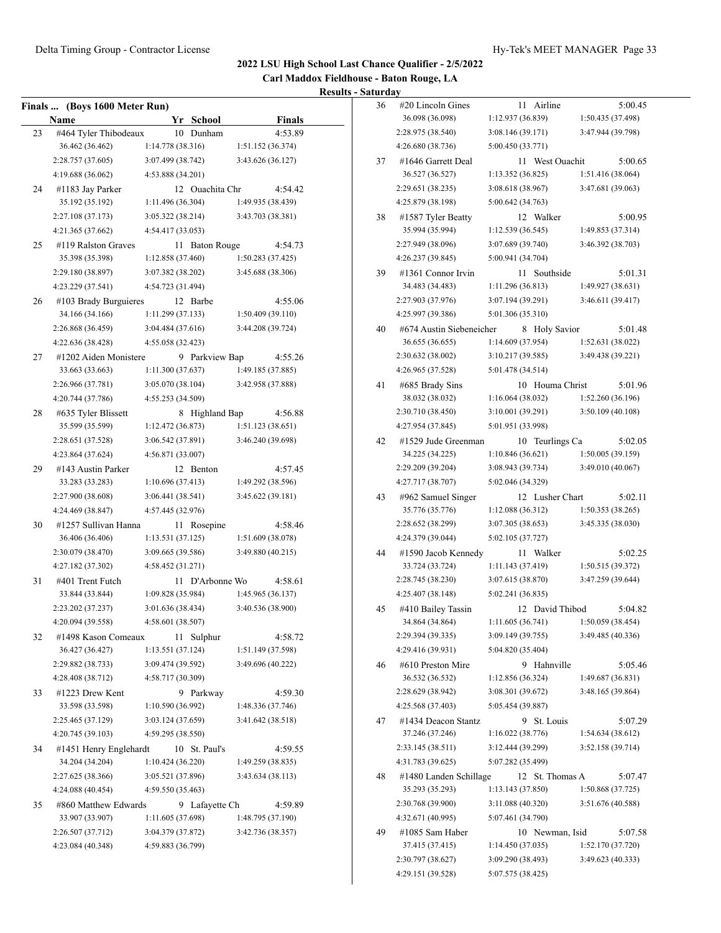**Carl Maddox Fieldhouse - Baton Rouge, LA**

|    | Finals  (Boys 1600 Meter Run) |                   |    |                    |                                       |               |
|----|-------------------------------|-------------------|----|--------------------|---------------------------------------|---------------|
|    | Name                          |                   |    | Yr School          |                                       | <b>Finals</b> |
| 23 | #464 Tyler Thibodeaux         |                   | 10 | Dunham             |                                       | 4:53.89       |
|    | 36.462 (36.462)               | 1:14.778(38.316)  |    |                    | 1:51.152 (36.374)                     |               |
|    | 2:28.757 (37.605)             | 3:07.499 (38.742) |    |                    | 3:43.626 (36.127)                     |               |
|    | 4:19.688 (36.062)             | 4:53.888 (34.201) |    |                    |                                       |               |
| 24 | #1183 Jay Parker              |                   |    | 12 Ouachita Chr    |                                       | 4:54.42       |
|    | 35.192 (35.192)               | 1:11.496 (36.304) |    |                    | 1:49.935 (38.439)                     |               |
|    | 2:27.108 (37.173)             | 3:05.322 (38.214) |    |                    | 3:43.703 (38.381)                     |               |
|    | 4:21.365 (37.662)             | 4:54.417 (33.053) |    |                    |                                       |               |
| 25 | #119 Ralston Graves           |                   | 11 | <b>Baton Rouge</b> |                                       | 4:54.73       |
|    | 35.398 (35.398)               | 1:12.858 (37.460) |    |                    | 1:50.283 (37.425)                     |               |
|    | 2:29.180 (38.897)             | 3:07.382 (38.202) |    |                    | 3:45.688 (38.306)                     |               |
|    | 4:23.229 (37.541)             | 4:54.723 (31.494) |    |                    |                                       |               |
| 26 | #103 Brady Burguieres         |                   |    | 12 Barbe           |                                       | 4:55.06       |
|    | 34.166 (34.166)               | 1:11.299 (37.133) |    |                    | 1:50.409(39.110)                      |               |
|    | 2:26.868 (36.459)             | 3:04.484 (37.616) |    |                    | 3:44.208 (39.724)                     |               |
|    | 4:22.636 (38.428)             | 4:55.058 (32.423) |    |                    |                                       |               |
| 27 | #1202 Aiden Monistere         |                   |    | 9 Parkview Bap     |                                       | 4:55.26       |
|    | 33.663 (33.663)               | 1:11.300(37.637)  |    |                    | 1:49.185 (37.885)                     |               |
|    | 2:26.966 (37.781)             | 3:05.070 (38.104) |    |                    | 3:42.958 (37.888)                     |               |
|    | 4:20.744 (37.786)             | 4:55.253 (34.509) |    |                    |                                       |               |
|    |                               |                   |    |                    |                                       |               |
| 28 | #635 Tyler Blissett           |                   |    | 8 Highland Bap     |                                       | 4:56.88       |
|    | 35.599 (35.599)               | 1:12.472 (36.873) |    |                    | 1:51.123(38.651)<br>3:46.240 (39.698) |               |
|    | 2:28.651 (37.528)             | 3:06.542 (37.891) |    |                    |                                       |               |
|    | 4:23.864 (37.624)             | 4:56.871 (33.007) |    |                    |                                       |               |
| 29 | #143 Austin Parker            |                   |    | 12 Benton          |                                       | 4:57.45       |
|    | 33.283 (33.283)               | 1:10.696(37.413)  |    |                    | 1:49.292 (38.596)                     |               |
|    | 2:27.900 (38.608)             | 3:06.441 (38.541) |    |                    | 3:45.622 (39.181)                     |               |
|    | 4:24.469 (38.847)             | 4:57.445 (32.976) |    |                    |                                       |               |
| 30 | #1257 Sullivan Hanna          |                   | 11 | Rosepine           |                                       | 4:58.46       |
|    | 36.406 (36.406)               | 1:13.531(37.125)  |    |                    | 1:51.609 (38.078)                     |               |
|    | 2:30.079 (38.470)             | 3:09.665 (39.586) |    |                    | 3:49.880 (40.215)                     |               |
|    | 4:27.182 (37.302)             | 4:58.452 (31.271) |    |                    |                                       |               |
| 31 | #401 Trent Futch              |                   | 11 | D'Arbonne Wo       |                                       | 4:58.61       |
|    | 33.844 (33.844)               | 1:09.828(35.984)  |    |                    | 1:45.965 (36.137)                     |               |
|    | 2:23.202 (37.237)             | 3:01.636 (38.434) |    |                    | 3:40.536 (38.900)                     |               |
|    | 4:20.094 (39.558)             | 4:58.601 (38.507) |    |                    |                                       |               |
| 32 | #1498 Kason Comeaux           |                   | 11 | Sulphur            |                                       | 4:58.72       |
|    | 36.427 (36.427)               | 1:13.551 (37.124) |    |                    | 1:51.149 (37.598)                     |               |
|    | 2:29.882 (38.733)             | 3:09.474 (39.592) |    |                    | 3:49.696 (40.222)                     |               |
|    | 4:28.408 (38.712)             | 4:58.717 (30.309) |    |                    |                                       |               |
| 33 | #1223 Drew Kent               |                   |    | 9 Parkway          |                                       | 4:59.30       |
|    | 33.598 (33.598)               | 1:10.590 (36.992) |    |                    | 1:48.336 (37.746)                     |               |
|    | 2:25.465 (37.129)             | 3:03.124 (37.659) |    |                    | 3:41.642 (38.518)                     |               |
|    | 4:20.745 (39.103)             | 4:59.295 (38.550) |    |                    |                                       |               |
| 34 | #1451 Henry Englehardt        |                   |    | 10 St. Paul's      |                                       | 4:59.55       |
|    | 34.204 (34.204)               | 1:10.424(36.220)  |    |                    | 1:49.259 (38.835)                     |               |
|    | 2:27.625 (38.366)             | 3:05.521 (37.896) |    |                    | 3:43.634(38.113)                      |               |
|    | 4:24.088 (40.454)             | 4:59.550 (35.463) |    |                    |                                       |               |
| 35 | #860 Matthew Edwards          |                   | 9. | Lafayette Ch       |                                       | 4:59.89       |
|    | 33.907 (33.907)               | 1:11.605 (37.698) |    |                    | 1:48.795 (37.190)                     |               |
|    | 2:26.507 (37.712)             | 3:04.379 (37.872) |    |                    | 3:42.736 (38.357)                     |               |
|    | 4:23.084 (40.348)             | 4:59.883 (36.799) |    |                    |                                       |               |
|    |                               |                   |    |                    |                                       |               |

| 36 | $\#20$ Lincoln Gines                   |                                        | 11 | Airline            |                   | 5:00.45 |
|----|----------------------------------------|----------------------------------------|----|--------------------|-------------------|---------|
|    | 36.098 (36.098)                        | 1:12.937 (36.839)                      |    |                    | 1:50.435 (37.498) |         |
|    | 2:28.975 (38.540)                      | 3:08.146 (39.171)                      |    |                    | 3:47.944 (39.798) |         |
|    | 4:26.680 (38.736)                      | 5:00.450 (33.771)                      |    |                    |                   |         |
| 37 | #1646 Garrett Deal                     |                                        |    | 11 West Ouachit    |                   | 5:00.65 |
|    | 36.527 (36.527)                        | 1:13.352 (36.825)                      |    |                    | 1:51.416 (38.064) |         |
|    | 2:29.651 (38.235)                      | 3:08.618 (38.967)                      |    |                    | 3:47.681 (39.063) |         |
|    | 4:25.879 (38.198)                      | 5:00.642 (34.763)                      |    |                    |                   |         |
| 38 | #1587 Tyler Beatty                     |                                        |    | 12 Walker          |                   | 5:00.95 |
|    | 35.994 (35.994)                        | 1:12.539 (36.545)                      |    |                    | 1:49.853 (37.314) |         |
|    | 2:27.949 (38.096)                      | 3:07.689 (39.740)                      |    |                    | 3:46.392 (38.703) |         |
|    | 4:26.237 (39.845)                      | 5:00.941 (34.704)                      |    |                    |                   |         |
| 39 | #1361 Connor Irvin                     |                                        | 11 | Southside          |                   | 5:01.31 |
|    | 34.483 (34.483)                        | 1:11.296(36.813)                       |    |                    | 1:49.927 (38.631) |         |
|    | 2:27.903 (37.976)                      | 3:07.194 (39.291)                      |    |                    | 3:46.611 (39.417) |         |
|    | 4:25.997 (39.386)                      | 5:01.306 (35.310)                      |    |                    |                   |         |
| 40 | #674 Austin Siebeneicher               |                                        | 8  | <b>Holy Savior</b> |                   | 5:01.48 |
|    | 36.655 (36.655)                        | 1:14.609 (37.954)                      |    |                    | 1:52.631(38.022)  |         |
|    | 2:30.632 (38.002)                      | 3:10.217 (39.585)                      |    |                    | 3:49.438 (39.221) |         |
|    | 4:26.965 (37.528)                      | 5:01.478 (34.514)                      |    |                    |                   |         |
| 41 | #685 Brady Sins                        |                                        | 10 | Houma Christ       |                   | 5:01.96 |
|    | 38.032 (38.032)                        | 1:16.064(38.032)                       |    |                    | 1:52.260 (36.196) |         |
|    | 2:30.710 (38.450)                      | 3:10.001 (39.291)                      |    |                    | 3:50.109 (40.108) |         |
|    | 4:27.954 (37.845)                      | 5:01.951 (33.998)                      |    |                    |                   |         |
| 42 | #1529 Jude Greenman                    |                                        | 10 | Teurlings Ca       |                   | 5:02.05 |
|    | 34.225 (34.225)                        | 1:10.846 (36.621)                      |    |                    | 1:50.005(39.159)  |         |
|    | 2:29.209 (39.204)                      | 3:08.943 (39.734)                      |    |                    | 3:49.010 (40.067) |         |
|    | 4:27.717 (38.707)                      | 5:02.046 (34.329)                      |    |                    |                   |         |
| 43 | #962 Samuel Singer                     |                                        |    | 12 Lusher Chart    |                   | 5:02.11 |
|    | 35.776 (35.776)                        | 1:12.088 (36.312)                      |    |                    | 1:50.353(38.265)  |         |
|    | 2:28.652 (38.299)                      | 3:07.305 (38.653)                      |    |                    | 3:45.335 (38.030) |         |
|    | 4:24.379 (39.044)                      | 5:02.105 (37.727)                      |    |                    |                   |         |
| 44 | #1590 Jacob Kennedy                    |                                        | 11 | Walker             |                   | 5:02.25 |
|    | 33.724 (33.724)                        | 1:11.143 (37.419)                      |    |                    | 1:50.515 (39.372) |         |
|    | 2:28.745 (38.230)                      | 3:07.615 (38.870)                      |    |                    | 3:47.259 (39.644) |         |
|    | 4:25.407 (38.148)                      | 5:02.241 (36.835)                      |    |                    |                   |         |
| 45 | #410 Bailey Tassin                     |                                        |    | 12 David Thibod    |                   | 5:04.82 |
|    | 34.864 (34.864)                        | 1:11.605(36.741)                       |    |                    | 1:50.059 (38.454) |         |
|    | 2:29.394 (39.335)                      | 3:09.149 (39.755)                      |    |                    | 3:49.485 (40.336) |         |
|    | 4:29.416 (39.931)                      | 5:04.820 (35.404)                      |    |                    |                   |         |
| 46 | #610 Preston Mire                      |                                        | 9. | Hahnville          |                   | 5:05.46 |
|    | 36.532 (36.532)                        | 1:12.856(36.324)                       |    |                    | 1:49.687 (36.831) |         |
|    | 2:28.629 (38.942)                      | 3:08.301 (39.672)                      |    |                    | 3:48.165 (39.864) |         |
|    | 4:25.568 (37.403)                      | 5:05.454 (39.887)                      |    |                    |                   |         |
| 47 | #1434 Deacon Stantz                    |                                        | 9. | St. Louis          |                   | 5:07.29 |
|    | 37.246 (37.246)                        | 1:16.022(38.776)                       |    |                    | 1:54.634(38.612)  |         |
|    | 2:33.145 (38.511)                      | 3:12.444 (39.299)                      |    |                    | 3:52.158 (39.714) |         |
|    | 4:31.783 (39.625)                      | 5:07.282 (35.499)                      |    |                    |                   |         |
| 48 | #1480 Landen Schillage                 |                                        | 12 | St. Thomas A       |                   | 5:07.47 |
|    | 35.293 (35.293)                        | 1:13.143(37.850)                       |    |                    | 1:50.868 (37.725) |         |
|    | 2:30.768 (39.900)                      | 3:11.088 (40.320)                      |    |                    | 3:51.676 (40.588) |         |
|    | 4:32.671 (40.995)                      | 5:07.461 (34.790)                      |    |                    |                   |         |
| 49 | #1085 Sam Haber                        |                                        |    | 10 Newman, Isid    |                   | 5:07.58 |
|    | 37.415 (37.415)                        | 1:14.450(37.035)                       |    |                    | 1:52.170 (37.720) |         |
|    |                                        |                                        |    |                    |                   |         |
|    | 2:30.797 (38.627)<br>4:29.151 (39.528) | 3:09.290 (38.493)<br>5:07.575 (38.425) |    |                    | 3:49.623 (40.333) |         |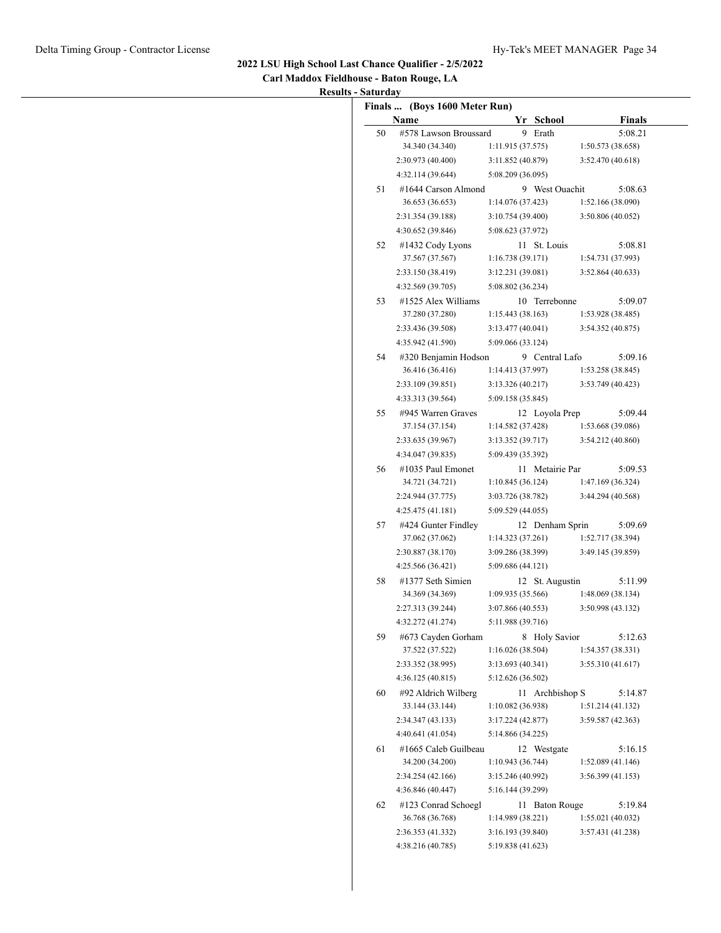| Carl Maddox Fieldhouse - Baton Rouge, LA |
|------------------------------------------|
| <b>Results - Saturday</b>                |

|    | Finals  (Boys 1600 Meter Run)<br>Name   |                                        | Yr School       | <b>Finals</b>               |
|----|-----------------------------------------|----------------------------------------|-----------------|-----------------------------|
| 50 | #578 Lawson Broussard                   |                                        | 9 Erath         | 5:08.21                     |
|    | 34.340 (34.340)                         | 1:11.915(37.575)                       |                 | 1:50.573(38.658)            |
|    | 2:30.973 (40.400)                       | 3:11.852 (40.879)                      |                 | 3:52.470 (40.618)           |
|    | 4:32.114 (39.644)                       | 5:08.209 (36.095)                      |                 |                             |
| 51 | #1644 Carson Almond                     |                                        | 9 West Ouachit  | 5:08.63                     |
|    | 36.653 (36.653)                         | 1:14.076 (37.423)                      |                 | 1:52.166 (38.090)           |
|    | 2:31.354 (39.188)                       | 3:10.754 (39.400)                      |                 | 3:50.806 (40.052)           |
|    | 4:30.652 (39.846)                       | 5:08.623 (37.972)                      |                 |                             |
| 52 | #1432 Cody Lyons                        |                                        | 11 St. Louis    | 5:08.81                     |
|    | 37.567 (37.567)                         | 1:16.738(39.171)                       |                 | 1:54.731 (37.993)           |
|    | 2:33.150 (38.419)                       | 3:12.231 (39.081)                      |                 | 3:52.864(40.633)            |
|    | 4:32.569 (39.705)                       | 5:08.802 (36.234)                      |                 |                             |
| 53 | #1525 Alex Williams                     |                                        | 10 Terrebonne   | 5:09.07                     |
|    | 37.280 (37.280)                         | 1:15.443(38.163)                       |                 | 1:53.928 (38.485)           |
|    | 2:33.436 (39.508)                       | 3:13.477(40.041)                       |                 | 3:54.352 (40.875)           |
|    | 4:35.942 (41.590)                       | 5:09.066 (33.124)                      |                 |                             |
| 54 | #320 Benjamin Hodson                    |                                        | 9 Central Lafo  | 5:09.16                     |
|    | 36.416 (36.416)                         | 1:14.413 (37.997)                      |                 | 1:53.258(38.845)            |
|    | 2:33.109 (39.851)                       | 3:13.326 (40.217)                      |                 | 3:53.749 (40.423)           |
|    | 4:33.313 (39.564)                       | 5:09.158 (35.845)                      |                 |                             |
| 55 | #945 Warren Graves                      |                                        | 12 Loyola Prep  | 5:09.44                     |
|    | 37.154 (37.154)                         | 1:14.582 (37.428)                      |                 | 1:53.668 (39.086)           |
|    | 2:33.635 (39.967)                       | 3:13.352 (39.717)                      |                 | 3:54.212 (40.860)           |
|    | 4:34.047 (39.835)                       | 5:09.439 (35.392)                      |                 |                             |
| 56 | #1035 Paul Emonet                       |                                        | 11 Metairie Par | 5:09.53                     |
|    | 34.721 (34.721)                         | 1:10.845(36.124)                       |                 | 1:47.169 (36.324)           |
|    | 2:24.944 (37.775)                       | 3:03.726 (38.782)                      |                 | 3:44.294 (40.568)           |
|    | 4:25.475(41.181)                        | 5:09.529 (44.055)                      |                 |                             |
| 57 | #424 Gunter Findley                     |                                        | 12 Denham Sprin | 5:09.69                     |
|    | 37.062 (37.062)                         | 1:14.323(37.261)                       |                 | 1:52.717 (38.394)           |
|    | 2:30.887 (38.170)                       | 3:09.286 (38.399)                      |                 | 3:49.145 (39.859)           |
|    | 4:25.566 (36.421)                       | 5:09.686 (44.121)                      |                 |                             |
| 58 | #1377 Seth Simien                       |                                        | 12 St. Augustin | 5:11.99                     |
|    | 34.369 (34.369)                         | 1:09.935 (35.566)                      |                 | 1:48.069(38.134)            |
|    | 2:27.313 (39.244)                       | 3:07.866 (40.553)                      |                 | 3:50.998 (43.132)           |
|    | 4:32.272 (41.274)                       | 5:11.988 (39.716)                      |                 |                             |
| 59 | #673 Cayden Gorham                      |                                        | 8 Holy Savior   | 5:12.63                     |
|    | 37.522 (37.522)                         | 1:16.026(38.504)                       |                 | 1:54.357 (38.331)           |
|    | 2:33.352 (38.995)                       | 3:13.693 (40.341)<br>5:12.626 (36.502) |                 | 3:55.310 (41.617)           |
|    | 4:36.125 (40.815)                       |                                        |                 |                             |
| 60 | #92 Aldrich Wilberg<br>33.144 (33.144)  | 1:10.082 (36.938)                      | 11 Archbishop S | 5:14.87<br>1:51.214(41.132) |
|    | 2:34.347 (43.133)                       | 3:17.224 (42.877)                      |                 | 3:59.587 (42.363)           |
|    | 4:40.641 (41.054)                       | 5:14.866 (34.225)                      |                 |                             |
|    |                                         |                                        |                 |                             |
| 61 | #1665 Caleb Guilbeau<br>34.200 (34.200) | 1:10.943(36.744)                       | 12 Westgate     | 5:16.15<br>1:52.089(41.146) |
|    | 2:34.254 (42.166)                       | 3:15.246 (40.992)                      |                 | 3:56.399(41.153)            |
|    | 4:36.846 (40.447)                       | 5:16.144 (39.299)                      |                 |                             |
|    | #123 Conrad Schoegl                     |                                        | 11 Baton Rouge  |                             |
| 62 | 36.768 (36.768)                         | 1:14.989 (38.221)                      |                 | 5:19.84<br>1:55.021(40.032) |
|    | 2:36.353 (41.332)                       | 3:16.193 (39.840)                      |                 | 3:57.431 (41.238)           |
|    | 4:38.216 (40.785)                       | 5:19.838 (41.623)                      |                 |                             |
|    |                                         |                                        |                 |                             |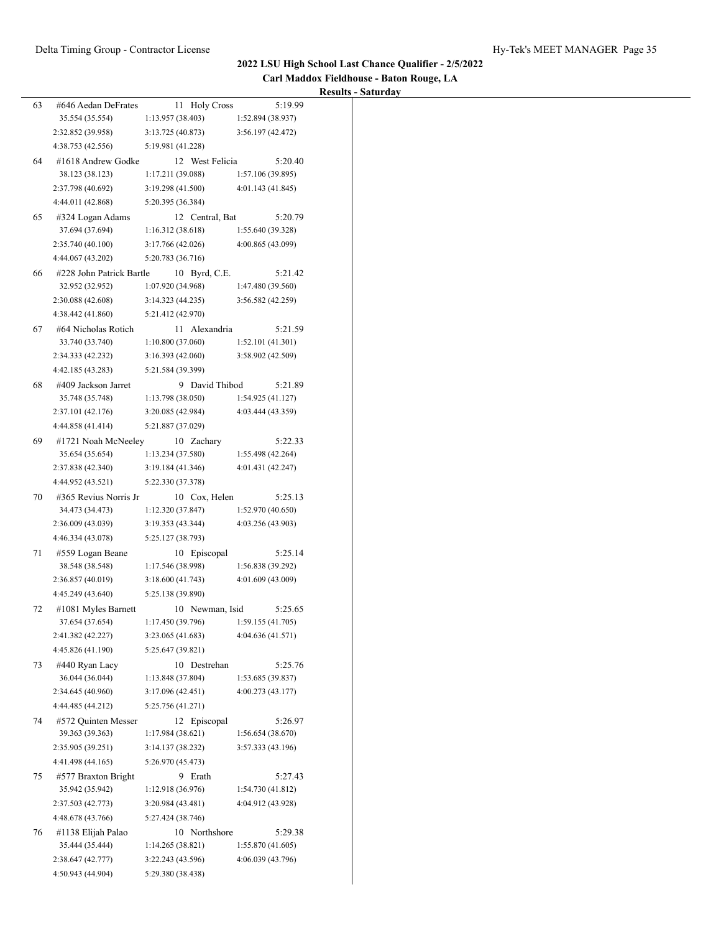| Carl Maddox Fieldhouse - Baton Rouge, LA |  |
|------------------------------------------|--|
| Results - Saturday                       |  |

|    |                                        |                                        |                                        | <b>Results - Saturday</b> |
|----|----------------------------------------|----------------------------------------|----------------------------------------|---------------------------|
| 63 | #646 Aedan DeFrates                    | 11 Holy Cross                          | 5:19.99                                |                           |
|    | 35.554 (35.554)                        | 1:13.957(38.403)                       | 1:52.894 (38.937)                      |                           |
|    | 2:32.852 (39.958)                      | 3:13.725 (40.873)                      | 3:56.197 (42.472)                      |                           |
|    | 4:38.753 (42.556)                      | 5:19.981 (41.228)                      |                                        |                           |
| 64 | #1618 Andrew Godke                     | 12 West Felicia                        | 5:20.40                                |                           |
|    | 38.123 (38.123)                        | 1:17.211 (39.088)                      | 1:57.106 (39.895)                      |                           |
|    | 2:37.798 (40.692)                      | 3:19.298 (41.500)                      | 4:01.143 (41.845)                      |                           |
|    | 4:44.011 (42.868)                      | 5:20.395 (36.384)                      |                                        |                           |
| 65 | #324 Logan Adams                       | 12 Central, Bat                        | 5:20.79                                |                           |
|    | 37.694 (37.694)                        | 1:16.312(38.618)                       | 1:55.640 (39.328)                      |                           |
|    | 2:35.740(40.100)                       | 3:17.766 (42.026)                      | 4:00.865 (43.099)                      |                           |
|    | 4:44.067 (43.202)                      | 5:20.783 (36.716)                      |                                        |                           |
| 66 | #228 John Patrick Bartle               | 10 Byrd, C.E.                          | 5:21.42                                |                           |
|    | 32.952 (32.952)                        | 1:07.920 (34.968)                      | 1:47.480 (39.560)                      |                           |
|    | 2:30.088 (42.608)                      | 3:14.323 (44.235)                      | 3:56.582(42.259)                       |                           |
|    | 4:38.442 (41.860)                      | 5:21.412 (42.970)                      |                                        |                           |
| 67 | #64 Nicholas Rotich                    | 11 Alexandria                          | 5:21.59                                |                           |
|    | 33.740 (33.740)                        | 1:10.800(37.060)                       | 1:52.101 (41.301)                      |                           |
|    | 2:34.333 (42.232)                      | 3:16.393 (42.060)                      | 3:58.902 (42.509)                      |                           |
|    | 4:42.185 (43.283)                      | 5:21.584 (39.399)                      |                                        |                           |
| 68 | #409 Jackson Jarret                    | 9 David Thibod                         | 5:21.89                                |                           |
|    | 35.748 (35.748)                        | 1:13.798 (38.050)                      | 1:54.925(41.127)                       |                           |
|    | 2:37.101 (42.176)                      | 3:20.085 (42.984)                      | 4:03.444 (43.359)                      |                           |
|    | 4:44.858 (41.414)                      | 5:21.887 (37.029)                      |                                        |                           |
| 69 | #1721 Noah McNeeley                    | 10 Zachary                             | 5:22.33                                |                           |
|    | 35.654 (35.654)<br>2:37.838 (42.340)   | 1:13.234 (37.580)<br>3:19.184 (41.346) | 1:55.498 (42.264)<br>4:01.431 (42.247) |                           |
|    |                                        |                                        |                                        |                           |
|    | 4:44.952 (43.521)                      | 5:22.330 (37.378)                      |                                        |                           |
| 70 | #365 Revius Norris Jr                  | 10 Cox, Helen                          | 5:25.13                                |                           |
|    | 34.473 (34.473)                        | 1:12.320(37.847)                       | 1:52.970 (40.650)                      |                           |
|    | 2:36.009 (43.039)                      | 3:19.353 (43.344)                      | 4:03.256 (43.903)                      |                           |
|    | 4:46.334 (43.078)                      | 5:25.127 (38.793)                      |                                        |                           |
| 71 | #559 Logan Beane                       | 10 Episcopal                           | 5:25.14                                |                           |
|    | 38.548 (38.548)                        | 1:17.546 (38.998)                      | 1:56.838 (39.292)                      |                           |
|    | 2:36.857(40.019)                       | 3:18.600(41.743)                       | 4:01.609 (43.009)                      |                           |
|    | 4:45.249 (43.640)                      | 5:25.138 (39.890)                      |                                        |                           |
| 72 | $\#1081$ Myles Barnett                 | 10 Newman, Isid                        | 5:25.65                                |                           |
|    | 37.654 (37.654)<br>2:41.382 (42.227)   | 1:17.450 (39.796)<br>3:23.065 (41.683) | 1:59.155 (41.705)<br>4:04.636 (41.571) |                           |
|    | 4:45.826 (41.190)                      | 5:25.647 (39.821)                      |                                        |                           |
| 73 | #440 Ryan Lacy                         | 10 Destrehan                           | 5:25.76                                |                           |
|    | 36.044 (36.044)                        | 1:13.848 (37.804)                      | 1:53.685 (39.837)                      |                           |
|    | 2:34.645 (40.960)                      | 3:17.096(42.451)                       | 4:00.273 (43.177)                      |                           |
|    | 4:44.485 (44.212)                      | 5:25.756 (41.271)                      |                                        |                           |
| 74 | #572 Quinten Messer                    | 12 Episcopal                           | 5:26.97                                |                           |
|    | 39.363 (39.363)                        | 1:17.984 (38.621)                      | 1:56.654 (38.670)                      |                           |
|    | 2:35.905 (39.251)                      | 3:14.137 (38.232)                      | 3:57.333 (43.196)                      |                           |
|    | 4:41.498 (44.165)                      | 5:26.970 (45.473)                      |                                        |                           |
|    |                                        |                                        |                                        |                           |
| 75 | #577 Braxton Bright<br>35.942 (35.942) | 9 Erath<br>1:12.918 (36.976)           | 5:27.43<br>1:54.730 (41.812)           |                           |
|    | 2:37.503 (42.773)                      | 3:20.984 (43.481)                      | 4:04.912 (43.928)                      |                           |
|    | 4:48.678 (43.766)                      | 5:27.424 (38.746)                      |                                        |                           |
| 76 | #1138 Elijah Palao                     | 10 Northshore                          | 5:29.38                                |                           |
|    | 35.444 (35.444)                        | 1:14.265 (38.821)                      | 1:55.870 (41.605)                      |                           |
|    | 2:38.647 (42.777)                      | 3:22.243 (43.596)                      | 4:06.039 (43.796)                      |                           |
|    | 4:50.943 (44.904)                      | 5:29.380 (38.438)                      |                                        |                           |
|    |                                        |                                        |                                        |                           |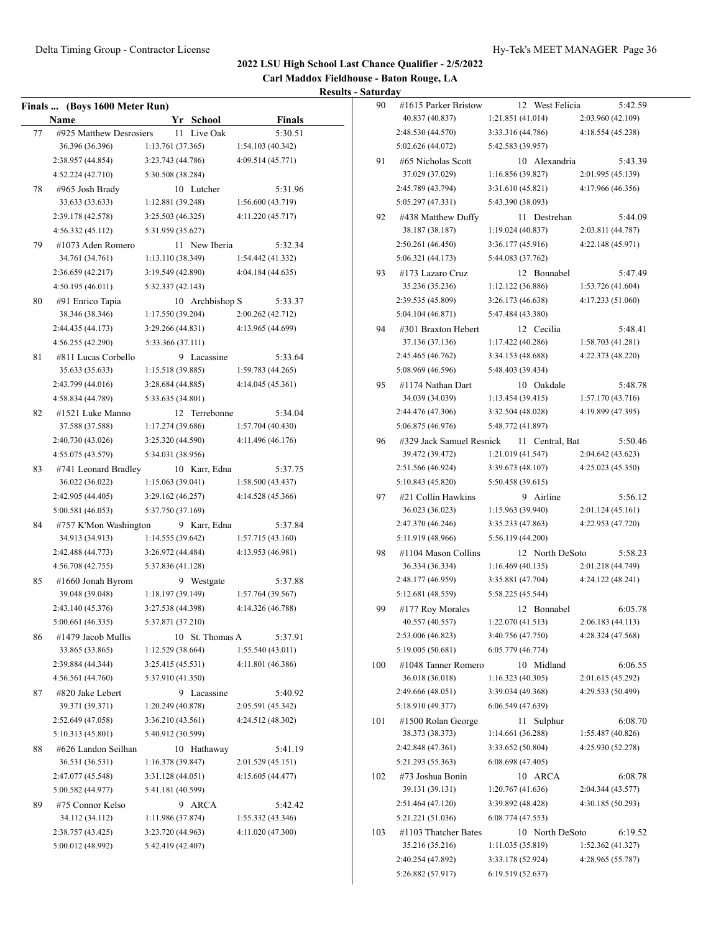**Carl Maddox Fieldhouse - Baton Rouge, LA**

|    | Finals  (Boys 1600 Meter Run)        |                   |    |                 |                              |
|----|--------------------------------------|-------------------|----|-----------------|------------------------------|
|    | Name                                 |                   |    | Yr School       | <b>Finals</b>                |
| 77 | #925 Matthew Desrosiers              |                   | 11 | Live Oak        | 5:30.51                      |
|    | 36.396 (36.396)                      | 1:13.761 (37.365) |    |                 | 1:54.103 (40.342)            |
|    | 2:38.957 (44.854)                    | 3:23.743 (44.786) |    |                 | 4:09.514 (45.771)            |
|    | 4:52.224(42.710)                     | 5:30.508 (38.284) |    |                 |                              |
| 78 | #965 Josh Brady                      |                   |    | 10 Lutcher      | 5:31.96                      |
|    | 33.633 (33.633)                      | 1:12.881 (39.248) |    |                 | 1:56.600(43.719)             |
|    | 2:39.178 (42.578)                    | 3:25.503 (46.325) |    |                 | 4:11.220 (45.717)            |
|    | 4:56.332(45.112)                     | 5:31.959 (35.627) |    |                 |                              |
| 79 | #1073 Aden Romero                    |                   |    | 11 New Iberia   | 5:32.34                      |
|    | 34.761 (34.761)                      | 1:13.110 (38.349) |    |                 | 1:54.442 (41.332)            |
|    | 2:36.659 (42.217)                    | 3:19.549 (42.890) |    |                 | 4:04.184 (44.635)            |
|    | 4:50.195 (46.011)                    | 5:32.337 (42.143) |    |                 |                              |
| 80 | #91 Enrico Tapia                     |                   |    | 10 Archbishop S | 5:33.37                      |
|    | 38.346 (38.346)                      | 1:17.550 (39.204) |    |                 | 2:00.262 (42.712)            |
|    | 2:44.435 (44.173)                    | 3:29.266 (44.831) |    |                 | 4:13.965 (44.699)            |
|    | 4:56.255 (42.290)                    | 5:33.366 (37.111) |    |                 |                              |
| 81 | #811 Lucas Corbello                  |                   | 9  | Lacassine       | 5:33.64                      |
|    | 35.633 (35.633)                      | 1:15.518(39.885)  |    |                 | 1:59.783(44.265)             |
|    | 2:43.799 (44.016)                    | 3:28.684 (44.885) |    |                 | 4:14.045 (45.361)            |
|    | 4:58.834 (44.789)                    | 5:33.635 (34.801) |    |                 |                              |
| 82 | #1521 Luke Manno                     |                   |    | 12 Terrebonne   | 5:34.04                      |
|    | 37.588 (37.588)                      | 1:17.274 (39.686) |    |                 | 1:57.704(40.430)             |
|    | 2:40.730 (43.026)                    | 3:25.320 (44.590) |    |                 | 4:11.496 (46.176)            |
|    | 4:55.075 (43.579)                    | 5:34.031 (38.956) |    |                 |                              |
| 83 | #741 Leonard Bradley                 |                   |    | 10 Karr, Edna   | 5:37.75                      |
|    | 36.022 (36.022)                      | 1:15.063(39.041)  |    |                 | 1:58.500(43.437)             |
|    | 2:42.905 (44.405)                    | 3:29.162 (46.257) |    |                 | 4:14.528 (45.366)            |
|    | 5:00.581 (46.053)                    | 5:37.750 (37.169) |    |                 |                              |
| 84 | #757 K'Mon Washington                |                   |    | 9 Karr, Edna    | 5:37.84                      |
|    | 34.913 (34.913)                      | 1:14.555 (39.642) |    |                 | 1:57.715(43.160)             |
|    | 2:42.488 (44.773)                    | 3:26.972 (44.484) |    |                 | 4:13.953 (46.981)            |
|    | 4:56.708 (42.755)                    | 5:37.836 (41.128) |    |                 |                              |
|    |                                      |                   |    |                 |                              |
| 85 | #1660 Jonah Byrom<br>39.048 (39.048) | 1:18.197 (39.149) |    | 9 Westgate      | 5:37.88<br>1:57.764 (39.567) |
|    | 2:43.140 (45.376)                    | 3:27.538 (44.398) |    |                 | 4:14.326 (46.788)            |
|    | 5:00.661(46.335)                     | 5:37.871 (37.210) |    |                 |                              |
|    |                                      |                   |    |                 |                              |
| 86 | #1479 Jacob Mullis                   |                   |    | 10 St. Thomas A | 5:37.91                      |
|    | 33.865 (33.865)                      | 1:12.529 (38.664) |    |                 | 1:55.540 (43.011)            |
|    | 2:39.884 (44.344)                    | 3:25.415(45.531)  |    |                 | 4:11.801 (46.386)            |
|    | 4:56.561 (44.760)                    | 5:37.910 (41.350) |    |                 |                              |
| 87 | #820 Jake Lebert                     |                   |    | 9 Lacassine     | 5:40.92                      |
|    | 39.371 (39.371)                      | 1:20.249 (40.878) |    |                 | 2:05.591 (45.342)            |
|    | 2:52.649 (47.058)                    | 3:36.210 (43.561) |    |                 | 4:24.512 (48.302)            |
|    | 5:10.313 (45.801)                    | 5:40.912 (30.599) |    |                 |                              |
| 88 | #626 Landon Seilhan                  |                   |    | 10 Hathaway     | 5:41.19                      |
|    | 36.531 (36.531)                      | 1:16.378 (39.847) |    |                 | 2:01.529 (45.151)            |
|    | 2:47.077 (45.548)                    | 3:31.128 (44.051) |    |                 | 4:15.605 (44.477)            |
|    | 5:00.582 (44.977)                    | 5:41.181 (40.599) |    |                 |                              |
| 89 | #75 Connor Kelso                     |                   | 9. | ARCA            | 5:42.42                      |
|    | 34.112 (34.112)                      | 1:11.986 (37.874) |    |                 | 1:55.332 (43.346)            |
|    | 2:38.757 (43.425)                    | 3:23.720 (44.963) |    |                 | 4:11.020 (47.300)            |
|    | 5:00.012 (48.992)                    | 5:42.419 (42.407) |    |                 |                              |
|    |                                      |                   |    |                 |                              |

| 90  | #1615 Parker Bristow                        |                                        | 12 West Felicia | 5:42.59                      |
|-----|---------------------------------------------|----------------------------------------|-----------------|------------------------------|
|     | 40.837 (40.837)                             | 1:21.851 (41.014)                      |                 | 2:03.960 (42.109)            |
|     | 2:48.530 (44.570)                           | 3:33.316 (44.786)                      |                 | 4:18.554(45.238)             |
|     | 5:02.626 (44.072)                           | 5:42.583 (39.957)                      |                 |                              |
| 91  | #65 Nicholas Scott                          |                                        | 10 Alexandria   | 5:43.39                      |
|     | 37.029 (37.029)                             | 1:16.856(39.827)                       |                 | 2:01.995 (45.139)            |
|     | 2:45.789 (43.794)                           | 3:31.610 (45.821)                      |                 | 4:17.966 (46.356)            |
|     | 5:05.297 (47.331)                           | 5:43.390 (38.093)                      |                 |                              |
| 92  | #438 Matthew Duffy                          |                                        | 11 Destrehan    | 5:44.09                      |
|     | 38.187 (38.187)                             | 1:19.024 (40.837)                      |                 | 2:03.811 (44.787)            |
|     | 2:50.261 (46.450)                           | 3:36.177 (45.916)                      |                 | 4:22.148 (45.971)            |
|     | 5:06.321 (44.173)                           | 5:44.083 (37.762)                      |                 |                              |
| 93  | #173 Lazaro Cruz                            |                                        | 12 Bonnabel     | 5:47.49                      |
|     | 35.236 (35.236)                             | 1:12.122(36.886)                       |                 | 1:53.726 (41.604)            |
|     | 2:39.535 (45.809)                           | 3:26.173 (46.638)                      |                 | 4:17.233 (51.060)            |
|     | 5:04.104 (46.871)                           | 5:47.484 (43.380)                      |                 |                              |
| 94  | #301 Braxton Hebert                         |                                        | 12 Cecilia      | 5:48.41                      |
|     | 37.136 (37.136)                             | 1:17.422(40.286)                       |                 | 1:58.703 (41.281)            |
|     | 2:45.465 (46.762)                           | 3:34.153 (48.688)                      |                 | 4:22.373 (48.220)            |
|     | 5:08.969 (46.596)                           | 5:48.403 (39.434)                      |                 |                              |
|     | #1174 Nathan Dart                           |                                        |                 |                              |
| 95  | 34.039 (34.039)                             | 1:13.454(39.415)                       | 10 Oakdale      | 5:48.78<br>1:57.170 (43.716) |
|     |                                             |                                        |                 | 4:19.899 (47.395)            |
|     | 2:44.476 (47.306)                           | 3:32.504 (48.028)                      |                 |                              |
|     | 5:06.875 (46.976)                           | 5:48.772 (41.897)                      |                 |                              |
| 96  | #329 Jack Samuel Resnick<br>39.472 (39.472) | 1:21.019 (41.547)                      | 11 Central, Bat | 5:50.46                      |
|     |                                             |                                        |                 | 2:04.642 (43.623)            |
|     | 2:51.566 (46.924)<br>5:10.843 (45.820)      | 3:39.673 (48.107)<br>5:50.458 (39.615) |                 | 4:25.023 (45.350)            |
|     |                                             |                                        |                 |                              |
| 97  | #21 Collin Hawkins<br>36.023 (36.023)       | 1:15.963 (39.940)                      | 9 Airline       | 5:56.12<br>2:01.124 (45.161) |
|     | 2:47.370 (46.246)                           | 3:35.233 (47.863)                      |                 | 4:22.953 (47.720)            |
|     | 5:11.919 (48.966)                           | 5:56.119 (44.200)                      |                 |                              |
| 98  | #1104 Mason Collins                         |                                        | 12 North DeSoto | 5:58.23                      |
|     | 36.334 (36.334)                             | 1:16.469(40.135)                       |                 | 2:01.218 (44.749)            |
|     | 2:48.177 (46.959)                           | 3:35.881 (47.704)                      |                 | 4:24.122 (48.241)            |
|     | 5:12.681 (48.559)                           | 5:58.225 (45.544)                      |                 |                              |
|     |                                             |                                        | 12 Bonnabel     |                              |
| 99  | #177 Roy Morales<br>40.557 (40.557)         | 1:22.070 (41.513)                      |                 | 6:05.78<br>2:06.183 (44.113) |
|     | 2:53.006 (46.823)                           | 3:40.756 (47.750)                      |                 | 4:28.324 (47.568)            |
|     | 5:19.005 (50.681)                           | 6:05.779 (46.774)                      |                 |                              |
| 100 | #1048 Tanner Romero                         |                                        | 10 Midland      | 6:06.55                      |
|     | 36.018 (36.018)                             | 1:16.323(40.305)                       |                 | 2:01.615 (45.292)            |
|     | 2:49.666 (48.051)                           | 3:39.034 (49.368)                      |                 | 4:29.533 (50.499)            |
|     | 5:18.910 (49.377)                           | 6:06.549 (47.639)                      |                 |                              |
|     | #1500 Rolan George                          |                                        |                 |                              |
| 101 | 38.373 (38.373)                             | 1:14.661 (36.288)                      | 11 Sulphur      | 6:08.70<br>1:55.487 (40.826) |
|     | 2:42.848 (47.361)                           | 3:33.652 (50.804)                      |                 | 4:25.930 (52.278)            |
|     | 5:21.293 (55.363)                           | 6:08.698 (47.405)                      |                 |                              |
|     |                                             |                                        |                 |                              |
| 102 | #73 Joshua Bonin<br>39.131 (39.131)         | 1:20.767(41.636)                       | 10 ARCA         | 6:08.78<br>2:04.344 (43.577) |
|     | 2:51.464 (47.120)                           | 3:39.892 (48.428)                      |                 | 4:30.185 (50.293)            |
|     | 5:21.221 (51.036)                           | 6:08.774(47.553)                       |                 |                              |
|     | #1103 Thatcher Bates                        |                                        | 10 North DeSoto | 6:19.52                      |
| 103 | 35.216 (35.216)                             | 1:11.035 (35.819)                      |                 | 1:52.362 (41.327)            |
|     | 2:40.254 (47.892)                           | 3:33.178 (52.924)                      |                 | 4:28.965 (55.787)            |
|     | 5:26.882 (57.917)                           | 6:19.519 (52.637)                      |                 |                              |
|     |                                             |                                        |                 |                              |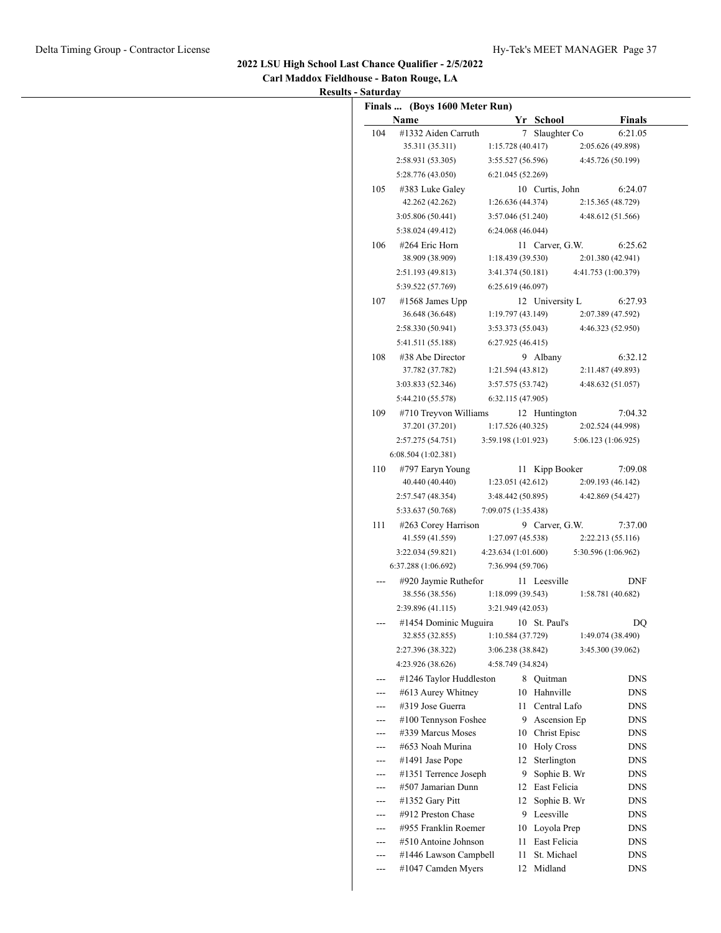**Carl Maddox Fieldhouse - Baton Rouge, LA Results - Saturday**

|     | Finals  (Boys 1600 Meter Run)<br><b>Name</b> |                     |      | Yr School       |                     | <b>Finals</b> |
|-----|----------------------------------------------|---------------------|------|-----------------|---------------------|---------------|
| 104 | #1332 Aiden Carruth                          |                     |      | 7 Slaughter Co  |                     | 6:21.05       |
|     | 35.311 (35.311)                              | 1:15.728(40.417)    |      |                 | 2:05.626 (49.898)   |               |
|     | 2:58.931(53.305)                             | 3:55.527(56.596)    |      |                 | 4:45.726 (50.199)   |               |
|     | 5:28.776 (43.050)                            |                     |      |                 |                     |               |
|     |                                              | 6:21.045 (52.269)   |      |                 |                     |               |
| 105 | #383 Luke Galey                              |                     |      | 10 Curtis, John |                     | 6:24.07       |
|     | 42.262 (42.262)                              | 1:26.636(44.374)    |      |                 | 2:15.365 (48.729)   |               |
|     | 3:05.806(50.441)                             | 3:57.046 (51.240)   |      |                 | 4:48.612 (51.566)   |               |
|     | 5:38.024 (49.412)                            | 6:24.068(46.044)    |      |                 |                     |               |
| 106 | #264 Eric Horn                               |                     |      | 11 Carver, G.W. |                     | 6:25.62       |
|     | 38.909 (38.909)                              | 1:18.439(39.530)    |      |                 | 2:01.380 (42.941)   |               |
|     | 2:51.193 (49.813)                            | 3:41.374 (50.181)   |      |                 | 4:41.753 (1:00.379) |               |
|     | 5:39.522 (57.769)                            | 6:25.619(46.097)    |      |                 |                     |               |
| 107 | $\#1568$ James Upp                           |                     |      | 12 University L |                     | 6:27.93       |
|     | 36.648 (36.648)                              | 1:19.797(43.149)    |      |                 | 2:07.389 (47.592)   |               |
|     | 2:58.330 (50.941)                            | 3:53.373 (55.043)   |      |                 | 4:46.323 (52.950)   |               |
|     | 5:41.511 (55.188)                            | 6:27.925(46.415)    |      |                 |                     |               |
| 108 | #38 Abe Director                             |                     |      | 9 Albany        |                     | 6:32.12       |
|     | 37.782 (37.782)                              | 1:21.594(43.812)    |      |                 | 2:11.487 (49.893)   |               |
|     | 3:03.833 (52.346)                            | 3:57.575 (53.742)   |      |                 | 4:48.632 (51.057)   |               |
|     | 5:44.210 (55.578)                            | 6:32.115(47.905)    |      |                 |                     |               |
| 109 | #710 Treyvon Williams                        |                     |      | 12 Huntington   |                     | 7:04.32       |
|     | 37.201 (37.201)                              | 1:17.526(40.325)    |      |                 | 2:02.524 (44.998)   |               |
|     | 2:57.275 (54.751)                            | 3:59.198 (1:01.923) |      |                 | 5:06.123 (1:06.925) |               |
|     | 6:08.504(1:02.381)                           |                     |      |                 |                     |               |
| 110 | #797 Earyn Young                             |                     |      | 11 Kipp Booker  |                     | 7:09.08       |
|     | 40.440 (40.440)                              | 1:23.051(42.612)    |      |                 | 2:09.193 (46.142)   |               |
|     | 2:57.547 (48.354)                            | 3:48.442 (50.895)   |      |                 | 4:42.869 (54.427)   |               |
|     | 5:33.637 (50.768)                            | 7:09.075 (1:35.438) |      |                 |                     |               |
| 111 | #263 Corey Harrison                          |                     |      | 9 Carver, G.W.  |                     | 7:37.00       |
|     | 41.559 (41.559)                              | 1:27.097 (45.538)   |      |                 | 2:22.213 (55.116)   |               |
|     | 3:22.034(59.821)                             | 4:23.634(1:01.600)  |      |                 | 5:30.596 (1:06.962) |               |
|     | 6:37.288(1:06.692)                           | 7:36.994 (59.706)   |      |                 |                     |               |
|     | #920 Jaymie Ruthefor                         |                     |      | 11 Leesville    |                     | <b>DNF</b>    |
|     | 38.556 (38.556)                              | 1:18.099(39.543)    |      |                 | 1:58.781 (40.682)   |               |
|     | 2:39.896(41.115)                             | 3:21.949 (42.053)   |      |                 |                     |               |
|     | #1454 Dominic Muguira 10 St. Paul's          |                     |      |                 |                     | DO            |
|     | 32.855 (32.855)                              | 1:10.584 (37.729)   |      |                 | 1:49.074 (38.490)   |               |
|     | 2:27.396 (38.322)                            | 3:06.238 (38.842)   |      |                 | 3:45.300 (39.062)   |               |
|     | 4:23.926 (38.626)                            | 4:58.749 (34.824)   |      |                 |                     |               |
| --- | #1246 Taylor Huddleston                      |                     |      | 8 Quitman       |                     | DNS           |
| --- | #613 Aurey Whitney                           |                     | 10   | Hahnville       |                     | DNS.          |
| --- | #319 Jose Guerra                             |                     | 11   | Central Lafo    |                     | DNS           |
| --- | #100 Tennyson Foshee                         |                     |      | 9 Ascension Ep  |                     | DNS           |
|     | #339 Marcus Moses                            |                     |      | 10 Christ Episc |                     | DNS           |
| --- | #653 Noah Murina                             |                     |      | 10 Holy Cross   |                     | DNS           |
| --- | $\#1491$ Jase Pope                           |                     | 12   | Sterlington     |                     | DNS           |
| --- | #1351 Terrence Joseph                        |                     | 9.   | Sophie B. Wr    |                     | DNS           |
|     | #507 Jamarian Dunn                           |                     |      | 12 East Felicia |                     | DNS.          |
| --- | #1352 Gary Pitt                              |                     | 12   | Sophie B. Wr    |                     | DNS           |
| --- | #912 Preston Chase                           |                     | 9    | Leesville       |                     | DNS           |
| --- | #955 Franklin Roemer                         |                     | 10   | Loyola Prep     |                     | DNS.          |
| --- | #510 Antoine Johnson                         |                     | 11 - | East Felicia    |                     | DNS.          |
|     | #1446 Lawson Campbell                        |                     | 11   | St. Michael     |                     | DNS.          |
| --- |                                              |                     |      |                 |                     |               |
| --- | #1047 Camden Myers                           |                     | 12   | Midland         |                     | DNS           |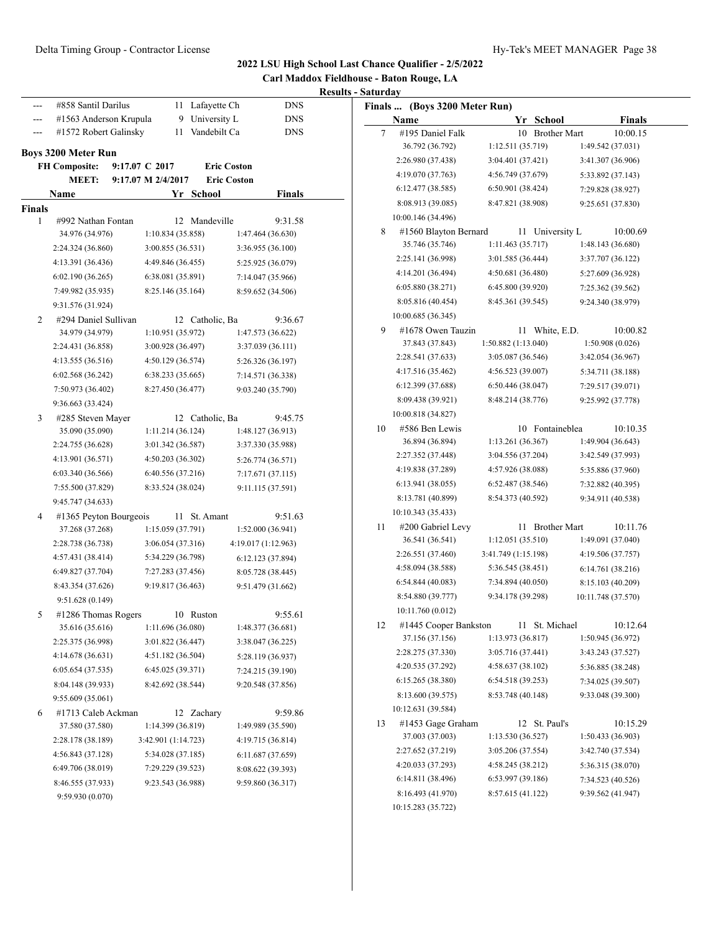| #858 Santil Darilus<br>11 Lafayette Ch<br><b>DNS</b><br>Finals  (Boys 3200 Meter Run)<br>---<br>9 University L<br><b>DNS</b><br>#1563 Anderson Krupula<br>Yr School<br>Name<br>Finals<br>---<br>11 Vandebilt Ca<br>#1572 Robert Galinsky<br><b>DNS</b><br>#195 Daniel Falk<br>10 Brother Mart<br>10:00.15<br>7<br>36.792 (36.792)<br>1:12.511 (35.719)<br>1:49.542 (37.031)<br><b>Boys 3200 Meter Run</b><br>2:26.980 (37.438)<br>3:04.401 (37.421)<br>3:41.307 (36.906)<br><b>Eric Coston</b><br><b>FH Composite:</b><br>9:17.07 C 2017<br>4:19.070 (37.763)<br>4:56.749 (37.679)<br>5:33.892 (37.143)<br><b>MEET:</b><br><b>Eric Coston</b><br>9:17.07 M 2/4/2017<br>6:50.901 (38.424)<br>6:12.477 (38.585)<br>7:29.828 (38.927)<br>Name<br>Yr School<br><b>Finals</b><br>8:08.913 (39.085)<br>8:47.821 (38.908)<br>9:25.651 (37.830)<br><b>Finals</b><br>10:00.146 (34.496)<br>#992 Nathan Fontan<br>12 Mandeville<br>9:31.58<br>1<br>#1560 Blayton Bernard<br>11 University L<br>10:00.69<br>8<br>34.976 (34.976)<br>1:10.834 (35.858)<br>1:47.464 (36.630)<br>35.746 (35.746)<br>1:11.463(35.717)<br>1:48.143 (36.680)<br>2:24.324 (36.860)<br>3:00.855 (36.531)<br>3:36.955 (36.100)<br>2:25.141 (36.998)<br>3:01.585(36.444)<br>3:37.707 (36.122)<br>4:13.391 (36.436)<br>4:49.846 (36.455)<br>5:25.925 (36.079)<br>4:14.201 (36.494)<br>4:50.681 (36.480)<br>5:27.609 (36.928)<br>6:02.190(36.265)<br>6:38.081 (35.891)<br>7:14.047 (35.966)<br>6:05.880 (38.271)<br>6:45.800 (39.920)<br>7:25.362 (39.562)<br>7:49.982 (35.935)<br>8:25.146 (35.164)<br>8:59.652 (34.506)<br>8:05.816 (40.454)<br>8:45.361 (39.545)<br>9:24.340 (38.979)<br>9:31.576 (31.924)<br>10:00.685 (36.345)<br>#294 Daniel Sullivan<br>12 Catholic, Ba<br>9:36.67<br>2<br>#1678 Owen Tauzin<br>10:00.82<br>11 White, E.D.<br>9<br>34.979 (34.979)<br>1:10.951 (35.972)<br>1:47.573 (36.622)<br>37.843 (37.843)<br>1:50.882(1:13.040)<br>1:50.908(0.026)<br>2:24.431 (36.858)<br>3:00.928 (36.497)<br>3:37.039 (36.111)<br>3:05.087 (36.546)<br>2:28.541 (37.633)<br>3:42.054 (36.967)<br>4:13.555 (36.516)<br>4:50.129 (36.574)<br>5:26.326 (36.197)<br>4:17.516 (35.462)<br>4:56.523 (39.007)<br>5:34.711 (38.188)<br>6:02.568 (36.242)<br>6:38.233 (35.665)<br>7:14.571 (36.338)<br>6:12.399 (37.688)<br>6:50.446(38.047)<br>7:29.517 (39.071)<br>7:50.973 (36.402)<br>8:27.450 (36.477)<br>9:03.240 (35.790)<br>8:09.438 (39.921)<br>8:48.214 (38.776)<br>9:25.992 (37.778)<br>9:36.663 (33.424)<br>10:00.818 (34.827)<br>#285 Steven Mayer<br>12 Catholic, Ba<br>9:45.75<br>3<br>10 Fontaineblea<br>#586 Ben Lewis<br>10:10.35<br>10<br>35.090 (35.090)<br>1:11.214 (36.124)<br>1:48.127 (36.913)<br>36.894 (36.894)<br>1:13.261 (36.367)<br>1:49.904 (36.643)<br>2:24.755 (36.628)<br>3:01.342 (36.587)<br>3:37.330 (35.988)<br>3:04.556 (37.204)<br>2:27.352 (37.448)<br>3:42.549 (37.993)<br>4:13.901 (36.571)<br>4:50.203 (36.302)<br>5:26.774 (36.571)<br>4:19.838 (37.289)<br>4:57.926 (38.088)<br>5:35.886 (37.960)<br>6:03.340 (36.566)<br>6:40.556 (37.216)<br>7:17.671 (37.115)<br>6:13.941 (38.055)<br>6:52.487 (38.546)<br>7:32.882 (40.395)<br>7:55.500 (37.829)<br>8:33.524 (38.024)<br>9:11.115 (37.591)<br>8:13.781 (40.899)<br>8:54.373 (40.592)<br>9:34.911 (40.538)<br>9:45.747 (34.633)<br>10:10.343 (35.433)<br>#1365 Peyton Bourgeois<br>11 St. Amant<br>9:51.63<br>4<br>#200 Gabriel Levy<br>11 Brother Mart<br>10:11.76<br>11<br>37.268 (37.268)<br>1:15.059 (37.791)<br>1:52.000 (36.941)<br>36.541 (36.541)<br>1:12.051(35.510)<br>1:49.091 (37.040)<br>2:28.738 (36.738)<br>3:06.054 (37.316)<br>4:19.017 (1:12.963)<br>2:26.551 (37.460)<br>3:41.749 (1:15.198)<br>4:19.506 (37.757)<br>4:57.431 (38.414)<br>5:34.229 (36.798)<br>6:12.123 (37.894)<br>4:58.094 (38.588)<br>5:36.545 (38.451)<br>6:14.761 (38.216)<br>6:49.827 (37.704)<br>7:27.283 (37.456)<br>8:05.728 (38.445)<br>6:54.844(40.083)<br>7:34.894 (40.050)<br>8:15.103 (40.209)<br>8:43.354 (37.626)<br>9:19.817 (36.463)<br>9:51.479 (31.662)<br>8:54.880 (39.777)<br>9:34.178 (39.298)<br>10:11.748 (37.570)<br>9:51.628 (0.149)<br>10:11.760 (0.012)<br>#1286 Thomas Rogers<br>10 Ruston<br>9:55.61<br>5<br>#1445 Cooper Bankston<br>11 St. Michael<br>10:12.64<br>12<br>1:11.696 (36.080)<br>1:48.377 (36.681)<br>35.616 (35.616)<br>1:13.973 (36.817)<br>1:50.945 (36.972)<br>37.156 (37.156)<br>2:25.375 (36.998)<br>3:01.822 (36.447)<br>3:38.047 (36.225)<br>2:28.275 (37.330)<br>3:05.716 (37.441)<br>3:43.243 (37.527)<br>4:14.678 (36.631)<br>4:51.182 (36.504)<br>5:28.119 (36.937)<br>4:20.535 (37.292)<br>4:58.637 (38.102)<br>5:36.885 (38.248)<br>6:05.654 (37.535)<br>6:45.025 (39.371)<br>7:24.215 (39.190)<br>6:15.265 (38.380)<br>6:54.518 (39.253)<br>7:34.025 (39.507)<br>8:04.148 (39.933)<br>8:42.692 (38.544)<br>9:20.548 (37.856)<br>8:13.600 (39.575)<br>8:53.748 (40.148)<br>9:33.048 (39.300)<br>9:55.609 (35.061)<br>10:12.631 (39.584)<br>9:59.86<br>#1713 Caleb Ackman<br>12 Zachary<br>6<br>#1453 Gage Graham<br>12 St. Paul's<br>10:15.29<br>13<br>37.580 (37.580)<br>1:14.399 (36.819)<br>1:49.989 (35.590)<br>37.003 (37.003)<br>1:13.530 (36.527)<br>1:50.433(36.903)<br>2:28.178 (38.189)<br>3:42.901 (1:14.723)<br>4:19.715 (36.814)<br>3:05.206 (37.554)<br>2:27.652 (37.219)<br>3:42.740 (37.534)<br>4:56.843 (37.128)<br>5:34.028 (37.185)<br>6:11.687 (37.659)<br>4:20.033 (37.293)<br>4:58.245 (38.212)<br>5:36.315 (38.070)<br>6:49.706 (38.019)<br>7:29.229 (39.523)<br>8:08.622 (39.393)<br>6:53.997 (39.186)<br>6:14.811 (38.496)<br>7:34.523 (40.526)<br>8:46.555 (37.933)<br>9:23.543 (36.988)<br>9:59.860 (36.317)<br>8:16.493 (41.970)<br>8:57.615 (41.122)<br>9:39.562 (41.947)<br>9:59.930 (0.070)<br>10:15.283 (35.722) |  |  | <b>Results - Saturday</b> | 2022 LSU High School Last Chance Qualifier - 2/5/2022<br>Carl Maddox Fieldhouse - Baton Rouge, LA |  |
|-----------------------------------------------------------------------------------------------------------------------------------------------------------------------------------------------------------------------------------------------------------------------------------------------------------------------------------------------------------------------------------------------------------------------------------------------------------------------------------------------------------------------------------------------------------------------------------------------------------------------------------------------------------------------------------------------------------------------------------------------------------------------------------------------------------------------------------------------------------------------------------------------------------------------------------------------------------------------------------------------------------------------------------------------------------------------------------------------------------------------------------------------------------------------------------------------------------------------------------------------------------------------------------------------------------------------------------------------------------------------------------------------------------------------------------------------------------------------------------------------------------------------------------------------------------------------------------------------------------------------------------------------------------------------------------------------------------------------------------------------------------------------------------------------------------------------------------------------------------------------------------------------------------------------------------------------------------------------------------------------------------------------------------------------------------------------------------------------------------------------------------------------------------------------------------------------------------------------------------------------------------------------------------------------------------------------------------------------------------------------------------------------------------------------------------------------------------------------------------------------------------------------------------------------------------------------------------------------------------------------------------------------------------------------------------------------------------------------------------------------------------------------------------------------------------------------------------------------------------------------------------------------------------------------------------------------------------------------------------------------------------------------------------------------------------------------------------------------------------------------------------------------------------------------------------------------------------------------------------------------------------------------------------------------------------------------------------------------------------------------------------------------------------------------------------------------------------------------------------------------------------------------------------------------------------------------------------------------------------------------------------------------------------------------------------------------------------------------------------------------------------------------------------------------------------------------------------------------------------------------------------------------------------------------------------------------------------------------------------------------------------------------------------------------------------------------------------------------------------------------------------------------------------------------------------------------------------------------------------------------------------------------------------------------------------------------------------------------------------------------------------------------------------------------------------------------------------------------------------------------------------------------------------------------------------------------------------------------------------------------------------------------------------------------------------------------------------------------------------------------------------------------------------------------------------------------------------------------------------------------------------------------------------------------------------------------------------------------------------------------------------------------------------------------------------------------------------------------------------------------------------------------------------------------------------------------------------------------------------------------------------------------------------------------------------------------------------------------------------------------------------------------------------------------------------------------------------------------------------------------------------------------------------------------------------------------------------------------------------------------------------------------------------------------------------------------------------------------------------------------------------------|--|--|---------------------------|---------------------------------------------------------------------------------------------------|--|
|                                                                                                                                                                                                                                                                                                                                                                                                                                                                                                                                                                                                                                                                                                                                                                                                                                                                                                                                                                                                                                                                                                                                                                                                                                                                                                                                                                                                                                                                                                                                                                                                                                                                                                                                                                                                                                                                                                                                                                                                                                                                                                                                                                                                                                                                                                                                                                                                                                                                                                                                                                                                                                                                                                                                                                                                                                                                                                                                                                                                                                                                                                                                                                                                                                                                                                                                                                                                                                                                                                                                                                                                                                                                                                                                                                                                                                                                                                                                                                                                                                                                                                                                                                                                                                                                                                                                                                                                                                                                                                                                                                                                                                                                                                                                                                                                                                                                                                                                                                                                                                                                                                                                                                                                                                                                                                                                                                                                                                                                                                                                                                                                                                                                                                                                                                 |  |  |                           |                                                                                                   |  |
|                                                                                                                                                                                                                                                                                                                                                                                                                                                                                                                                                                                                                                                                                                                                                                                                                                                                                                                                                                                                                                                                                                                                                                                                                                                                                                                                                                                                                                                                                                                                                                                                                                                                                                                                                                                                                                                                                                                                                                                                                                                                                                                                                                                                                                                                                                                                                                                                                                                                                                                                                                                                                                                                                                                                                                                                                                                                                                                                                                                                                                                                                                                                                                                                                                                                                                                                                                                                                                                                                                                                                                                                                                                                                                                                                                                                                                                                                                                                                                                                                                                                                                                                                                                                                                                                                                                                                                                                                                                                                                                                                                                                                                                                                                                                                                                                                                                                                                                                                                                                                                                                                                                                                                                                                                                                                                                                                                                                                                                                                                                                                                                                                                                                                                                                                                 |  |  |                           |                                                                                                   |  |
|                                                                                                                                                                                                                                                                                                                                                                                                                                                                                                                                                                                                                                                                                                                                                                                                                                                                                                                                                                                                                                                                                                                                                                                                                                                                                                                                                                                                                                                                                                                                                                                                                                                                                                                                                                                                                                                                                                                                                                                                                                                                                                                                                                                                                                                                                                                                                                                                                                                                                                                                                                                                                                                                                                                                                                                                                                                                                                                                                                                                                                                                                                                                                                                                                                                                                                                                                                                                                                                                                                                                                                                                                                                                                                                                                                                                                                                                                                                                                                                                                                                                                                                                                                                                                                                                                                                                                                                                                                                                                                                                                                                                                                                                                                                                                                                                                                                                                                                                                                                                                                                                                                                                                                                                                                                                                                                                                                                                                                                                                                                                                                                                                                                                                                                                                                 |  |  |                           |                                                                                                   |  |
|                                                                                                                                                                                                                                                                                                                                                                                                                                                                                                                                                                                                                                                                                                                                                                                                                                                                                                                                                                                                                                                                                                                                                                                                                                                                                                                                                                                                                                                                                                                                                                                                                                                                                                                                                                                                                                                                                                                                                                                                                                                                                                                                                                                                                                                                                                                                                                                                                                                                                                                                                                                                                                                                                                                                                                                                                                                                                                                                                                                                                                                                                                                                                                                                                                                                                                                                                                                                                                                                                                                                                                                                                                                                                                                                                                                                                                                                                                                                                                                                                                                                                                                                                                                                                                                                                                                                                                                                                                                                                                                                                                                                                                                                                                                                                                                                                                                                                                                                                                                                                                                                                                                                                                                                                                                                                                                                                                                                                                                                                                                                                                                                                                                                                                                                                                 |  |  |                           |                                                                                                   |  |
|                                                                                                                                                                                                                                                                                                                                                                                                                                                                                                                                                                                                                                                                                                                                                                                                                                                                                                                                                                                                                                                                                                                                                                                                                                                                                                                                                                                                                                                                                                                                                                                                                                                                                                                                                                                                                                                                                                                                                                                                                                                                                                                                                                                                                                                                                                                                                                                                                                                                                                                                                                                                                                                                                                                                                                                                                                                                                                                                                                                                                                                                                                                                                                                                                                                                                                                                                                                                                                                                                                                                                                                                                                                                                                                                                                                                                                                                                                                                                                                                                                                                                                                                                                                                                                                                                                                                                                                                                                                                                                                                                                                                                                                                                                                                                                                                                                                                                                                                                                                                                                                                                                                                                                                                                                                                                                                                                                                                                                                                                                                                                                                                                                                                                                                                                                 |  |  |                           |                                                                                                   |  |
|                                                                                                                                                                                                                                                                                                                                                                                                                                                                                                                                                                                                                                                                                                                                                                                                                                                                                                                                                                                                                                                                                                                                                                                                                                                                                                                                                                                                                                                                                                                                                                                                                                                                                                                                                                                                                                                                                                                                                                                                                                                                                                                                                                                                                                                                                                                                                                                                                                                                                                                                                                                                                                                                                                                                                                                                                                                                                                                                                                                                                                                                                                                                                                                                                                                                                                                                                                                                                                                                                                                                                                                                                                                                                                                                                                                                                                                                                                                                                                                                                                                                                                                                                                                                                                                                                                                                                                                                                                                                                                                                                                                                                                                                                                                                                                                                                                                                                                                                                                                                                                                                                                                                                                                                                                                                                                                                                                                                                                                                                                                                                                                                                                                                                                                                                                 |  |  |                           |                                                                                                   |  |
|                                                                                                                                                                                                                                                                                                                                                                                                                                                                                                                                                                                                                                                                                                                                                                                                                                                                                                                                                                                                                                                                                                                                                                                                                                                                                                                                                                                                                                                                                                                                                                                                                                                                                                                                                                                                                                                                                                                                                                                                                                                                                                                                                                                                                                                                                                                                                                                                                                                                                                                                                                                                                                                                                                                                                                                                                                                                                                                                                                                                                                                                                                                                                                                                                                                                                                                                                                                                                                                                                                                                                                                                                                                                                                                                                                                                                                                                                                                                                                                                                                                                                                                                                                                                                                                                                                                                                                                                                                                                                                                                                                                                                                                                                                                                                                                                                                                                                                                                                                                                                                                                                                                                                                                                                                                                                                                                                                                                                                                                                                                                                                                                                                                                                                                                                                 |  |  |                           |                                                                                                   |  |
|                                                                                                                                                                                                                                                                                                                                                                                                                                                                                                                                                                                                                                                                                                                                                                                                                                                                                                                                                                                                                                                                                                                                                                                                                                                                                                                                                                                                                                                                                                                                                                                                                                                                                                                                                                                                                                                                                                                                                                                                                                                                                                                                                                                                                                                                                                                                                                                                                                                                                                                                                                                                                                                                                                                                                                                                                                                                                                                                                                                                                                                                                                                                                                                                                                                                                                                                                                                                                                                                                                                                                                                                                                                                                                                                                                                                                                                                                                                                                                                                                                                                                                                                                                                                                                                                                                                                                                                                                                                                                                                                                                                                                                                                                                                                                                                                                                                                                                                                                                                                                                                                                                                                                                                                                                                                                                                                                                                                                                                                                                                                                                                                                                                                                                                                                                 |  |  |                           |                                                                                                   |  |
|                                                                                                                                                                                                                                                                                                                                                                                                                                                                                                                                                                                                                                                                                                                                                                                                                                                                                                                                                                                                                                                                                                                                                                                                                                                                                                                                                                                                                                                                                                                                                                                                                                                                                                                                                                                                                                                                                                                                                                                                                                                                                                                                                                                                                                                                                                                                                                                                                                                                                                                                                                                                                                                                                                                                                                                                                                                                                                                                                                                                                                                                                                                                                                                                                                                                                                                                                                                                                                                                                                                                                                                                                                                                                                                                                                                                                                                                                                                                                                                                                                                                                                                                                                                                                                                                                                                                                                                                                                                                                                                                                                                                                                                                                                                                                                                                                                                                                                                                                                                                                                                                                                                                                                                                                                                                                                                                                                                                                                                                                                                                                                                                                                                                                                                                                                 |  |  |                           |                                                                                                   |  |
|                                                                                                                                                                                                                                                                                                                                                                                                                                                                                                                                                                                                                                                                                                                                                                                                                                                                                                                                                                                                                                                                                                                                                                                                                                                                                                                                                                                                                                                                                                                                                                                                                                                                                                                                                                                                                                                                                                                                                                                                                                                                                                                                                                                                                                                                                                                                                                                                                                                                                                                                                                                                                                                                                                                                                                                                                                                                                                                                                                                                                                                                                                                                                                                                                                                                                                                                                                                                                                                                                                                                                                                                                                                                                                                                                                                                                                                                                                                                                                                                                                                                                                                                                                                                                                                                                                                                                                                                                                                                                                                                                                                                                                                                                                                                                                                                                                                                                                                                                                                                                                                                                                                                                                                                                                                                                                                                                                                                                                                                                                                                                                                                                                                                                                                                                                 |  |  |                           |                                                                                                   |  |
|                                                                                                                                                                                                                                                                                                                                                                                                                                                                                                                                                                                                                                                                                                                                                                                                                                                                                                                                                                                                                                                                                                                                                                                                                                                                                                                                                                                                                                                                                                                                                                                                                                                                                                                                                                                                                                                                                                                                                                                                                                                                                                                                                                                                                                                                                                                                                                                                                                                                                                                                                                                                                                                                                                                                                                                                                                                                                                                                                                                                                                                                                                                                                                                                                                                                                                                                                                                                                                                                                                                                                                                                                                                                                                                                                                                                                                                                                                                                                                                                                                                                                                                                                                                                                                                                                                                                                                                                                                                                                                                                                                                                                                                                                                                                                                                                                                                                                                                                                                                                                                                                                                                                                                                                                                                                                                                                                                                                                                                                                                                                                                                                                                                                                                                                                                 |  |  |                           |                                                                                                   |  |
|                                                                                                                                                                                                                                                                                                                                                                                                                                                                                                                                                                                                                                                                                                                                                                                                                                                                                                                                                                                                                                                                                                                                                                                                                                                                                                                                                                                                                                                                                                                                                                                                                                                                                                                                                                                                                                                                                                                                                                                                                                                                                                                                                                                                                                                                                                                                                                                                                                                                                                                                                                                                                                                                                                                                                                                                                                                                                                                                                                                                                                                                                                                                                                                                                                                                                                                                                                                                                                                                                                                                                                                                                                                                                                                                                                                                                                                                                                                                                                                                                                                                                                                                                                                                                                                                                                                                                                                                                                                                                                                                                                                                                                                                                                                                                                                                                                                                                                                                                                                                                                                                                                                                                                                                                                                                                                                                                                                                                                                                                                                                                                                                                                                                                                                                                                 |  |  |                           |                                                                                                   |  |
|                                                                                                                                                                                                                                                                                                                                                                                                                                                                                                                                                                                                                                                                                                                                                                                                                                                                                                                                                                                                                                                                                                                                                                                                                                                                                                                                                                                                                                                                                                                                                                                                                                                                                                                                                                                                                                                                                                                                                                                                                                                                                                                                                                                                                                                                                                                                                                                                                                                                                                                                                                                                                                                                                                                                                                                                                                                                                                                                                                                                                                                                                                                                                                                                                                                                                                                                                                                                                                                                                                                                                                                                                                                                                                                                                                                                                                                                                                                                                                                                                                                                                                                                                                                                                                                                                                                                                                                                                                                                                                                                                                                                                                                                                                                                                                                                                                                                                                                                                                                                                                                                                                                                                                                                                                                                                                                                                                                                                                                                                                                                                                                                                                                                                                                                                                 |  |  |                           |                                                                                                   |  |
|                                                                                                                                                                                                                                                                                                                                                                                                                                                                                                                                                                                                                                                                                                                                                                                                                                                                                                                                                                                                                                                                                                                                                                                                                                                                                                                                                                                                                                                                                                                                                                                                                                                                                                                                                                                                                                                                                                                                                                                                                                                                                                                                                                                                                                                                                                                                                                                                                                                                                                                                                                                                                                                                                                                                                                                                                                                                                                                                                                                                                                                                                                                                                                                                                                                                                                                                                                                                                                                                                                                                                                                                                                                                                                                                                                                                                                                                                                                                                                                                                                                                                                                                                                                                                                                                                                                                                                                                                                                                                                                                                                                                                                                                                                                                                                                                                                                                                                                                                                                                                                                                                                                                                                                                                                                                                                                                                                                                                                                                                                                                                                                                                                                                                                                                                                 |  |  |                           |                                                                                                   |  |
|                                                                                                                                                                                                                                                                                                                                                                                                                                                                                                                                                                                                                                                                                                                                                                                                                                                                                                                                                                                                                                                                                                                                                                                                                                                                                                                                                                                                                                                                                                                                                                                                                                                                                                                                                                                                                                                                                                                                                                                                                                                                                                                                                                                                                                                                                                                                                                                                                                                                                                                                                                                                                                                                                                                                                                                                                                                                                                                                                                                                                                                                                                                                                                                                                                                                                                                                                                                                                                                                                                                                                                                                                                                                                                                                                                                                                                                                                                                                                                                                                                                                                                                                                                                                                                                                                                                                                                                                                                                                                                                                                                                                                                                                                                                                                                                                                                                                                                                                                                                                                                                                                                                                                                                                                                                                                                                                                                                                                                                                                                                                                                                                                                                                                                                                                                 |  |  |                           |                                                                                                   |  |
|                                                                                                                                                                                                                                                                                                                                                                                                                                                                                                                                                                                                                                                                                                                                                                                                                                                                                                                                                                                                                                                                                                                                                                                                                                                                                                                                                                                                                                                                                                                                                                                                                                                                                                                                                                                                                                                                                                                                                                                                                                                                                                                                                                                                                                                                                                                                                                                                                                                                                                                                                                                                                                                                                                                                                                                                                                                                                                                                                                                                                                                                                                                                                                                                                                                                                                                                                                                                                                                                                                                                                                                                                                                                                                                                                                                                                                                                                                                                                                                                                                                                                                                                                                                                                                                                                                                                                                                                                                                                                                                                                                                                                                                                                                                                                                                                                                                                                                                                                                                                                                                                                                                                                                                                                                                                                                                                                                                                                                                                                                                                                                                                                                                                                                                                                                 |  |  |                           |                                                                                                   |  |
|                                                                                                                                                                                                                                                                                                                                                                                                                                                                                                                                                                                                                                                                                                                                                                                                                                                                                                                                                                                                                                                                                                                                                                                                                                                                                                                                                                                                                                                                                                                                                                                                                                                                                                                                                                                                                                                                                                                                                                                                                                                                                                                                                                                                                                                                                                                                                                                                                                                                                                                                                                                                                                                                                                                                                                                                                                                                                                                                                                                                                                                                                                                                                                                                                                                                                                                                                                                                                                                                                                                                                                                                                                                                                                                                                                                                                                                                                                                                                                                                                                                                                                                                                                                                                                                                                                                                                                                                                                                                                                                                                                                                                                                                                                                                                                                                                                                                                                                                                                                                                                                                                                                                                                                                                                                                                                                                                                                                                                                                                                                                                                                                                                                                                                                                                                 |  |  |                           |                                                                                                   |  |
|                                                                                                                                                                                                                                                                                                                                                                                                                                                                                                                                                                                                                                                                                                                                                                                                                                                                                                                                                                                                                                                                                                                                                                                                                                                                                                                                                                                                                                                                                                                                                                                                                                                                                                                                                                                                                                                                                                                                                                                                                                                                                                                                                                                                                                                                                                                                                                                                                                                                                                                                                                                                                                                                                                                                                                                                                                                                                                                                                                                                                                                                                                                                                                                                                                                                                                                                                                                                                                                                                                                                                                                                                                                                                                                                                                                                                                                                                                                                                                                                                                                                                                                                                                                                                                                                                                                                                                                                                                                                                                                                                                                                                                                                                                                                                                                                                                                                                                                                                                                                                                                                                                                                                                                                                                                                                                                                                                                                                                                                                                                                                                                                                                                                                                                                                                 |  |  |                           |                                                                                                   |  |
|                                                                                                                                                                                                                                                                                                                                                                                                                                                                                                                                                                                                                                                                                                                                                                                                                                                                                                                                                                                                                                                                                                                                                                                                                                                                                                                                                                                                                                                                                                                                                                                                                                                                                                                                                                                                                                                                                                                                                                                                                                                                                                                                                                                                                                                                                                                                                                                                                                                                                                                                                                                                                                                                                                                                                                                                                                                                                                                                                                                                                                                                                                                                                                                                                                                                                                                                                                                                                                                                                                                                                                                                                                                                                                                                                                                                                                                                                                                                                                                                                                                                                                                                                                                                                                                                                                                                                                                                                                                                                                                                                                                                                                                                                                                                                                                                                                                                                                                                                                                                                                                                                                                                                                                                                                                                                                                                                                                                                                                                                                                                                                                                                                                                                                                                                                 |  |  |                           |                                                                                                   |  |
|                                                                                                                                                                                                                                                                                                                                                                                                                                                                                                                                                                                                                                                                                                                                                                                                                                                                                                                                                                                                                                                                                                                                                                                                                                                                                                                                                                                                                                                                                                                                                                                                                                                                                                                                                                                                                                                                                                                                                                                                                                                                                                                                                                                                                                                                                                                                                                                                                                                                                                                                                                                                                                                                                                                                                                                                                                                                                                                                                                                                                                                                                                                                                                                                                                                                                                                                                                                                                                                                                                                                                                                                                                                                                                                                                                                                                                                                                                                                                                                                                                                                                                                                                                                                                                                                                                                                                                                                                                                                                                                                                                                                                                                                                                                                                                                                                                                                                                                                                                                                                                                                                                                                                                                                                                                                                                                                                                                                                                                                                                                                                                                                                                                                                                                                                                 |  |  |                           |                                                                                                   |  |
|                                                                                                                                                                                                                                                                                                                                                                                                                                                                                                                                                                                                                                                                                                                                                                                                                                                                                                                                                                                                                                                                                                                                                                                                                                                                                                                                                                                                                                                                                                                                                                                                                                                                                                                                                                                                                                                                                                                                                                                                                                                                                                                                                                                                                                                                                                                                                                                                                                                                                                                                                                                                                                                                                                                                                                                                                                                                                                                                                                                                                                                                                                                                                                                                                                                                                                                                                                                                                                                                                                                                                                                                                                                                                                                                                                                                                                                                                                                                                                                                                                                                                                                                                                                                                                                                                                                                                                                                                                                                                                                                                                                                                                                                                                                                                                                                                                                                                                                                                                                                                                                                                                                                                                                                                                                                                                                                                                                                                                                                                                                                                                                                                                                                                                                                                                 |  |  |                           |                                                                                                   |  |
|                                                                                                                                                                                                                                                                                                                                                                                                                                                                                                                                                                                                                                                                                                                                                                                                                                                                                                                                                                                                                                                                                                                                                                                                                                                                                                                                                                                                                                                                                                                                                                                                                                                                                                                                                                                                                                                                                                                                                                                                                                                                                                                                                                                                                                                                                                                                                                                                                                                                                                                                                                                                                                                                                                                                                                                                                                                                                                                                                                                                                                                                                                                                                                                                                                                                                                                                                                                                                                                                                                                                                                                                                                                                                                                                                                                                                                                                                                                                                                                                                                                                                                                                                                                                                                                                                                                                                                                                                                                                                                                                                                                                                                                                                                                                                                                                                                                                                                                                                                                                                                                                                                                                                                                                                                                                                                                                                                                                                                                                                                                                                                                                                                                                                                                                                                 |  |  |                           |                                                                                                   |  |
|                                                                                                                                                                                                                                                                                                                                                                                                                                                                                                                                                                                                                                                                                                                                                                                                                                                                                                                                                                                                                                                                                                                                                                                                                                                                                                                                                                                                                                                                                                                                                                                                                                                                                                                                                                                                                                                                                                                                                                                                                                                                                                                                                                                                                                                                                                                                                                                                                                                                                                                                                                                                                                                                                                                                                                                                                                                                                                                                                                                                                                                                                                                                                                                                                                                                                                                                                                                                                                                                                                                                                                                                                                                                                                                                                                                                                                                                                                                                                                                                                                                                                                                                                                                                                                                                                                                                                                                                                                                                                                                                                                                                                                                                                                                                                                                                                                                                                                                                                                                                                                                                                                                                                                                                                                                                                                                                                                                                                                                                                                                                                                                                                                                                                                                                                                 |  |  |                           |                                                                                                   |  |
|                                                                                                                                                                                                                                                                                                                                                                                                                                                                                                                                                                                                                                                                                                                                                                                                                                                                                                                                                                                                                                                                                                                                                                                                                                                                                                                                                                                                                                                                                                                                                                                                                                                                                                                                                                                                                                                                                                                                                                                                                                                                                                                                                                                                                                                                                                                                                                                                                                                                                                                                                                                                                                                                                                                                                                                                                                                                                                                                                                                                                                                                                                                                                                                                                                                                                                                                                                                                                                                                                                                                                                                                                                                                                                                                                                                                                                                                                                                                                                                                                                                                                                                                                                                                                                                                                                                                                                                                                                                                                                                                                                                                                                                                                                                                                                                                                                                                                                                                                                                                                                                                                                                                                                                                                                                                                                                                                                                                                                                                                                                                                                                                                                                                                                                                                                 |  |  |                           |                                                                                                   |  |
|                                                                                                                                                                                                                                                                                                                                                                                                                                                                                                                                                                                                                                                                                                                                                                                                                                                                                                                                                                                                                                                                                                                                                                                                                                                                                                                                                                                                                                                                                                                                                                                                                                                                                                                                                                                                                                                                                                                                                                                                                                                                                                                                                                                                                                                                                                                                                                                                                                                                                                                                                                                                                                                                                                                                                                                                                                                                                                                                                                                                                                                                                                                                                                                                                                                                                                                                                                                                                                                                                                                                                                                                                                                                                                                                                                                                                                                                                                                                                                                                                                                                                                                                                                                                                                                                                                                                                                                                                                                                                                                                                                                                                                                                                                                                                                                                                                                                                                                                                                                                                                                                                                                                                                                                                                                                                                                                                                                                                                                                                                                                                                                                                                                                                                                                                                 |  |  |                           |                                                                                                   |  |
|                                                                                                                                                                                                                                                                                                                                                                                                                                                                                                                                                                                                                                                                                                                                                                                                                                                                                                                                                                                                                                                                                                                                                                                                                                                                                                                                                                                                                                                                                                                                                                                                                                                                                                                                                                                                                                                                                                                                                                                                                                                                                                                                                                                                                                                                                                                                                                                                                                                                                                                                                                                                                                                                                                                                                                                                                                                                                                                                                                                                                                                                                                                                                                                                                                                                                                                                                                                                                                                                                                                                                                                                                                                                                                                                                                                                                                                                                                                                                                                                                                                                                                                                                                                                                                                                                                                                                                                                                                                                                                                                                                                                                                                                                                                                                                                                                                                                                                                                                                                                                                                                                                                                                                                                                                                                                                                                                                                                                                                                                                                                                                                                                                                                                                                                                                 |  |  |                           |                                                                                                   |  |
|                                                                                                                                                                                                                                                                                                                                                                                                                                                                                                                                                                                                                                                                                                                                                                                                                                                                                                                                                                                                                                                                                                                                                                                                                                                                                                                                                                                                                                                                                                                                                                                                                                                                                                                                                                                                                                                                                                                                                                                                                                                                                                                                                                                                                                                                                                                                                                                                                                                                                                                                                                                                                                                                                                                                                                                                                                                                                                                                                                                                                                                                                                                                                                                                                                                                                                                                                                                                                                                                                                                                                                                                                                                                                                                                                                                                                                                                                                                                                                                                                                                                                                                                                                                                                                                                                                                                                                                                                                                                                                                                                                                                                                                                                                                                                                                                                                                                                                                                                                                                                                                                                                                                                                                                                                                                                                                                                                                                                                                                                                                                                                                                                                                                                                                                                                 |  |  |                           |                                                                                                   |  |
|                                                                                                                                                                                                                                                                                                                                                                                                                                                                                                                                                                                                                                                                                                                                                                                                                                                                                                                                                                                                                                                                                                                                                                                                                                                                                                                                                                                                                                                                                                                                                                                                                                                                                                                                                                                                                                                                                                                                                                                                                                                                                                                                                                                                                                                                                                                                                                                                                                                                                                                                                                                                                                                                                                                                                                                                                                                                                                                                                                                                                                                                                                                                                                                                                                                                                                                                                                                                                                                                                                                                                                                                                                                                                                                                                                                                                                                                                                                                                                                                                                                                                                                                                                                                                                                                                                                                                                                                                                                                                                                                                                                                                                                                                                                                                                                                                                                                                                                                                                                                                                                                                                                                                                                                                                                                                                                                                                                                                                                                                                                                                                                                                                                                                                                                                                 |  |  |                           |                                                                                                   |  |
|                                                                                                                                                                                                                                                                                                                                                                                                                                                                                                                                                                                                                                                                                                                                                                                                                                                                                                                                                                                                                                                                                                                                                                                                                                                                                                                                                                                                                                                                                                                                                                                                                                                                                                                                                                                                                                                                                                                                                                                                                                                                                                                                                                                                                                                                                                                                                                                                                                                                                                                                                                                                                                                                                                                                                                                                                                                                                                                                                                                                                                                                                                                                                                                                                                                                                                                                                                                                                                                                                                                                                                                                                                                                                                                                                                                                                                                                                                                                                                                                                                                                                                                                                                                                                                                                                                                                                                                                                                                                                                                                                                                                                                                                                                                                                                                                                                                                                                                                                                                                                                                                                                                                                                                                                                                                                                                                                                                                                                                                                                                                                                                                                                                                                                                                                                 |  |  |                           |                                                                                                   |  |
|                                                                                                                                                                                                                                                                                                                                                                                                                                                                                                                                                                                                                                                                                                                                                                                                                                                                                                                                                                                                                                                                                                                                                                                                                                                                                                                                                                                                                                                                                                                                                                                                                                                                                                                                                                                                                                                                                                                                                                                                                                                                                                                                                                                                                                                                                                                                                                                                                                                                                                                                                                                                                                                                                                                                                                                                                                                                                                                                                                                                                                                                                                                                                                                                                                                                                                                                                                                                                                                                                                                                                                                                                                                                                                                                                                                                                                                                                                                                                                                                                                                                                                                                                                                                                                                                                                                                                                                                                                                                                                                                                                                                                                                                                                                                                                                                                                                                                                                                                                                                                                                                                                                                                                                                                                                                                                                                                                                                                                                                                                                                                                                                                                                                                                                                                                 |  |  |                           |                                                                                                   |  |
|                                                                                                                                                                                                                                                                                                                                                                                                                                                                                                                                                                                                                                                                                                                                                                                                                                                                                                                                                                                                                                                                                                                                                                                                                                                                                                                                                                                                                                                                                                                                                                                                                                                                                                                                                                                                                                                                                                                                                                                                                                                                                                                                                                                                                                                                                                                                                                                                                                                                                                                                                                                                                                                                                                                                                                                                                                                                                                                                                                                                                                                                                                                                                                                                                                                                                                                                                                                                                                                                                                                                                                                                                                                                                                                                                                                                                                                                                                                                                                                                                                                                                                                                                                                                                                                                                                                                                                                                                                                                                                                                                                                                                                                                                                                                                                                                                                                                                                                                                                                                                                                                                                                                                                                                                                                                                                                                                                                                                                                                                                                                                                                                                                                                                                                                                                 |  |  |                           |                                                                                                   |  |
|                                                                                                                                                                                                                                                                                                                                                                                                                                                                                                                                                                                                                                                                                                                                                                                                                                                                                                                                                                                                                                                                                                                                                                                                                                                                                                                                                                                                                                                                                                                                                                                                                                                                                                                                                                                                                                                                                                                                                                                                                                                                                                                                                                                                                                                                                                                                                                                                                                                                                                                                                                                                                                                                                                                                                                                                                                                                                                                                                                                                                                                                                                                                                                                                                                                                                                                                                                                                                                                                                                                                                                                                                                                                                                                                                                                                                                                                                                                                                                                                                                                                                                                                                                                                                                                                                                                                                                                                                                                                                                                                                                                                                                                                                                                                                                                                                                                                                                                                                                                                                                                                                                                                                                                                                                                                                                                                                                                                                                                                                                                                                                                                                                                                                                                                                                 |  |  |                           |                                                                                                   |  |
|                                                                                                                                                                                                                                                                                                                                                                                                                                                                                                                                                                                                                                                                                                                                                                                                                                                                                                                                                                                                                                                                                                                                                                                                                                                                                                                                                                                                                                                                                                                                                                                                                                                                                                                                                                                                                                                                                                                                                                                                                                                                                                                                                                                                                                                                                                                                                                                                                                                                                                                                                                                                                                                                                                                                                                                                                                                                                                                                                                                                                                                                                                                                                                                                                                                                                                                                                                                                                                                                                                                                                                                                                                                                                                                                                                                                                                                                                                                                                                                                                                                                                                                                                                                                                                                                                                                                                                                                                                                                                                                                                                                                                                                                                                                                                                                                                                                                                                                                                                                                                                                                                                                                                                                                                                                                                                                                                                                                                                                                                                                                                                                                                                                                                                                                                                 |  |  |                           |                                                                                                   |  |
|                                                                                                                                                                                                                                                                                                                                                                                                                                                                                                                                                                                                                                                                                                                                                                                                                                                                                                                                                                                                                                                                                                                                                                                                                                                                                                                                                                                                                                                                                                                                                                                                                                                                                                                                                                                                                                                                                                                                                                                                                                                                                                                                                                                                                                                                                                                                                                                                                                                                                                                                                                                                                                                                                                                                                                                                                                                                                                                                                                                                                                                                                                                                                                                                                                                                                                                                                                                                                                                                                                                                                                                                                                                                                                                                                                                                                                                                                                                                                                                                                                                                                                                                                                                                                                                                                                                                                                                                                                                                                                                                                                                                                                                                                                                                                                                                                                                                                                                                                                                                                                                                                                                                                                                                                                                                                                                                                                                                                                                                                                                                                                                                                                                                                                                                                                 |  |  |                           |                                                                                                   |  |
|                                                                                                                                                                                                                                                                                                                                                                                                                                                                                                                                                                                                                                                                                                                                                                                                                                                                                                                                                                                                                                                                                                                                                                                                                                                                                                                                                                                                                                                                                                                                                                                                                                                                                                                                                                                                                                                                                                                                                                                                                                                                                                                                                                                                                                                                                                                                                                                                                                                                                                                                                                                                                                                                                                                                                                                                                                                                                                                                                                                                                                                                                                                                                                                                                                                                                                                                                                                                                                                                                                                                                                                                                                                                                                                                                                                                                                                                                                                                                                                                                                                                                                                                                                                                                                                                                                                                                                                                                                                                                                                                                                                                                                                                                                                                                                                                                                                                                                                                                                                                                                                                                                                                                                                                                                                                                                                                                                                                                                                                                                                                                                                                                                                                                                                                                                 |  |  |                           |                                                                                                   |  |
|                                                                                                                                                                                                                                                                                                                                                                                                                                                                                                                                                                                                                                                                                                                                                                                                                                                                                                                                                                                                                                                                                                                                                                                                                                                                                                                                                                                                                                                                                                                                                                                                                                                                                                                                                                                                                                                                                                                                                                                                                                                                                                                                                                                                                                                                                                                                                                                                                                                                                                                                                                                                                                                                                                                                                                                                                                                                                                                                                                                                                                                                                                                                                                                                                                                                                                                                                                                                                                                                                                                                                                                                                                                                                                                                                                                                                                                                                                                                                                                                                                                                                                                                                                                                                                                                                                                                                                                                                                                                                                                                                                                                                                                                                                                                                                                                                                                                                                                                                                                                                                                                                                                                                                                                                                                                                                                                                                                                                                                                                                                                                                                                                                                                                                                                                                 |  |  |                           |                                                                                                   |  |
|                                                                                                                                                                                                                                                                                                                                                                                                                                                                                                                                                                                                                                                                                                                                                                                                                                                                                                                                                                                                                                                                                                                                                                                                                                                                                                                                                                                                                                                                                                                                                                                                                                                                                                                                                                                                                                                                                                                                                                                                                                                                                                                                                                                                                                                                                                                                                                                                                                                                                                                                                                                                                                                                                                                                                                                                                                                                                                                                                                                                                                                                                                                                                                                                                                                                                                                                                                                                                                                                                                                                                                                                                                                                                                                                                                                                                                                                                                                                                                                                                                                                                                                                                                                                                                                                                                                                                                                                                                                                                                                                                                                                                                                                                                                                                                                                                                                                                                                                                                                                                                                                                                                                                                                                                                                                                                                                                                                                                                                                                                                                                                                                                                                                                                                                                                 |  |  |                           |                                                                                                   |  |
|                                                                                                                                                                                                                                                                                                                                                                                                                                                                                                                                                                                                                                                                                                                                                                                                                                                                                                                                                                                                                                                                                                                                                                                                                                                                                                                                                                                                                                                                                                                                                                                                                                                                                                                                                                                                                                                                                                                                                                                                                                                                                                                                                                                                                                                                                                                                                                                                                                                                                                                                                                                                                                                                                                                                                                                                                                                                                                                                                                                                                                                                                                                                                                                                                                                                                                                                                                                                                                                                                                                                                                                                                                                                                                                                                                                                                                                                                                                                                                                                                                                                                                                                                                                                                                                                                                                                                                                                                                                                                                                                                                                                                                                                                                                                                                                                                                                                                                                                                                                                                                                                                                                                                                                                                                                                                                                                                                                                                                                                                                                                                                                                                                                                                                                                                                 |  |  |                           |                                                                                                   |  |
|                                                                                                                                                                                                                                                                                                                                                                                                                                                                                                                                                                                                                                                                                                                                                                                                                                                                                                                                                                                                                                                                                                                                                                                                                                                                                                                                                                                                                                                                                                                                                                                                                                                                                                                                                                                                                                                                                                                                                                                                                                                                                                                                                                                                                                                                                                                                                                                                                                                                                                                                                                                                                                                                                                                                                                                                                                                                                                                                                                                                                                                                                                                                                                                                                                                                                                                                                                                                                                                                                                                                                                                                                                                                                                                                                                                                                                                                                                                                                                                                                                                                                                                                                                                                                                                                                                                                                                                                                                                                                                                                                                                                                                                                                                                                                                                                                                                                                                                                                                                                                                                                                                                                                                                                                                                                                                                                                                                                                                                                                                                                                                                                                                                                                                                                                                 |  |  |                           |                                                                                                   |  |
|                                                                                                                                                                                                                                                                                                                                                                                                                                                                                                                                                                                                                                                                                                                                                                                                                                                                                                                                                                                                                                                                                                                                                                                                                                                                                                                                                                                                                                                                                                                                                                                                                                                                                                                                                                                                                                                                                                                                                                                                                                                                                                                                                                                                                                                                                                                                                                                                                                                                                                                                                                                                                                                                                                                                                                                                                                                                                                                                                                                                                                                                                                                                                                                                                                                                                                                                                                                                                                                                                                                                                                                                                                                                                                                                                                                                                                                                                                                                                                                                                                                                                                                                                                                                                                                                                                                                                                                                                                                                                                                                                                                                                                                                                                                                                                                                                                                                                                                                                                                                                                                                                                                                                                                                                                                                                                                                                                                                                                                                                                                                                                                                                                                                                                                                                                 |  |  |                           |                                                                                                   |  |
|                                                                                                                                                                                                                                                                                                                                                                                                                                                                                                                                                                                                                                                                                                                                                                                                                                                                                                                                                                                                                                                                                                                                                                                                                                                                                                                                                                                                                                                                                                                                                                                                                                                                                                                                                                                                                                                                                                                                                                                                                                                                                                                                                                                                                                                                                                                                                                                                                                                                                                                                                                                                                                                                                                                                                                                                                                                                                                                                                                                                                                                                                                                                                                                                                                                                                                                                                                                                                                                                                                                                                                                                                                                                                                                                                                                                                                                                                                                                                                                                                                                                                                                                                                                                                                                                                                                                                                                                                                                                                                                                                                                                                                                                                                                                                                                                                                                                                                                                                                                                                                                                                                                                                                                                                                                                                                                                                                                                                                                                                                                                                                                                                                                                                                                                                                 |  |  |                           |                                                                                                   |  |
|                                                                                                                                                                                                                                                                                                                                                                                                                                                                                                                                                                                                                                                                                                                                                                                                                                                                                                                                                                                                                                                                                                                                                                                                                                                                                                                                                                                                                                                                                                                                                                                                                                                                                                                                                                                                                                                                                                                                                                                                                                                                                                                                                                                                                                                                                                                                                                                                                                                                                                                                                                                                                                                                                                                                                                                                                                                                                                                                                                                                                                                                                                                                                                                                                                                                                                                                                                                                                                                                                                                                                                                                                                                                                                                                                                                                                                                                                                                                                                                                                                                                                                                                                                                                                                                                                                                                                                                                                                                                                                                                                                                                                                                                                                                                                                                                                                                                                                                                                                                                                                                                                                                                                                                                                                                                                                                                                                                                                                                                                                                                                                                                                                                                                                                                                                 |  |  |                           |                                                                                                   |  |
|                                                                                                                                                                                                                                                                                                                                                                                                                                                                                                                                                                                                                                                                                                                                                                                                                                                                                                                                                                                                                                                                                                                                                                                                                                                                                                                                                                                                                                                                                                                                                                                                                                                                                                                                                                                                                                                                                                                                                                                                                                                                                                                                                                                                                                                                                                                                                                                                                                                                                                                                                                                                                                                                                                                                                                                                                                                                                                                                                                                                                                                                                                                                                                                                                                                                                                                                                                                                                                                                                                                                                                                                                                                                                                                                                                                                                                                                                                                                                                                                                                                                                                                                                                                                                                                                                                                                                                                                                                                                                                                                                                                                                                                                                                                                                                                                                                                                                                                                                                                                                                                                                                                                                                                                                                                                                                                                                                                                                                                                                                                                                                                                                                                                                                                                                                 |  |  |                           |                                                                                                   |  |
|                                                                                                                                                                                                                                                                                                                                                                                                                                                                                                                                                                                                                                                                                                                                                                                                                                                                                                                                                                                                                                                                                                                                                                                                                                                                                                                                                                                                                                                                                                                                                                                                                                                                                                                                                                                                                                                                                                                                                                                                                                                                                                                                                                                                                                                                                                                                                                                                                                                                                                                                                                                                                                                                                                                                                                                                                                                                                                                                                                                                                                                                                                                                                                                                                                                                                                                                                                                                                                                                                                                                                                                                                                                                                                                                                                                                                                                                                                                                                                                                                                                                                                                                                                                                                                                                                                                                                                                                                                                                                                                                                                                                                                                                                                                                                                                                                                                                                                                                                                                                                                                                                                                                                                                                                                                                                                                                                                                                                                                                                                                                                                                                                                                                                                                                                                 |  |  |                           |                                                                                                   |  |
|                                                                                                                                                                                                                                                                                                                                                                                                                                                                                                                                                                                                                                                                                                                                                                                                                                                                                                                                                                                                                                                                                                                                                                                                                                                                                                                                                                                                                                                                                                                                                                                                                                                                                                                                                                                                                                                                                                                                                                                                                                                                                                                                                                                                                                                                                                                                                                                                                                                                                                                                                                                                                                                                                                                                                                                                                                                                                                                                                                                                                                                                                                                                                                                                                                                                                                                                                                                                                                                                                                                                                                                                                                                                                                                                                                                                                                                                                                                                                                                                                                                                                                                                                                                                                                                                                                                                                                                                                                                                                                                                                                                                                                                                                                                                                                                                                                                                                                                                                                                                                                                                                                                                                                                                                                                                                                                                                                                                                                                                                                                                                                                                                                                                                                                                                                 |  |  |                           |                                                                                                   |  |
|                                                                                                                                                                                                                                                                                                                                                                                                                                                                                                                                                                                                                                                                                                                                                                                                                                                                                                                                                                                                                                                                                                                                                                                                                                                                                                                                                                                                                                                                                                                                                                                                                                                                                                                                                                                                                                                                                                                                                                                                                                                                                                                                                                                                                                                                                                                                                                                                                                                                                                                                                                                                                                                                                                                                                                                                                                                                                                                                                                                                                                                                                                                                                                                                                                                                                                                                                                                                                                                                                                                                                                                                                                                                                                                                                                                                                                                                                                                                                                                                                                                                                                                                                                                                                                                                                                                                                                                                                                                                                                                                                                                                                                                                                                                                                                                                                                                                                                                                                                                                                                                                                                                                                                                                                                                                                                                                                                                                                                                                                                                                                                                                                                                                                                                                                                 |  |  |                           |                                                                                                   |  |
|                                                                                                                                                                                                                                                                                                                                                                                                                                                                                                                                                                                                                                                                                                                                                                                                                                                                                                                                                                                                                                                                                                                                                                                                                                                                                                                                                                                                                                                                                                                                                                                                                                                                                                                                                                                                                                                                                                                                                                                                                                                                                                                                                                                                                                                                                                                                                                                                                                                                                                                                                                                                                                                                                                                                                                                                                                                                                                                                                                                                                                                                                                                                                                                                                                                                                                                                                                                                                                                                                                                                                                                                                                                                                                                                                                                                                                                                                                                                                                                                                                                                                                                                                                                                                                                                                                                                                                                                                                                                                                                                                                                                                                                                                                                                                                                                                                                                                                                                                                                                                                                                                                                                                                                                                                                                                                                                                                                                                                                                                                                                                                                                                                                                                                                                                                 |  |  |                           |                                                                                                   |  |
|                                                                                                                                                                                                                                                                                                                                                                                                                                                                                                                                                                                                                                                                                                                                                                                                                                                                                                                                                                                                                                                                                                                                                                                                                                                                                                                                                                                                                                                                                                                                                                                                                                                                                                                                                                                                                                                                                                                                                                                                                                                                                                                                                                                                                                                                                                                                                                                                                                                                                                                                                                                                                                                                                                                                                                                                                                                                                                                                                                                                                                                                                                                                                                                                                                                                                                                                                                                                                                                                                                                                                                                                                                                                                                                                                                                                                                                                                                                                                                                                                                                                                                                                                                                                                                                                                                                                                                                                                                                                                                                                                                                                                                                                                                                                                                                                                                                                                                                                                                                                                                                                                                                                                                                                                                                                                                                                                                                                                                                                                                                                                                                                                                                                                                                                                                 |  |  |                           |                                                                                                   |  |
|                                                                                                                                                                                                                                                                                                                                                                                                                                                                                                                                                                                                                                                                                                                                                                                                                                                                                                                                                                                                                                                                                                                                                                                                                                                                                                                                                                                                                                                                                                                                                                                                                                                                                                                                                                                                                                                                                                                                                                                                                                                                                                                                                                                                                                                                                                                                                                                                                                                                                                                                                                                                                                                                                                                                                                                                                                                                                                                                                                                                                                                                                                                                                                                                                                                                                                                                                                                                                                                                                                                                                                                                                                                                                                                                                                                                                                                                                                                                                                                                                                                                                                                                                                                                                                                                                                                                                                                                                                                                                                                                                                                                                                                                                                                                                                                                                                                                                                                                                                                                                                                                                                                                                                                                                                                                                                                                                                                                                                                                                                                                                                                                                                                                                                                                                                 |  |  |                           |                                                                                                   |  |
|                                                                                                                                                                                                                                                                                                                                                                                                                                                                                                                                                                                                                                                                                                                                                                                                                                                                                                                                                                                                                                                                                                                                                                                                                                                                                                                                                                                                                                                                                                                                                                                                                                                                                                                                                                                                                                                                                                                                                                                                                                                                                                                                                                                                                                                                                                                                                                                                                                                                                                                                                                                                                                                                                                                                                                                                                                                                                                                                                                                                                                                                                                                                                                                                                                                                                                                                                                                                                                                                                                                                                                                                                                                                                                                                                                                                                                                                                                                                                                                                                                                                                                                                                                                                                                                                                                                                                                                                                                                                                                                                                                                                                                                                                                                                                                                                                                                                                                                                                                                                                                                                                                                                                                                                                                                                                                                                                                                                                                                                                                                                                                                                                                                                                                                                                                 |  |  |                           |                                                                                                   |  |
|                                                                                                                                                                                                                                                                                                                                                                                                                                                                                                                                                                                                                                                                                                                                                                                                                                                                                                                                                                                                                                                                                                                                                                                                                                                                                                                                                                                                                                                                                                                                                                                                                                                                                                                                                                                                                                                                                                                                                                                                                                                                                                                                                                                                                                                                                                                                                                                                                                                                                                                                                                                                                                                                                                                                                                                                                                                                                                                                                                                                                                                                                                                                                                                                                                                                                                                                                                                                                                                                                                                                                                                                                                                                                                                                                                                                                                                                                                                                                                                                                                                                                                                                                                                                                                                                                                                                                                                                                                                                                                                                                                                                                                                                                                                                                                                                                                                                                                                                                                                                                                                                                                                                                                                                                                                                                                                                                                                                                                                                                                                                                                                                                                                                                                                                                                 |  |  |                           |                                                                                                   |  |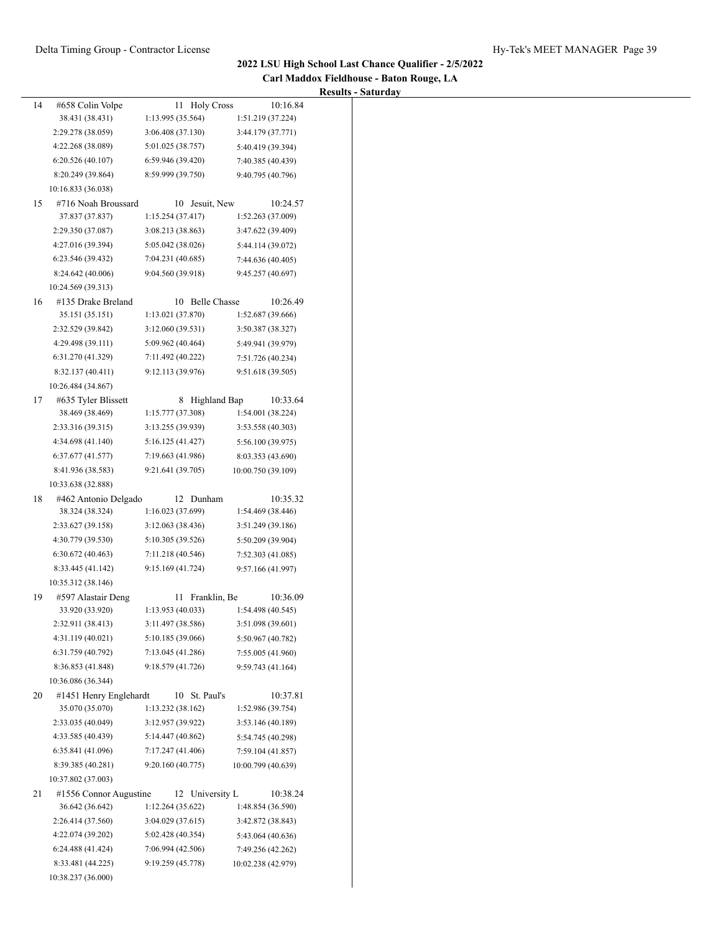$\overline{\phantom{0}}$ 

**Carl Maddox Fieldhouse - Baton Rouge, LA**

|    |                        |                   |                    | <b>Results - Saturday</b> |
|----|------------------------|-------------------|--------------------|---------------------------|
| 14 | #658 Colin Volpe       | 11 Holy Cross     | 10:16.84           |                           |
|    | 38.431 (38.431)        | 1:13.995 (35.564) | 1:51.219 (37.224)  |                           |
|    | 2:29.278 (38.059)      | 3:06.408 (37.130) | 3:44.179 (37.771)  |                           |
|    | 4:22.268 (38.089)      | 5:01.025 (38.757) | 5:40.419 (39.394)  |                           |
|    | 6:20.526(40.107)       | 6:59.946 (39.420) | 7:40.385 (40.439)  |                           |
|    | 8:20.249 (39.864)      | 8:59.999 (39.750) | 9:40.795 (40.796)  |                           |
|    | 10:16.833 (36.038)     |                   |                    |                           |
| 15 | #716 Noah Broussard    | 10 Jesuit, New    | 10:24.57           |                           |
|    | 37.837 (37.837)        | 1:15.254(37.417)  | 1:52.263 (37.009)  |                           |
|    | 2:29.350 (37.087)      | 3:08.213 (38.863) | 3:47.622 (39.409)  |                           |
|    | 4:27.016 (39.394)      | 5:05.042 (38.026) | 5:44.114 (39.072)  |                           |
|    | 6:23.546 (39.432)      | 7:04.231 (40.685) | 7:44.636 (40.405)  |                           |
|    | 8:24.642 (40.006)      | 9:04.560 (39.918) | 9:45.257 (40.697)  |                           |
|    | 10:24.569 (39.313)     |                   |                    |                           |
| 16 | #135 Drake Breland     | 10 Belle Chasse   | 10:26.49           |                           |
|    | 35.151 (35.151)        | 1:13.021 (37.870) | 1:52.687 (39.666)  |                           |
|    | 2:32.529 (39.842)      | 3:12.060 (39.531) | 3:50.387 (38.327)  |                           |
|    | 4:29.498 (39.111)      | 5:09.962 (40.464) | 5:49.941 (39.979)  |                           |
|    | 6:31.270 (41.329)      | 7:11.492 (40.222) | 7:51.726 (40.234)  |                           |
|    | 8:32.137 (40.411)      | 9:12.113 (39.976) | 9:51.618 (39.505)  |                           |
|    | 10:26.484 (34.867)     |                   |                    |                           |
| 17 | #635 Tyler Blissett    | 8 Highland Bap    | 10:33.64           |                           |
|    | 38.469 (38.469)        | 1:15.777 (37.308) | 1:54.001 (38.224)  |                           |
|    | 2:33.316 (39.315)      | 3:13.255 (39.939) | 3:53.558 (40.303)  |                           |
|    | 4:34.698 (41.140)      |                   |                    |                           |
|    |                        | 5:16.125 (41.427) | 5:56.100 (39.975)  |                           |
|    | 6:37.677(41.577)       | 7:19.663 (41.986) | 8:03.353 (43.690)  |                           |
|    | 8:41.936 (38.583)      | 9:21.641 (39.705) | 10:00.750 (39.109) |                           |
|    | 10:33.638 (32.888)     |                   |                    |                           |
| 18 | #462 Antonio Delgado   | 12 Dunham         | 10:35.32           |                           |
|    | 38.324 (38.324)        | 1:16.023 (37.699) | 1:54.469 (38.446)  |                           |
|    | 2:33.627 (39.158)      | 3:12.063 (38.436) | 3:51.249 (39.186)  |                           |
|    | 4:30.779 (39.530)      | 5:10.305 (39.526) | 5:50.209 (39.904)  |                           |
|    | 6:30.672(40.463)       | 7:11.218 (40.546) | 7:52.303 (41.085)  |                           |
|    | 8:33.445 (41.142)      | 9:15.169 (41.724) | 9:57.166 (41.997)  |                           |
|    | 10:35.312 (38.146)     |                   |                    |                           |
| 19 | #597 Alastair Deng     | 11 Franklin, Be   | 10:36.09           |                           |
|    | 33.920 (33.920)        | 1:13.953 (40.033) | 1:54.498 (40.545)  |                           |
|    | 2:32.911 (38.413)      | 3:11.497 (38.586) | 3:51.098 (39.601)  |                           |
|    | 4:31.119 (40.021)      | 5:10.185 (39.066) | 5:50.967 (40.782)  |                           |
|    | 6:31.759 (40.792)      | 7:13.045 (41.286) | 7:55.005 (41.960)  |                           |
|    | 8:36.853 (41.848)      | 9:18.579 (41.726) | 9:59.743 (41.164)  |                           |
|    | 10:36.086 (36.344)     |                   |                    |                           |
| 20 | #1451 Henry Englehardt | 10 St. Paul's     | 10:37.81           |                           |
|    | 35.070 (35.070)        | 1:13.232 (38.162) | 1:52.986 (39.754)  |                           |
|    | 2:33.035 (40.049)      | 3:12.957 (39.922) | 3:53.146 (40.189)  |                           |
|    | 4:33.585 (40.439)      | 5:14.447 (40.862) |                    |                           |
|    |                        |                   | 5:54.745 (40.298)  |                           |
|    | 6:35.841 (41.096)      | 7:17.247 (41.406) | 7:59.104 (41.857)  |                           |
|    | 8:39.385 (40.281)      | 9:20.160 (40.775) | 10:00.799 (40.639) |                           |
|    | 10:37.802 (37.003)     |                   |                    |                           |
| 21 | #1556 Connor Augustine | 12 University L   | 10:38.24           |                           |
|    | 36.642 (36.642)        | 1:12.264 (35.622) | 1:48.854 (36.590)  |                           |
|    | 2:26.414 (37.560)      | 3:04.029(37.615)  | 3:42.872 (38.843)  |                           |
|    | 4:22.074 (39.202)      | 5:02.428 (40.354) | 5:43.064 (40.636)  |                           |
|    | 6:24.488 (41.424)      | 7:06.994 (42.506) | 7:49.256 (42.262)  |                           |
|    | 8:33.481 (44.225)      | 9:19.259 (45.778) | 10:02.238 (42.979) |                           |
|    | 10:38.237 (36.000)     |                   |                    |                           |
|    |                        |                   |                    |                           |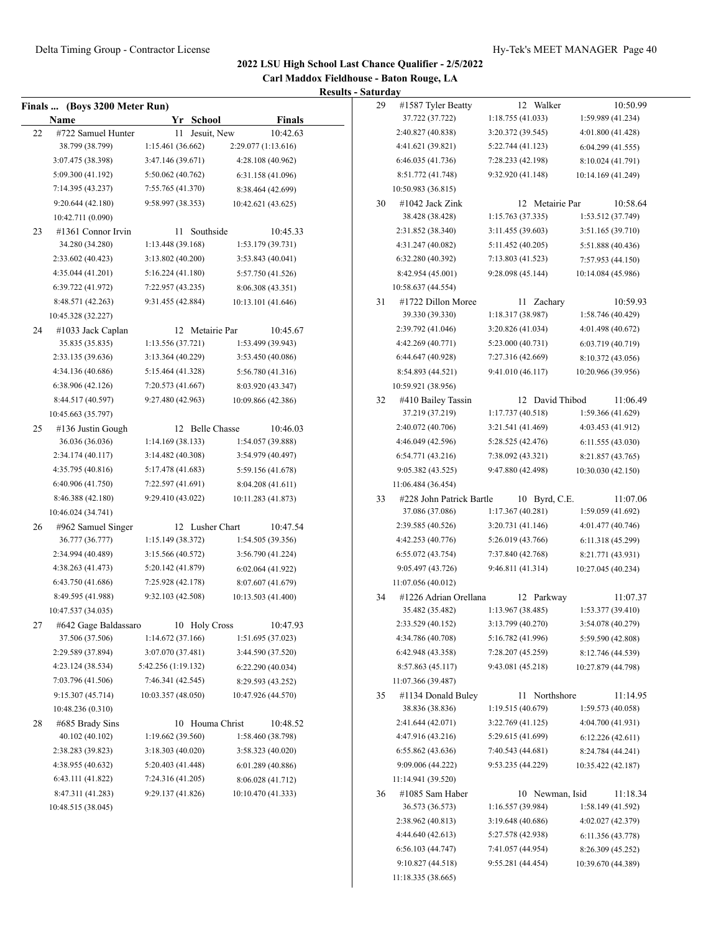**Carl Maddox Fieldhouse - Baton Rouge, LA Results - Saturday**

|    | Finals  (Boys 3200 Meter Run)           |                                   |                               | 29 | #1587 Tyler Beatty                       | 12 Walker                          | 10:50.99                     |
|----|-----------------------------------------|-----------------------------------|-------------------------------|----|------------------------------------------|------------------------------------|------------------------------|
|    | Name                                    | Yr School                         | <b>Finals</b>                 |    | 37.722 (37.722)                          | 1:18.755 (41.033)                  | 1:59.989 (41.234)            |
| 22 | #722 Samuel Hunter                      | 11 Jesuit, New                    | 10:42.63                      |    | 2:40.827 (40.838)                        | 3:20.372 (39.545)                  | 4:01.800 (41.428)            |
|    | 38.799 (38.799)                         | 1:15.461 (36.662)                 | 2:29.077 (1:13.616)           |    | 4:41.621 (39.821)                        | 5:22.744 (41.123)                  | 6:04.299(41.555)             |
|    | 3:07.475 (38.398)                       | 3:47.146 (39.671)                 | 4:28.108 (40.962)             |    | 6:46.035 (41.736)                        | 7:28.233 (42.198)                  | 8:10.024 (41.791)            |
|    | 5:09.300 (41.192)                       | 5:50.062 (40.762)                 | 6:31.158 (41.096)             |    | 8:51.772 (41.748)                        | 9:32.920 (41.148)                  | 10:14.169 (41.249)           |
|    | 7:14.395 (43.237)                       | 7:55.765 (41.370)                 | 8:38.464 (42.699)             |    | 10:50.983 (36.815)                       |                                    |                              |
|    | 9:20.644 (42.180)                       | 9:58.997 (38.353)                 | 10:42.621 (43.625)            | 30 | $\#1042$ Jack Zink                       | 12 Metairie Par                    | 10:58.64                     |
|    | 10:42.711 (0.090)                       |                                   |                               |    | 38.428 (38.428)                          | 1:15.763(37.335)                   | 1:53.512 (37.749)            |
| 23 | #1361 Connor Irvin                      | 11 Southside                      | 10:45.33                      |    | 2:31.852 (38.340)                        | 3:11.455 (39.603)                  | 3:51.165 (39.710)            |
|    | 34.280 (34.280)                         | 1:13.448 (39.168)                 | 1:53.179(39.731)              |    | 4:31.247 (40.082)                        | 5:11.452 (40.205)                  | 5:51.888 (40.436)            |
|    | 2:33.602 (40.423)                       | 3:13.802 (40.200)                 | 3:53.843 (40.041)             |    | 6:32.280 (40.392)                        | 7:13.803 (41.523)                  | 7:57.953 (44.150)            |
|    | 4:35.044 (41.201)                       | 5:16.224(41.180)                  | 5:57.750 (41.526)             |    | 8:42.954 (45.001)                        | 9:28.098 (45.144)                  | 10:14.084 (45.986)           |
|    | 6:39.722 (41.972)                       | 7:22.957 (43.235)                 | 8:06.308 (43.351)             |    | 10:58.637 (44.554)                       |                                    |                              |
|    | 8:48.571 (42.263)                       | 9:31.455 (42.884)                 | 10:13.101 (41.646)            | 31 | #1722 Dillon Moree                       | 11 Zachary                         | 10:59.93                     |
|    | 10:45.328 (32.227)                      |                                   |                               |    | 39.330 (39.330)                          | 1:18.317(38.987)                   | 1:58.746 (40.429)            |
| 24 | #1033 Jack Caplan                       | 12 Metairie Par                   | 10:45.67                      |    | 2:39.792 (41.046)                        | 3:20.826 (41.034)                  | 4:01.498 (40.672)            |
|    | 35.835 (35.835)                         | 1:13.556 (37.721)                 | 1:53.499 (39.943)             |    | 4:42.269 (40.771)                        | 5:23.000 (40.731)                  | 6:03.719 (40.719)            |
|    | 2:33.135 (39.636)                       | 3:13.364(40.229)                  | 3:53.450 (40.086)             |    | 6:44.647 (40.928)                        | 7:27.316 (42.669)                  | 8:10.372 (43.056)            |
|    | 4:34.136 (40.686)                       | 5:15.464 (41.328)                 | 5:56.780 (41.316)             |    | 8:54.893 (44.521)                        | 9:41.010 (46.117)                  | 10:20.966 (39.956)           |
|    | 6:38.906 (42.126)                       | 7:20.573 (41.667)                 | 8:03.920 (43.347)             |    | 10:59.921 (38.956)                       |                                    |                              |
|    | 8:44.517 (40.597)                       | 9:27.480 (42.963)                 | 10:09.866 (42.386)            | 32 | #410 Bailey Tassin                       | 12 David Thibod                    | 11:06.49                     |
|    | 10:45.663 (35.797)                      |                                   |                               |    | 37.219 (37.219)                          | 1:17.737(40.518)                   | 1:59.366 (41.629)            |
| 25 | #136 Justin Gough                       | 12 Belle Chasse                   | 10:46.03                      |    | 2:40.072 (40.706)                        | 3:21.541 (41.469)                  | 4:03.453 (41.912)            |
|    | 36.036 (36.036)                         | 1:14.169(38.133)                  | 1:54.057 (39.888)             |    | 4:46.049 (42.596)                        | 5:28.525 (42.476)                  | 6:11.555 (43.030)            |
|    | 2:34.174 (40.117)                       | 3:14.482(40.308)                  | 3:54.979 (40.497)             |    | 6:54.771 (43.216)                        | 7:38.092 (43.321)                  | 8:21.857 (43.765)            |
|    | 4:35.795 (40.816)                       | 5:17.478 (41.683)                 | 5:59.156 (41.678)             |    | 9:05.382 (43.525)                        | 9:47.880 (42.498)                  | 10:30.030 (42.150)           |
|    | 6:40.906 (41.750)                       | 7:22.597 (41.691)                 | 8:04.208 (41.611)             |    | 11:06.484 (36.454)                       |                                    |                              |
|    | 8:46.388 (42.180)                       | 9:29.410 (43.022)                 | 10:11.283 (41.873)            | 33 | #228 John Patrick Bartle                 | 10 Byrd, C.E.                      | 11:07.06                     |
|    | 10:46.024 (34.741)                      |                                   |                               |    | 37.086 (37.086)                          | 1:17.367(40.281)                   | 1:59.059 (41.692)            |
| 26 | #962 Samuel Singer                      | 12 Lusher Chart                   | 10:47.54                      |    | 2:39.585 (40.526)                        | 3:20.731 (41.146)                  | 4:01.477 (40.746)            |
|    | 36.777 (36.777)                         | 1:15.149 (38.372)                 | 1:54.505(39.356)              |    | 4:42.253 (40.776)                        | 5:26.019 (43.766)                  | 6:11.318 (45.299)            |
|    | 2:34.994 (40.489)                       | 3:15.566 (40.572)                 | 3:56.790 (41.224)             |    | 6:55.072 (43.754)                        | 7:37.840 (42.768)                  |                              |
|    | 4:38.263 (41.473)                       | 5:20.142 (41.879)                 |                               |    | 9:05.497 (43.726)                        | 9:46.811 (41.314)                  | 8:21.771 (43.931)            |
|    | 6:43.750 (41.686)                       | 7:25.928 (42.178)                 | 6:02.064 (41.922)             |    |                                          |                                    | 10:27.045 (40.234)           |
|    |                                         |                                   | 8:07.607 (41.679)             |    | 11:07.056 (40.012)                       |                                    |                              |
|    | 8:49.595 (41.988)<br>10:47.537 (34.035) | 9:32.103 (42.508)                 | 10:13.503 (41.400)            | 34 | #1226 Adrian Orellana<br>35.482 (35.482) | 12 Parkway<br>1:13.967 (38.485)    | 11:07.37<br>1:53.377(39.410) |
|    |                                         |                                   |                               |    | 2:33.529 (40.152)                        | 3:13.799 (40.270)                  | 3:54.078 (40.279)            |
| 27 | #642 Gage Baldassaro<br>37.506 (37.506) | 10 Holy Cross<br>1:14.672(37.166) | 10:47.93<br>1:51.695 (37.023) |    | 4:34.786 (40.708)                        | 5:16.782 (41.996)                  |                              |
|    | 2:29.589 (37.894)                       | 3:07.070 (37.481)                 | 3:44.590 (37.520)             |    | 6:42.948 (43.358)                        | 7:28.207 (45.259)                  | 5:59.590 (42.808)            |
|    |                                         |                                   |                               |    |                                          |                                    | 8:12.746 (44.539)            |
|    | 4:23.124 (38.534)                       | 5:42.256 (1:19.132)               | 6:22.290(40.034)              |    | 8:57.863 (45.117)                        | 9:43.081 (45.218)                  | 10:27.879 (44.798)           |
|    | 7:03.796 (41.506)                       | 7:46.341 (42.545)                 | 8:29.593 (43.252)             |    | 11:07.366 (39.487)                       |                                    |                              |
|    | 9:15.307 (45.714)                       | 10:03.357 (48.050)                | 10:47.926 (44.570)            | 35 | #1134 Donald Buley                       | 11 Northshore<br>1:19.515 (40.679) | 11:14.95                     |
|    | 10:48.236 (0.310)                       |                                   |                               |    | 38.836 (38.836)                          |                                    | 1:59.573 (40.058)            |
| 28 | #685 Brady Sins                         | 10 Houma Christ                   | 10:48.52                      |    | 2:41.644 (42.071)                        | 3:22.769 (41.125)                  | 4:04.700 (41.931)            |
|    | 40.102 (40.102)                         | 1:19.662(39.560)                  | 1:58.460 (38.798)             |    | 4:47.916 (43.216)                        | 5:29.615 (41.699)                  | 6:12.226(42.611)             |
|    | 2:38.283 (39.823)                       | 3:18.303 (40.020)                 | 3:58.323 (40.020)             |    | 6:55.862 (43.636)                        | 7:40.543 (44.681)                  | 8:24.784 (44.241)            |
|    | 4:38.955 (40.632)                       | 5:20.403 (41.448)                 | 6:01.289 (40.886)             |    | 9:09.006 (44.222)                        | 9:53.235 (44.229)                  | 10:35.422 (42.187)           |
|    | 6:43.111 (41.822)                       | 7:24.316 (41.205)                 | 8:06.028 (41.712)             |    | 11:14.941 (39.520)                       |                                    |                              |
|    | 8:47.311 (41.283)                       | 9:29.137 (41.826)                 | 10:10.470 (41.333)            | 36 | #1085 Sam Haber                          | 10 Newman, Isid                    | 11:18.34                     |
|    | 10:48.515 (38.045)                      |                                   |                               |    | 36.573 (36.573)                          | 1:16.557 (39.984)                  | 1:58.149 (41.592)            |
|    |                                         |                                   |                               |    | 2:38.962 (40.813)                        | 3:19.648 (40.686)                  | 4:02.027 (42.379)            |
|    |                                         |                                   |                               |    | 4:44.640 (42.613)                        | 5:27.578 (42.938)                  | 6:11.356 (43.778)            |
|    |                                         |                                   |                               |    | 6:56.103(44.747)                         | 7:41.057 (44.954)                  | 8:26.309 (45.252)            |
|    |                                         |                                   |                               |    | 9:10.827 (44.518)                        | 9:55.281 (44.454)                  | 10:39.670 (44.389)           |
|    |                                         |                                   |                               |    | 11:18.335 (38.665)                       |                                    |                              |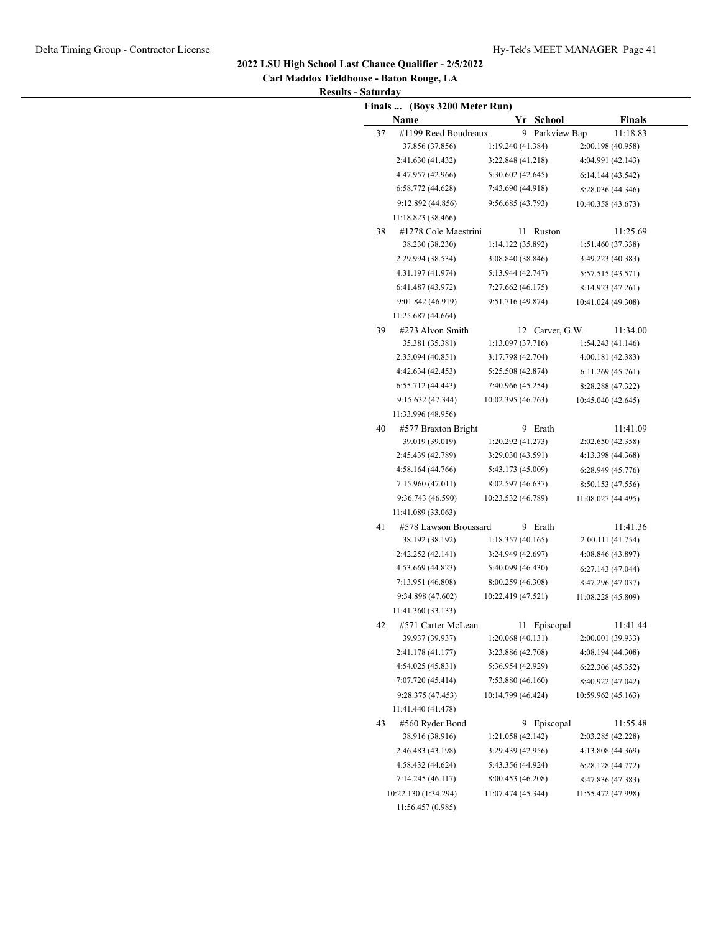| Carl Maddox Fieldhouse - Baton Rouge, LA |  |
|------------------------------------------|--|
| <b>Results - Saturday</b>                |  |

|    | Finals  (Boys 3200 Meter Run)             |                                         |                                         |
|----|-------------------------------------------|-----------------------------------------|-----------------------------------------|
| 37 | Name<br>#1199 Reed Boudreaux              | Yr School                               | <b>Finals</b><br>11:18.83               |
|    | 37.856 (37.856)                           | 9 Parkview Bap<br>1:19.240 (41.384)     | 2:00.198 (40.958)                       |
|    | 2:41.630 (41.432)                         | 3:22.848 (41.218)                       | 4:04.991 (42.143)                       |
|    | 4:47.957 (42.966)                         | 5:30.602 (42.645)                       | 6:14.144 (43.542)                       |
|    | 6:58.772 (44.628)                         | 7:43.690 (44.918)                       | 8:28.036 (44.346)                       |
|    | 9:12.892 (44.856)                         | 9:56.685 (43.793)                       | 10:40.358 (43.673)                      |
|    | 11:18.823 (38.466)                        |                                         |                                         |
| 38 | #1278 Cole Maestrini                      | 11 Ruston                               | 11:25.69                                |
|    | 38.230 (38.230)                           | 1:14.122 (35.892)                       | 1:51.460 (37.338)                       |
|    | 2:29.994 (38.534)                         | 3:08.840 (38.846)                       | 3:49.223 (40.383)                       |
|    | 4:31.197 (41.974)                         | 5:13.944 (42.747)                       | 5:57.515 (43.571)                       |
|    | 6:41.487 (43.972)                         | 7:27.662 (46.175)                       | 8:14.923 (47.261)                       |
|    | 9:01.842 (46.919)                         | 9:51.716 (49.874)                       | 10:41.024 (49.308)                      |
|    | 11:25.687 (44.664)                        |                                         |                                         |
| 39 | #273 Alvon Smith                          | 12 Carver, G.W.                         | 11:34.00                                |
|    | 35.381 (35.381)                           | 1:13.097 (37.716)                       | 1:54.243 (41.146)                       |
|    | 2:35.094 (40.851)                         | 3:17.798 (42.704)                       | 4:00.181 (42.383)                       |
|    | 4:42.634 (42.453)                         | 5:25.508 (42.874)                       | 6:11.269(45.761)                        |
|    | 6:55.712 (44.443)                         | 7:40.966 (45.254)                       | 8:28.288 (47.322)                       |
|    | 9:15.632 (47.344)                         | 10:02.395 (46.763)                      | 10:45.040 (42.645)                      |
|    | 11:33.996 (48.956)                        |                                         |                                         |
| 40 | #577 Braxton Bright                       | 9 Erath                                 | 11:41.09                                |
|    | 39.019 (39.019)                           | 1:20.292 (41.273)                       | 2:02.650 (42.358)                       |
|    | 2:45.439 (42.789)                         | 3:29.030 (43.591)                       | 4:13.398 (44.368)                       |
|    | 4:58.164 (44.766)                         | 5:43.173 (45.009)                       | 6:28.949(45.776)                        |
|    | 7:15.960 (47.011)                         | 8:02.597 (46.637)                       | 8:50.153 (47.556)                       |
|    | 9:36.743 (46.590)                         | 10:23.532 (46.789)                      | 11:08.027 (44.495)                      |
|    | 11:41.089 (33.063)                        |                                         |                                         |
| 41 | #578 Lawson Broussard                     | 9 Erath                                 | 11:41.36                                |
|    | 38.192 (38.192)                           | 1:18.357(40.165)                        | 2:00.111 (41.754)                       |
|    | 2:42.252 (42.141)                         | 3:24.949 (42.697)                       | 4:08.846 (43.897)                       |
|    | 4:53.669 (44.823)                         | 5:40.099 (46.430)                       | 6:27.143(47.044)                        |
|    | 7:13.951 (46.808)                         | 8:00.259 (46.308)                       | 8:47.296 (47.037)                       |
|    | 9:34.898 (47.602)                         | 10:22.419 (47.521)                      | 11:08.228 (45.809)                      |
|    | 11:41.360 (33.133)                        |                                         |                                         |
| 42 | #571 Carter McLean<br>39.937 (39.937)     | 11 Episcopal                            | 11:41.44                                |
|    | 2:41.178 (41.177)                         | 1:20.068(40.131)                        | 2:00.001 (39.933)                       |
|    |                                           | 3:23.886 (42.708)                       | 4:08.194 (44.308)                       |
|    | 4:54.025 (45.831)                         | 5:36.954 (42.929)                       | 6:22.306 (45.352)                       |
|    | 7:07.720 (45.414)                         | 7:53.880 (46.160)                       | 8:40.922 (47.042)                       |
|    | 9:28.375 (47.453)                         | 10:14.799 (46.424)                      | 10:59.962 (45.163)                      |
|    | 11:41.440 (41.478)                        |                                         |                                         |
| 43 | #560 Ryder Bond<br>38.916 (38.916)        | 9 Episcopal<br>1:21.058 (42.142)        | 11:55.48<br>2:03.285 (42.228)           |
|    |                                           |                                         |                                         |
|    | 2:46.483 (43.198)                         | 3:29.439 (42.956)                       | 4:13.808 (44.369)<br>6:28.128 (44.772)  |
|    |                                           |                                         |                                         |
|    | 4:58.432 (44.624)                         | 5:43.356 (44.924)                       |                                         |
|    | 7:14.245 (46.117)<br>10:22.130 (1:34.294) | 8:00.453 (46.208)<br>11:07.474 (45.344) | 8:47.836 (47.383)<br>11:55.472 (47.998) |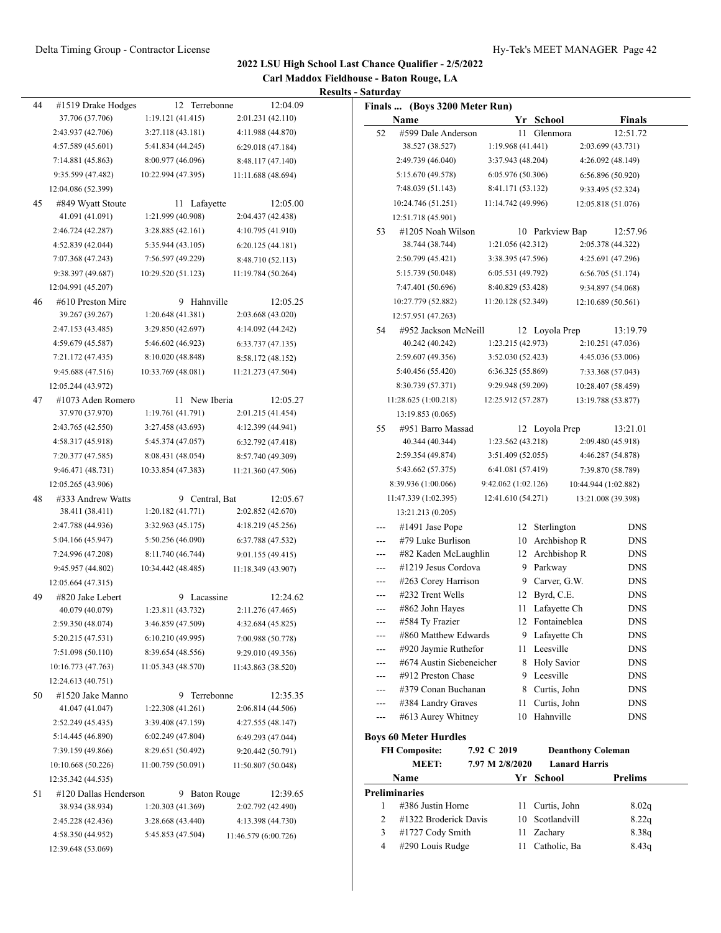#### Delta Timing Group - Contractor License Hy-Tek's MEET MANAGER Page 42

# **2022 LSU High School Last Chance Qualifier - 2/5/2022**

**Carl Maddox Fieldhouse - Baton Rouge, LA Results - Saturday**

|    |                                        |                                       |                                           | <b>Results - Saturday</b>                                                           |
|----|----------------------------------------|---------------------------------------|-------------------------------------------|-------------------------------------------------------------------------------------|
| 44 | #1519 Drake Hodges                     | 12 Terrebonne                         | 12:04.09                                  | Finals  (Boys 3200 Meter Run)                                                       |
|    | 37.706 (37.706)                        | 1:19.121(41.415)                      | 2:01.231 (42.110)                         | Name<br>Yr School<br>Finals                                                         |
|    | 2:43.937 (42.706)                      | 3:27.118(43.181)                      | 4:11.988 (44.870)                         | #599 Dale Anderson<br>11 Glenmora<br>12:51.72<br>52                                 |
|    | 4:57.589 (45.601)                      | 5:41.834 (44.245)                     | 6:29.018 (47.184)                         | 1:19.968 (41.441)<br>38.527 (38.527)<br>2:03.699 (43.731)                           |
|    | 7:14.881 (45.863)                      | 8:00.977 (46.096)                     | 8:48.117 (47.140)                         | 2:49.739 (46.040)<br>3:37.943 (48.204)<br>4:26.092 (48.149)                         |
|    | 9:35.599 (47.482)                      | 10:22.994 (47.395)                    | 11:11.688 (48.694)                        | 5:15.670 (49.578)<br>6:05.976 (50.306)<br>6:56.896(50.920)                          |
|    | 12:04.086 (52.399)                     |                                       |                                           | 7:48.039 (51.143)<br>8:41.171 (53.132)<br>9:33.495 (52.324)                         |
| 45 | #849 Wyatt Stoute                      | 11 Lafayette                          | 12:05.00                                  | 10:24.746 (51.251)<br>11:14.742 (49.996)<br>12:05.818 (51.076)                      |
|    | 41.091 (41.091)                        | 1:21.999 (40.908)                     | 2:04.437 (42.438)                         | 12:51.718 (45.901)                                                                  |
|    | 2:46.724 (42.287)                      | 3:28.885(42.161)                      | 4:10.795 (41.910)                         | 12:57.96<br>#1205 Noah Wilson<br>10 Parkview Bap<br>53                              |
|    | 4:52.839 (42.044)                      | 5:35.944 (43.105)                     | 6:20.125(44.181)                          | 38.744 (38.744)<br>1:21.056 (42.312)<br>2:05.378 (44.322)                           |
|    | 7:07.368 (47.243)                      | 7:56.597 (49.229)                     | 8:48.710 (52.113)                         | 2:50.799 (45.421)<br>3:38.395 (47.596)<br>4:25.691 (47.296)                         |
|    | 9:38.397 (49.687)                      | 10:29.520 (51.123)                    | 11:19.784 (50.264)                        | 5:15.739 (50.048)<br>6:05.531 (49.792)<br>6:56.705(51.174)                          |
|    | 12:04.991 (45.207)                     |                                       |                                           | 7:47.401 (50.696)<br>8:40.829 (53.428)<br>9:34.897 (54.068)                         |
| 46 | #610 Preston Mire                      | 9 Hahnville                           | 12:05.25                                  | 10:27.779 (52.882)<br>11:20.128 (52.349)<br>12:10.689 (50.561)                      |
|    | 39.267 (39.267)                        | 1:20.648(41.381)                      | 2:03.668 (43.020)                         | 12:57.951 (47.263)                                                                  |
|    | 2:47.153 (43.485)                      | 3:29.850(42.697)                      | 4:14.092 (44.242)                         | 13:19.79<br>#952 Jackson McNeill<br>12 Loyola Prep<br>54                            |
|    | 4:59.679 (45.587)                      | 5:46.602 (46.923)                     | 6:33.737(47.135)                          | 1:23.215 (42.973)<br>2:10.251 (47.036)<br>40.242 (40.242)                           |
|    | 7:21.172 (47.435)                      | 8:10.020 (48.848)                     | 8:58.172 (48.152)                         | 2:59.607 (49.356)<br>3:52.030 (52.423)<br>4:45.036 (53.006)                         |
|    | 9:45.688 (47.516)                      | 10:33.769 (48.081)                    | 11:21.273 (47.504)                        | 5:40.456 (55.420)<br>6:36.325 (55.869)<br>7:33.368 (57.043)                         |
|    | 12:05.244 (43.972)                     |                                       |                                           | 8:30.739 (57.371)<br>9:29.948 (59.209)<br>10:28.407 (58.459)                        |
| 47 | #1073 Aden Romero                      | 11 New Iberia                         | 12:05.27                                  | 11:28.625 (1:00.218)<br>12:25.912 (57.287)<br>13:19.788 (53.877)                    |
|    | 37.970 (37.970)                        | 1:19.761 (41.791)                     | 2:01.215 (41.454)                         | 13:19.853 (0.065)                                                                   |
|    | 2:43.765 (42.550)                      | 3:27.458 (43.693)                     | 4:12.399 (44.941)                         | 13:21.01<br>55<br>#951 Barro Massad<br>12 Loyola Prep                               |
|    | 4:58.317 (45.918)                      | 5:45.374 (47.057)                     |                                           | 40.344 (40.344)<br>1:23.562 (43.218)<br>2:09.480 (45.918)                           |
|    | 7:20.377 (47.585)                      |                                       | 6:32.792 (47.418)                         | 3:51.409 (52.055)                                                                   |
|    |                                        | 8:08.431 (48.054)                     | 8:57.740 (49.309)                         | 2:59.354 (49.874)<br>4:46.287 (54.878)                                              |
|    | 9:46.471 (48.731)                      | 10:33.854 (47.383)                    | 11:21.360 (47.506)                        | 5:43.662 (57.375)<br>6:41.081 (57.419)<br>7:39.870 (58.789)                         |
|    | 12:05.265 (43.906)                     |                                       |                                           | 8:39.936 (1:00.066)<br>9:42.062 (1:02.126)<br>10:44.944 (1:02.882)                  |
| 48 | #333 Andrew Watts                      | 9 Central, Bat                        | 12:05.67                                  | 11:47.339 (1:02.395)<br>12:41.610 (54.271)<br>13:21.008 (39.398)                    |
|    | 38.411 (38.411)                        | 1:20.182(41.771)                      | 2:02.852 (42.670)                         | 13:21.213 (0.205)                                                                   |
|    | 2:47.788 (44.936)                      | 3:32.963(45.175)                      | 4:18.219 (45.256)                         | <b>DNS</b><br>$#1491$ Jase Pope<br>12 Sterlington<br>$---$                          |
|    | 5:04.166 (45.947)                      | 5:50.256 (46.090)                     | 6:37.788 (47.532)                         | #79 Luke Burlison<br>10 Archbishop R<br><b>DNS</b><br>$---$                         |
|    | 7:24.996 (47.208)                      | 8:11.740 (46.744)                     | 9:01.155 (49.415)                         | 12 Archbishop R<br><b>DNS</b><br>#82 Kaden McLaughlin<br>$---$                      |
|    | 9:45.957 (44.802)                      | 10:34.442 (48.485)                    | 11:18.349 (43.907)                        | #1219 Jesus Cordova<br>9 Parkway<br><b>DNS</b><br>$---$                             |
|    | 12:05.664 (47.315)                     |                                       |                                           | #263 Corey Harrison<br>9 Carver, G.W.<br><b>DNS</b><br>$---$                        |
| 49 | #820 Jake Lebert                       | 9 Lacassine                           | 12:24.62                                  | #232 Trent Wells<br>12 Byrd, C.E.<br><b>DNS</b><br>---                              |
|    | 40.079 (40.079)                        | 1:23.811 (43.732)                     | 2:11.276 (47.465)                         | <b>DNS</b><br>#862 John Hayes<br>11 Lafayette Ch<br>$---$                           |
|    | 2:59.350 (48.074)                      | 3:46.859 (47.509)                     | 4:32.684 (45.825)                         | #584 Ty Frazier<br>12 Fontaineblea<br><b>DNS</b><br>---                             |
|    | 5:20.215 (47.531)                      | 6:10.210(49.995)                      | 7:00.988 (50.778)                         | 9 Lafayette Ch<br>#860 Matthew Edwards<br><b>DNS</b><br>---                         |
|    | 7:51.098 (50.110)                      | 8:39.654 (48.556)                     | 9:29.010 (49.356)                         | #920 Jaymie Ruthefor<br>11 Leesville<br><b>DNS</b><br>$---$                         |
|    | 10:16.773 (47.763)                     | 11:05.343 (48.570)                    | 11:43.863 (38.520)                        | #674 Austin Siebeneicher<br>8 Holy Savior<br><b>DNS</b><br>$---$                    |
|    | 12:24.613 (40.751)                     |                                       |                                           | #912 Preston Chase<br>9 Leesville<br><b>DNS</b><br>$---$                            |
| 50 | $\#1520$ Jake Manno                    | 9 Terrebonne                          | 12:35.35                                  | 8 Curtis, John<br>#379 Conan Buchanan<br><b>DNS</b><br>$---$                        |
|    | 41.047 (41.047)                        | 1:22.308(41.261)                      | 2:06.814 (44.506)                         | #384 Landry Graves<br>Curtis, John<br><b>DNS</b><br>11<br>$---$                     |
|    | 2:52.249 (45.435)                      | 3:39.408 (47.159)                     | 4:27.555 (48.147)                         | #613 Aurey Whitney<br>10 Hahnville<br><b>DNS</b><br>$---$                           |
|    | 5:14.445 (46.890)                      | 6:02.249(47.804)                      | 6:49.293 (47.044)                         | <b>Boys 60 Meter Hurdles</b>                                                        |
|    | 7:39.159 (49.866)                      | 8:29.651 (50.492)                     | 9:20.442 (50.791)                         | <b>FH Composite:</b><br>7.92 C 2019<br><b>Deanthony Coleman</b>                     |
|    | 10:10.668 (50.226)                     | 11:00.759 (50.091)                    | 11:50.807 (50.048)                        | <b>MEET:</b><br>7.97 M 2/8/2020<br><b>Lanard Harris</b>                             |
|    | 12:35.342 (44.535)                     |                                       |                                           | Name<br>Yr School<br><b>Prelims</b>                                                 |
|    | #120 Dallas Henderson                  | 9 Baton Rouge                         | 12:39.65                                  | Preliminaries                                                                       |
|    |                                        |                                       |                                           | 8.02q<br>#386 Justin Horne<br>11 Curtis, John<br>-1                                 |
|    |                                        |                                       |                                           |                                                                                     |
|    | 38.934 (38.934)                        | 1:20.303 (41.369)                     | 2:02.792 (42.490)                         | 10 Scotlandvill                                                                     |
| 51 | 2:45.228 (42.436)<br>4:58.350 (44.952) | 3:28.668(43.440)<br>5:45.853 (47.504) | 4:13.398 (44.730)<br>11:46.579 (6:00.726) | #1322 Broderick Davis<br>8.22q<br>2<br>11 Zachary<br>8.38q<br>3<br>#1727 Cody Smith |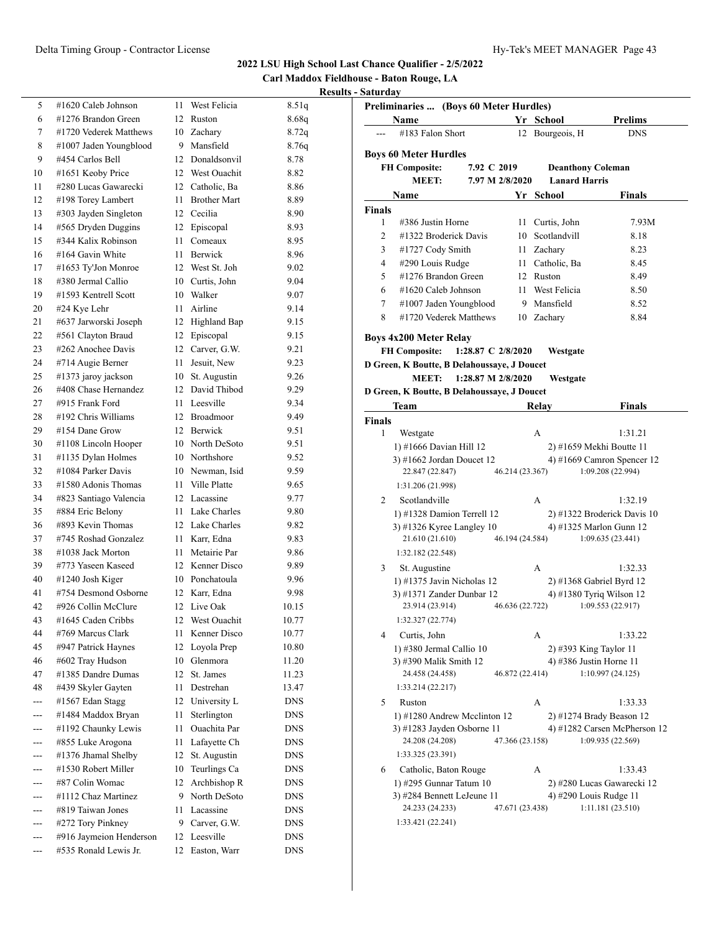**Carl Maddox Fieldhouse - Baton Rouge, LA**

| <b>Results - Saturday</b> |  |
|---------------------------|--|
|---------------------------|--|

| 5     | #1620 Caleb Johnson     | 11 | West Felicia                | 8.51q      |
|-------|-------------------------|----|-----------------------------|------------|
| 6     | #1276 Brandon Green     | 12 | Ruston                      | 8.68q      |
| 7     | #1720 Vederek Matthews  | 10 | Zachary                     | 8.72q      |
| 8     | #1007 Jaden Youngblood  | 9  | Mansfield                   | 8.76q      |
| 9     | #454 Carlos Bell        | 12 | Donaldsonvil                | 8.78       |
| 10    | #1651 Keoby Price       | 12 | West Ouachit                | 8.82       |
| 11    | #280 Lucas Gawarecki    | 12 | Catholic, Ba                | 8.86       |
| 12    | #198 Torey Lambert      | 11 | <b>Brother Mart</b>         | 8.89       |
| 13    | #303 Jayden Singleton   | 12 | Cecilia                     | 8.90       |
| 14    | #565 Dryden Duggins     | 12 | Episcopal                   | 8.93       |
| 15    | #344 Kalix Robinson     | 11 | Comeaux                     | 8.95       |
| 16    | #164 Gavin White        | 11 | Berwick                     | 8.96       |
| 17    | #1653 Ty'Jon Monroe     | 12 | West St. Joh                | 9.02       |
| 18    | #380 Jermal Callio      | 10 | Curtis, John                | 9.04       |
| 19    | #1593 Kentrell Scott    | 10 | Walker                      | 9.07       |
| 20    | #24 Kye Lehr            | 11 | Airline                     | 9.14       |
| 21    | #637 Jarworski Joseph   | 12 | Highland Bap                | 9.15       |
| 22    | #561 Clayton Braud      | 12 | Episcopal                   | 9.15       |
|       | #262 Anochee Davis      | 12 |                             | 9.21       |
| 23    |                         | 11 | Carver, G.W.<br>Jesuit, New |            |
| 24    | #714 Augie Berner       |    |                             | 9.23       |
| 25    | #1373 jaroy jackson     | 10 | St. Augustin                | 9.26       |
| 26    | #408 Chase Hernandez    | 12 | David Thibod                | 9.29       |
| 27    | #915 Frank Ford         | 11 | Leesville                   | 9.34       |
| 28    | #192 Chris Williams     | 12 | Broadmoor                   | 9.49       |
| 29    | #154 Dane Grow          | 12 | Berwick                     | 9.51       |
| 30    | #1108 Lincoln Hooper    | 10 | North DeSoto                | 9.51       |
| 31    | #1135 Dylan Holmes      | 10 | Northshore                  | 9.52       |
| 32    | #1084 Parker Davis      | 10 | Newman, Isid                | 9.59       |
| 33    | #1580 Adonis Thomas     | 11 | Ville Platte                | 9.65       |
| 34    | #823 Santiago Valencia  | 12 | Lacassine                   | 9.77       |
| 35    | #884 Eric Belony        | 11 | Lake Charles                | 9.80       |
| 36    | #893 Kevin Thomas       | 12 | Lake Charles                | 9.82       |
| 37    | #745 Roshad Gonzalez    | 11 | Karr, Edna                  | 9.83       |
| 38    | #1038 Jack Morton       | 11 | Metairie Par                | 9.86       |
| 39    | #773 Yaseen Kaseed      |    | 12 Kenner Disco             | 9.89       |
| 40    | #1240 Josh Kiger        |    | 10 Ponchatoula              | 9.96       |
| 41    | #754 Desmond Osborne    | 12 | Karr, Edna                  | 9.98       |
| 42    | #926 Collin McClure     | 12 | Live Oak                    | 10.15      |
| 43    | #1645 Caden Cribbs      |    | 12 West Ouachit             | 10.77      |
| 44    | #769 Marcus Clark       | 11 | Kenner Disco                | 10.77      |
| 45    | #947 Patrick Haynes     | 12 | Loyola Prep                 | 10.80      |
| 46    | #602 Tray Hudson        | 10 | Glenmora                    | 11.20      |
| 47    | #1385 Dandre Dumas      | 12 | St. James                   | 11.23      |
| 48    | #439 Skyler Gayten      | 11 | Destrehan                   | 13.47      |
|       | #1567 Edan Stagg        | 12 | University L                | <b>DNS</b> |
|       | #1484 Maddox Bryan      | 11 | Sterlington                 | <b>DNS</b> |
|       | #1192 Chaunky Lewis     | 11 | Ouachita Par                | <b>DNS</b> |
| ---   | #855 Luke Arogona       | 11 | Lafayette Ch                | <b>DNS</b> |
| ---   | #1376 Jhamal Shelby     | 12 | St. Augustin                | <b>DNS</b> |
| ---   | #1530 Robert Miller     | 10 | Teurlings Ca                | <b>DNS</b> |
| ---   | #87 Colin Womac         | 12 | Archbishop R                | DNS        |
|       | #1112 Chaz Martinez     | 9  | North DeSoto                | <b>DNS</b> |
| ---   | #819 Taiwan Jones       | 11 | Lacassine                   | DNS        |
| ---   | #272 Tory Pinkney       | 9  | Carver, G.W.                | DNS        |
| ---   | #916 Jaymeion Henderson | 12 | Leesville                   | DNS        |
| $---$ | #535 Ronald Lewis Jr.   | 12 | Easton, Warr                | DNS        |
|       |                         |    |                             |            |

|                | <b>Name</b>                                           |                    |                 | Yr School            | <b>Prelims</b>                                    |
|----------------|-------------------------------------------------------|--------------------|-----------------|----------------------|---------------------------------------------------|
|                | #183 Falon Short                                      |                    |                 | 12 Bourgeois, H      | <b>DNS</b>                                        |
|                | <b>Boys 60 Meter Hurdles</b>                          |                    |                 |                      |                                                   |
|                | <b>FH Composite:</b>                                  | 7.92 C 2019        |                 |                      | <b>Deanthony Coleman</b>                          |
|                | MEET:                                                 | 7.97 M 2/8/2020    |                 | <b>Lanard Harris</b> |                                                   |
|                | Name                                                  |                    |                 | Yr School            | Finals                                            |
| Finals         |                                                       |                    |                 |                      |                                                   |
| 1              | #386 Justin Horne                                     |                    | 11              | Curtis, John         | 7.93M                                             |
| $\overline{c}$ | #1322 Broderick Davis                                 |                    | 10              | Scotlandvill         | 8.18                                              |
| 3              | #1727 Cody Smith                                      |                    |                 | 11 Zachary           | 8.23                                              |
| 4              | #290 Louis Rudge                                      |                    |                 | 11 Catholic, Ba      | 8.45                                              |
| 5              | #1276 Brandon Green                                   |                    |                 | 12 Ruston            | 8.49                                              |
| 6              | #1620 Caleb Johnson                                   |                    |                 | 11 West Felicia      | 8.50                                              |
| $\tau$         | #1007 Jaden Youngblood                                |                    |                 | 9 Mansfield          | 8.52                                              |
| 8              | #1720 Vederek Matthews                                |                    |                 | 10 Zachary           | 8.84                                              |
|                |                                                       |                    |                 |                      |                                                   |
|                | <b>Boys 4x200 Meter Relay</b><br><b>FH Composite:</b> | 1:28.87 C 2/8/2020 |                 | Westgate             |                                                   |
|                | D Green, K Boutte, B Delahoussave, J Doucet           |                    |                 |                      |                                                   |
|                | <b>MEET:</b>                                          | 1:28.87 M 2/8/2020 |                 | Westgate             |                                                   |
|                | D Green, K Boutte, B Delahoussaye, J Doucet           |                    |                 |                      |                                                   |
|                | Team                                                  |                    |                 | Relay                | Finals                                            |
| Finals         |                                                       |                    |                 |                      |                                                   |
| 1              | Westgate                                              |                    |                 | A                    | 1:31.21                                           |
|                | 1) #1666 Davian Hill 12                               |                    |                 |                      | 2) #1659 Mekhi Boutte 11                          |
|                | 3) #1662 Jordan Doucet 12                             |                    |                 |                      | 4) #1669 Camron Spencer 12                        |
|                | 22.847 (22.847)                                       |                    | 46.214 (23.367) |                      | 1:09.208 (22.994)                                 |
|                | 1:31.206 (21.998)                                     |                    |                 |                      |                                                   |
| 2              | Scotlandville                                         |                    |                 | A                    | 1:32.19                                           |
|                | 1) #1328 Damion Terrell 12                            |                    |                 |                      | 2) #1322 Broderick Davis 10                       |
|                |                                                       |                    |                 |                      |                                                   |
|                | 3) #1326 Kyree Langley 10                             |                    |                 |                      | 4) #1325 Marlon Gunn 12                           |
|                | 21.610 (21.610)                                       |                    | 46.194 (24.584) |                      | 1:09.635(23.441)                                  |
|                | 1:32.182 (22.548)                                     |                    |                 |                      |                                                   |
| 3              | St. Augustine                                         |                    |                 | A                    | 1:32.33                                           |
|                | 1) #1375 Javin Nicholas 12                            |                    |                 |                      | 2) #1368 Gabriel Byrd 12                          |
|                | 3) #1371 Zander Dunbar 12                             |                    |                 |                      | 4) #1380 Tyriq Wilson 12                          |
|                | 23.914 (23.914)                                       |                    | 46.636 (22.722) |                      | 1:09.553 (22.917)                                 |
|                | 1:32.327 (22.774)                                     |                    |                 |                      |                                                   |
| 4              | Curtis, John                                          |                    |                 | А                    | 1:33.22                                           |
|                | 1) #380 Jermal Callio 10                              |                    |                 |                      | 2) #393 King Taylor 11                            |
|                | 3) #390 Malik Smith 12                                |                    |                 |                      | 4) #386 Justin Horne 11                           |
|                | 24.458 (24.458)                                       |                    | 46.872 (22.414) |                      | 1:10.997(24.125)                                  |
|                | 1:33.214 (22.217)                                     |                    |                 |                      |                                                   |
| 5              | Ruston                                                |                    |                 | А                    | 1:33.33                                           |
|                | 1) #1280 Andrew Mcclinton 12                          |                    |                 |                      | 2) #1274 Brady Beason 12                          |
|                | 3) #1283 Jayden Osborne 11                            |                    |                 |                      |                                                   |
|                | 24.208 (24.208)                                       |                    | 47.366 (23.158) |                      | 1:09.935 (22.569)                                 |
|                | 1:33.325 (23.391)                                     |                    |                 |                      |                                                   |
| 6              | Catholic, Baton Rouge                                 |                    |                 | А                    | 1:33.43                                           |
|                | 1) $#295$ Gunnar Tatum 10                             |                    |                 |                      | 2) #280 Lucas Gawarecki 12                        |
|                | 3) #284 Bennett LeJeune 11                            |                    |                 |                      | 4) #290 Louis Rudge 11                            |
|                | 24.233 (24.233)                                       |                    | 47.671 (23.438) |                      | 4) #1282 Carsen McPherson 12<br>1:11.181 (23.510) |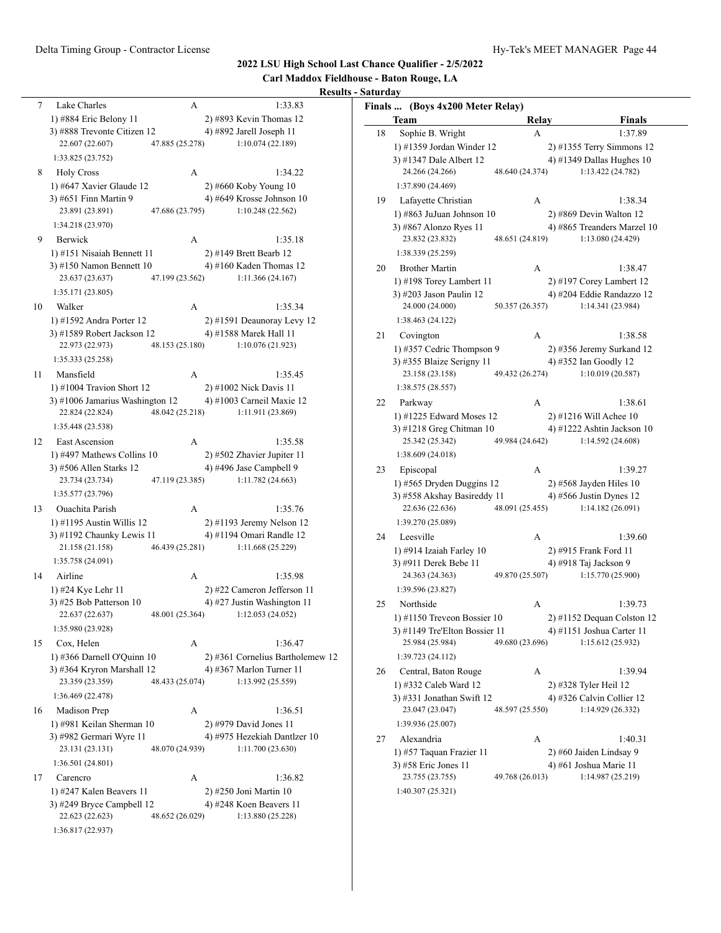#### **Carl Maddox Fieldhouse - Baton Rouge, LA Results - Saturday** 7 Lake Charles A 1:33.83 1) #884 Eric Belony 11 2) #893 Kevin Thomas 12 3) #888 Trevonte Citizen 12 4) #892 Jarell Joseph 11 22.607 (22.607) 47.885 (25.278) 1:10.074 (22.189) 1:33.825 (23.752) 8 Holy Cross A 1:34.22 1) #647 Xavier Glaude 12 2) #660 Koby Young 10 3) #651 Finn Martin 9 4) #649 Krosse Johnson 10 23.891 (23.891) 47.686 (23.795) 1:10.248 (22.562) 1:34.218 (23.970) 9 Berwick A 1:35.18 1) #151 Nisaiah Bennett 11 2) #149 Brett Bearb 12 3) #150 Namon Bennett 10 <br/>  $\,$  4) #160 Kaden Thomas 12 23.637 (23.637) <br>  $\,$  47.199 (23.562) <br> 1:11.366 (24.167) 23.637 (23.637) 47.199 (23.562) 1:11.366 (24.167) 1:35.171 (23.805) 10 Walker A 1:35.34 1) #1592 Andra Porter 12 2) #1591 Deaunoray Levy 12 3) #1589 Robert Jackson 12 4) #1588 Marek Hall 11 22.973 (22.973) 48.153 (25.180) 1:10.076 (21.923) 1:35.333 (25.258) 11 Mansfield A 1:35.45 1) #1004 Travion Short 12 2) #1002 Nick Davis 11 3) #1006 Jamarius Washington 12  $\qquad$  4) #1003 Carneil Maxie 12 22.824 (22.824) 48.042 (25.218) 1:11.911 (23.869) 1:35.448 (23.538) 12 East Ascension A 1:35.58 1) #497 Mathews Collins 10 2) #502 Zhavier Jupiter 11  $3)$  #506 Allen Starks 12  $\qquad \qquad$  4) #496 Jase Campbell 9 23.734 (23.734) 47.119 (23.385) 1:11.782 (24.663) 1:35.577 (23.796) 13 Ouachita Parish A 1:35.76 1) #1195 Austin Willis 12 2) #1193 Jeremy Nelson 12 3)  $\#1192$  Chaunky Lewis 11 4)  $\#1194$  Omari Randle 12 21.158 (21.158) 46.439 (25.281) 1:11.668 (25.229) 1:35.758 (24.091) 14 Airline A 1:35.98 1) #24 Kye Lehr 11 2) #22 Cameron Jefferson 11 3)  $#25$  Bob Patterson 10  $4)$   $#27$  Justin Washington 11 22.637 (22.637) 48.001 (25.364) 1:12.053 (24.052) 1:35.980 (23.928) 15 Cox, Helen A 1:36.47 1) #366 Darnell O'Quinn 10 2) #361 Cornelius Bartholemew 12 3) #364 Kryron Marshall 12 4) #367 Marlon Turner 11 23.359 (23.359) 48.433 (25.074) 1:13.992 (25.559) 1:36.469 (22.478) 16 Madison Prep A 1:36.51 1) #981 Keilan Sherman 10 2) #979 David Jones 11 3) #982 Germari Wyre 11 4) #975 Hezekiah Dantlzer 10 23.131 (23.131) 48.070 (24.939) 1:11.700 (23.630) 1:36.501 (24.801) 17 Carencro A 1:36.82 1) #247 Kalen Beavers 11 2) #250 Joni Martin 10 3) #249 Bryce Campbell 12 4) #248 Koen Beavers 11 22.623 (22.623) 48.652 (26.029) 1:13.880 (25.228) **Finals ... (Boys 4x200 Meter Relay) Team Relay Finals** 18 Sophie B. Wright A 1:37.89 1) #1359 Jordan Winder 12 2) #1355 Terry Simmons 12 3) #1347 Dale Albert 12 4) #1349 Dallas Hughes 10 24.266 (24.266) 48.640 (24.374) 1:13.422 (24.782) 1:37.890 (24.469) 19 Lafayette Christian A 1:38.34 1) #863 JuJuan Johnson 10 2) #869 Devin Walton 12 3) #867 Alonzo Ryes 11 4) #865 Treanders Marzel 10 23.832 (23.832) 48.651 (24.819) 1:13.080 (24.429) 1:38.339 (25.259) 20 Brother Martin A 1:38.47 1) #198 Torey Lambert 11 2) #197 Corey Lambert 12 3) #203 Jason Paulin 12 4) #204 Eddie Randazzo 12 24.000 (24.000) 50.357 (26.357) 1:14.341 (23.984) 1:38.463 (24.122) 21 Covington A 1:38.58 1) #357 Cedric Thompson 9 2) #356 Jeremy Surkand 12 3) #355 Blaize Serigny 11 4) #352 Ian Goodly 12 23.158 (23.158) 49.432 (26.274) 1:10.019 (20.587) 1:38.575 (28.557) 22 Parkway A 1:38.61 1) #1225 Edward Moses 12 2) #1216 Will Achee 10 3) #1218 Greg Chitman 10 4) #1222 Ashtin Jackson 10 25.342 (25.342) 49.984 (24.642) 1:14.592 (24.608) 1:38.609 (24.018) 23 Episcopal A 1:39.27 1) #565 Dryden Duggins 12 2) #568 Jayden Hiles 10 3) #558 Akshay Basireddy 11  $\qquad$  4) #566 Justin Dynes 12 22.636 (22.636) 48.091 (25.455) 1:14.182 (26.091) 1:39.270 (25.089) 24 Leesville A 1:39.60 1) #914 Izaiah Farley 10 2) #915 Frank Ford 11 3) #911 Derek Bebe 11 4) #918 Taj Jackson 9 24.363 (24.363) 49.870 (25.507) 1:15.770 (25.900) 1:39.596 (23.827) 25 Northside A 1:39.73 1) #1150 Treveon Bossier 10 2) #1152 Dequan Colston 12 3) #1149 Tre'Elton Bossier 11  $\qquad \qquad$  4) #1151 Joshua Carter 11 25.984 (25.984) 49.680 (23.696) 1:15.612 (25.932) 1:39.723 (24.112) 26 Central, Baton Rouge A 1:39.94 1) #332 Caleb Ward 12 2) #328 Tyler Heil 12 3) #331 Jonathan Swift 12 4) #326 Calvin Collier 12 23.047 (23.047) 48.597 (25.550) 1:14.929 (26.332) 1:39.936 (25.007) 27 Alexandria A 1:40.31 1) #57 Taquan Frazier 11 2) #60 Jaiden Lindsay 9 3) #58 Eric Jones 11 4) #61 Joshua Marie 11 23.755 (23.755) 49.768 (26.013) 1:14.987 (25.219) 1:40.307 (25.321)

**2022 LSU High School Last Chance Qualifier - 2/5/2022**

1:36.817 (22.937)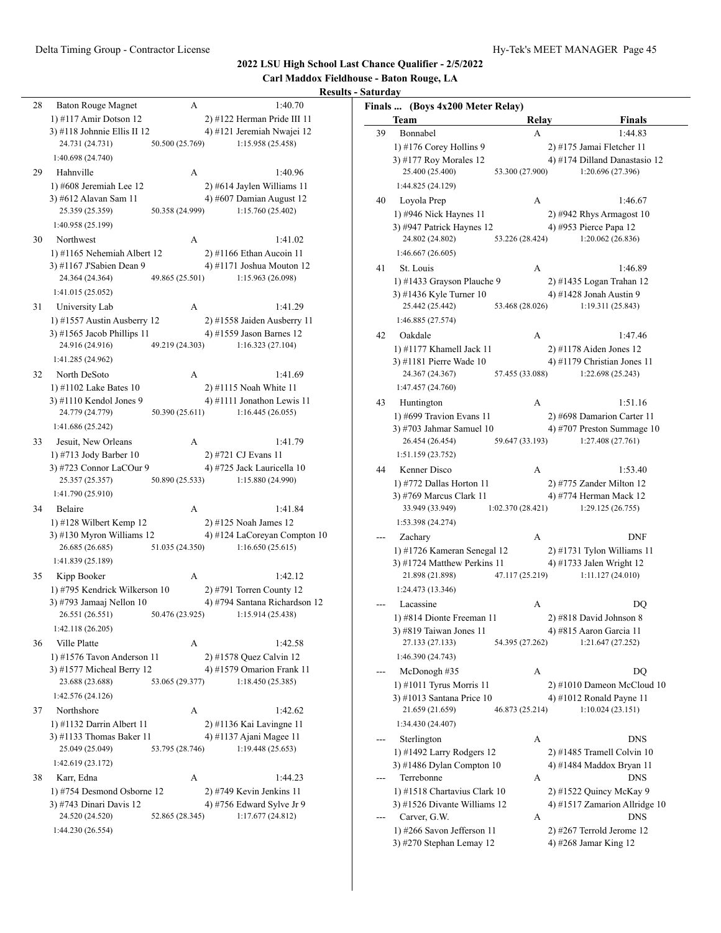#### **Carl Maddox Fieldhouse - Baton Rouge, LA Results - Saturday** 28 Baton Rouge Magnet A 1:40.70 1) #117 Amir Dotson 12 2) #122 Herman Pride III 11 3) #118 Johnnie Ellis II 12  $\qquad \qquad$  4) #121 Jeremiah Nwajei 12 24.731 (24.731) 50.500 (25.769) 1:15.958 (25.458) 1:40.698 (24.740) 29 Hahnville A 1:40.96 1) #608 Jeremiah Lee 12 2) #614 Jaylen Williams 11 3) #612 Alavan Sam 11 4) #607 Damian August 12 25.359 (25.359) 50.358 (24.999) 1:15.760 (25.402) 1:40.958 (25.199) 30 Northwest A 1:41.02 1) #1165 Nehemiah Albert 12 2) #1166 Ethan Aucoin 11 3) #1167 J'Sabien Dean 9 4) #1171 Joshua Mouton 12 24.364 (24.364) 49.865 (25.501) 1:15.963 (26.098) 1:41.015 (25.052) 31 University Lab A 1:41.29 1) #1557 Austin Ausberry 12 2) #1558 Jaiden Ausberry 11 3) #1565 Jacob Phillips 11  $\qquad$  4) #1559 Jason Barnes 12 24.916 (24.916) 49.219 (24.303) 1:16.323 (27.104) 1:41.285 (24.962) 32 North DeSoto A 1:41.69 1) #1102 Lake Bates 10 2) #1115 Noah White 11 3)  $\#1110$  Kendol Jones 9  $\qquad \qquad$  4)  $\#1111$  Jonathon Lewis 11 24.779 (24.779) 50.390 (25.611) 1:16.445 (26.055) 1:41.686 (25.242) 33 Jesuit, New Orleans A 1:41.79 1) #713 Jody Barber 10 2) #721 CJ Evans 11 3) #723 Connor LaCOur 9  $\qquad$  4) #725 Jack Lauricella 10 25.357 (25.357) 50.890 (25.533) 1:15.880 (24.990) 1:41.790 (25.910) 34 Belaire A 1:41.84 1) #128 Wilbert Kemp 12 2) #125 Noah James 12 3)  $\#130$  Myron Williams 12 4)  $\#124$  LaCoreyan Compton 10 26.685 (26.685) 51.035 (24.350) 1:16.650 (25.615) 1:41.839 (25.189) 35 Kipp Booker A 1:42.12 1) #795 Kendrick Wilkerson 10 2) #791 Torren County 12 3) #793 Jamaaj Nellon 10 4) #794 Santana Richardson 12 26.551 (26.551) 50.476 (23.925) 1:15.914 (25.438) 1:42.118 (26.205) 36 Ville Platte A 1:42.58 1) #1576 Tavon Anderson 11 2) #1578 Quez Calvin 12 3) #1577 Micheal Berry 12 4) #1579 Omarion Frank 11 23.688 (23.688) 53.065 (29.377) 1:18.450 (25.385) 1:42.576 (24.126) 37 Northshore A 1:42.62 1) #1132 Darrin Albert 11 2) #1136 Kai Lavingne 11 3) #1133 Thomas Baker 11  $\qquad \qquad$  4) #1137 Ajani Magee 11 25.049 (25.049) 53.795 (28.746) 1:19.448 (25.653) 1:42.619 (23.172) 38 Karr, Edna A 1:44.23 1) #754 Desmond Osborne 12 2) #749 Kevin Jenkins 11 3) #743 Dinari Davis 12 4) #756 Edward Sylve Jr 9 24.520 (24.520) 52.865 (28.345) 1:17.677 (24.812) 1:44.230 (26.554) **Finals ... (Boys 4x200 Meter Relay) Team Relay Finals** 39 Bonnabel A 1:44.83 1) #176 Corey Hollins 9 2) #175 Jamai Fletcher 11 3)  $#177$  Roy Morales 12 4)  $#174$  Dilland Danastasio 12 25.400 (25.400) 53.300 (27.900) 1:20.696 (27.396) 1:44.825 (24.129) 40 Loyola Prep A 1:46.67 1) #946 Nick Haynes 11 2) #942 Rhys Armagost 10 3) #947 Patrick Haynes 12 4) #953 Pierce Papa 12 24.802 (24.802) 53.226 (28.424) 1:20.062 (26.836) 1:46.667 (26.605) 41 St. Louis A 1:46.89 1) #1433 Grayson Plauche 9 2) #1435 Logan Trahan 12 3) #1436 Kyle Turner 10 4) #1428 Jonah Austin 9 25.442 (25.442) 53.468 (28.026) 1:19.311 (25.843) 1:46.885 (27.574) 42 Oakdale A 1:47.46 1) #1177 Khamell Jack 11 2) #1178 Aiden Jones 12 3) #1181 Pierre Wade 10 4) #1179 Christian Jones 11 24.367 (24.367) 57.455 (33.088) 1:22.698 (25.243) 1:47.457 (24.760) 43 Huntington A 1:51.16 1) #699 Travion Evans 11 2) #698 Damarion Carter 11 3) #703 Jahmar Samuel 10 4) #707 Preston Summage 10 26.454 (26.454) 59.647 (33.193) 1:27.408 (27.761) 1:51.159 (23.752) 44 Kenner Disco A 1:53.40 1) #772 Dallas Horton 11 2) #775 Zander Milton 12 3) #769 Marcus Clark 11 4) #774 Herman Mack 12 33.949 (33.949) 1:02.370 (28.421) 1:29.125 (26.755) 1:53.398 (24.274) Zachary A DNF 1) #1726 Kameran Senegal 12 2) #1731 Tylon Williams 11 3)  $\#1724$  Matthew Perkins 11 4)  $\#1733$  Jalen Wright 12 21.898 (21.898) 47.117 (25.219) 1:11.127 (24.010) 1:24.473 (13.346) Lacassine A DO 1) #814 Dionte Freeman 11 2) #818 David Johnson 8 3) #819 Taiwan Jones 11 4) #815 Aaron Garcia 11 27.133 (27.133) 54.395 (27.262) 1:21.647 (27.252) 1:46.390 (24.743) McDonogh #35 A DQ 1) #1011 Tyrus Morris 11 2) #1010 Dameon McCloud 10 3) #1013 Santana Price 10 4) #1012 Ronald Payne 11 21.659 (21.659) 46.873 (25.214) 1:10.024 (23.151) 1:34.430 (24.407) Sterlington A DNS 1) #1492 Larry Rodgers 12 2) #1485 Tramell Colvin 10 3) #1486 Dylan Compton 10 4) #1484 Maddox Bryan 11 Terrebonne A DNS 1) #1518 Chartavius Clark 10 2) #1522 Quincy McKay 9 3) #1526 Divante Williams 12  $\qquad \qquad$  4) #1517 Zamarion Allridge 10 Carver, G.W. A DNS 1) #266 Savon Jefferson 11 2) #267 Terrold Jerome 12 3) #270 Stephan Lemay 12 4) #268 Jamar King 12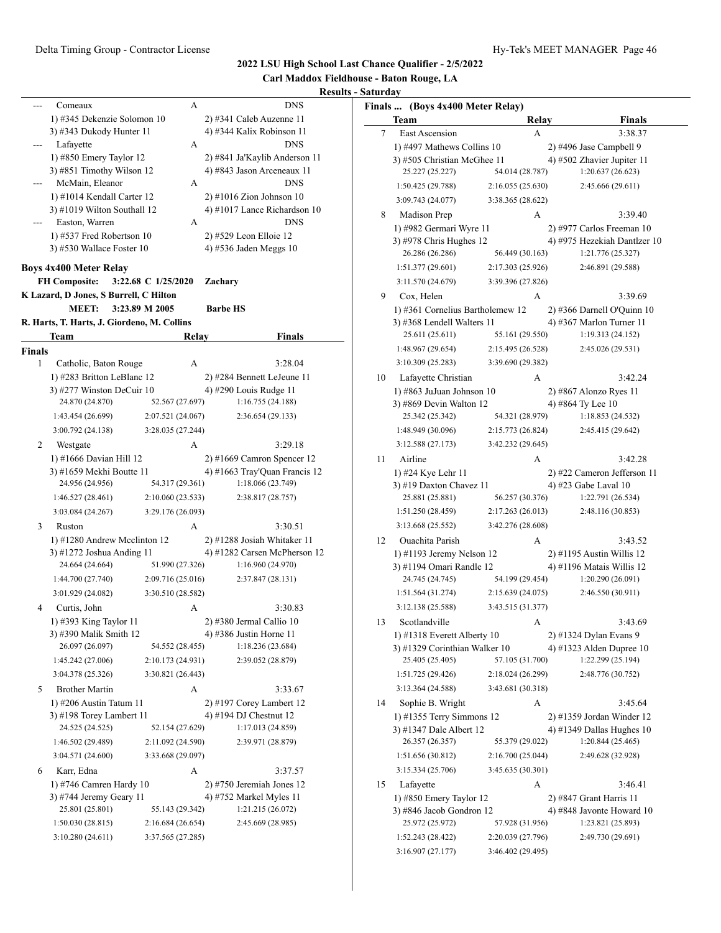**Carl Maddox Fieldhouse - Baton Rouge, LA**

|               |                                                        |                     |                                                     | KΘ                                                |
|---------------|--------------------------------------------------------|---------------------|-----------------------------------------------------|---------------------------------------------------|
|               | Comeaux                                                | А                   |                                                     | <b>DNS</b>                                        |
|               | 1) #345 Dekenzie Solomon 10                            |                     | 2) #341 Caleb Auzenne 11                            |                                                   |
|               | 3) #343 Dukody Hunter 11                               |                     | 4) #344 Kalix Robinson 11                           |                                                   |
|               | Lafayette                                              | А                   |                                                     | <b>DNS</b>                                        |
|               | 1) #850 Emery Taylor 12                                |                     |                                                     | 2) #841 Ja'Kaylib Anderson 11                     |
|               | 3) #851 Timothy Wilson 12                              |                     | 4) #843 Jason Arceneaux 11                          |                                                   |
|               | McMain, Eleanor                                        | А                   |                                                     | <b>DNS</b>                                        |
|               | 1) #1014 Kendall Carter 12                             |                     | $2)$ #1016 Zion Johnson 10                          |                                                   |
|               | 3) #1019 Wilton Southall 12                            |                     |                                                     | 4) #1017 Lance Richardson 10                      |
|               | Easton, Warren                                         | А                   |                                                     | <b>DNS</b>                                        |
|               | 1) #537 Fred Robertson 10<br>3) #530 Wallace Foster 10 |                     | 2) #529 Leon Elloie 12<br>4) #536 Jaden Meggs 10    |                                                   |
|               |                                                        |                     |                                                     |                                                   |
|               | <b>Boys 4x400 Meter Relay</b>                          |                     |                                                     |                                                   |
|               | <b>FH Composite:</b>                                   | 3:22.68 C 1/25/2020 | Zachary                                             |                                                   |
|               | K Lazard, D Jones, S Burrell, C Hilton                 |                     |                                                     |                                                   |
|               | <b>MEET:</b>                                           | 3:23.89 M 2005      | <b>Barbe HS</b>                                     |                                                   |
|               | R. Harts, T. Harts, J. Giordeno, M. Collins            |                     |                                                     |                                                   |
|               | <b>Team</b>                                            | Relay               |                                                     | <b>Finals</b>                                     |
| <b>Finals</b> |                                                        |                     |                                                     |                                                   |
| 1             | Catholic, Baton Rouge                                  | A                   |                                                     | 3:28.04                                           |
|               | 1) #283 Britton LeBlanc 12                             |                     | 2) #284 Bennett LeJeune 11                          |                                                   |
|               | 3) #277 Winston DeCuir $10$                            |                     | 4) #290 Louis Rudge 11                              |                                                   |
|               | 24.870 (24.870)                                        | 52.567 (27.697)     |                                                     | 1:16.755 (24.188)                                 |
|               | 1:43.454 (26.699)                                      | 2:07.521 (24.067)   |                                                     | 2:36.654 (29.133)                                 |
|               | 3:00.792 (24.138)                                      | 3:28.035 (27.244)   |                                                     |                                                   |
| 2             | Westgate                                               | А                   |                                                     | 3:29.18                                           |
|               | 1) #1666 Davian Hill 12                                |                     | 2) #1669 Camron Spencer 12                          |                                                   |
|               | 3) #1659 Mekhi Boutte 11                               |                     |                                                     | 4) #1663 Tray'Quan Francis 12                     |
|               | 24.956 (24.956)                                        | 54.317 (29.361)     |                                                     | 1:18.066 (23.749)                                 |
|               | 1:46.527 (28.461)                                      | 2:10.060 (23.533)   |                                                     | 2:38.817 (28.757)                                 |
|               | 3:03.084 (24.267)                                      | 3:29.176 (26.093)   |                                                     |                                                   |
| 3             | Ruston                                                 | А                   |                                                     | 3:30.51                                           |
|               | 1) #1280 Andrew Mcclinton 12                           |                     | 2) #1288 Josiah Whitaker 11                         |                                                   |
|               | 3) #1272 Joshua Anding 11<br>24.664 (24.664)           | 51.990 (27.326)     |                                                     | 4) #1282 Carsen McPherson 12<br>1:16.960 (24.970) |
|               | 1:44.700 (27.740)                                      | 2:09.716 (25.016)   |                                                     | 2:37.847 (28.131)                                 |
|               | 3:01.929 (24.082)                                      | 3:30.510 (28.582)   |                                                     |                                                   |
|               | Curtis, John                                           |                     |                                                     |                                                   |
| 4             | 1) #393 King Taylor 11                                 | А                   |                                                     | 3:30.83                                           |
|               | 3) #390 Malik Smith 12                                 |                     | 2) #380 Jermal Callio 10<br>4) #386 Justin Horne 11 |                                                   |
|               | 26.097 (26.097)                                        | 54.552 (28.455)     |                                                     | 1:18.236 (23.684)                                 |
|               | 1:45.242 (27.006)                                      | 2:10.173 (24.931)   |                                                     | 2:39.052 (28.879)                                 |
|               | 3:04.378 (25.326)                                      | 3:30.821 (26.443)   |                                                     |                                                   |
| 5             | <b>Brother Martin</b>                                  | А                   |                                                     | 3:33.67                                           |
|               | 1) #206 Austin Tatum 11                                |                     | 2) #197 Corey Lambert 12                            |                                                   |
|               | $3)$ #198 Torey Lambert 11                             |                     | 4) #194 DJ Chestnut 12                              |                                                   |
|               | 24.525 (24.525)                                        | 52.154 (27.629)     |                                                     | 1:17.013 (24.859)                                 |
|               | 1:46.502 (29.489)                                      | 2:11.092 (24.590)   |                                                     | 2:39.971 (28.879)                                 |
|               | 3:04.571 (24.600)                                      | 3:33.668 (29.097)   |                                                     |                                                   |
| 6             | Karr, Edna                                             | A                   |                                                     | 3:37.57                                           |
|               | 1) #746 Camren Hardy 10                                |                     | 2) #750 Jeremiah Jones 12                           |                                                   |
|               | 3) #744 Jeremy Geary 11                                |                     | 4) #752 Markel Myles 11                             |                                                   |
|               | 25.801 (25.801)                                        | 55.143 (29.342)     |                                                     | 1:21.215 (26.072)                                 |
|               | 1:50.030(28.815)                                       | 2:16.684(26.654)    |                                                     | 2:45.669 (28.985)                                 |
|               | 3:10.280(24.611)                                       | 3:37.565 (27.285)   |                                                     |                                                   |
|               |                                                        |                     |                                                     |                                                   |

| inals | (Boys 4x400 Meter Relay)                                       |                   |                                                          |
|-------|----------------------------------------------------------------|-------------------|----------------------------------------------------------|
|       | Team                                                           | Relay             | <b>Finals</b>                                            |
| 7     | East Ascension                                                 | A                 | 3:38.37                                                  |
|       | 1) #497 Mathews Collins 10                                     |                   | 2) #496 Jase Campbell 9                                  |
|       | 3) #505 Christian McGhee 11                                    |                   | 4) #502 Zhavier Jupiter 11                               |
|       | 25.227 (25.227)                                                | 54.014 (28.787)   | 1:20.637(26.623)                                         |
|       | 1:50.425(29.788)                                               | 2:16.055 (25.630) | 2:45.666 (29.611)                                        |
|       | 3:09.743 (24.077)                                              | 3:38.365 (28.622) |                                                          |
| 8     | Madison Prep                                                   | А                 | 3:39.40                                                  |
|       | 1) #982 Germari Wyre 11                                        |                   | 2) #977 Carlos Freeman 10                                |
|       | 3) #978 Chris Hughes 12<br>26.286 (26.286)                     |                   | 4) #975 Hezekiah Dantlzer 10                             |
|       |                                                                | 56.449 (30.163)   | 1:21.776 (25.327)                                        |
|       | 1:51.377(29.601)<br>3:11.570 (24.679)                          | 2:17.303 (25.926) | 2:46.891 (29.588)                                        |
|       |                                                                | 3:39.396 (27.826) |                                                          |
| 9     | Cox, Helen                                                     | А                 | 3:39.69                                                  |
|       | 1) #361 Cornelius Bartholemew 12<br>3) #368 Lendell Walters 11 |                   | $2)$ #366 Darnell O'Quinn 10<br>4) #367 Marlon Turner 11 |
|       | 25.611 (25.611)                                                | 55.161 (29.550)   | 1:19.313(24.152)                                         |
|       | 1:48.967 (29.654)                                              | 2:15.495 (26.528) | 2:45.026 (29.531)                                        |
|       | 3:10.309 (25.283)                                              | 3:39.690 (29.382) |                                                          |
| 10    | Lafayette Christian                                            | А                 | 3:42.24                                                  |
|       | 1) #863 JuJuan Johnson 10                                      |                   | 2) #867 Alonzo Ryes 11                                   |
|       | 3) #869 Devin Walton 12                                        |                   | 4) #864 Ty Lee 10                                        |
|       | 25.342 (25.342)                                                | 54.321 (28.979)   | 1:18.853(24.532)                                         |
|       | 1:48.949 (30.096)                                              | 2:15.773 (26.824) | 2:45.415 (29.642)                                        |
|       | 3:12.588(27.173)                                               | 3:42.232 (29.645) |                                                          |
| 11    | Airline                                                        | А                 | 3:42.28                                                  |
|       | 1) #24 Kye Lehr 11                                             |                   | 2) #22 Cameron Jefferson 11                              |
|       | 3) #19 Daxton Chavez 11                                        |                   | 4) #23 Gabe Laval 10                                     |
|       | 25.881 (25.881)                                                | 56.257 (30.376)   | 1:22.791 (26.534)                                        |
|       | 1:51.250 (28.459)                                              | 2:17.263 (26.013) | 2:48.116 (30.853)                                        |
|       | 3:13.668 (25.552)                                              | 3:42.276 (28.608) |                                                          |
| 12    | Ouachita Parish                                                | А                 | 3:43.52                                                  |
|       | 1) #1193 Jeremy Nelson 12                                      |                   | 2) #1195 Austin Willis 12                                |
|       | 3) #1194 Omari Randle 12                                       |                   | 4) #1196 Matais Willis 12                                |
|       | 24.745 (24.745)                                                | 54.199 (29.454)   | 1:20.290 (26.091)                                        |
|       | 1:51.564 (31.274)                                              | 2:15.639 (24.075) | 2:46.550 (30.911)                                        |
|       | 3:12.138 (25.588)                                              | 3:43.515 (31.377) |                                                          |
| 13    | Scotlandville                                                  | A                 | 3:43.69                                                  |
|       | 1) #1318 Everett Alberty 10                                    |                   | 2) #1324 Dylan Evans 9                                   |
|       | 3) #1329 Corinthian Walker 10                                  |                   | 4) #1323 Alden Dupree 10                                 |
|       | 25.405 (25.405)                                                | 57.105 (31.700)   | 1:22.299 (25.194)                                        |
|       | 1:51.725 (29.426)                                              | 2:18.024 (26.299) | 2:48.776 (30.752)                                        |
|       | 3:13.364 (24.588)                                              | 3:43.681 (30.318) |                                                          |
| 14    | Sophie B. Wright                                               | А                 | 3:45.64                                                  |
|       | 1) #1355 Terry Simmons 12                                      |                   | 2) #1359 Jordan Winder 12                                |
|       | 3) #1347 Dale Albert 12<br>26.357 (26.357)                     | 55.379 (29.022)   | 4) #1349 Dallas Hughes 10<br>1:20.844 (25.465)           |
|       | 1:51.656 (30.812)                                              |                   |                                                          |
|       |                                                                | 2:16.700 (25.044) | 2:49.628 (32.928)                                        |
|       | 3:15.334 (25.706)                                              | 3:45.635 (30.301) |                                                          |
| 15    | Lafayette                                                      | А                 | 3:46.41                                                  |
|       | 1) #850 Emery Taylor 12<br>3) #846 Jacob Gondron 12            |                   | 2) #847 Grant Harris 11<br>4) #848 Javonte Howard 10     |
|       | 25.972 (25.972)                                                | 57.928 (31.956)   | 1:23.821 (25.893)                                        |
|       | 1:52.243 (28.422)                                              | 2:20.039 (27.796) | 2:49.730 (29.691)                                        |
|       | 3:16.907 (27.177)                                              | 3:46.402 (29.495) |                                                          |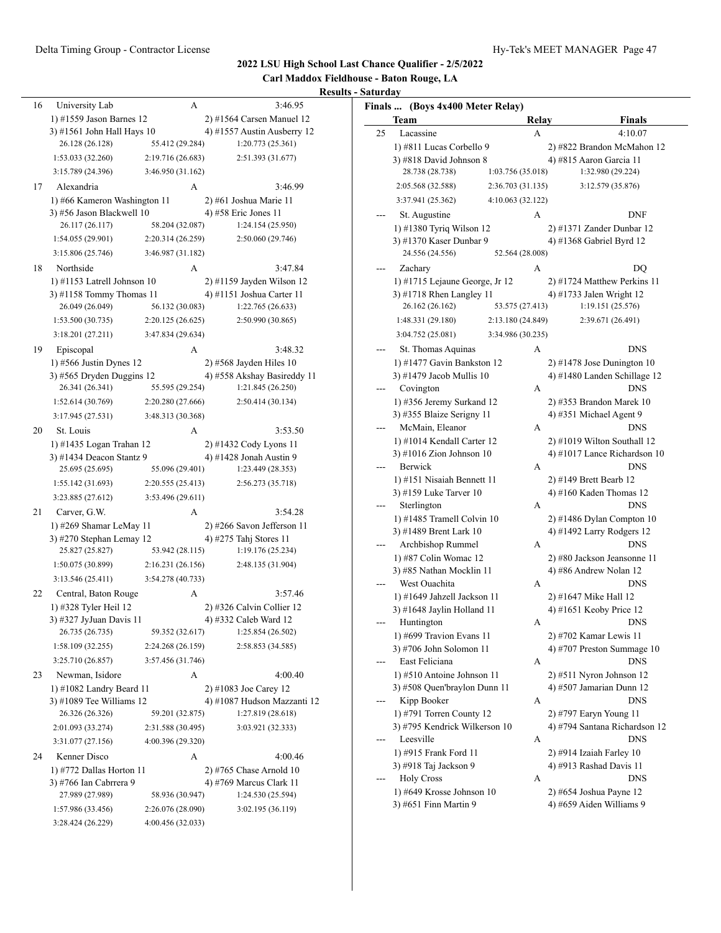#### Delta Timing Group - Contractor License Hy-Tek's MEET MANAGER Page 47

#### **2022 LSU High School Last Chance Qualifier - 2/5/2022**

**Carl Maddox Fieldhouse - Baton Rouge, LA**

| University Lab                                     |                                                                                                                                                                                                                                                                                                                                        |                                                                                                                                                                                                                                                                                                                                                                                                                         | 3:46.95                                                                                                                                                                                                                                                                                                                                                                                                                                                                              |
|----------------------------------------------------|----------------------------------------------------------------------------------------------------------------------------------------------------------------------------------------------------------------------------------------------------------------------------------------------------------------------------------------|-------------------------------------------------------------------------------------------------------------------------------------------------------------------------------------------------------------------------------------------------------------------------------------------------------------------------------------------------------------------------------------------------------------------------|--------------------------------------------------------------------------------------------------------------------------------------------------------------------------------------------------------------------------------------------------------------------------------------------------------------------------------------------------------------------------------------------------------------------------------------------------------------------------------------|
|                                                    |                                                                                                                                                                                                                                                                                                                                        |                                                                                                                                                                                                                                                                                                                                                                                                                         | 2) #1564 Carsen Manuel 12                                                                                                                                                                                                                                                                                                                                                                                                                                                            |
|                                                    |                                                                                                                                                                                                                                                                                                                                        |                                                                                                                                                                                                                                                                                                                                                                                                                         | 4) #1557 Austin Ausberry 12                                                                                                                                                                                                                                                                                                                                                                                                                                                          |
| 26.128 (26.128)                                    |                                                                                                                                                                                                                                                                                                                                        |                                                                                                                                                                                                                                                                                                                                                                                                                         | 1:20.773(25.361)                                                                                                                                                                                                                                                                                                                                                                                                                                                                     |
| 1:53.033 (32.260)                                  |                                                                                                                                                                                                                                                                                                                                        |                                                                                                                                                                                                                                                                                                                                                                                                                         | 2:51.393 (31.677)                                                                                                                                                                                                                                                                                                                                                                                                                                                                    |
| 3:15.789 (24.396)                                  |                                                                                                                                                                                                                                                                                                                                        |                                                                                                                                                                                                                                                                                                                                                                                                                         |                                                                                                                                                                                                                                                                                                                                                                                                                                                                                      |
| Alexandria                                         |                                                                                                                                                                                                                                                                                                                                        |                                                                                                                                                                                                                                                                                                                                                                                                                         | 3:46.99                                                                                                                                                                                                                                                                                                                                                                                                                                                                              |
|                                                    |                                                                                                                                                                                                                                                                                                                                        |                                                                                                                                                                                                                                                                                                                                                                                                                         | 2) #61 Joshua Marie 11                                                                                                                                                                                                                                                                                                                                                                                                                                                               |
|                                                    |                                                                                                                                                                                                                                                                                                                                        |                                                                                                                                                                                                                                                                                                                                                                                                                         | 4) #58 Eric Jones 11                                                                                                                                                                                                                                                                                                                                                                                                                                                                 |
| 26.117 (26.117)                                    |                                                                                                                                                                                                                                                                                                                                        |                                                                                                                                                                                                                                                                                                                                                                                                                         | 1:24.154(25.950)                                                                                                                                                                                                                                                                                                                                                                                                                                                                     |
| 1:54.055 (29.901)                                  |                                                                                                                                                                                                                                                                                                                                        |                                                                                                                                                                                                                                                                                                                                                                                                                         | 2:50.060 (29.746)                                                                                                                                                                                                                                                                                                                                                                                                                                                                    |
| 3:15.806 (25.746)                                  |                                                                                                                                                                                                                                                                                                                                        |                                                                                                                                                                                                                                                                                                                                                                                                                         |                                                                                                                                                                                                                                                                                                                                                                                                                                                                                      |
| Northside                                          |                                                                                                                                                                                                                                                                                                                                        |                                                                                                                                                                                                                                                                                                                                                                                                                         | 3:47.84                                                                                                                                                                                                                                                                                                                                                                                                                                                                              |
|                                                    |                                                                                                                                                                                                                                                                                                                                        |                                                                                                                                                                                                                                                                                                                                                                                                                         | $2)$ #1159 Jayden Wilson 12                                                                                                                                                                                                                                                                                                                                                                                                                                                          |
|                                                    |                                                                                                                                                                                                                                                                                                                                        |                                                                                                                                                                                                                                                                                                                                                                                                                         | 4) #1151 Joshua Carter 11                                                                                                                                                                                                                                                                                                                                                                                                                                                            |
| 26.049 (26.049)                                    |                                                                                                                                                                                                                                                                                                                                        |                                                                                                                                                                                                                                                                                                                                                                                                                         | 1:22.765 (26.633)                                                                                                                                                                                                                                                                                                                                                                                                                                                                    |
| 1:53.500 (30.735)                                  |                                                                                                                                                                                                                                                                                                                                        |                                                                                                                                                                                                                                                                                                                                                                                                                         | 2:50.990 (30.865)                                                                                                                                                                                                                                                                                                                                                                                                                                                                    |
| 3:18.201 (27.211)                                  |                                                                                                                                                                                                                                                                                                                                        |                                                                                                                                                                                                                                                                                                                                                                                                                         |                                                                                                                                                                                                                                                                                                                                                                                                                                                                                      |
|                                                    |                                                                                                                                                                                                                                                                                                                                        |                                                                                                                                                                                                                                                                                                                                                                                                                         | 3:48.32                                                                                                                                                                                                                                                                                                                                                                                                                                                                              |
| $1)$ #566 Justin Dynes 12                          |                                                                                                                                                                                                                                                                                                                                        |                                                                                                                                                                                                                                                                                                                                                                                                                         | $2)$ #568 Jayden Hiles 10                                                                                                                                                                                                                                                                                                                                                                                                                                                            |
|                                                    |                                                                                                                                                                                                                                                                                                                                        |                                                                                                                                                                                                                                                                                                                                                                                                                         | 4) #558 Akshay Basireddy 11                                                                                                                                                                                                                                                                                                                                                                                                                                                          |
| 26.341 (26.341)                                    |                                                                                                                                                                                                                                                                                                                                        |                                                                                                                                                                                                                                                                                                                                                                                                                         | 1:21.845 (26.250)                                                                                                                                                                                                                                                                                                                                                                                                                                                                    |
| 1:52.614(30.769)                                   |                                                                                                                                                                                                                                                                                                                                        |                                                                                                                                                                                                                                                                                                                                                                                                                         | 2:50.414 (30.134)                                                                                                                                                                                                                                                                                                                                                                                                                                                                    |
| 3:17.945(27.531)                                   |                                                                                                                                                                                                                                                                                                                                        |                                                                                                                                                                                                                                                                                                                                                                                                                         |                                                                                                                                                                                                                                                                                                                                                                                                                                                                                      |
| St. Louis                                          |                                                                                                                                                                                                                                                                                                                                        |                                                                                                                                                                                                                                                                                                                                                                                                                         | 3:53.50                                                                                                                                                                                                                                                                                                                                                                                                                                                                              |
|                                                    |                                                                                                                                                                                                                                                                                                                                        |                                                                                                                                                                                                                                                                                                                                                                                                                         | 2) #1432 Cody Lyons 11                                                                                                                                                                                                                                                                                                                                                                                                                                                               |
|                                                    |                                                                                                                                                                                                                                                                                                                                        |                                                                                                                                                                                                                                                                                                                                                                                                                         | 4) #1428 Jonah Austin 9                                                                                                                                                                                                                                                                                                                                                                                                                                                              |
|                                                    |                                                                                                                                                                                                                                                                                                                                        |                                                                                                                                                                                                                                                                                                                                                                                                                         | 1:23.449 (28.353)                                                                                                                                                                                                                                                                                                                                                                                                                                                                    |
|                                                    |                                                                                                                                                                                                                                                                                                                                        |                                                                                                                                                                                                                                                                                                                                                                                                                         | 2:56.273 (35.718)                                                                                                                                                                                                                                                                                                                                                                                                                                                                    |
|                                                    |                                                                                                                                                                                                                                                                                                                                        |                                                                                                                                                                                                                                                                                                                                                                                                                         |                                                                                                                                                                                                                                                                                                                                                                                                                                                                                      |
| Carver, G.W.                                       |                                                                                                                                                                                                                                                                                                                                        |                                                                                                                                                                                                                                                                                                                                                                                                                         | 3:54.28                                                                                                                                                                                                                                                                                                                                                                                                                                                                              |
|                                                    |                                                                                                                                                                                                                                                                                                                                        |                                                                                                                                                                                                                                                                                                                                                                                                                         | $2)$ #266 Savon Jefferson 11                                                                                                                                                                                                                                                                                                                                                                                                                                                         |
|                                                    |                                                                                                                                                                                                                                                                                                                                        |                                                                                                                                                                                                                                                                                                                                                                                                                         | 4) #275 Tahj Stores 11                                                                                                                                                                                                                                                                                                                                                                                                                                                               |
|                                                    |                                                                                                                                                                                                                                                                                                                                        |                                                                                                                                                                                                                                                                                                                                                                                                                         | 1:19.176 (25.234)                                                                                                                                                                                                                                                                                                                                                                                                                                                                    |
|                                                    |                                                                                                                                                                                                                                                                                                                                        |                                                                                                                                                                                                                                                                                                                                                                                                                         | 2:48.135 (31.904)                                                                                                                                                                                                                                                                                                                                                                                                                                                                    |
|                                                    |                                                                                                                                                                                                                                                                                                                                        |                                                                                                                                                                                                                                                                                                                                                                                                                         |                                                                                                                                                                                                                                                                                                                                                                                                                                                                                      |
|                                                    |                                                                                                                                                                                                                                                                                                                                        |                                                                                                                                                                                                                                                                                                                                                                                                                         | 3:57.46                                                                                                                                                                                                                                                                                                                                                                                                                                                                              |
|                                                    |                                                                                                                                                                                                                                                                                                                                        |                                                                                                                                                                                                                                                                                                                                                                                                                         | 2) #326 Calvin Collier 12                                                                                                                                                                                                                                                                                                                                                                                                                                                            |
|                                                    |                                                                                                                                                                                                                                                                                                                                        |                                                                                                                                                                                                                                                                                                                                                                                                                         | 4) #332 Caleb Ward 12<br>1:25.854 (26.502)                                                                                                                                                                                                                                                                                                                                                                                                                                           |
|                                                    |                                                                                                                                                                                                                                                                                                                                        |                                                                                                                                                                                                                                                                                                                                                                                                                         |                                                                                                                                                                                                                                                                                                                                                                                                                                                                                      |
|                                                    |                                                                                                                                                                                                                                                                                                                                        |                                                                                                                                                                                                                                                                                                                                                                                                                         | 2:58.853 (34.585)                                                                                                                                                                                                                                                                                                                                                                                                                                                                    |
|                                                    |                                                                                                                                                                                                                                                                                                                                        |                                                                                                                                                                                                                                                                                                                                                                                                                         |                                                                                                                                                                                                                                                                                                                                                                                                                                                                                      |
|                                                    |                                                                                                                                                                                                                                                                                                                                        |                                                                                                                                                                                                                                                                                                                                                                                                                         | 4:00.40                                                                                                                                                                                                                                                                                                                                                                                                                                                                              |
|                                                    |                                                                                                                                                                                                                                                                                                                                        |                                                                                                                                                                                                                                                                                                                                                                                                                         | 2) #1083 Joe Carey 12<br>4) #1087 Hudson Mazzanti 12                                                                                                                                                                                                                                                                                                                                                                                                                                 |
|                                                    |                                                                                                                                                                                                                                                                                                                                        |                                                                                                                                                                                                                                                                                                                                                                                                                         | 1:27.819 (28.618)                                                                                                                                                                                                                                                                                                                                                                                                                                                                    |
|                                                    |                                                                                                                                                                                                                                                                                                                                        |                                                                                                                                                                                                                                                                                                                                                                                                                         | 3:03.921 (32.333)                                                                                                                                                                                                                                                                                                                                                                                                                                                                    |
|                                                    |                                                                                                                                                                                                                                                                                                                                        |                                                                                                                                                                                                                                                                                                                                                                                                                         |                                                                                                                                                                                                                                                                                                                                                                                                                                                                                      |
|                                                    |                                                                                                                                                                                                                                                                                                                                        |                                                                                                                                                                                                                                                                                                                                                                                                                         |                                                                                                                                                                                                                                                                                                                                                                                                                                                                                      |
| 3:31.077 (27.156)                                  | 4:00.396 (29.320)<br>А                                                                                                                                                                                                                                                                                                                 |                                                                                                                                                                                                                                                                                                                                                                                                                         |                                                                                                                                                                                                                                                                                                                                                                                                                                                                                      |
| Kenner Disco                                       |                                                                                                                                                                                                                                                                                                                                        |                                                                                                                                                                                                                                                                                                                                                                                                                         | 4:00.46                                                                                                                                                                                                                                                                                                                                                                                                                                                                              |
| 1) #772 Dallas Horton 11<br>3) #766 Ian Cabrrera 9 |                                                                                                                                                                                                                                                                                                                                        |                                                                                                                                                                                                                                                                                                                                                                                                                         | 2) #765 Chase Arnold 10<br>4) #769 Marcus Clark 11                                                                                                                                                                                                                                                                                                                                                                                                                                   |
| 27.989 (27.989)                                    | 58.936 (30.947)                                                                                                                                                                                                                                                                                                                        |                                                                                                                                                                                                                                                                                                                                                                                                                         | 1:24.530 (25.594)                                                                                                                                                                                                                                                                                                                                                                                                                                                                    |
| 1:57.986 (33.456)                                  | 2:26.076 (28.090)                                                                                                                                                                                                                                                                                                                      |                                                                                                                                                                                                                                                                                                                                                                                                                         | 3:02.195 (36.119)                                                                                                                                                                                                                                                                                                                                                                                                                                                                    |
|                                                    | Episcopal<br>25.695 (25.695)<br>1:55.142 (31.693)<br>3:23.885 (27.612)<br>25.827 (25.827)<br>1:50.075 (30.899)<br>3:13.546(25.411)<br>Central, Baton Rouge<br>1) #328 Tyler Heil 12<br>3) #327 JyJuan Davis 11<br>26.735 (26.735)<br>1:58.109 (32.255)<br>3:25.710 (26.857)<br>Newman, Isidore<br>26.326 (26.326)<br>2:01.093 (33.274) | А<br>1) #1559 Jason Barnes 12<br>3) #1561 John Hall Hays 10<br>А<br>1) #66 Kameron Washington 11<br>3) #56 Jason Blackwell 10<br>A<br>1) #1153 Latrell Johnson 10<br>3) #1158 Tommy Thomas 11<br>А<br>$3)$ #565 Dryden Duggins 12<br>1) #1435 Logan Trahan 12<br>3) #1434 Deacon Stantz 9<br>А<br>1) #269 Shamar LeMay 11<br>3) #270 Stephan Lemay 12<br>А<br>А<br>1) #1082 Landry Beard 11<br>3) #1089 Tee Williams 12 | 55.412 (29.284)<br>2:19.716 (26.683)<br>3:46.950 (31.162)<br>58.204 (32.087)<br>2:20.314 (26.259)<br>3:46.987 (31.182)<br>56.132 (30.083)<br>2:20.125 (26.625)<br>3:47.834 (29.634)<br>55.595 (29.254)<br>2:20.280 (27.666)<br>3:48.313 (30.368)<br>A<br>55.096 (29.401)<br>2:20.555 (25.413)<br>3:53.496 (29.611)<br>53.942 (28.115)<br>2:16.231 (26.156)<br>3:54.278 (40.733)<br>59.352 (32.617)<br>2:24.268 (26.159)<br>3:57.456 (31.746)<br>59.201 (32.875)<br>2:31.588 (30.495) |

|     | Finals  (Boys 4x400 Meter Relay)                           |                   |                                                             |
|-----|------------------------------------------------------------|-------------------|-------------------------------------------------------------|
|     | Team                                                       | Relay             | <b>Finals</b>                                               |
| 25  | Lacassine                                                  | А                 | 4:10.07                                                     |
|     | 1) #811 Lucas Corbello 9                                   |                   | 2) #822 Brandon McMahon 12                                  |
|     | 3) #818 David Johnson 8                                    |                   | 4) #815 Aaron Garcia 11                                     |
|     | 28.738 (28.738)                                            | 1:03.756 (35.018) | 1:32.980 (29.224)                                           |
|     | 2:05.568 (32.588)                                          | 2:36.703 (31.135) | 3:12.579 (35.876)                                           |
|     | 3:37.941 (25.362)                                          | 4:10.063 (32.122) |                                                             |
|     | St. Augustine                                              | А                 | <b>DNF</b>                                                  |
|     | 1) #1380 Tyriq Wilson 12                                   |                   | 2) #1371 Zander Dunbar 12                                   |
|     | 3) #1370 Kaser Dunbar 9                                    |                   | 4) #1368 Gabriel Byrd 12                                    |
|     | 24.556 (24.556)                                            | 52.564 (28.008)   |                                                             |
|     | Zachary                                                    | А                 | DQ                                                          |
|     | 1) #1715 Lejaune George, Jr 12                             |                   | 2) #1724 Matthew Perkins 11                                 |
|     | 3) #1718 Rhen Langley 11                                   |                   | 4) #1733 Jalen Wright 12                                    |
|     | 26.162 (26.162)                                            | 53.575 (27.413)   | 1:19.151 (25.576)                                           |
|     | 1:48.331 (29.180)                                          | 2:13.180 (24.849) | 2:39.671 (26.491)                                           |
|     | 3:04.752 (25.081)                                          | 3:34.986 (30.235) |                                                             |
|     | St. Thomas Aquinas                                         | А                 | <b>DNS</b>                                                  |
|     | 1) #1477 Gavin Bankston 12                                 |                   | 2) #1478 Jose Dunington $10$                                |
|     | 3) #1479 Jacob Mullis 10                                   |                   | 4) #1480 Landen Schillage 12                                |
|     | Covington                                                  | А                 | <b>DNS</b>                                                  |
|     | 1) #356 Jeremy Surkand 12                                  |                   | $2)$ #353 Brandon Marek 10                                  |
|     | 3) #355 Blaize Serigny 11                                  |                   | 4) #351 Michael Agent 9                                     |
|     | McMain, Eleanor                                            | А                 | <b>DNS</b>                                                  |
|     | 1) #1014 Kendall Carter 12<br>3) #1016 Zion Johnson 10     |                   | 2) #1019 Wilton Southall 12<br>4) #1017 Lance Richardson 10 |
|     | Berwick                                                    | А                 | <b>DNS</b>                                                  |
|     | 1) #151 Nisaiah Bennett 11                                 |                   | 2) #149 Brett Bearb 12                                      |
|     | 3) #159 Luke Tarver 10                                     |                   | 4) #160 Kaden Thomas $12$                                   |
|     | Sterlington                                                | А                 | <b>DNS</b>                                                  |
|     | 1) #1485 Tramell Colvin 10                                 |                   | 2) #1486 Dylan Compton 10                                   |
|     | 3) #1489 Brent Lark 10                                     |                   | 4) #1492 Larry Rodgers 12                                   |
|     | Archbishop Rummel                                          | А                 | <b>DNS</b>                                                  |
|     | 1) #87 Colin Womac 12                                      |                   | 2) #80 Jackson Jeansonne 11                                 |
|     | 3) #85 Nathan Mocklin 11                                   |                   | 4) #86 Andrew Nolan 12                                      |
|     | West Ouachita                                              | А                 | <b>DNS</b>                                                  |
|     | 1) #1649 Jahzell Jackson 11                                |                   | 2) #1647 Mike Hall 12                                       |
|     | 3) #1648 Jaylin Holland 11                                 |                   | 4) #1651 Keoby Price 12                                     |
|     | Huntington                                                 | A                 | DNS                                                         |
|     | 1) #699 Travion Evans 11                                   |                   | 2) #702 Kamar Lewis 11                                      |
|     | 3) #706 John Solomon 11                                    |                   | 4) #707 Preston Summage 10                                  |
|     | East Feliciana                                             | А                 | DNS                                                         |
|     | 1) #510 Antoine Johnson 11<br>3) #508 Quen'braylon Dunn 11 |                   | $2)$ #511 Nyron Johnson 12                                  |
|     | Kipp Booker                                                | А                 | 4) #507 Jamarian Dunn 12<br>DNS                             |
|     | 1) #791 Torren County 12                                   |                   | 2) #797 Earyn Young 11                                      |
|     | 3) #795 Kendrick Wilkerson 10                              |                   | 4) #794 Santana Richardson 12                               |
|     | Leesville                                                  | А                 | DNS                                                         |
|     | 1) #915 Frank Ford 11                                      |                   | 2) #914 Izaiah Farley 10                                    |
|     | 3) #918 Taj Jackson 9                                      |                   | 4) #913 Rashad Davis 11                                     |
| --- | <b>Holy Cross</b>                                          | А                 | DNS                                                         |
|     | 1) #649 Krosse Johnson 10                                  |                   | 2) #654 Joshua Payne 12                                     |
|     | 3) #651 Finn Martin 9                                      |                   | 4) #659 Aiden Williams 9                                    |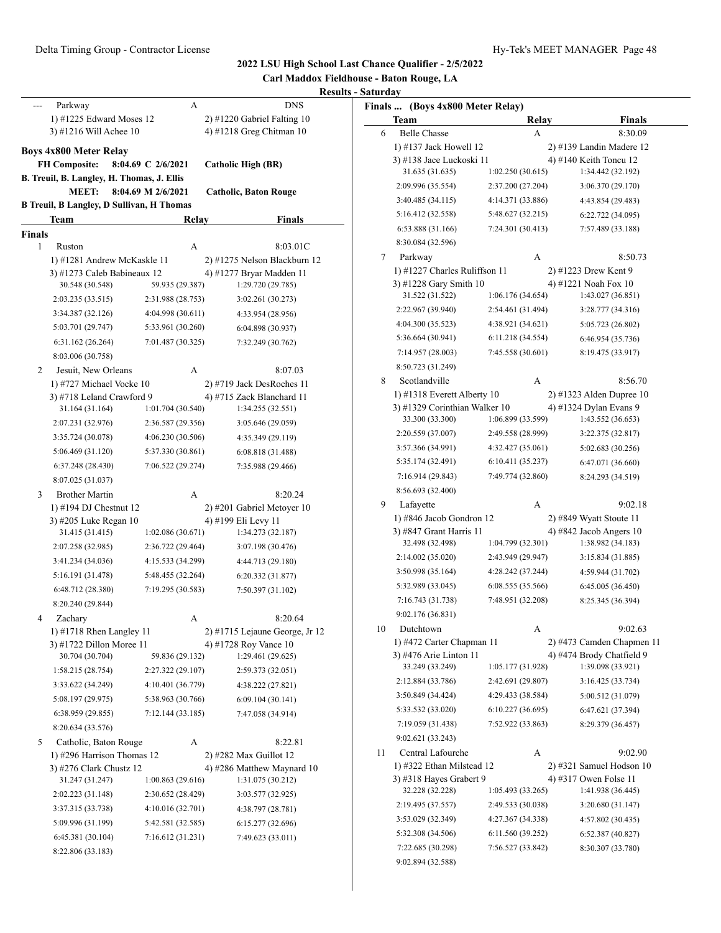#### **Carl Maddox Fieldhouse - Baton Rouge, LA Results - Saturday** Parkway A DNS 1) #1225 Edward Moses 12 2) #1220 Gabriel Falting 10 3) #1216 Will Achee 10 4) #1218 Greg Chitman 10 **Boys 4x800 Meter Relay FH Composite: 8:04.69 C 2/6/2021 Catholic High (BR) B. Treuil, B. Langley, H. Thomas, J. Ellis MEET: 8:04.69 M 2/6/2021 Catholic, Baton Rouge B Treuil, B Langley, D Sullivan, H Thomas Team Relay Finals Finals** 1 Ruston A 8:03.01C 1) #1281 Andrew McKaskle 11 2) #1275 Nelson Blackburn 12 3) #1273 Caleb Babineaux 12 4) #1277 Bryar Madden 11 30.548 (30.548) 59.935 (29.387) 1:29.720 (29.785) 2:03.235 (33.515) 2:31.988 (28.753) 3:02.261 (30.273) 3:34.387 (32.126) 4:04.998 (30.611) 4:33.954 (28.956) 5:03.701 (29.747) 5:33.961 (30.260) 6:04.898 (30.937) 6:31.162 (26.264) 7:01.487 (30.325) 7:32.249 (30.762) 8:03.006 (30.758) 2 Jesuit, New Orleans A 8:07.03 1) #727 Michael Vocke 10 2) #719 Jack DesRoches 11 3) #718 Leland Crawford 9 4) #715 Zack Blanchard 11 31.164 (31.164) 1:01.704 (30.540) 1:34.255 (32.551) 2:07.231 (32.976) 2:36.587 (29.356) 3:05.646 (29.059) 3:35.724 (30.078) 4:06.230 (30.506) 4:35.349 (29.119) 5:06.469 (31.120) 5:37.330 (30.861) 6:08.818 (31.488) 6:37.248 (28.430) 7:06.522 (29.274) 7:35.988 (29.466) 8:07.025 (31.037) 3 Brother Martin A 8:20.24 1) #194 DJ Chestnut 12 2) #201 Gabriel Metoyer 10 3) #205 Luke Regan 10 4) #199 Eli Levy 11 31.415 (31.415) 1:02.086 (30.671) 1:34.273 (32.187) 2:07.258 (32.985) 2:36.722 (29.464) 3:07.198 (30.476) 3:41.234 (34.036) 4:15.533 (34.299) 4:44.713 (29.180) 5:16.191 (31.478) 5:48.455 (32.264) 6:20.332 (31.877) 6:48.712 (28.380) 7:19.295 (30.583) 7:50.397 (31.102) 8:20.240 (29.844) 4 Zachary A 8:20.64 1) #1718 Rhen Langley 11 2) #1715 Lejaune George, Jr 12 3) #1722 Dillon Moree 11  $\qquad \qquad$  4) #1728 Roy Vance 10 30.704 (30.704) 59.836 (29.132) 1:29.461 (29.625) 1:58.215 (28.754) 2:27.322 (29.107) 2:59.373 (32.051) 3:33.622 (34.249) 4:10.401 (36.779) 4:38.222 (27.821) 5:08.197 (29.975) 5:38.963 (30.766) 6:09.104 (30.141) 6:38.959 (29.855) 7:12.144 (33.185) 7:47.058 (34.914) 8:20.634 (33.576) 5 Catholic, Baton Rouge A 8:22.81 1) #296 Harrison Thomas 12 2) #282 Max Guillot 12 3) #276 Clark Chustz 12 4) #286 Matthew Maynard 10 31.247 (31.247) 1:00.863 (29.616) 1:31.075 (30.212) 2:02.223 (31.148) 2:30.652 (28.429) 3:03.577 (32.925) 3:37.315 (33.738) 4:10.016 (32.701) 4:38.797 (28.781) 5:09.996 (31.199) 5:42.581 (32.585) 6:15.277 (32.696) 6:45.381 (30.104) 7:16.612 (31.231) 7:49.623 (33.011) 8:22.806 (33.183) **Finals ... (Boys 4x800 Meter Relay) Team Relay Finals** 6 Belle Chasse A 8:30.09 1) #137 Jack Howell 12 2) #139 Landin Madere 12 3) #138 Jace Luckoski 11  $\qquad \qquad$  4) #140 Keith Toncu 12 31.635 (31.635) 1:02.250 (30.615) 1:34.442 (32.192) 2:09.996 (35.554) 2:37.200 (27.204) 3:06.370 (29.170) 3:40.485 (34.115) 4:14.371 (33.886) 4:43.854 (29.483) 5:16.412 (32.558) 5:48.627 (32.215) 6:22.722 (34.095) 6:53.888 (31.166) 7:24.301 (30.413) 7:57.489 (33.188) 8:30.084 (32.596) 7 Parkway A 8:50.73 1) #1227 Charles Ruliffson 11 2) #1223 Drew Kent 9 3) #1228 Gary Smith 10 4) #1221 Noah Fox 10 31.522 (31.522) 1:06.176 (34.654) 1:43.027 (36.851) 2:22.967 (39.940) 2:54.461 (31.494) 3:28.777 (34.316) 4:04.300 (35.523) 4:38.921 (34.621) 5:05.723 (26.802) 5:36.664 (30.941) 6:11.218 (34.554) 6:46.954 (35.736) 7:14.957 (28.003) 7:45.558 (30.601) 8:19.475 (33.917) 8:50.723 (31.249) 8 Scotlandville A 8:56.70 1) #1318 Everett Alberty 10 2) #1323 Alden Dupree 10 3) #1329 Corinthian Walker 10 4) #1324 Dylan Evans 9 33.300 (33.300) 1:06.899 (33.599) 1:43.552 (36.653) 2:20.559 (37.007) 2:49.558 (28.999) 3:22.375 (32.817) 3:57.366 (34.991) 4:32.427 (35.061) 5:02.683 (30.256) 5:35.174 (32.491) 6:10.411 (35.237) 6:47.071 (36.660) 7:16.914 (29.843) 7:49.774 (32.860) 8:24.293 (34.519) 8:56.693 (32.400) 9 Lafayette A 9:02.18 1) #846 Jacob Gondron 12 2) #849 Wyatt Stoute 11 3) #847 Grant Harris 11 4) #842 Jacob Angers 10 32.498 (32.498) 1:04.799 (32.301) 1:38.982 (34.183) 2:14.002 (35.020) 2:43.949 (29.947) 3:15.834 (31.885) 3:50.998 (35.164) 4:28.242 (37.244) 4:59.944 (31.702) 5:32.989 (33.045) 6:08.555 (35.566) 6:45.005 (36.450) 7:16.743 (31.738) 7:48.951 (32.208) 8:25.345 (36.394) 9:02.176 (36.831) 10 Dutchtown A 9:02.63 1) #472 Carter Chapman 11 2) #473 Camden Chapmen 11 3) #476 Arie Linton 11 4) #474 Brody Chatfield 9 33.249 (33.249) 1:05.177 (31.928) 1:39.098 (33.921) 2:12.884 (33.786) 2:42.691 (29.807) 3:16.425 (33.734) 3:50.849 (34.424) 4:29.433 (38.584) 5:00.512 (31.079) 5:33.532 (33.020) 6:10.227 (36.695) 6:47.621 (37.394) 7:19.059 (31.438) 7:52.922 (33.863) 8:29.379 (36.457) 9:02.621 (33.243) 11 Central Lafourche A 9:02.90 1) #322 Ethan Milstead 12 2) #321 Samuel Hodson 10 3) #318 Hayes Grabert 9 4) #317 Owen Folse 11 32.228 (32.228) 1:05.493 (33.265) 1:41.938 (36.445) 2:19.495 (37.557) 2:49.533 (30.038) 3:20.680 (31.147) 3:53.029 (32.349) 4:27.367 (34.338) 4:57.802 (30.435) 5:32.308 (34.506) 6:11.560 (39.252) 6:52.387 (40.827) 7:22.685 (30.298) 7:56.527 (33.842) 8:30.307 (33.780)

9:02.894 (32.588)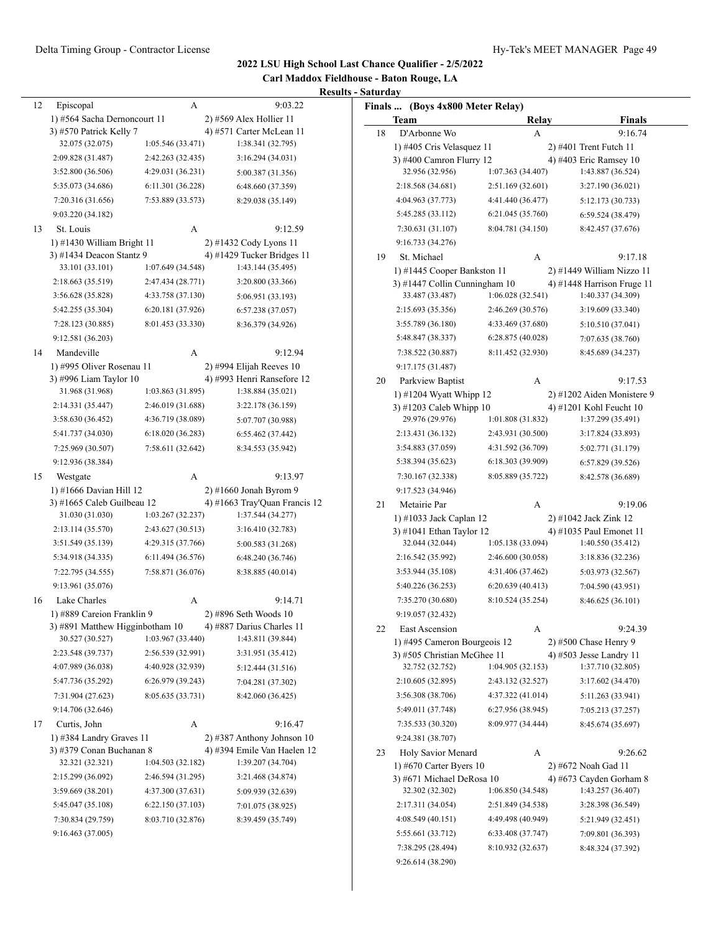| Carl Maddox Fieldhouse - Baton Rouge, LA |  |  |  |  |  |
|------------------------------------------|--|--|--|--|--|
| <b>Results - Saturday</b>                |  |  |  |  |  |

|    |                                 |                   | ĸes                           |
|----|---------------------------------|-------------------|-------------------------------|
| 12 | Episcopal                       | А                 | 9:03.22                       |
|    | 1) #564 Sacha Dernoncourt 11    |                   | 2) #569 Alex Hollier 11       |
|    | 3) #570 Patrick Kelly 7         |                   | 4) #571 Carter McLean 11      |
|    | 32.075 (32.075)                 | 1:05.546(33.471)  | 1:38.341 (32.795)             |
|    | 2:09.828 (31.487)               | 2:42.263 (32.435) | 3:16.294 (34.031)             |
|    | 3:52.800 (36.506)               | 4:29.031 (36.231) | 5:00.387 (31.356)             |
|    | 5:35.073 (34.686)               | 6:11.301 (36.228) | 6:48.660 (37.359)             |
|    | 7:20.316 (31.656)               | 7:53.889 (33.573) | 8:29.038 (35.149)             |
|    | 9:03.220 (34.182)               |                   |                               |
| 13 | St. Louis                       | А                 | 9:12.59                       |
|    | 1) #1430 William Bright 11      |                   | 2) #1432 Cody Lyons 11        |
|    | 3) #1434 Deacon Stantz 9        |                   | 4) #1429 Tucker Bridges 11    |
|    | 33.101 (33.101)                 | 1:07.649 (34.548) | 1:43.144 (35.495)             |
|    | 2:18.663 (35.519)               | 2:47.434 (28.771) | 3:20.800 (33.366)             |
|    | 3:56.628 (35.828)               | 4:33.758 (37.130) | 5:06.951 (33.193)             |
|    | 5:42.255 (35.304)               | 6:20.181 (37.926) | 6:57.238 (37.057)             |
|    | 7:28.123 (30.885)               | 8:01.453 (33.330) | 8:36.379 (34.926)             |
|    | 9:12.581 (36.203)               |                   |                               |
| 14 | Mandeville                      | А                 | 9:12.94                       |
|    | 1) #995 Oliver Rosenau 11       |                   | 2) #994 Elijah Reeves 10      |
|    | 3) #996 Liam Taylor 10          |                   | 4) #993 Henri Ransefore 12    |
|    | 31.968 (31.968)                 | 1:03.863 (31.895) | 1:38.884 (35.021)             |
|    | 2:14.331 (35.447)               | 2:46.019 (31.688) | 3:22.178 (36.159)             |
|    | 3:58.630 (36.452)               | 4:36.719 (38.089) | 5:07.707 (30.988)             |
|    | 5:41.737 (34.030)               | 6:18.020 (36.283) | 6:55.462 (37.442)             |
|    | 7:25.969 (30.507)               | 7:58.611 (32.642) | 8:34.553 (35.942)             |
|    | 9:12.936 (38.384)               |                   |                               |
| 15 | Westgate                        | A                 | 9:13.97                       |
|    | 1) #1666 Davian Hill 12         |                   | $2)$ #1660 Jonah Byrom 9      |
|    | 3) #1665 Caleb Guilbeau 12      |                   | 4) #1663 Tray'Quan Francis 12 |
|    | 31.030 (31.030)                 | 1:03.267(32.237)  | 1:37.544 (34.277)             |
|    | 2:13.114 (35.570)               | 2:43.627 (30.513) | 3:16.410 (32.783)             |
|    | 3:51.549 (35.139)               | 4:29.315 (37.766) | 5:00.583 (31.268)             |
|    | 5:34.918 (34.335)               | 6:11.494 (36.576) | 6:48.240 (36.746)             |
|    | 7:22.795 (34.555)               | 7:58.871 (36.076) | 8:38.885 (40.014)             |
|    | 9:13.961 (35.076)               |                   |                               |
| 16 | Lake Charles                    | А                 | 9:14.71                       |
|    | 1) #889 Careion Franklin 9      |                   | 2) #896 Seth Woods 10         |
|    | 3) #891 Matthew Higginbotham 10 |                   | 4) #887 Darius Charles 11     |
|    | 30.527 (30.527)                 | 1:03.967 (33.440) | 1:43.811 (39.844)             |
|    | 2:23.548 (39.737)               | 2:56.539 (32.991) | 3:31.951 (35.412)             |
|    | 4:07.989 (36.038)               | 4:40.928 (32.939) | 5:12.444 (31.516)             |
|    | 5:47.736 (35.292)               | 6:26.979 (39.243) | 7:04.281 (37.302)             |
|    | 7:31.904 (27.623)               | 8:05.635 (33.731) | 8:42.060 (36.425)             |
|    | 9:14.706 (32.646)               |                   |                               |
| 17 | Curtis, John                    | А                 | 9:16.47                       |
|    | 1) #384 Landry Graves 11        |                   | 2) #387 Anthony Johnson 10    |
|    | 3) #379 Conan Buchanan 8        |                   | 4) #394 Emile Van Haelen 12   |
|    | 32.321 (32.321)                 | 1:04.503 (32.182) | 1:39.207 (34.704)             |
|    | 2:15.299 (36.092)               | 2:46.594 (31.295) | 3:21.468 (34.874)             |
|    | 3:59.669 (38.201)               | 4:37.300 (37.631) | 5:09.939 (32.639)             |
|    | 5:45.047 (35.108)               | 6:22.150 (37.103) | 7:01.075 (38.925)             |
|    | 7:30.834 (29.759)               | 8:03.710 (32.876) | 8:39.459 (35.749)             |
|    |                                 |                   |                               |

| Team                      | Finals  (Boys 4x800 Meter Relay)                             | Relay | <b>Finals</b>                                           |
|---------------------------|--------------------------------------------------------------|-------|---------------------------------------------------------|
| 18<br>D'Arbonne Wo        |                                                              | A     | 9:16.74                                                 |
| 1) #405 Cris Velasquez 11 |                                                              |       | 2) #401 Trent Futch 11                                  |
| 3) #400 Camron Flurry 12  |                                                              |       | 4) #403 Eric Ramsey 10                                  |
| 32.956 (32.956)           | 1:07.363 (34.407)                                            |       | 1:43.887 (36.524)                                       |
| 2:18.568 (34.681)         | 2:51.169 (32.601)                                            |       | 3:27.190 (36.021)                                       |
| 4:04.963 (37.773)         | 4:41.440 (36.477)                                            |       | 5:12.173 (30.733)                                       |
| 5:45.285 (33.112)         | 6:21.045 (35.760)                                            |       | 6:59.524 (38.479)                                       |
| 7:30.631 (31.107)         | 8:04.781 (34.150)                                            |       | 8:42.457 (37.676)                                       |
| 9:16.733 (34.276)         |                                                              |       |                                                         |
| 19<br>St. Michael         |                                                              | А     | 9:17.18                                                 |
|                           | 1) #1445 Cooper Bankston 11<br>3) #1447 Collin Cunningham 10 |       | 2) #1449 William Nizzo 11<br>4) #1448 Harrison Fruge 11 |
| 33.487 (33.487)           | 1:06.028 (32.541)                                            |       | 1:40.337 (34.309)                                       |
| 2:15.693 (35.356)         | 2:46.269 (30.576)                                            |       | 3:19.609 (33.340)                                       |
| 3:55.789 (36.180)         | 4:33.469 (37.680)                                            |       | 5:10.510 (37.041)                                       |
| 5:48.847 (38.337)         | 6:28.875(40.028)                                             |       | 7:07.635 (38.760)                                       |
| 7:38.522 (30.887)         | 8:11.452 (32.930)                                            |       | 8:45.689 (34.237)                                       |
| 9:17.175 (31.487)         |                                                              |       |                                                         |
| 20<br>Parkview Baptist    |                                                              | А     | 9:17.53                                                 |
| 1) #1204 Wyatt Whipp 12   |                                                              |       | 2) #1202 Aiden Monistere 9                              |
| 3) #1203 Caleb Whipp 10   |                                                              |       | 4) #1201 Kohl Feucht 10                                 |
| 29.976 (29.976)           | 1:01.808 (31.832)                                            |       | 1:37.299 (35.491)                                       |
| 2:13.431 (36.132)         | 2:43.931 (30.500)                                            |       | 3:17.824 (33.893)                                       |
| 3:54.883 (37.059)         | 4:31.592 (36.709)                                            |       | 5:02.771 (31.179)                                       |
| 5:38.394 (35.623)         | 6:18.303 (39.909)                                            |       | 6:57.829 (39.526)                                       |
| 7:30.167 (32.338)         | 8:05.889 (35.722)                                            |       | 8:42.578 (36.689)                                       |
| 9:17.523 (34.946)         |                                                              |       |                                                         |
| 21<br>Metairie Par        |                                                              | А     | 9:19.06                                                 |
| 1) #1033 Jack Caplan 12   |                                                              |       | 2) #1042 Jack Zink 12                                   |
| 3) #1041 Ethan Taylor 12  |                                                              |       | 4) #1035 Paul Emonet 11                                 |
| 32.044 (32.044)           | 1:05.138 (33.094)                                            |       | 1:40.550 (35.412)                                       |
| 2:16.542 (35.992)         | 2:46.600 (30.058)                                            |       | 3:18.836 (32.236)                                       |
| 3:53.944 (35.108)         | 4:31.406 (37.462)                                            |       | 5:03.973 (32.567)                                       |
| 5:40.226 (36.253)         | 6:20.639(40.413)                                             |       | 7:04.590 (43.951)                                       |
| 7:35.270 (30.680)         | 8:10.524 (35.254)                                            |       | 8:46.625 (36.101)                                       |
| 9:19.057 (32.432)         |                                                              |       |                                                         |
| 22<br>East Ascension      |                                                              | А     | 9:24.39                                                 |
|                           | 1) #495 Cameron Bourgeois 12                                 |       | 2) #500 Chase Henry 9                                   |
|                           | 3) #505 Christian McGhee 11                                  |       | 4) #503 Jesse Landry 11                                 |
| 32.752 (32.752)           | 1:04.905 (32.153)                                            |       | 1:37.710 (32.805)                                       |
| 2:10.605 (32.895)         | 2:43.132 (32.527)                                            |       | 3:17.602 (34.470)                                       |
| 3:56.308 (38.706)         | 4:37.322 (41.014)                                            |       | 5:11.263 (33.941)                                       |
| 5:49.011 (37.748)         | 6:27.956 (38.945)                                            |       | 7:05.213 (37.257)                                       |
| 7:35.533 (30.320)         | 8:09.977 (34.444)                                            |       | 8:45.674 (35.697)                                       |
| 9:24.381 (38.707)         |                                                              |       |                                                         |
| 23<br>Holy Savior Menard  |                                                              | А     | 9:26.62                                                 |
| 1) #670 Carter Byers 10   |                                                              |       | 2) #672 Noah Gad 11                                     |
|                           | 3) #671 Michael DeRosa 10                                    |       | 4) #673 Cayden Gorham 8                                 |
| 32.302 (32.302)           | 1:06.850 (34.548)                                            |       | 1:43.257 (36.407)                                       |
| 2:17.311 (34.054)         | 2:51.849 (34.538)                                            |       | 3:28.398 (36.549)                                       |
| 4:08.549 (40.151)         | 4:49.498 (40.949)                                            |       | 5:21.949 (32.451)                                       |
| 5:55.661 (33.712)         | 6:33.408 (37.747)                                            |       | 7:09.801 (36.393)                                       |
| 7:38.295 (28.494)         | 8:10.932 (32.637)                                            |       | 8:48.324 (37.392)                                       |
| 9:26.614 (38.290)         |                                                              |       |                                                         |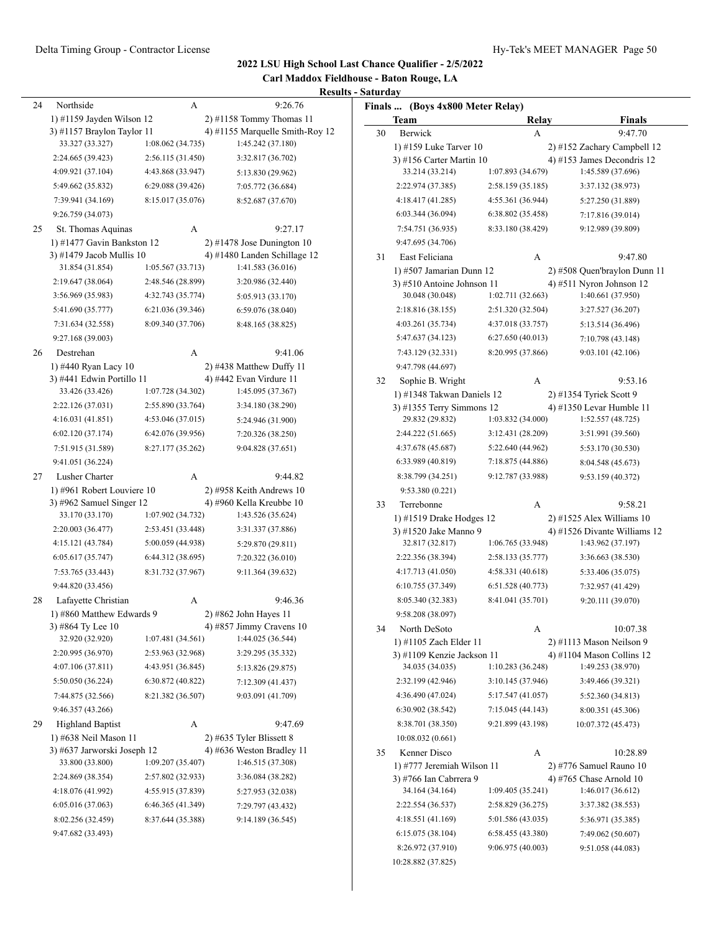#### **2022 LSU High School Last Chance Qualifier - 2/5/2022 Carl Maddox Fieldhouse - Baton Rouge, LA Results - Saturday** 24 Northside A 9:26.76 1) #1159 Jayden Wilson 12 2) #1158 Tommy Thomas 11 3) #1157 Braylon Taylor 11 4) #1155 Marquelle Smith-Roy 12<br>33.327 (33.327) 1:08.062 (34.735) 1:45.242 (37.180) 33.327 (33.327) 1:08.062 (34.735) 2:24.665 (39.423) 2:56.115 (31.450) 3:32.817 (36.702) 4:09.921 (37.104) 4:43.868 (33.947) 5:13.830 (29.962) 5:49.662 (35.832) 6:29.088 (39.426) 7:05.772 (36.684) 7:39.941 (34.169) 8:15.017 (35.076) 8:52.687 (37.670) 9:26.759 (34.073) 25 St. Thomas Aquinas A 9:27.17 1) #1477 Gavin Bankston 12 2) #1478 Jose Dunington 10 3) #1479 Jacob Mullis 10  $\qquad$  4) #1480 Landen Schillage 12 31.854 (31.854) 1:05.567 (33.713) 1:41.583 (36.016) 2:19.647 (38.064) 2:48.546 (28.899) 3:20.986 (32.440) 3:56.969 (35.983) 4:32.743 (35.774) 5:05.913 (33.170) 5:41.690 (35.777) 6:21.036 (39.346) 6:59.076 (38.040) 7:31.634 (32.558) 8:09.340 (37.706) 8:48.165 (38.825) 9:27.168 (39.003) 1) #440 Ryan Lacy 10 2) #438 Matthew Duffy 11 3) #441 Edwin Portillo 11 4) #442 Evan Virdure 11 33.426 (33.426) 1:07.728 (34.302) 1:45.095 (37.367) 2:22.126 (37.031) 2:55.890 (33.764) 3:34.180 (38.290) 4:16.031 (41.851) 4:53.046 (37.015) 5:24.946 (31.900) 6:02.120 (37.174) 6:42.076 (39.956) 7:20.326 (38.250) 7:51.915 (31.589) 8:27.177 (35.262) 9:04.828 (37.651) 9:41.051 (36.224) 1) #961 Robert Louviere 10 2) #958 Keith Andrews 10 3) #962 Samuel Singer 12 4) #960 Kella Kreubbe 10 33.170 (33.170) 1:07.902 (34.732) 1:43.526 (35.624) 2:20.003 (36.477) 2:53.451 (33.448) 3:31.337 (37.886) 4:15.121 (43.784) 5:00.059 (44.938) 5:29.870 (29.811) 6:05.617 (35.747) 6:44.312 (38.695) 7:20.322 (36.010) 7:53.765 (33.443) 8:31.732 (37.967) 9:11.364 (39.632) 9:44.820 (33.456) 1) #860 Matthew Edwards 9 2) #862 John Hayes 11 3) #864 Ty Lee 10 4) #857 Jimmy Cravens 10 32.920 (32.920) 1:07.481 (34.561) 1:44.025 (36.544) 2:20.995 (36.970) 2:53.963 (32.968) 3:29.295 (35.332) 4:07.106 (37.811) 4:43.951 (36.845) 5:13.826 (29.875) 5:50.050 (36.224) 6:30.872 (40.822) 7:12.309 (41.437) 7:44.875 (32.566) 8:21.382 (36.507) 9:03.091 (41.709) **Finals ... (Boys 4x800 Meter Relay) Team Relay Finals** 30 Berwick A 9:47.70 1) #159 Luke Tarver 10 2) #152 Zachary Campbell 12 3) #156 Carter Martin 10  $\qquad \qquad$  4) #153 James Decondris 12 33.214 (33.214) 1:07.893 (34.679) 1:45.589 (37.696) 2:22.974 (37.385) 2:58.159 (35.185) 3:37.132 (38.973) 4:18.417 (41.285) 4:55.361 (36.944) 5:27.250 (31.889) 6:03.344 (36.094) 6:38.802 (35.458) 7:17.816 (39.014) 7:54.751 (36.935) 8:33.180 (38.429) 9:12.989 (39.809) 9:47.695 (34.706) 9:47.798 (44.697) 9:53.380 (0.221) 9:58.208 (38.097)

|    | 3:56.969 (35.983)           | 4:32.743 (35.774) | 5:05.913 (33.170)          |
|----|-----------------------------|-------------------|----------------------------|
|    | 5:41.690 (35.777)           | 6:21.036 (39.346) | 6:59.076 (38.040)          |
|    | 7:31.634 (32.558)           | 8:09.340 (37.706) | 8:48.165 (38.825)          |
|    | 9:27.168 (39.003)           |                   |                            |
| 26 | Destrehan                   | A                 | 9:41.06                    |
|    | 1) #440 Ryan Lacy 10        |                   | 2) #438 Matthew Duffy 11   |
|    | 3) #441 Edwin Portillo 11   |                   | 4) #442 Evan Virdure 11    |
|    | 33.426 (33.426)             | 1:07.728 (34.302) | 1:45.095 (37.367)          |
|    | 2:22.126 (37.031)           | 2:55.890 (33.764) | 3:34.180 (38.290)          |
|    | 4:16.031(41.851)            | 4:53.046 (37.015) | 5:24.946 (31.900)          |
|    | 6:02.120 (37.174)           | 6:42.076 (39.956) | 7:20.326 (38.250)          |
|    | 7:51.915 (31.589)           | 8:27.177 (35.262) | 9:04.828 (37.651)          |
|    | 9:41.051 (36.224)           |                   |                            |
| 27 | Lusher Charter              | A                 | 9:44.82                    |
|    | 1) #961 Robert Louviere 10  |                   | $2)$ #958 Keith Andrews 10 |
|    | 3) #962 Samuel Singer $12$  |                   | 4) #960 Kella Kreubbe 10   |
|    | 33.170 (33.170)             | 1:07.902 (34.732) | 1:43.526 (35.624)          |
|    | 2:20.003 (36.477)           | 2:53.451 (33.448) | 3:31.337 (37.886)          |
|    | 4:15.121 (43.784)           | 5:00.059 (44.938) | 5:29.870 (29.811)          |
|    | 6:05.617(35.747)            | 6:44.312 (38.695) | 7:20.322 (36.010)          |
|    | 7:53.765 (33.443)           | 8:31.732 (37.967) | 9:11.364 (39.632)          |
|    | 9:44.820 (33.456)           |                   |                            |
| 28 | Lafayette Christian         | A                 | 9:46.36                    |
|    | 1) #860 Matthew Edwards 9   |                   | 2) #862 John Hayes 11      |
|    | 3) #864 Ty Lee 10           |                   | 4) #857 Jimmy Cravens $10$ |
|    | 32.920 (32.920)             | 1:07.481 (34.561) | 1:44.025 (36.544)          |
|    | 2:20.995 (36.970)           | 2:53.963 (32.968) | 3:29.295 (35.332)          |
|    | 4:07.106 (37.811)           | 4:43.951 (36.845) | 5:13.826 (29.875)          |
|    | 5:50.050 (36.224)           | 6:30.872 (40.822) | 7:12.309 (41.437)          |
|    | 7:44.875 (32.566)           | 8:21.382 (36.507) | 9:03.091 (41.709)          |
|    | 9:46.357 (43.266)           |                   |                            |
| 29 | <b>Highland Baptist</b>     | A                 | 9:47.69                    |
|    | 1) #638 Neil Mason 11       |                   | $2)$ #635 Tyler Blissett 8 |
|    | 3) #637 Jarworski Joseph 12 |                   | 4) #636 Weston Bradley 11  |
|    | 33.800 (33.800)             | 1:09.207 (35.407) | 1:46.515 (37.308)          |
|    | 2:24.869 (38.354)           | 2:57.802 (32.933) | 3:36.084 (38.282)          |
|    | 4:18.076 (41.992)           | 4:55.915 (37.839) | 5:27.953 (32.038)          |
|    | 6:05.016 (37.063)           | 6:46.365 (41.349) | 7:29.797 (43.432)          |
|    | 8:02.256 (32.459)           | 8:37.644 (35.388) | 9:14.189 (36.545)          |
|    | 9:47.682 (33.493)           |                   |                            |
|    |                             |                   |                            |

|    | 9:47.695 (34.706)           |                   |                              |
|----|-----------------------------|-------------------|------------------------------|
| 31 | East Feliciana              | А                 | 9:47.80                      |
|    | 1) #507 Jamarian Dunn 12    |                   | 2) #508 Quen'braylon Dunn 11 |
|    | 3) #510 Antoine Johnson 11  |                   | 4) #511 Nyron Johnson $12$   |
|    | 30.048 (30.048)             | 1:02.711 (32.663) | 1:40.661 (37.950)            |
|    | 2:18.816 (38.155)           | 2:51.320 (32.504) | 3:27.527 (36.207)            |
|    | 4:03.261 (35.734)           | 4:37.018 (33.757) | 5:13.514 (36.496)            |
|    | 5:47.637 (34.123)           | 6:27.650(40.013)  | 7:10.798 (43.148)            |
|    | 7:43.129 (32.331)           | 8:20.995 (37.866) | 9:03.101 (42.106)            |
|    | 9:47.798 (44.697)           |                   |                              |
| 32 | Sophie B. Wright            | А                 | 9:53.16                      |
|    | 1) #1348 Takwan Daniels 12  |                   | 2) #1354 Tyriek Scott 9      |
|    | $3)$ #1355 Terry Simmons 12 |                   | 4) #1350 Levar Humble 11     |
|    | 29.832 (29.832)             | 1:03.832 (34.000) | 1:52.557 (48.725)            |
|    | 2:44.222 (51.665)           | 3:12.431 (28.209) | 3:51.991 (39.560)            |
|    | 4:37.678 (45.687)           | 5:22.640 (44.962) | 5:53.170 (30.530)            |
|    | 6:33.989 (40.819)           | 7:18.875 (44.886) | 8:04.548 (45.673)            |
|    | 8:38.799 (34.251)           | 9:12.787 (33.988) | 9:53.159 (40.372)            |
|    | 9:53.380 (0.221)            |                   |                              |
| 33 | Terrebonne                  | А                 | 9:58.21                      |
|    | 1) #1519 Drake Hodges 12    |                   | $2)$ #1525 Alex Williams 10  |
|    | 3) #1520 Jake Manno 9       |                   | 4) #1526 Divante Williams 12 |
|    | 32.817 (32.817)             | 1:06.765 (33.948) | 1:43.962 (37.197)            |
|    | 2:22.356 (38.394)           | 2:58.133 (35.777) | 3:36.663 (38.530)            |
|    | 4:17.713 (41.050)           | 4:58.331 (40.618) | 5:33.406 (35.075)            |
|    | 6:10.755 (37.349)           | 6:51.528 (40.773) | 7:32.957 (41.429)            |
|    | 8:05.340 (32.383)           | 8:41.041 (35.701) | 9:20.111 (39.070)            |
|    | 9:58.208 (38.097)           |                   |                              |
| 34 | North DeSoto                | A                 | 10:07.38                     |
|    | 1) #1105 Zach Elder 11      |                   | 2) #1113 Mason Neilson 9     |
|    | 3) #1109 Kenzie Jackson 11  |                   | 4) #1104 Mason Collins 12    |
|    | 34.035 (34.035)             | 1:10.283(36.248)  | 1:49.253 (38.970)            |
|    | 2:32.199 (42.946)           | 3:10.145 (37.946) | 3:49.466 (39.321)            |
|    | 4:36.490 (47.024)           | 5:17.547 (41.057) | 5:52.360 (34.813)            |
|    | 6:30.902 (38.542)           | 7:15.045 (44.143) | 8:00.351 (45.306)            |
|    | 8:38.701 (38.350)           | 9:21.899 (43.198) | 10:07.372 (45.473)           |
|    | 10:08.032 (0.661)           |                   |                              |
| 35 | Kenner Disco                | A                 | 10:28.89                     |
|    | 1) #777 Jeremiah Wilson 11  |                   | 2) #776 Samuel Rauno 10      |
|    | 3) #766 Ian Cabrrera 9      |                   | 4) #765 Chase Arnold 10      |
|    | 34.164 (34.164)             | 1:09.405 (35.241) | 1:46.017 (36.612)            |
|    | 2:22.554 (36.537)           | 2:58.829 (36.275) | 3:37.382 (38.553)            |
|    | 4:18.551 (41.169)           | 5:01.586 (43.035) | 5:36.971 (35.385)            |
|    | 6:15.075 (38.104)           | 6:58.455 (43.380) | 7:49.062 (50.607)            |
|    | 8:26.972 (37.910)           | 9:06.975 (40.003) | 9:51.058 (44.083)            |
|    | 10:28.882 (37.825)          |                   |                              |
|    |                             |                   |                              |
|    |                             |                   |                              |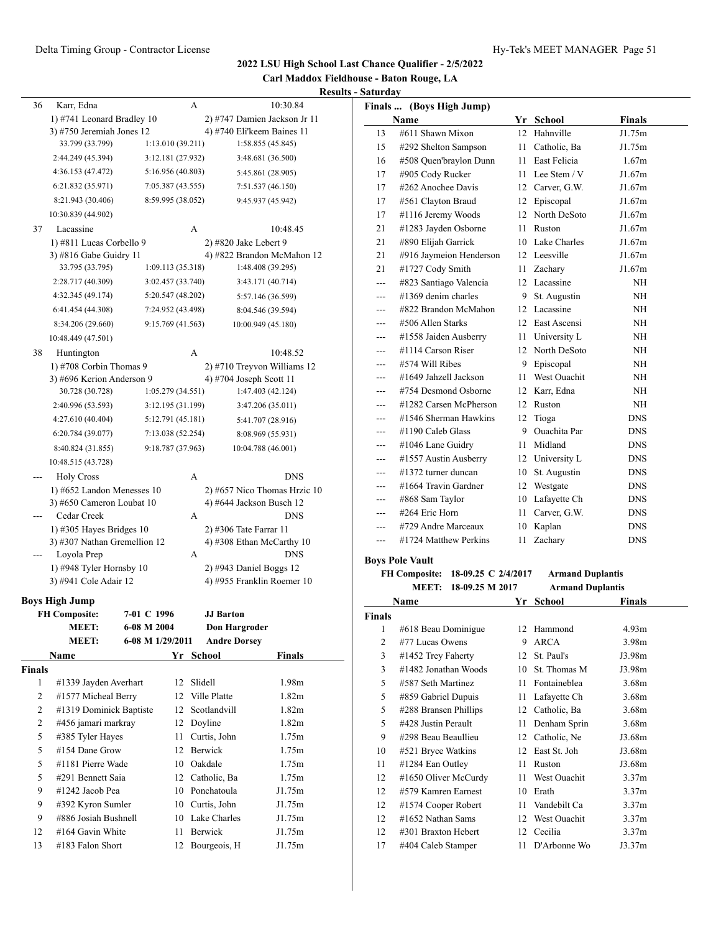| Carl Maddox Fieldhouse - Baton Rouge, LA |  |
|------------------------------------------|--|
| <b>Results - Saturday</b>                |  |

| 36             | Karr, Edna                          | A                 |                                | 10:30.84      |                   | Finals  (Boys High Jump)          |    |                         |               |
|----------------|-------------------------------------|-------------------|--------------------------------|---------------|-------------------|-----------------------------------|----|-------------------------|---------------|
|                | 1) #741 Leonard Bradley 10          |                   | 2) #747 Damien Jackson Jr 11   |               |                   | Name                              |    | Yr School               | <b>Finals</b> |
|                | 3) #750 Jeremiah Jones 12           |                   | 4) #740 Eli'keem Baines 11     |               | 13                | #611 Shawn Mixon                  |    | 12 Hahnville            | J1.75m        |
|                | 33.799 (33.799)                     | 1:13.010(39.211)  | 1:58.855 (45.845)              |               | 15                | #292 Shelton Sampson              |    | 11 Catholic, Ba         | J1.75m        |
|                | 2:44.249 (45.394)                   | 3:12.181 (27.932) | 3:48.681 (36.500)              |               | 16                | #508 Ouen'braylon Dunn            |    | 11 East Felicia         | 1.67m         |
|                | 4:36.153 (47.472)                   | 5:16.956 (40.803) | 5:45.861 (28.905)              |               | 17                | #905 Cody Rucker                  |    | 11 Lee Stem / V         | J1.67m        |
|                | 6:21.832 (35.971)                   | 7:05.387 (43.555) | 7:51.537 (46.150)              |               | 17                | #262 Anochee Davis                |    | 12 Carver, G.W.         | J1.67m        |
|                | 8:21.943 (30.406)                   | 8:59.995 (38.052) | 9:45.937 (45.942)              |               | 17                | #561 Clayton Braud                |    | 12 Episcopal            | J1.67m        |
|                | 10:30.839 (44.902)                  |                   |                                |               | 17                | #1116 Jeremy Woods                |    | 12 North DeSoto         | J1.67m        |
| 37             | Lacassine                           | A                 |                                | 10:48.45      | 21                | #1283 Jayden Osborne              |    | 11 Ruston               | J1.67m        |
|                | 1) #811 Lucas Corbello 9            |                   | 2) #820 Jake Lebert 9          |               | 21                | #890 Elijah Garrick               |    | 10 Lake Charles         | J1.67m        |
|                | 3) #816 Gabe Guidry 11              |                   | 4) #822 Brandon McMahon 12     |               | 21                | #916 Jaymeion Henderson           |    | 12 Leesville            | J1.67m        |
|                | 33.795 (33.795)                     | 1:09.113 (35.318) | 1:48.408 (39.295)              |               | 21                | #1727 Cody Smith                  |    | 11 Zachary              | J1.67m        |
|                | 2:28.717 (40.309)                   | 3:02.457 (33.740) | 3:43.171 (40.714)              |               | $\sim$ $\sim$     | #823 Santiago Valencia            |    | 12 Lacassine            | NH            |
|                | 4:32.345 (49.174)                   | 5:20.547 (48.202) | 5:57.146 (36.599)              |               | ---               | $\#1369$ denim charles            |    | 9 St. Augustin          | NH            |
|                | 6:41.454 (44.308)                   | 7:24.952 (43.498) | 8:04.546 (39.594)              |               | $---$             | #822 Brandon McMahon              |    | 12 Lacassine            | NH            |
|                | 8:34.206 (29.660)                   | 9:15.769 (41.563) | 10:00.949 (45.180)             |               | $---$             | #506 Allen Starks                 |    | 12 East Ascensi         | NH            |
|                | 10:48.449 (47.501)                  |                   |                                |               | $---$             | #1558 Jaiden Ausberry             |    | 11 University L         | NH            |
| 38             | Huntington                          | A                 |                                | 10:48.52      | $---$             | #1114 Carson Riser                | 12 | North DeSoto            | NH            |
|                | 1) #708 Corbin Thomas 9             |                   | 2) #710 Treyvon Williams 12    |               | $---$             | #574 Will Ribes                   | 9  | Episcopal               | NH            |
|                | 3) #696 Kerion Anderson 9           |                   | 4) #704 Joseph Scott 11        |               | ---               | #1649 Jahzell Jackson             |    | 11 West Ouachit         | NH            |
|                | 30.728 (30.728)                     | 1:05.279(34.551)  | 1:47.403 (42.124)              |               | $---$             | #754 Desmond Osborne              |    | 12 Karr, Edna           | NH            |
|                | 2:40.996 (53.593)                   | 3:12.195 (31.199) | 3:47.206(35.011)               |               | $---$             | #1282 Carsen McPherson            |    | 12 Ruston               | NH            |
|                | 4:27.610 (40.404)                   | 5:12.791 (45.181) | 5:41.707 (28.916)              |               | ---               | #1546 Sherman Hawkins             |    | 12 Tioga                | <b>DNS</b>    |
|                | 6:20.784 (39.077)                   | 7:13.038 (52.254) | 8:08.969 (55.931)              |               | $---$             | #1190 Caleb Glass                 | 9  | Ouachita Par            | <b>DNS</b>    |
|                | 8:40.824 (31.855)                   | 9:18.787 (37.963) | 10:04.788 (46.001)             |               | $---$             | #1046 Lane Guidry                 |    | 11 Midland              | ${\rm DNS}$   |
|                | 10:48.515 (43.728)                  |                   |                                |               | ---               | #1557 Austin Ausberry             |    | 12 University L         | <b>DNS</b>    |
| $\overline{a}$ | <b>Holy Cross</b>                   | A                 |                                | <b>DNS</b>    | $---$             | #1372 turner duncan               |    | 10 St. Augustin         | <b>DNS</b>    |
|                | 1) #652 Landon Menesses $10$        |                   | $2)$ #657 Nico Thomas Hrzic 10 |               | $---$             | #1664 Travin Gardner              |    | 12 Westgate             | <b>DNS</b>    |
|                | 3) #650 Cameron Loubat 10           |                   | 4) #644 Jackson Busch 12       |               | $\qquad \qquad -$ | #868 Sam Taylor                   |    | 10 Lafayette Ch         | <b>DNS</b>    |
| $\overline{a}$ | Cedar Creek                         | A                 |                                | <b>DNS</b>    | $\qquad \qquad -$ | #264 Eric Horn                    | 11 | Carver, G.W.            | <b>DNS</b>    |
|                | 1) #305 Hayes Bridges $10$          |                   | 2) #306 Tate Farrar 11         |               | $---$             | #729 Andre Marceaux               | 10 | Kaplan                  | <b>DNS</b>    |
|                | 3) #307 Nathan Gremellion 12        |                   | 4) #308 Ethan McCarthy 10      |               | ---               | #1724 Matthew Perkins             |    | 11 Zachary              | <b>DNS</b>    |
| $\sim$ $\sim$  | Loyola Prep                         | $\mathbf{A}$      |                                | <b>DNS</b>    |                   | <b>Boys Pole Vault</b>            |    |                         |               |
|                | 1) #948 Tyler Hornsby 10            |                   | $2)$ #943 Daniel Boggs 12      |               |                   | FH Composite: 18-09.25 C 2/4/2017 |    | <b>Armand Duplantis</b> |               |
|                | 3) #941 Cole Adair 12               |                   | 4) #955 Franklin Roemer 10     |               |                   | MEET: 18-09.25 M 2017             |    | <b>Armand Duplantis</b> |               |
|                | <b>Boys High Jump</b>               |                   |                                |               |                   | Name                              |    | Yr School               | <b>Finals</b> |
|                | <b>FH Composite:</b><br>7-01 C 1996 |                   | <b>JJ</b> Barton               |               | <b>Finals</b>     |                                   |    |                         |               |
|                | <b>MEET:</b><br>6-08 M 2004         |                   | <b>Don Hargroder</b>           |               | 1                 | #618 Beau Dominigue               | 12 | Hammond                 | 4.93m         |
|                | <b>MEET:</b><br>6-08 M 1/29/2011    |                   | <b>Andre Dorsey</b>            |               | $\overline{c}$    | #77 Lucas Owens                   |    | 9 ARCA                  | 3.98m         |
|                | Name                                | Yr School         |                                | <b>Finals</b> | 3                 | #1452 Trey Faherty                |    | 12 St. Paul's           | J3.98m        |
| <b>Finals</b>  |                                     |                   |                                |               | 3                 | #1482 Jonathan Woods              | 10 | St. Thomas M            | J3.98m        |
| $\mathbf{1}$   | #1339 Jayden Averhart               | 12 Slidell        |                                | 1.98m         | 5                 | #587 Seth Martinez                | 11 | Fontaineblea            | 3.68m         |
| $\overline{2}$ | #1577 Micheal Berry                 | 12 Ville Platte   |                                | 1.82m         | 5                 | #859 Gabriel Dupuis               | 11 | Lafayette Ch            | 3.68m         |
| $\overline{2}$ | #1319 Dominick Baptiste             | 12                | Scotlandvill                   | 1.82m         | 5                 | #288 Bransen Phillips             | 12 | Catholic, Ba            | 3.68m         |
| $\overline{2}$ | #456 jamari markray                 | 12 Doyline        |                                | 1.82m         | 5                 | #428 Justin Perault               | 11 | Denham Sprin            | 3.68m         |
| 5              | #385 Tyler Hayes                    | 11 Curtis, John   |                                | 1.75m         | 9                 | #298 Beau Beaullieu               |    | 12 Catholic, Ne         | J3.68m        |
| 5              | #154 Dane Grow                      | 12 Berwick        |                                | 1.75m         | 10                | #521 Bryce Watkins                |    | 12 East St. Joh         | J3.68m        |
| 5              | #1181 Pierre Wade                   | 10 Oakdale        |                                | 1.75m         | 11                | #1284 Ean Outley                  |    | 11 Ruston               | J3.68m        |
| 5              | #291 Bennett Saia                   | 12 Catholic, Ba   |                                | 1.75m         | 12                | #1650 Oliver McCurdy              | 11 | West Ouachit            | 3.37m         |
| 9              | #1242 Jacob Pea                     | 10 Ponchatoula    |                                | J1.75m        | 12                | #579 Kamren Earnest               | 10 | Erath                   | 3.37m         |
| 9              | #392 Kyron Sumler                   | 10 Curtis, John   |                                | J1.75m        | 12                | #1574 Cooper Robert               | 11 | Vandebilt Ca            | 3.37m         |
| 9              | #886 Josiah Bushnell                | 10 Lake Charles   |                                | J1.75m        | 12                | #1652 Nathan Sams                 | 12 | West Ouachit            | 3.37m         |
| 12             | #164 Gavin White                    | Berwick<br>11     |                                | J1.75m        | 12                | #301 Braxton Hebert               | 12 | Cecilia                 | 3.37m         |
| 13             | #183 Falon Short                    | 12 Bourgeois, H   |                                | J1.75m        | 17                | #404 Caleb Stamper                |    | 11 D'Arbonne Wo         | J3.37m        |
|                |                                     |                   |                                |               |                   |                                   |    |                         |               |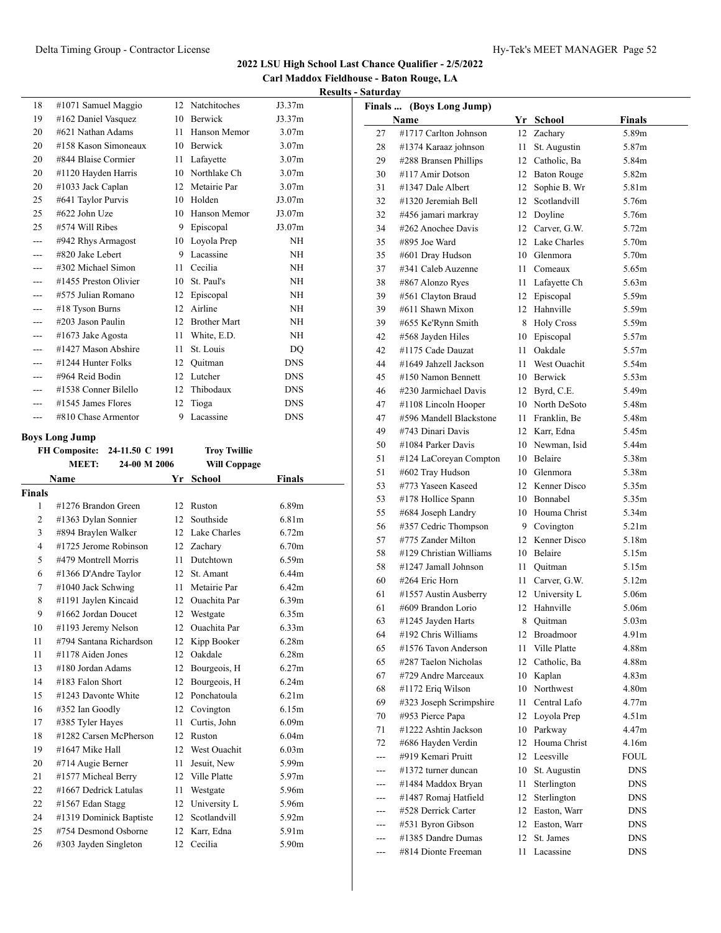| Carl Maddox Fieldhouse - Baton Rouge, LA |  |
|------------------------------------------|--|
| <b>Results - Saturday</b>                |  |

|               |                                               |                        |                       |                   | resul |
|---------------|-----------------------------------------------|------------------------|-----------------------|-------------------|-------|
| 18            | #1071 Samuel Maggio                           | 12                     | Natchitoches          | J3.37m            |       |
| 19            | #162 Daniel Vasquez                           | 10                     | Berwick               | J3.37m            |       |
| 20            | #621 Nathan Adams                             | 11                     | Hanson Memor          | 3.07 <sub>m</sub> |       |
| 20            | #158 Kason Simoneaux                          |                        | 10 Berwick            | 3.07 <sub>m</sub> |       |
| 20            | #844 Blaise Cormier                           | 11                     | Lafayette             | 3.07 <sub>m</sub> |       |
| 20            | #1120 Hayden Harris                           |                        | 10 Northlake Ch       | 3.07 <sub>m</sub> |       |
| 20            | #1033 Jack Caplan                             | 12 <sup>12</sup>       | Metairie Par          | 3.07 <sub>m</sub> |       |
| 25            | #641 Taylor Purvis                            |                        | 10 Holden             | J3.07m            |       |
| 25            | #622 John Uze                                 | 10                     | Hanson Memor          | J3.07m            |       |
| 25            | #574 Will Ribes                               | 9                      | Episcopal             | J3.07m            |       |
| ---           | #942 Rhys Armagost                            | 10                     | Loyola Prep           | NH                |       |
| ---           | #820 Jake Lebert                              | 9                      | Lacassine             | NH                |       |
| ---           | #302 Michael Simon                            | 11                     | Cecilia               | NH                |       |
|               | #1455 Preston Olivier                         | 10                     | St. Paul's            | NH                |       |
|               | #575 Julian Romano                            | 12                     | Episcopal             | NH                |       |
| ---           | #18 Tyson Burns                               | 12                     | Airline               | NH                |       |
| ---           | #203 Jason Paulin                             | 12                     | <b>Brother Mart</b>   | <b>NH</b>         |       |
| ---           | $\#1673$ Jake Agosta                          | 11                     | White, E.D.           | NH                |       |
| ---           | #1427 Mason Abshire                           | 11                     | St. Louis             | DQ                |       |
|               | #1244 Hunter Folks                            | 12                     | Ouitman               | <b>DNS</b>        |       |
| ---           | #964 Reid Bodin                               | 12                     | Lutcher               | <b>DNS</b>        |       |
| $---$         | #1538 Conner Bilello                          | 12                     | Thibodaux             | <b>DNS</b>        |       |
| ---           | #1545 James Flores                            | 12                     | Tioga                 | <b>DNS</b>        |       |
| $- - -$       | #810 Chase Armentor                           | 9                      | Lacassine             | <b>DNS</b>        |       |
|               | <b>Boys Long Jump</b>                         |                        |                       |                   |       |
|               | <b>FH Composite:</b><br>24-11.50 C 1991       |                        | <b>Troy Twillie</b>   |                   |       |
|               | 24-00 M 2006<br><b>MEET:</b>                  |                        | <b>Will Coppage</b>   |                   |       |
|               |                                               |                        |                       |                   |       |
|               |                                               |                        |                       |                   |       |
|               | Name                                          | Yr                     | <b>School</b>         | Finals            |       |
| <b>Finals</b> |                                               |                        |                       |                   |       |
| 1             | #1276 Brandon Green                           | 12<br>12 <sup>12</sup> | Ruston                | 6.89 <sub>m</sub> |       |
| 2             | #1363 Dylan Sonnier                           |                        | Southside             | 6.81 <sub>m</sub> |       |
| 3             | #894 Braylen Walker                           |                        | 12 Lake Charles       | 6.72m             |       |
| 4             | #1725 Jerome Robinson                         | 12                     | Zachary               | 6.70 <sub>m</sub> |       |
| 5             | #479 Montrell Morris                          | 11                     | Dutchtown             | 6.59m             |       |
| 6             | #1366 D'Andre Taylor                          | 12                     | St. Amant             | 6.44 <sub>m</sub> |       |
| 7             | #1040 Jack Schwing                            | 11                     | Metairie Par          | 6.42m             |       |
| 8             | #1191 Jaylen Kincaid                          | 12                     | <b>Ouachita</b> Par   | 6.39 <sub>m</sub> |       |
| 9             | #1662 Jordan Doucet                           | 12                     | Westgate              | 6.35m             |       |
| 10            | #1193 Jeremy Nelson                           | 12                     | Ouachita Par          | 6.33 <sub>m</sub> |       |
| 11            | #794 Santana Richardson                       | 12                     | Kipp Booker           | 6.28m             |       |
| 11            | #1178 Aiden Jones                             | 12                     | Oakdale               | 6.28 <sub>m</sub> |       |
| 13            | #180 Jordan Adams                             | 12                     | Bourgeois, H          | 6.27m             |       |
| 14            | #183 Falon Short                              | 12                     | Bourgeois, H          | 6.24m             |       |
| 15            | #1243 Davonte White                           | 12                     | Ponchatoula           | 6.21m             |       |
| 16            | #352 Ian Goodly                               | 12                     | Covington             | 6.15m             |       |
| 17            | #385 Tyler Hayes                              | 11                     | Curtis, John          | 6.09m             |       |
| 18            | #1282 Carsen McPherson                        | 12                     | Ruston                | 6.04m             |       |
| 19            | #1647 Mike Hall                               | 12                     | West Ouachit          | 6.03 <sub>m</sub> |       |
| 20            | #714 Augie Berner                             | 11                     | Jesuit, New           | 5.99m             |       |
| 21            | #1577 Micheal Berry                           | 12                     | Ville Platte          | 5.97m             |       |
| 22            | #1667 Dedrick Latulas                         | 11                     | Westgate              | 5.96m             |       |
| 22            | #1567 Edan Stagg                              | 12                     | University L          | 5.96m             |       |
| 24            | #1319 Dominick Baptiste                       | 12                     | Scotlandvill          | 5.92m             |       |
| 25<br>26      | #754 Desmond Osborne<br>#303 Jayden Singleton | 12<br>12               | Karr, Edna<br>Cecilia | 5.91m<br>5.90m    |       |

|        | Finals  (Boys Long Jump) |                 |                    |                   |
|--------|--------------------------|-----------------|--------------------|-------------------|
|        | Name                     |                 | Yr School          | Finals            |
| 27     | #1717 Carlton Johnson    | 12              | Zachary            | 5.89m             |
| 28     | #1374 Karaaz johnson     | 11              | St. Augustin       | 5.87m             |
| 29     | #288 Bransen Phillips    | 12              | Catholic, Ba       | 5.84m             |
| 30     | #117 Amir Dotson         | 12              | <b>Baton Rouge</b> | 5.82m             |
| 31     | #1347 Dale Albert        | 12              | Sophie B. Wr       | 5.81m             |
| 32     | #1320 Jeremiah Bell      | 12              | Scotlandvill       | 5.76m             |
| 32     | #456 jamari markray      | 12              | Doyline            | 5.76m             |
| 34     | #262 Anochee Davis       | 12              | Carver, G.W.       | 5.72m             |
| 35     | #895 Joe Ward            | 12              | Lake Charles       | 5.70m             |
| 35     | #601 Dray Hudson         | 10              | Glenmora           | 5.70m             |
| 37     | #341 Caleb Auzenne       | 11              | Comeaux            | 5.65m             |
| 38     | #867 Alonzo Ryes         | 11              | Lafayette Ch       | 5.63m             |
| 39     | #561 Clayton Braud       | 12              | Episcopal          | 5.59m             |
| 39     | #611 Shawn Mixon         | 12              | Hahnville          | 5.59m             |
| 39     | #655 Ke'Rynn Smith       | 8               | <b>Holy Cross</b>  | 5.59m             |
| 42     | #568 Jayden Hiles        | 10              | Episcopal          | 5.57m             |
| 42     | #1175 Cade Dauzat        | 11              | Oakdale            | 5.57m             |
| 44     | #1649 Jahzell Jackson    | 11              | West Ouachit       | 5.54m             |
| 45     | #150 Namon Bennett       | 10.             | Berwick            | 5.53m             |
| 46     | #230 Jarmichael Davis    | 12              |                    | 5.49m             |
|        |                          |                 | Byrd, C.E.         |                   |
| 47     | #1108 Lincoln Hooper     | 10              | North DeSoto       | 5.48m             |
| 47     | #596 Mandell Blackstone  | 11              | Franklin. Be       | 5.48m             |
| 49     | #743 Dinari Davis        |                 | 12 Karr, Edna      | 5.45m             |
| 50     | #1084 Parker Davis       | 10              | Newman, Isid       | 5.44m             |
| 51     | #124 LaCoreyan Compton   | 10              | <b>Belaire</b>     | 5.38m             |
| 51     | #602 Tray Hudson         |                 | 10 Glenmora        | 5.38m             |
| 53     | #773 Yaseen Kaseed       | 12              | Kenner Disco       | 5.35m             |
| 53     | #178 Hollice Spann       | 10              | Bonnabel           | 5.35m             |
| 55     | #684 Joseph Landry       | 10              | Houma Christ       | 5.34m             |
| 56     | #357 Cedric Thompson     | 9.              | Covington          | 5.21m             |
| 57     | #775 Zander Milton       | 12 <sup>2</sup> | Kenner Disco       | 5.18m             |
| 58     | #129 Christian Williams  | 10              | Belaire            | 5.15m             |
| 58     | #1247 Jamall Johnson     | 11              | Ouitman            | 5.15m             |
| 60     | #264 Eric Horn           | 11              | Carver, G.W.       | 5.12m             |
| 61     | #1557 Austin Ausberry    | 12              | University L       | 5.06m             |
| 61     | #609 Brandon Lorio       | 12              | Hahnville          | 5.06m             |
| 63     | #1245 Jayden Harts       | 8               | Ouitman            | 5.03 <sub>m</sub> |
| 64     | #192 Chris Williams      | 12              | Broadmoor          | 4.91m             |
| 65     | #1576 Tavon Anderson     | 11              | Ville Platte       | 4.88m             |
| 65     | #287 Taelon Nicholas     | 12              | Catholic, Ba       | 4.88m             |
| 67     | #729 Andre Marceaux      | 10              | Kaplan             | 4.83m             |
| 68     | #1172 Eriq Wilson        | 10              | Northwest          | 4.80m             |
| 69     | #323 Joseph Scrimpshire  | 11              | Central Lafo       | 4.77m             |
| 70     | #953 Pierce Papa         | 12              | Loyola Prep        | 4.51m             |
| 71     | #1222 Ashtin Jackson     | 10              | Parkway            | 4.47m             |
| 72     | #686 Hayden Verdin       | 12              | Houma Christ       | 4.16m             |
| $-$ -- | #919 Kemari Pruitt       | 12              | Leesville          | <b>FOUL</b>       |
| ---    | #1372 turner duncan      | 10              | St. Augustin       | <b>DNS</b>        |
|        | #1484 Maddox Bryan       | 11              | Sterlington        | <b>DNS</b>        |
|        | #1487 Romaj Hatfield     | 12              | Sterlington        | <b>DNS</b>        |
|        | #528 Derrick Carter      | 12              | Easton, Warr       | <b>DNS</b>        |
| ---    | #531 Byron Gibson        | 12              | Easton, Warr       | DNS               |
|        | #1385 Dandre Dumas       | 12              | St. James          | DNS               |
| ---    | #814 Dionte Freeman      | 11              | Lacassine          | <b>DNS</b>        |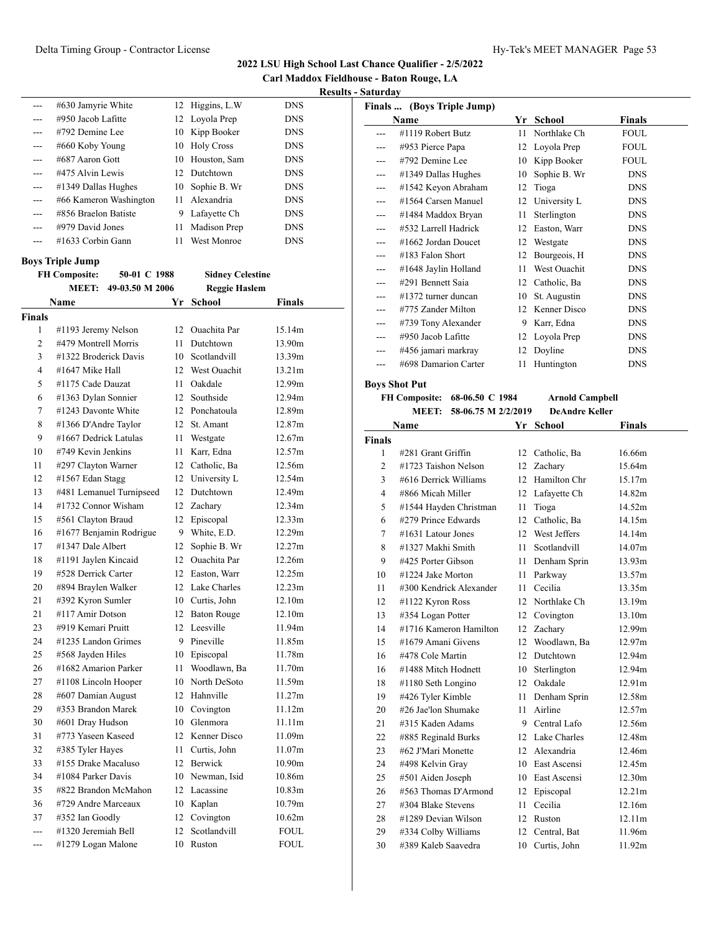**Carl Maddox Fieldhouse - Baton Rouge, LA Results - Saturday**

|         |                        |    |                    |            | Kesults |
|---------|------------------------|----|--------------------|------------|---------|
| ---     | #630 Jamyrie White     |    | 12 Higgins, L.W    | <b>DNS</b> |         |
| $- - -$ | $\#950$ Jacob Lafitte  |    | 12 Loyola Prep     | <b>DNS</b> |         |
| $---$   | #792 Demine Lee        |    | 10 Kipp Booker     | <b>DNS</b> |         |
| $- - -$ | #660 Koby Young        |    | 10 Holy Cross      | <b>DNS</b> |         |
| $---$   | #687 Aaron Gott        | 10 | Houston, Sam       | <b>DNS</b> |         |
| $- - -$ | #475 Alvin Lewis       |    | 12 Dutchtown       | <b>DNS</b> |         |
| $---$   | #1349 Dallas Hughes    |    | 10 Sophie B. Wr    | <b>DNS</b> |         |
| $- - -$ | #66 Kameron Washington |    | 11 Alexandria      | <b>DNS</b> |         |
| ---     | #856 Braelon Batiste   | 9  | Lafayette Ch       | <b>DNS</b> |         |
| $---$   | #979 David Jones       | 11 | Madison Prep       | <b>DNS</b> |         |
|         | #1633 Corbin Gann      | 11 | <b>West Monroe</b> | <b>DNS</b> |         |

#### **Boys Triple Jump**

|                | <b>FH Composite:</b>  | 50-01 C 1988             |                 | <b>Sidney Celestine</b> |               |
|----------------|-----------------------|--------------------------|-----------------|-------------------------|---------------|
|                | <b>MEET:</b>          | 49-03.50 M 2006          |                 | <b>Reggie Haslem</b>    |               |
|                | Name                  |                          |                 | Yr School               | <b>Finals</b> |
| <b>Finals</b>  |                       |                          |                 |                         |               |
| 1              | #1193 Jeremy Nelson   |                          | 12              | Quachita Par            | 15.14m        |
| $\overline{c}$ | #479 Montrell Morris  |                          | 11              | Dutchtown               | 13.90m        |
| 3              | #1322 Broderick Davis |                          |                 | 10 Scotlandvill         | 13.39m        |
| 4              | #1647 Mike Hall       |                          | 12              | West Ouachit            | 13.21m        |
| 5              | #1175 Cade Dauzat     |                          | 11              | Oakdale                 | 12.99m        |
| 6              | #1363 Dylan Sonnier   |                          | 12              | Southside               | 12.94m        |
| 7              | #1243 Davonte White   |                          |                 | 12 Ponchatoula          | 12.89m        |
| 8              | #1366 D'Andre Taylor  |                          | 12 <sup>2</sup> | St. Amant               | 12.87m        |
| 9              | #1667 Dedrick Latulas |                          | 11              | Westgate                | 12.67m        |
| 10             | #749 Kevin Jenkins    |                          | 11              | Karr, Edna              | 12.57m        |
| 11             | #297 Clayton Warner   |                          |                 | 12 Catholic, Ba         | 12.56m        |
| 12             | #1567 Edan Stagg      |                          |                 | 12 University L         | 12.54m        |
| 13             |                       | #481 Lemanuel Turnipseed |                 | 12 Dutchtown            | 12.49m        |
| 14             | #1732 Connor Wisham   |                          |                 | 12 Zachary              | 12.34m        |
| 15             | #561 Clayton Braud    |                          | 12              | Episcopal               | 12.33m        |
| 16             |                       | #1677 Benjamin Rodrigue  | 9               | White, E.D.             | 12.29m        |
| 17             | #1347 Dale Albert     |                          | 12              | Sophie B. Wr            | 12.27m        |
| 18             | #1191 Jaylen Kincaid  |                          | 12              | <b>Ouachita</b> Par     | 12.26m        |
| 19             | #528 Derrick Carter   |                          |                 | 12 Easton, Warr         | 12.25m        |
| 20             | #894 Braylen Walker   |                          |                 | 12 Lake Charles         | 12.23m        |
| 21             | #392 Kyron Sumler     |                          |                 | 10 Curtis, John         | 12.10m        |
| 21             | #117 Amir Dotson      |                          |                 | 12 Baton Rouge          | 12.10m        |
| 23             | #919 Kemari Pruitt    |                          |                 | 12 Leesville            | 11.94m        |
| 24             | #1235 Landon Grimes   |                          |                 | 9 Pineville             | 11.85m        |
| 25             | #568 Jayden Hiles     |                          |                 | 10 Episcopal            | 11.78m        |
| 26             | #1682 Amarion Parker  |                          | 11              | Woodlawn, Ba            | 11.70m        |
| 27             | #1108 Lincoln Hooper  |                          |                 | 10 North DeSoto         | 11.59m        |
| 28             | #607 Damian August    |                          |                 | 12 Hahnville            | 11.27m        |
| 29             | #353 Brandon Marek    |                          |                 | 10 Covington            | 11.12m        |
| 30             | #601 Dray Hudson      |                          |                 | 10 Glenmora             | 11.11m        |
| 31             | #773 Yaseen Kaseed    |                          | 12 <sup>1</sup> | Kenner Disco            | 11.09m        |
| 32             | #385 Tyler Hayes      |                          | 11              | Curtis, John            | 11.07m        |
| 33             | #155 Drake Macaluso   |                          |                 | 12 Berwick              | 10.90m        |
| 34             | #1084 Parker Davis    |                          |                 | 10 Newman, Isid         | 10.86m        |
| 35             |                       | #822 Brandon McMahon     |                 | 12 Lacassine            | 10.83m        |
| 36             | #729 Andre Marceaux   |                          |                 | 10 Kaplan               | 10.79m        |
| 37             | #352 Ian Goodly       |                          | 12              | Covington               | 10.62m        |
| $\sim$         | #1320 Jeremiah Bell   |                          | 12              | Scotlandvill            | <b>FOUL</b>   |
| ---            | #1279 Logan Malone    |                          | 10              | Ruston                  | <b>FOUL</b>   |

|     | Finals  (Boys Triple Jump) |    |              |             |
|-----|----------------------------|----|--------------|-------------|
|     | Name                       | Yr | School       | Finals      |
|     | #1119 Robert Butz          | 11 | Northlake Ch | <b>FOUL</b> |
|     | #953 Pierce Papa           | 12 | Loyola Prep  | <b>FOUL</b> |
| --- | #792 Demine Lee            | 10 | Kipp Booker  | <b>FOUL</b> |
| --- | #1349 Dallas Hughes        | 10 | Sophie B. Wr | <b>DNS</b>  |
|     | #1542 Keyon Abraham        | 12 | Tioga        | <b>DNS</b>  |
|     | #1564 Carsen Manuel        | 12 | University L | <b>DNS</b>  |
| --- | #1484 Maddox Bryan         | 11 | Sterlington  | <b>DNS</b>  |
|     | #532 Larrell Hadrick       | 12 | Easton, Warr | <b>DNS</b>  |
|     | #1662 Jordan Doucet        | 12 | Westgate     | <b>DNS</b>  |
|     | #183 Falon Short           | 12 | Bourgeois, H | <b>DNS</b>  |
| --- | #1648 Jaylin Holland       | 11 | West Ouachit | <b>DNS</b>  |
|     | #291 Bennett Saia          | 12 | Catholic, Ba | <b>DNS</b>  |
|     | #1372 turner duncan        | 10 | St. Augustin | <b>DNS</b>  |
| --- | #775 Zander Milton         | 12 | Kenner Disco | <b>DNS</b>  |
|     | #739 Tony Alexander        | 9  | Karr, Edna   | <b>DNS</b>  |
|     | #950 Jacob Lafitte         | 12 | Loyola Prep  | <b>DNS</b>  |
| --- | #456 jamari markray        | 12 | Doyline      | <b>DNS</b>  |
|     | #698 Damarion Carter       | 11 | Huntington   | <b>DNS</b>  |
|     | ות הם הם                   |    |              |             |

#### **Boys Shot Put**

**FH Composite: 68-06.50 C 1984 Arnold Campbell MEET: 58-06.75 M 2/2/2019 DeAndre Keller**

|                | Name                    |    | Yr School       | <b>Finals</b> |
|----------------|-------------------------|----|-----------------|---------------|
| <b>Finals</b>  |                         |    |                 |               |
| 1              | #281 Grant Griffin      | 12 | Catholic, Ba    | 16.66m        |
| $\overline{c}$ | #1723 Taishon Nelson    |    | 12 Zachary      | 15.64m        |
| 3              | #616 Derrick Williams   | 12 | Hamilton Chr    | 15.17m        |
| 4              | #866 Micah Miller       | 12 | Lafayette Ch    | 14.82m        |
| 5              | #1544 Hayden Christman  | 11 | Tioga           | 14.52m        |
| 6              | #279 Prince Edwards     | 12 | Catholic, Ba    | 14.15m        |
| 7              | #1631 Latour Jones      | 12 | West Jeffers    | 14.14m        |
| 8              | #1327 Makhi Smith       | 11 | Scotlandvill    | 14.07m        |
| 9              | #425 Porter Gibson      | 11 | Denham Sprin    | 13.93m        |
| 10             | #1224 Jake Morton       | 11 | Parkway         | 13.57m        |
| 11             | #300 Kendrick Alexander | 11 | Cecilia         | 13.35m        |
| 12             | $\#1122$ Kyron Ross     | 12 | Northlake Ch    | 13.19m        |
| 13             | #354 Logan Potter       | 12 | Covington       | 13.10m        |
| 14             | #1716 Kameron Hamilton  | 12 | Zachary         | 12.99m        |
| 15             | #1679 Amani Givens      | 12 | Woodlawn, Ba    | 12.97m        |
| 16             | #478 Cole Martin        | 12 | Dutchtown       | 12.94m        |
| 16             | #1488 Mitch Hodnett     | 10 | Sterlington     | 12.94m        |
| 18             | #1180 Seth Longino      |    | 12 Oakdale      | 12.91m        |
| 19             | #426 Tyler Kimble       | 11 | Denham Sprin    | 12.58m        |
| 20             | #26 Jae'lon Shumake     | 11 | Airline         | 12.57m        |
| 21             | #315 Kaden Adams        |    | 9 Central Lafo  | 12.56m        |
| 22             | #885 Reginald Burks     |    | 12 Lake Charles | 12.48m        |
| 23             | #62 J'Mari Monette      |    | 12 Alexandria   | 12.46m        |
| 24             | #498 Kelvin Gray        |    | 10 East Ascensi | 12.45m        |
| 25             | #501 Aiden Joseph       |    | 10 East Ascensi | 12.30m        |
| 26             | #563 Thomas D'Armond    | 12 | Episcopal       | 12.21m        |
| 27             | #304 Blake Stevens      | 11 | Cecilia         | 12.16m        |
| 28             | #1289 Devian Wilson     | 12 | Ruston          | 12.11m        |
| 29             | #334 Colby Williams     | 12 | Central, Bat    | 11.96m        |
| 30             | #389 Kaleb Saavedra     | 10 | Curtis, John    | 11.92m        |